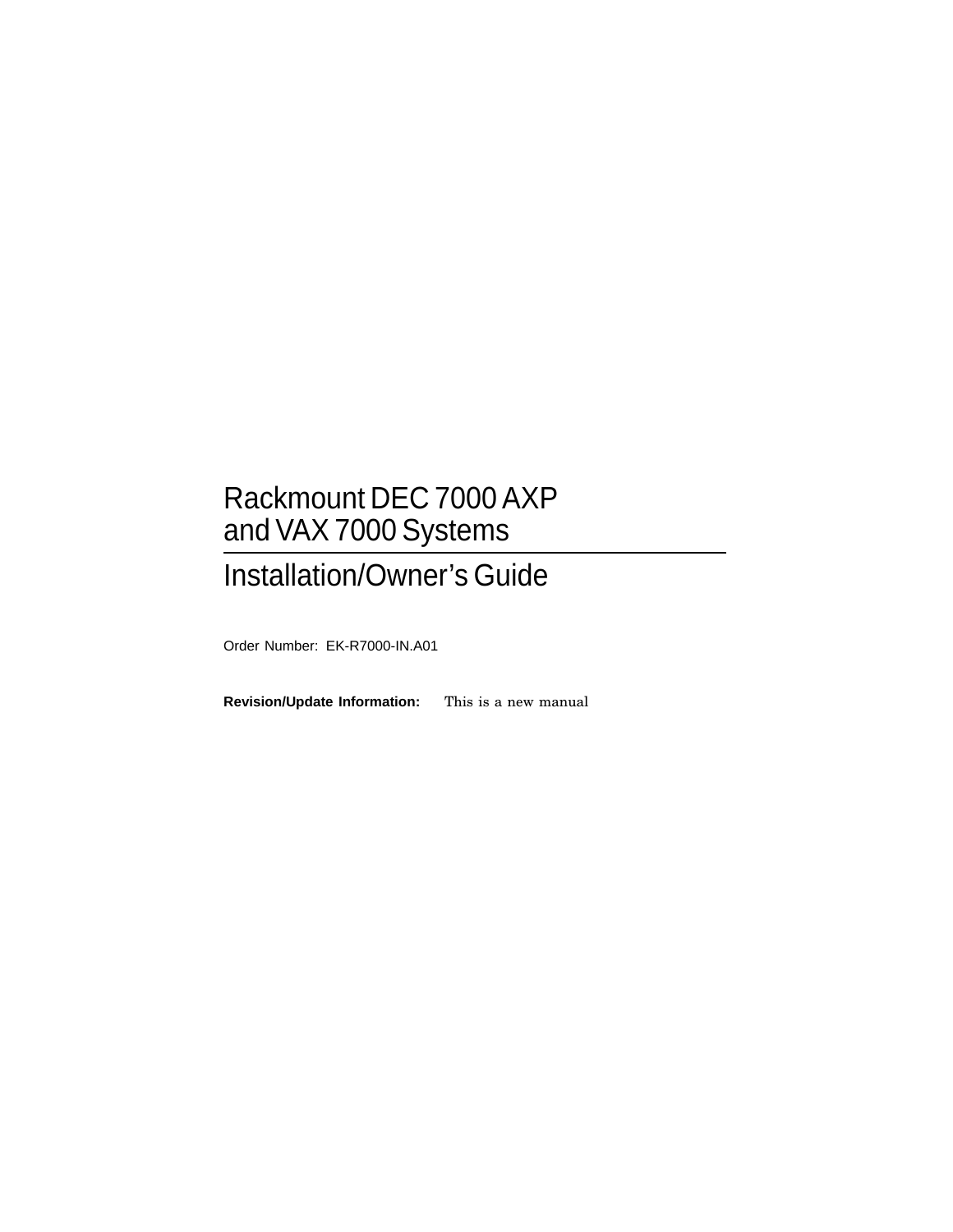# Rackmount DEC 7000 AXP and VAX 7000 Systems

# Installation/Owner's Guide

Order Number: EK-R7000-IN.A01

**Revision/Update Information:** This is a new manual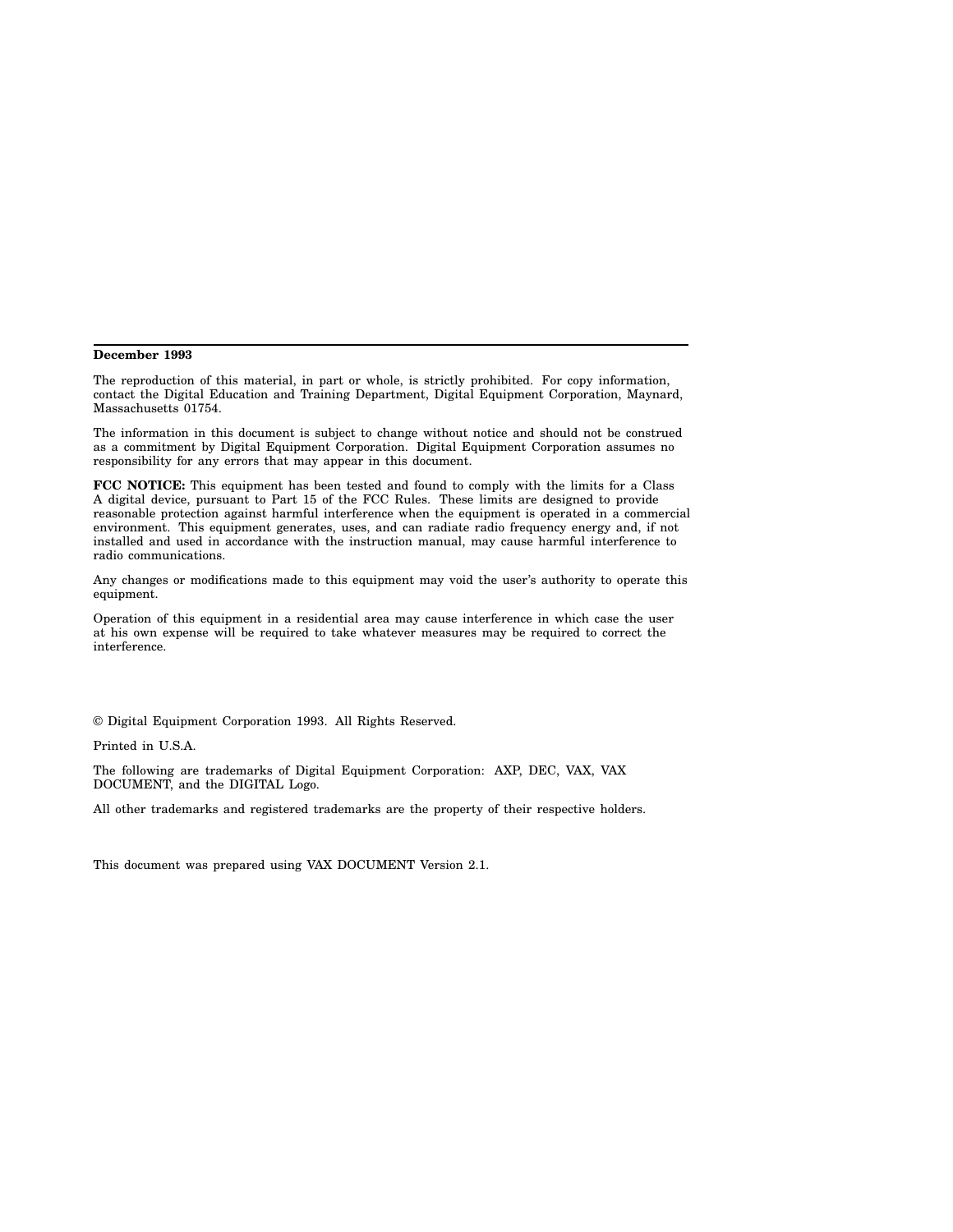#### **December 1993**

The reproduction of this material, in part or whole, is strictly prohibited. For copy information, contact the Digital Education and Training Department, Digital Equipment Corporation, Maynard, Massachusetts 01754.

The information in this document is subject to change without notice and should not be construed as a commitment by Digital Equipment Corporation. Digital Equipment Corporation assumes no responsibility for any errors that may appear in this document.

**FCC NOTICE:** This equipment has been tested and found to comply with the limits for a Class A digital device, pursuant to Part 15 of the FCC Rules. These limits are designed to provide reasonable protection against harmful interference when the equipment is operated in a commercial environment. This equipment generates, uses, and can radiate radio frequency energy and, if not installed and used in accordance with the instruction manual, may cause harmful interference to radio communications.

Any changes or modifications made to this equipment may void the user's authority to operate this equipment.

Operation of this equipment in a residential area may cause interference in which case the user at his own expense will be required to take whatever measures may be required to correct the interference.

© Digital Equipment Corporation 1993. All Rights Reserved.

Printed in U.S.A.

The following are trademarks of Digital Equipment Corporation: AXP, DEC, VAX, VAX DOCUMENT, and the DIGITAL Logo.

All other trademarks and registered trademarks are the property of their respective holders.

This document was prepared using VAX DOCUMENT Version 2.1.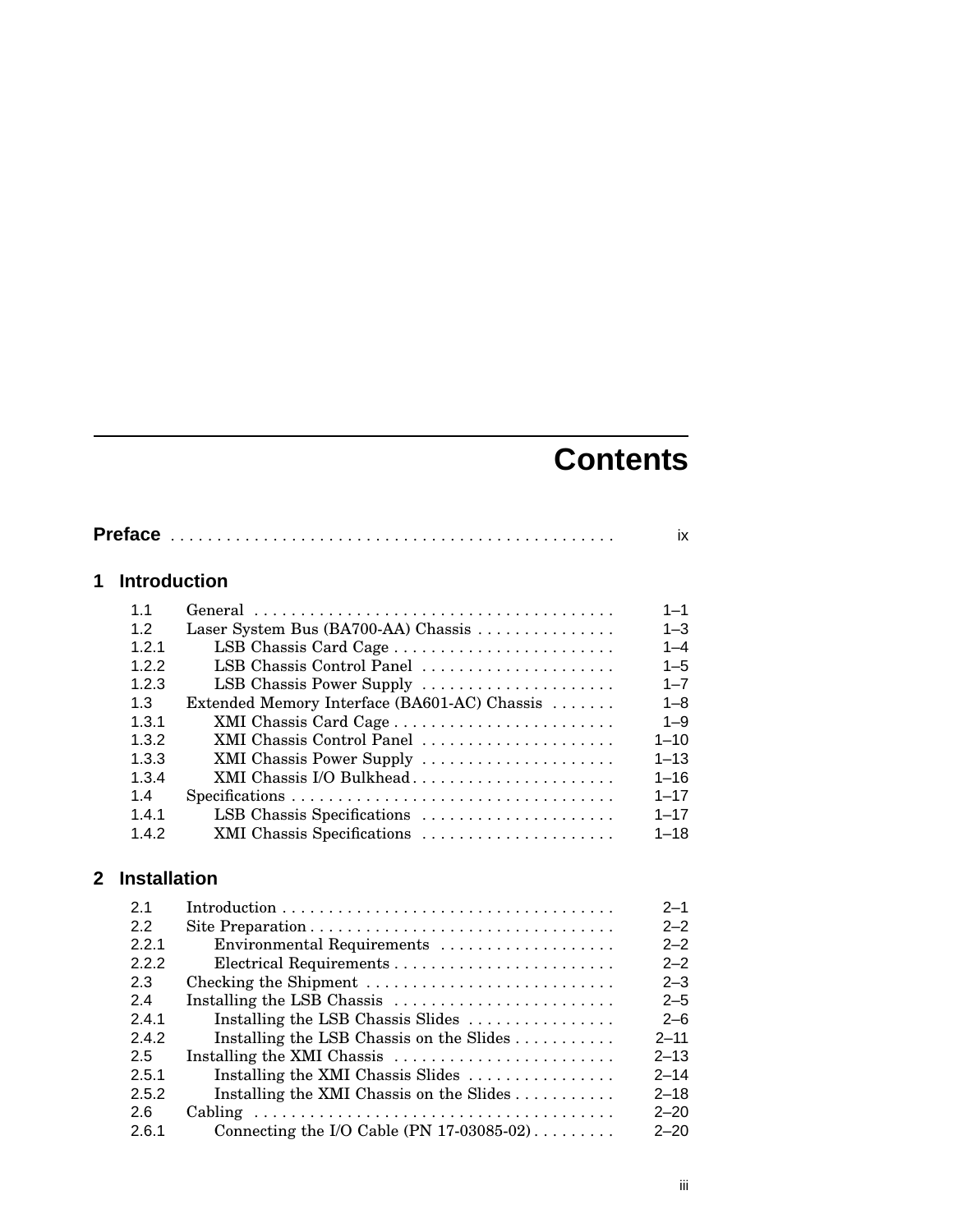# **Contents**

|                |                     |                                              | ix       |
|----------------|---------------------|----------------------------------------------|----------|
| 1              | <b>Introduction</b> |                                              |          |
|                | 1.1                 |                                              | $1 - 1$  |
|                | 1.2                 | Laser System Bus (BA700-AA) Chassis          | $1 - 3$  |
|                | 1.2.1               | LSB Chassis Card Cage                        | $1 - 4$  |
|                | 1.2.2               | LSB Chassis Control Panel                    | $1 - 5$  |
|                | 1.2.3               | LSB Chassis Power Supply                     | $1 - 7$  |
|                | 1.3                 | Extended Memory Interface (BA601-AC) Chassis | $1 - 8$  |
|                | 1.3.1               | XMI Chassis Card Cage                        | $1 - 9$  |
|                | 1.3.2               | XMI Chassis Control Panel                    | $1 - 10$ |
|                | 1.3.3               | XMI Chassis Power Supply                     | $1 - 13$ |
|                | 1.3.4               | XMI Chassis I/O Bulkhead                     | $1 - 16$ |
|                | 1.4                 |                                              | $1 - 17$ |
|                | 1.4.1               | LSB Chassis Specifications                   | $1 - 17$ |
|                | 1.4.2               | XMI Chassis Specifications                   | $1 - 18$ |
| $\overline{2}$ | <b>Installation</b> |                                              |          |
|                | 2.1                 |                                              | $2 - 1$  |
|                | 2.2                 |                                              | $2 - 2$  |
|                | 2.2.1               | Environmental Requirements                   | $2 - 2$  |
|                | 2.2.2               |                                              | $2 - 2$  |
|                | 2.3                 | Checking the Shipment                        | $2 - 3$  |
|                | 2.4                 | Installing the LSB Chassis                   | $2 - 5$  |
|                | 2.4.1               | Installing the LSB Chassis Slides            | $2 - 6$  |
|                | 2.4.2               | Installing the LSB Chassis on the Slides     | $2 - 11$ |
|                | 2.5                 | Installing the XMI Chassis                   | $2 - 13$ |
|                | 2.5.1               | Installing the XMI Chassis Slides            | $2 - 14$ |
|                | 2.5.2               | Installing the XMI Chassis on the Slides     | $2 - 18$ |
|                | 2.6                 | Cabling                                      | $2 - 20$ |
|                | 2.6.1               | Connecting the I/O Cable (PN 17-03085-02)    | $2 - 20$ |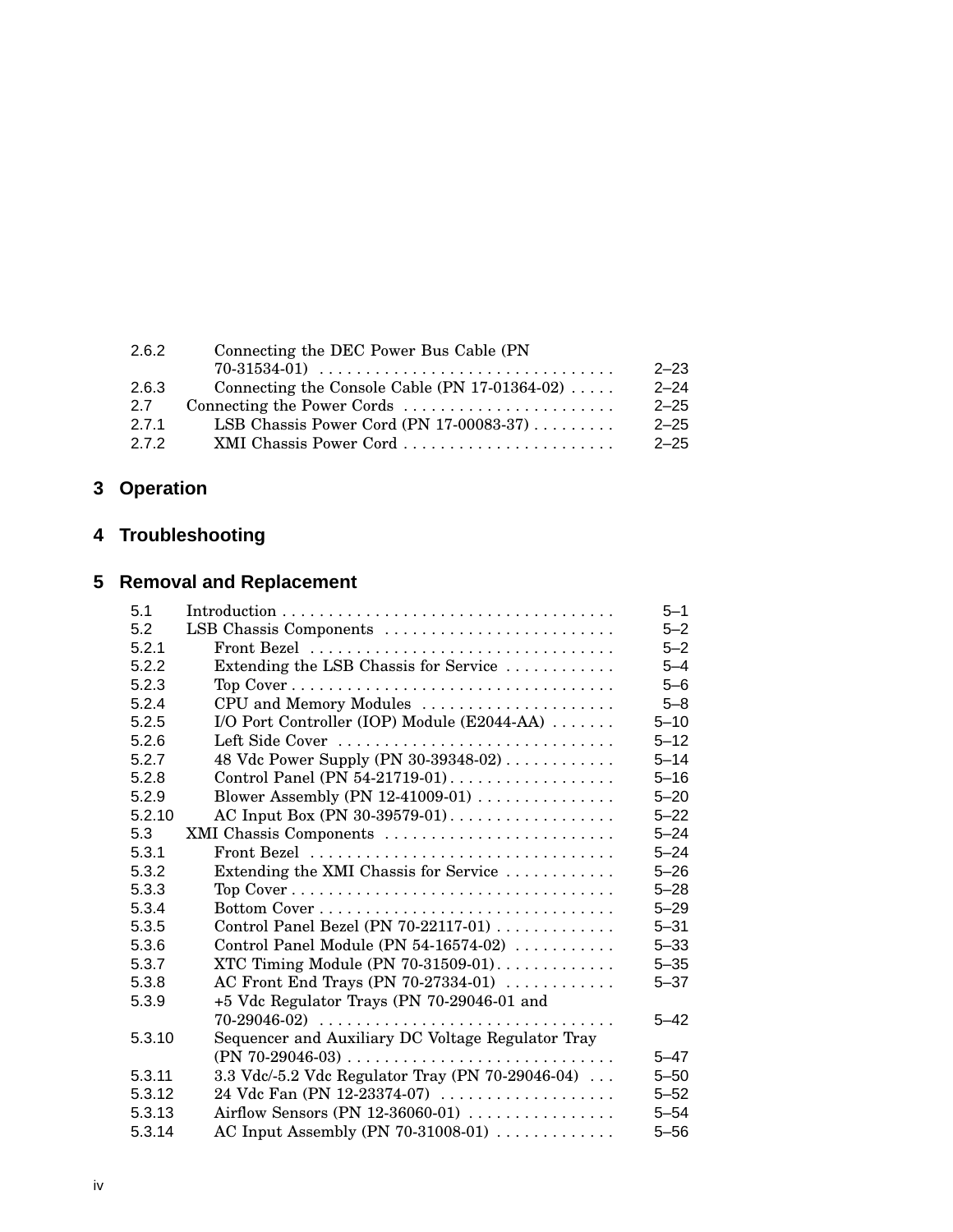| $2 - 23$                                                     |
|--------------------------------------------------------------|
| Connecting the Console Cable (PN $17-01364-02$ )<br>$2 - 24$ |
| Connecting the Power Cords<br>$2 - 25$                       |
| LSB Chassis Power Cord (PN 17-00083-37)<br>$2 - 25$          |
| XMI Chassis Power Cord<br>$2 - 25$                           |
|                                                              |

# **3 Operation**

# **4 Troubleshooting**

# **5 Removal and Replacement**

| 5.1    |                                                         |          |  |
|--------|---------------------------------------------------------|----------|--|
| 5.2    | LSB Chassis Components                                  |          |  |
| 5.2.1  | Front Bezel                                             |          |  |
| 5.2.2  | Extending the LSB Chassis for Service                   | $5 - 4$  |  |
| 5.2.3  |                                                         | $5 - 6$  |  |
| 5.2.4  | CPU and Memory Modules                                  | $5 - 8$  |  |
| 5.2.5  | I/O Port Controller (IOP) Module (E2044-AA)             | $5 - 10$ |  |
| 5.2.6  | Left Side Cover                                         | $5 - 12$ |  |
| 5.2.7  | 48 Vdc Power Supply (PN 30-39348-02)                    | $5 - 14$ |  |
| 5.2.8  | Control Panel (PN 54-21719-01)                          | $5 - 16$ |  |
| 5.2.9  | Blower Assembly (PN 12-41009-01)                        | $5 - 20$ |  |
| 5.2.10 | AC Input Box (PN 30-39579-01)                           | $5 - 22$ |  |
| 5.3    | XMI Chassis Components                                  | $5 - 24$ |  |
| 5.3.1  |                                                         | $5 - 24$ |  |
| 5.3.2  | Extending the XMI Chassis for Service                   | $5 - 26$ |  |
| 5.3.3  | Top Cover                                               | $5 - 28$ |  |
| 5.3.4  |                                                         | $5 - 29$ |  |
| 5.3.5  | Control Panel Bezel (PN $70-22117-01$ )                 | $5 - 31$ |  |
| 5.3.6  | Control Panel Module (PN 54-16574-02)                   | $5 - 33$ |  |
| 5.3.7  | XTC Timing Module (PN 70-31509-01). $\dots \dots \dots$ | $5 - 35$ |  |
| 5.3.8  | AC Front End Trays (PN 70-27334-01)                     | $5 - 37$ |  |
| 5.3.9  | +5 Vdc Regulator Trays (PN 70-29046-01 and              |          |  |
|        | $70-29046-02)$                                          | $5 - 42$ |  |
| 5.3.10 | Sequencer and Auxiliary DC Voltage Regulator Tray       |          |  |
|        |                                                         | $5 - 47$ |  |
| 5.3.11 | 3.3 Vdc/-5.2 Vdc Regulator Tray (PN 70-29046-04)        | $5 - 50$ |  |
| 5.3.12 | 24 Vdc Fan (PN 12-23374-07)                             | $5 - 52$ |  |
| 5.3.13 | Airflow Sensors (PN 12-36060-01)                        | $5 - 54$ |  |
| 5.3.14 | AC Input Assembly (PN 70-31008-01)                      | $5 - 56$ |  |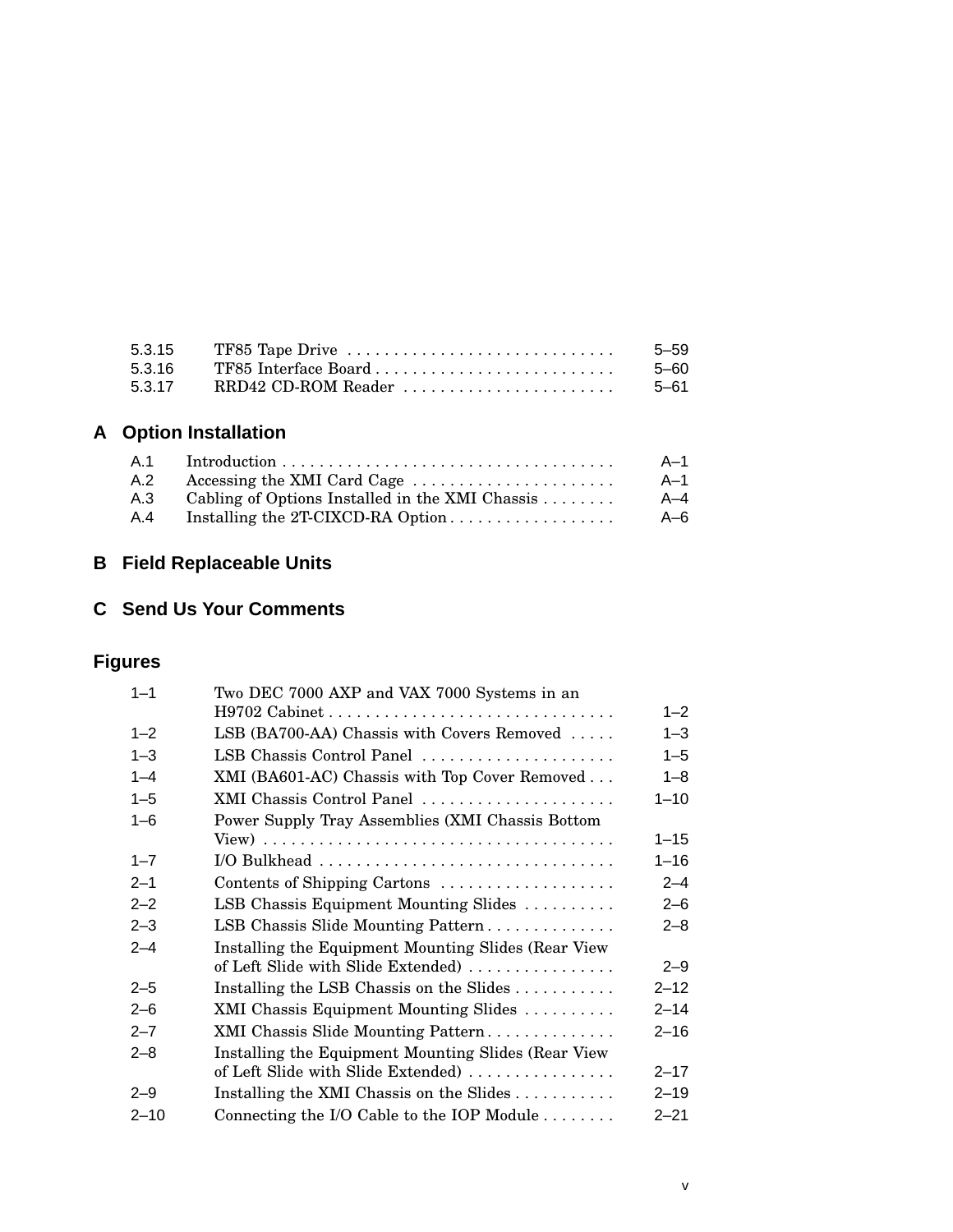| 5.3.15 | TF85 Tape Drive $\dots\dots\dots\dots\dots\dots\dots\dots\dots\dots\dots\dots$ | 5-59  |
|--------|--------------------------------------------------------------------------------|-------|
| 5.3.16 | TF85 Interface Board                                                           | .5–60 |
| 5.3.17 | RRD42 CD-ROM Reader                                                            | 5–61  |

# **A Option Installation**

| A.1 | $Introduction \dots \dots \dots \dots \dots \dots \dots \dots \dots \dots \dots \dots \dots$ | A-1 |
|-----|----------------------------------------------------------------------------------------------|-----|
| A.2 | Accessing the XMI Card Cage                                                                  | A–1 |
| A.3 | Cabling of Options Installed in the XMI Chassis $\ldots$                                     | A–4 |
| A.4 |                                                                                              | A–6 |

# **B Field Replaceable Units**

# **C Send Us Your Comments**

# **Figures**

| $1 - 1$  | Two DEC 7000 AXP and VAX 7000 Systems in an            |          |  |
|----------|--------------------------------------------------------|----------|--|
|          |                                                        | $1 - 2$  |  |
| $1 - 2$  | LSB (BA700-AA) Chassis with Covers Removed             | $1 - 3$  |  |
| $1 - 3$  | LSB Chassis Control Panel                              | $1 - 5$  |  |
| $1 - 4$  | XMI (BA601-AC) Chassis with Top Cover Removed          | $1 - 8$  |  |
| $1 - 5$  | XMI Chassis Control Panel                              | $1 - 10$ |  |
| $1 - 6$  | Power Supply Tray Assemblies (XMI Chassis Bottom       |          |  |
|          |                                                        | $1 - 15$ |  |
| $1 - 7$  |                                                        | $1 - 16$ |  |
| $2 - 1$  | Contents of Shipping Cartons                           | $2 - 4$  |  |
| $2 - 2$  | LSB Chassis Equipment Mounting Slides                  | $2 - 6$  |  |
| $2 - 3$  | LSB Chassis Slide Mounting Pattern                     | $2 - 8$  |  |
| $2 - 4$  | Installing the Equipment Mounting Slides (Rear View)   |          |  |
|          | of Left Slide with Slide Extended)                     | $2 - 9$  |  |
| $2 - 5$  | Installing the LSB Chassis on the Slides $\dots \dots$ | $2 - 12$ |  |
| $2 - 6$  | XMI Chassis Equipment Mounting Slides                  | $2 - 14$ |  |
| $2 - 7$  | XMI Chassis Slide Mounting Pattern                     |          |  |
| $2 - 8$  | Installing the Equipment Mounting Slides (Rear View    |          |  |
|          | of Left Slide with Slide Extended)                     | $2 - 17$ |  |
| $2 - 9$  | Installing the XMI Chassis on the Slides               | $2 - 19$ |  |
| $2 - 10$ | Connecting the I/O Cable to the IOP Module             | $2 - 21$ |  |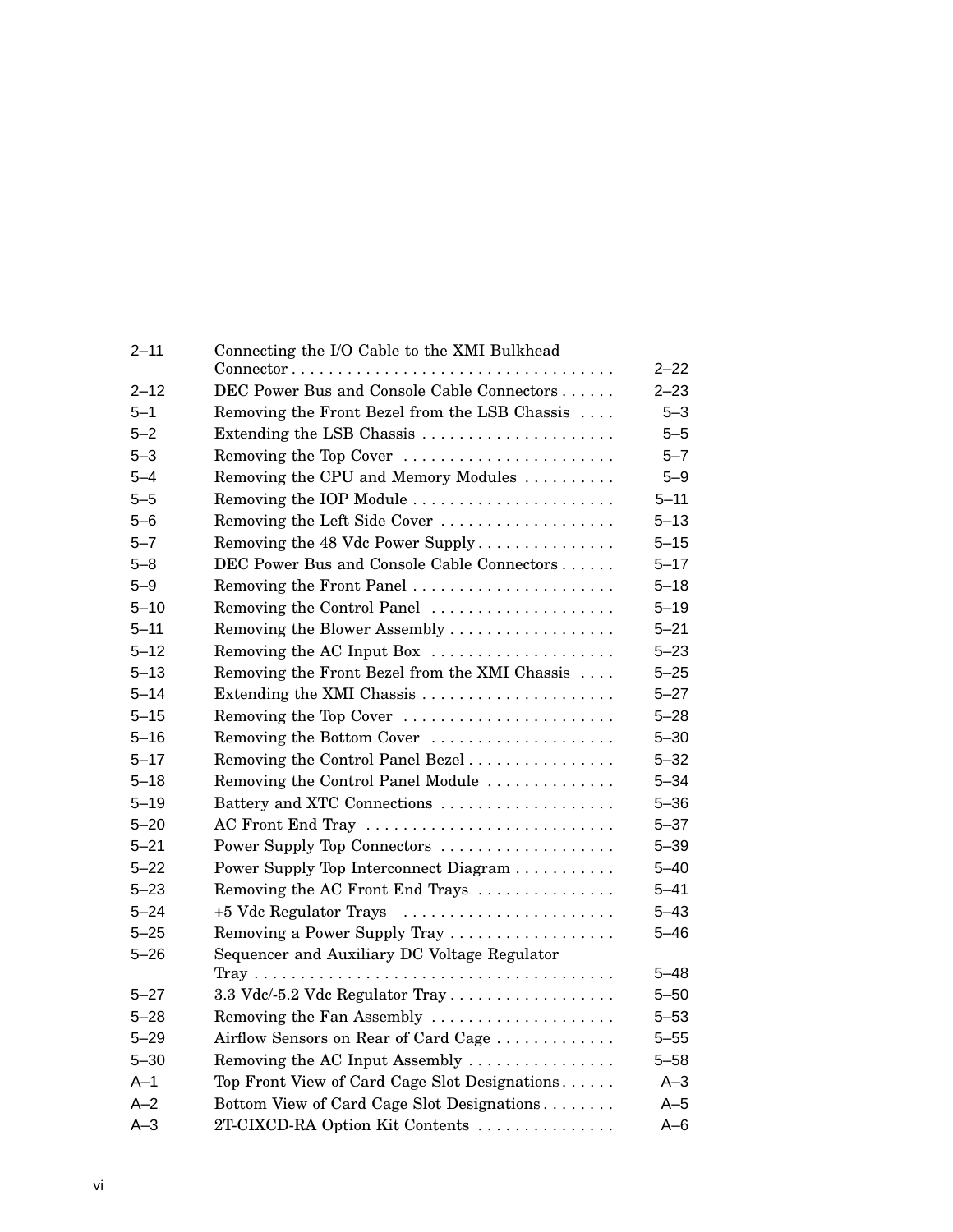| $2 - 11$ | Connecting the I/O Cable to the XMI Bulkhead<br>$Connector \ldots \ldots \ldots \ldots \ldots \ldots \ldots \ldots \ldots \ldots \ldots \ldots$ |                      |  |  |
|----------|-------------------------------------------------------------------------------------------------------------------------------------------------|----------------------|--|--|
| $2 - 12$ | DEC Power Bus and Console Cable Connectors                                                                                                      | $2 - 22$<br>$2 - 23$ |  |  |
| $5 - 1$  | Removing the Front Bezel from the LSB Chassis                                                                                                   |                      |  |  |
| $5 - 2$  | Extending the LSB Chassis                                                                                                                       |                      |  |  |
| $5 - 3$  | Removing the Top Cover                                                                                                                          | $5 - 5$<br>$5 - 7$   |  |  |
| $5 - 4$  | Removing the CPU and Memory Modules                                                                                                             | $5 - 9$              |  |  |
| $5 - 5$  | Removing the IOP Module                                                                                                                         | $5 - 11$             |  |  |
| $5 - 6$  | Removing the Left Side Cover                                                                                                                    | $5 - 13$             |  |  |
| $5 - 7$  | Removing the 48 Vdc Power Supply                                                                                                                | $5 - 15$             |  |  |
| $5 - 8$  | DEC Power Bus and Console Cable Connectors                                                                                                      | $5 - 17$             |  |  |
| $5 - 9$  | Removing the Front Panel                                                                                                                        | $5 - 18$             |  |  |
| $5 - 10$ | Removing the Control Panel                                                                                                                      | $5 - 19$             |  |  |
| $5 - 11$ | Removing the Blower Assembly                                                                                                                    | $5 - 21$             |  |  |
| $5 - 12$ | Removing the AC Input Box                                                                                                                       | $5 - 23$             |  |  |
| $5 - 13$ | Removing the Front Bezel from the XMI Chassis                                                                                                   | $5 - 25$             |  |  |
| $5 - 14$ | Extending the XMI Chassis                                                                                                                       | $5 - 27$             |  |  |
| $5 - 15$ | Removing the Top Cover                                                                                                                          | 5–28                 |  |  |
| $5 - 16$ | Removing the Bottom Cover                                                                                                                       | $5 - 30$             |  |  |
| $5 - 17$ | Removing the Control Panel Bezel                                                                                                                |                      |  |  |
| $5 - 18$ | Removing the Control Panel Module                                                                                                               | $5 - 32$<br>$5 - 34$ |  |  |
| $5 - 19$ | Battery and XTC Connections                                                                                                                     | $5 - 36$             |  |  |
| $5 - 20$ | AC Front End Tray                                                                                                                               | $5 - 37$             |  |  |
| $5 - 21$ | Power Supply Top Connectors                                                                                                                     | $5 - 39$             |  |  |
| $5 - 22$ | Power Supply Top Interconnect Diagram                                                                                                           | $5 - 40$             |  |  |
| $5 - 23$ | Removing the AC Front End Trays                                                                                                                 | $5 - 41$             |  |  |
| $5 - 24$ | +5 Vdc Regulator Trays                                                                                                                          | $5 - 43$             |  |  |
| $5 - 25$ | Removing a Power Supply Tray                                                                                                                    | $5 - 46$             |  |  |
| $5 - 26$ | Sequencer and Auxiliary DC Voltage Regulator                                                                                                    |                      |  |  |
|          |                                                                                                                                                 | 5–48                 |  |  |
| $5 - 27$ | 3.3 Vdc/-5.2 Vdc Regulator Tray                                                                                                                 | $5 - 50$             |  |  |
| $5 - 28$ | Removing the Fan Assembly                                                                                                                       | $5 - 53$             |  |  |
| $5 - 29$ | Airflow Sensors on Rear of Card Cage<br>$5 - 55$                                                                                                |                      |  |  |
| $5 - 30$ | Removing the AC Input Assembly<br>$5 - 58$                                                                                                      |                      |  |  |
| $A-1$    | Top Front View of Card Cage Slot Designations<br>$A-3$                                                                                          |                      |  |  |
| $A-2$    | Bottom View of Card Cage Slot Designations                                                                                                      | $A-5$                |  |  |
| $A-3$    | 2T-CIXCD-RA Option Kit Contents                                                                                                                 |                      |  |  |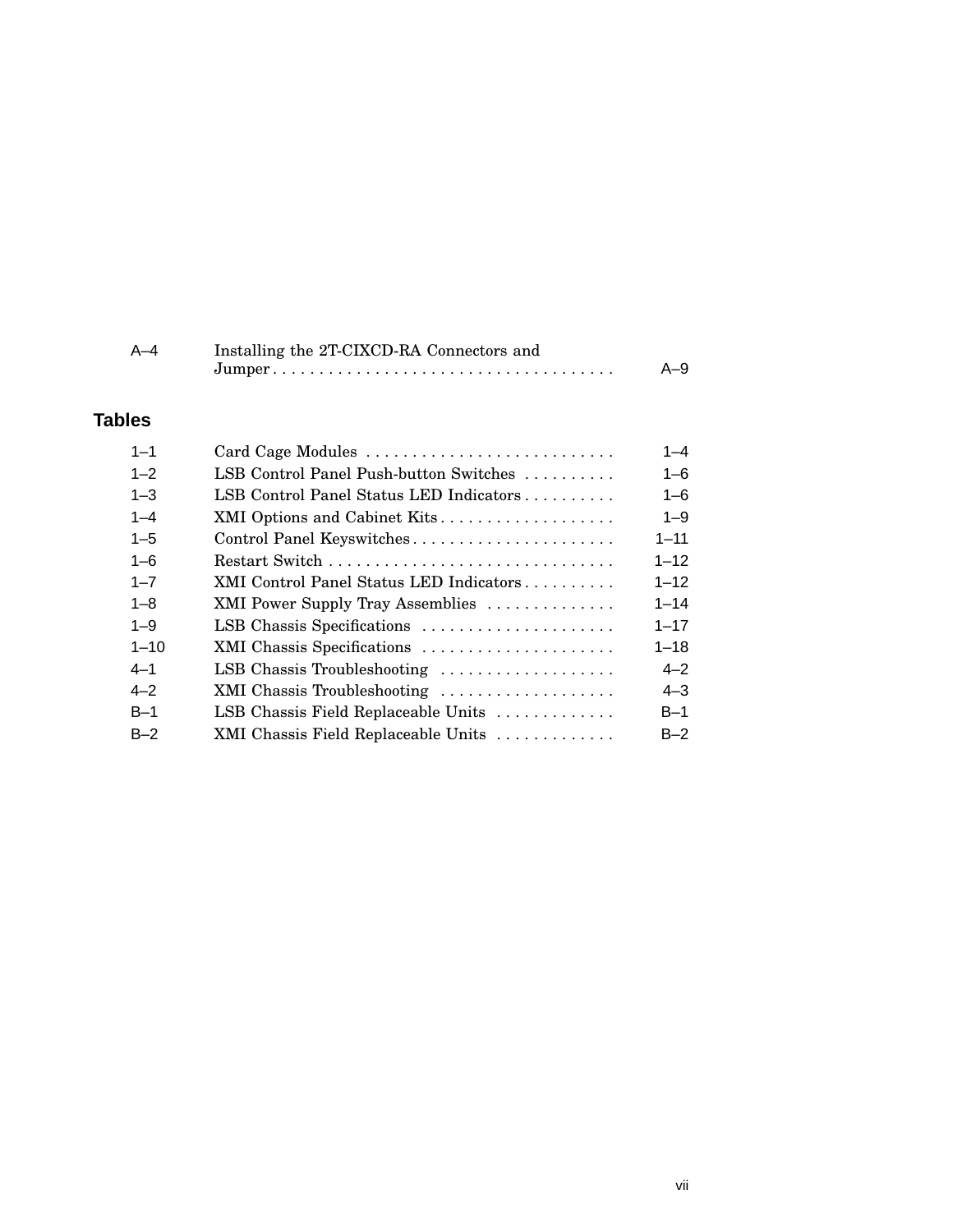| A-4 | Installing the 2T-CIXCD-RA Connectors and |       |
|-----|-------------------------------------------|-------|
|     |                                           | $A-9$ |

# **Tables**

| $1 - 1$  | Card Cage Modules                       | $1 - 4$  |
|----------|-----------------------------------------|----------|
| $1 - 2$  | LSB Control Panel Push-button Switches  | $1 - 6$  |
| $1 - 3$  | LSB Control Panel Status LED Indicators | $1 - 6$  |
| $1 - 4$  | XMI Options and Cabinet Kits            | $1 - 9$  |
| $1 - 5$  | Control Panel Keyswitches               | $1 - 11$ |
| $1 - 6$  |                                         | $1 - 12$ |
| $1 - 7$  | XMI Control Panel Status LED Indicators | $1 - 12$ |
| $1 - 8$  | XMI Power Supply Tray Assemblies        | $1 - 14$ |
| $1 - 9$  | LSB Chassis Specifications              | $1 - 17$ |
| $1 - 10$ | XMI Chassis Specifications              | $1 - 18$ |
| $4 - 1$  | LSB Chassis Troubleshooting             | $4 - 2$  |
| $4 - 2$  | XMI Chassis Troubleshooting             | $4 - 3$  |
| $B-1$    | LSB Chassis Field Replaceable Units     | $B-1$    |
| $B-2$    | XMI Chassis Field Replaceable Units     | $B-2$    |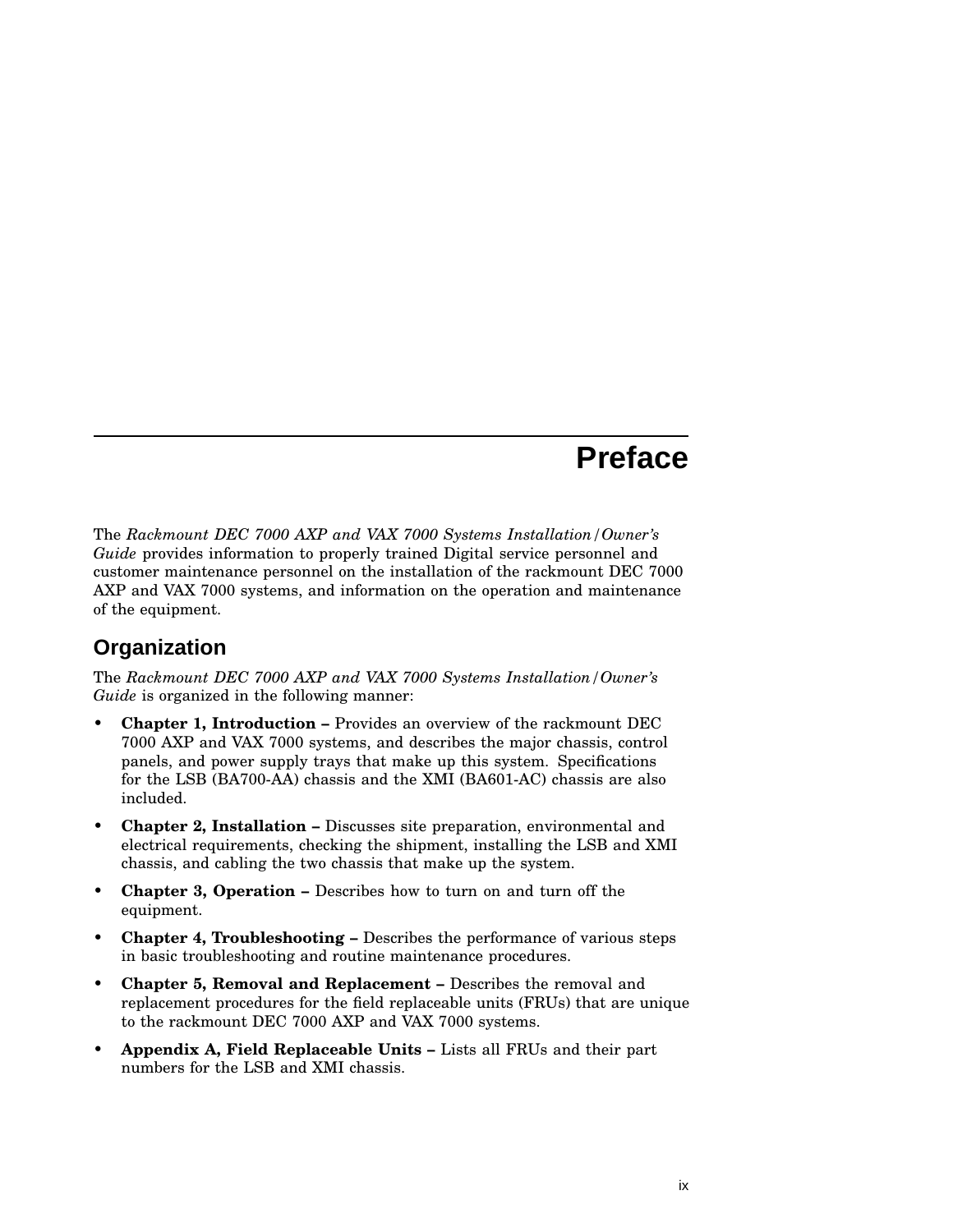# **Preface**

The *Rackmount DEC 7000 AXP and VAX 7000 Systems Installation/Owner's Guide* provides information to properly trained Digital service personnel and customer maintenance personnel on the installation of the rackmount DEC 7000 AXP and VAX 7000 systems, and information on the operation and maintenance of the equipment.

# **Organization**

The *Rackmount DEC 7000 AXP and VAX 7000 Systems Installation/Owner's Guide* is organized in the following manner:

- **Chapter 1, Introduction –** Provides an overview of the rackmount DEC 7000 AXP and VAX 7000 systems, and describes the major chassis, control panels, and power supply trays that make up this system. Specifications for the LSB (BA700-AA) chassis and the XMI (BA601-AC) chassis are also included.
- **Chapter 2, Installation –** Discusses site preparation, environmental and electrical requirements, checking the shipment, installing the LSB and XMI chassis, and cabling the two chassis that make up the system.
- **Chapter 3, Operation –** Describes how to turn on and turn off the equipment.
- **Chapter 4, Troubleshooting –** Describes the performance of various steps in basic troubleshooting and routine maintenance procedures.
- **Chapter 5, Removal and Replacement –** Describes the removal and replacement procedures for the field replaceable units (FRUs) that are unique to the rackmount DEC 7000 AXP and VAX 7000 systems.
- **Appendix A, Field Replaceable Units –** Lists all FRUs and their part numbers for the LSB and XMI chassis.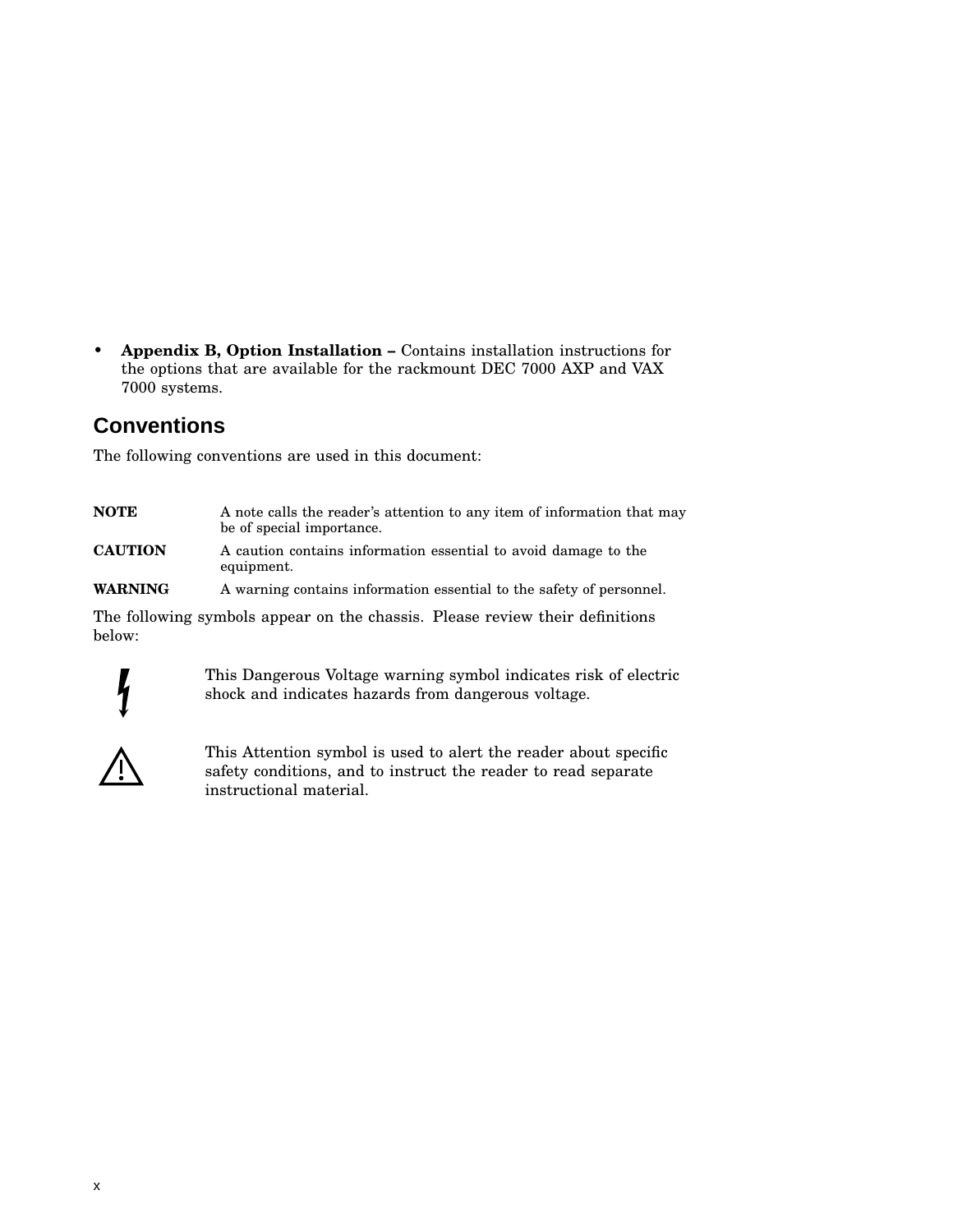• **Appendix B, Option Installation –** Contains installation instructions for the options that are available for the rackmount DEC 7000 AXP and VAX 7000 systems.

# **Conventions**

The following conventions are used in this document:

| <b>NOTE</b>    | A note calls the reader's attention to any item of information that may<br>be of special importance. |  |
|----------------|------------------------------------------------------------------------------------------------------|--|
| <b>CAUTION</b> | A caution contains information essential to avoid damage to the<br>equipment.                        |  |
| <b>WARNING</b> | A warning contains information essential to the safety of personnel.                                 |  |
| below:         | The following symbols appear on the chassis. Please review their definitions                         |  |



This Dangerous Voltage warning symbol indicates risk of electric shock and indicates hazards from dangerous voltage.



This Attention symbol is used to alert the reader about specific safety conditions, and to instruct the reader to read separate instructional material.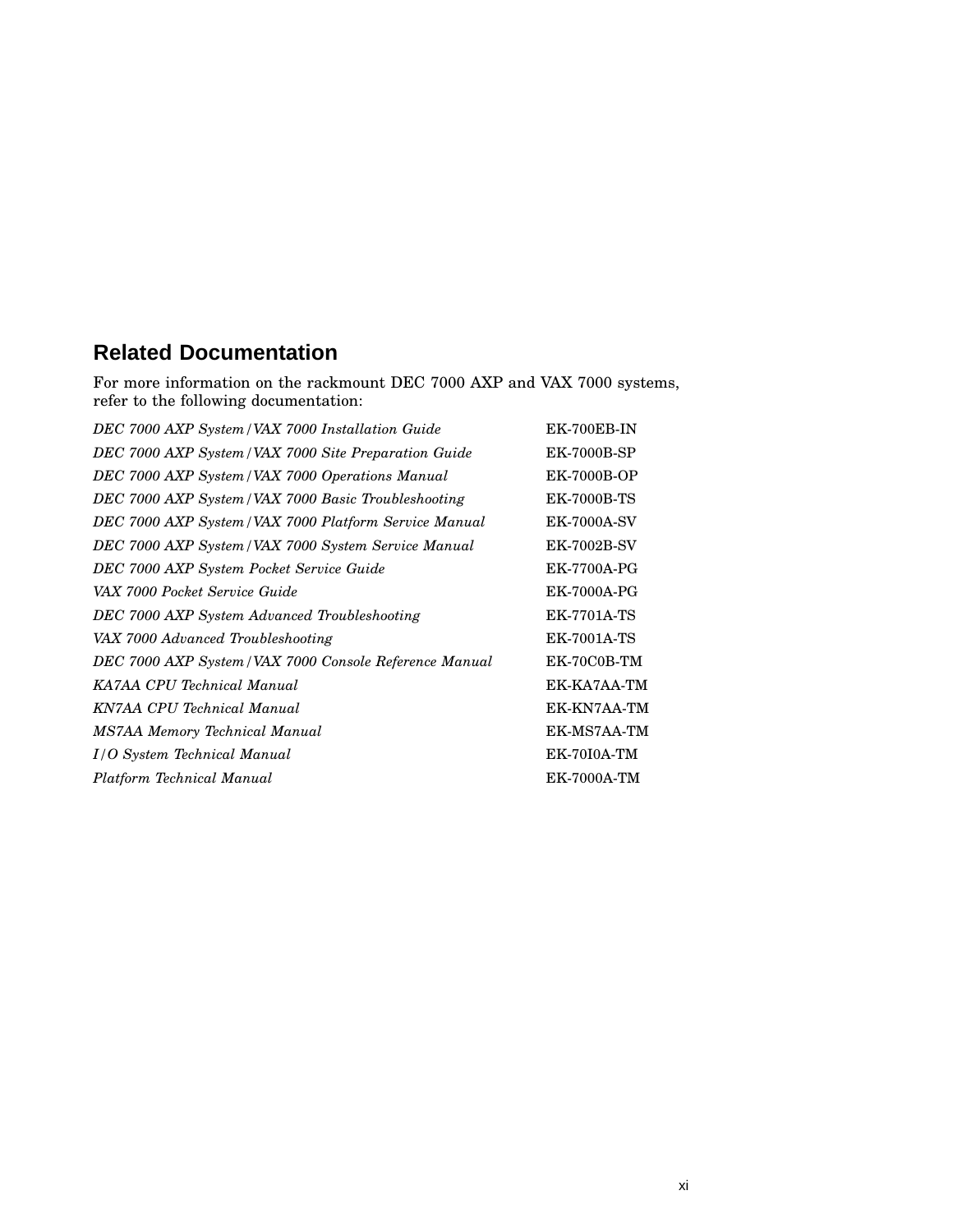# **Related Documentation**

For more information on the rackmount DEC 7000 AXP and VAX 7000 systems, refer to the following documentation:

| EK-700EB-IN        |
|--------------------|
| <b>EK-7000B-SP</b> |
| <b>EK-7000B-OP</b> |
| <b>EK-7000B-TS</b> |
| <b>EK-7000A-SV</b> |
| <b>EK-7002B-SV</b> |
| <b>EK-7700A-PG</b> |
| <b>EK-7000A-PG</b> |
| <b>EK-7701A-TS</b> |
| <b>EK-7001A-TS</b> |
| EK-70C0B-TM        |
| EK-KA7AA-TM        |
| EK-KN7AA-TM        |
| EK-MS7AA-TM        |
| <b>EK-70I0A-TM</b> |
| <b>EK-7000A-TM</b> |
|                    |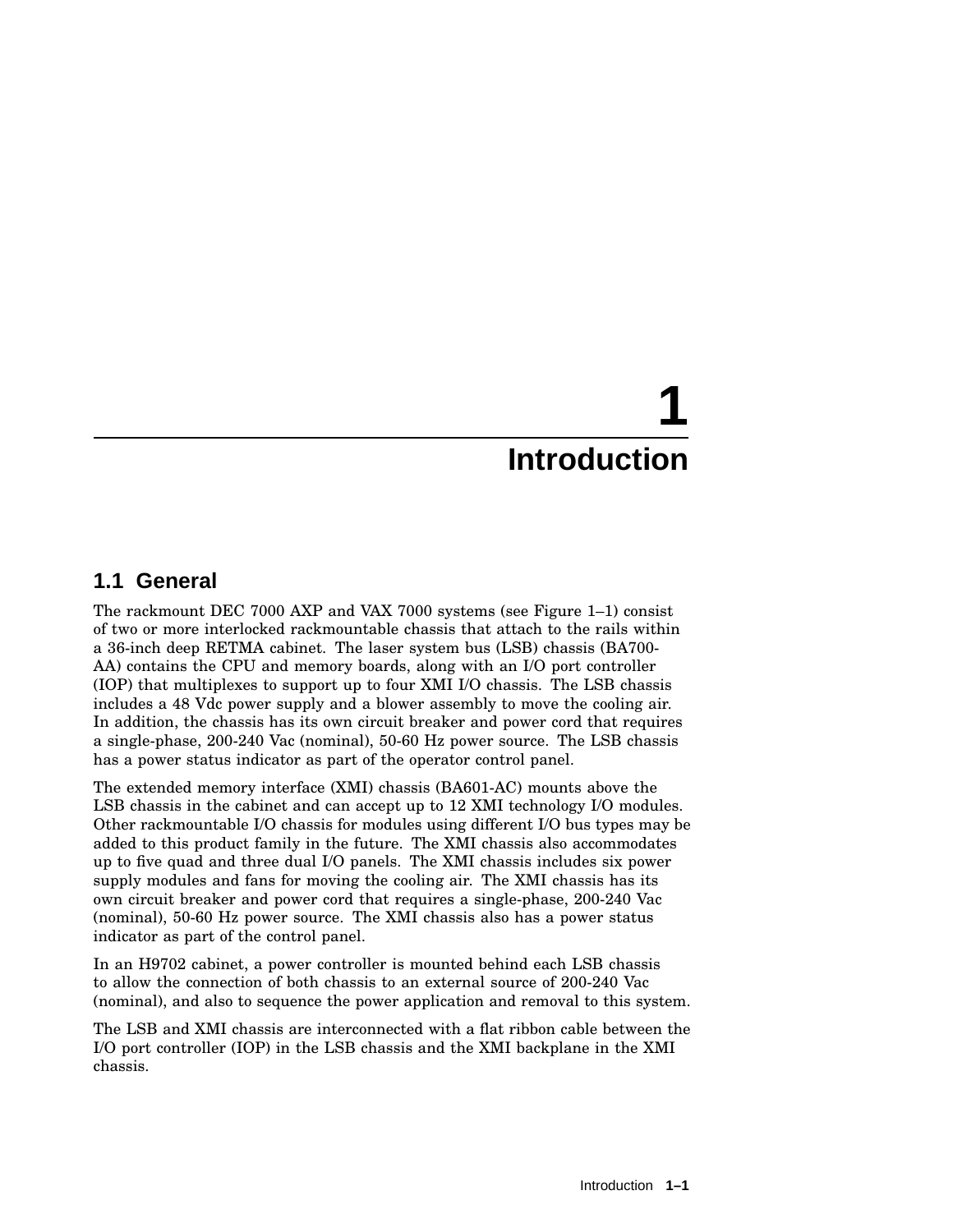# **1.1 General**

The rackmount DEC 7000 AXP and VAX 7000 systems (see Figure 1–1) consist of two or more interlocked rackmountable chassis that attach to the rails within a 36-inch deep RETMA cabinet. The laser system bus (LSB) chassis (BA700- AA) contains the CPU and memory boards, along with an I/O port controller (IOP) that multiplexes to support up to four XMI I/O chassis. The LSB chassis includes a 48 Vdc power supply and a blower assembly to move the cooling air. In addition, the chassis has its own circuit breaker and power cord that requires a single-phase, 200-240 Vac (nominal), 50-60 Hz power source. The LSB chassis has a power status indicator as part of the operator control panel.

The extended memory interface (XMI) chassis (BA601-AC) mounts above the LSB chassis in the cabinet and can accept up to 12 XMI technology I/O modules. Other rackmountable I/O chassis for modules using different I/O bus types may be added to this product family in the future. The XMI chassis also accommodates up to five quad and three dual I/O panels. The XMI chassis includes six power supply modules and fans for moving the cooling air. The XMI chassis has its own circuit breaker and power cord that requires a single-phase, 200-240 Vac (nominal), 50-60 Hz power source. The XMI chassis also has a power status indicator as part of the control panel.

In an H9702 cabinet, a power controller is mounted behind each LSB chassis to allow the connection of both chassis to an external source of 200-240 Vac (nominal), and also to sequence the power application and removal to this system.

The LSB and XMI chassis are interconnected with a flat ribbon cable between the I/O port controller (IOP) in the LSB chassis and the XMI backplane in the XMI chassis.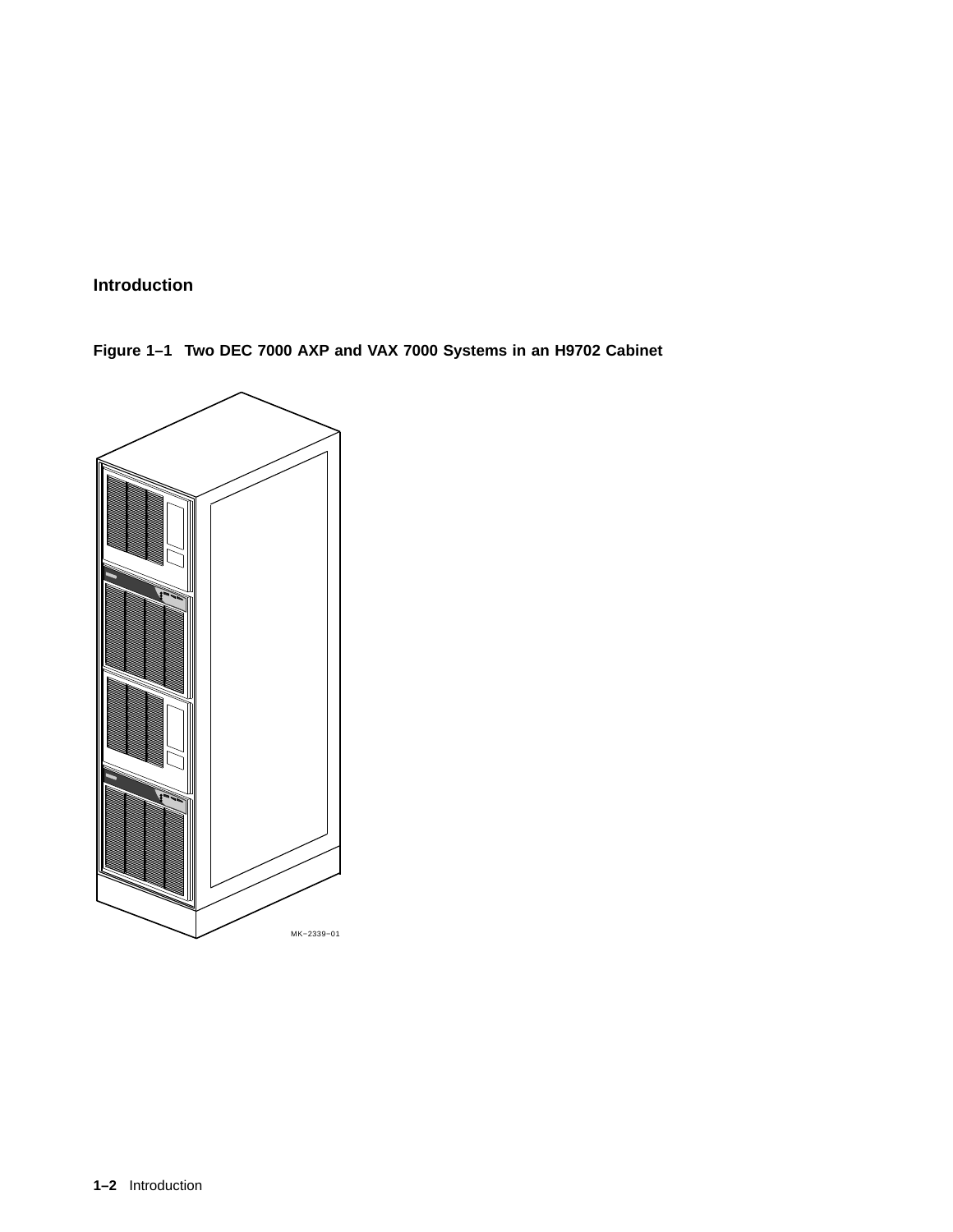**Figure 1–1 Two DEC 7000 AXP and VAX 7000 Systems in an H9702 Cabinet**

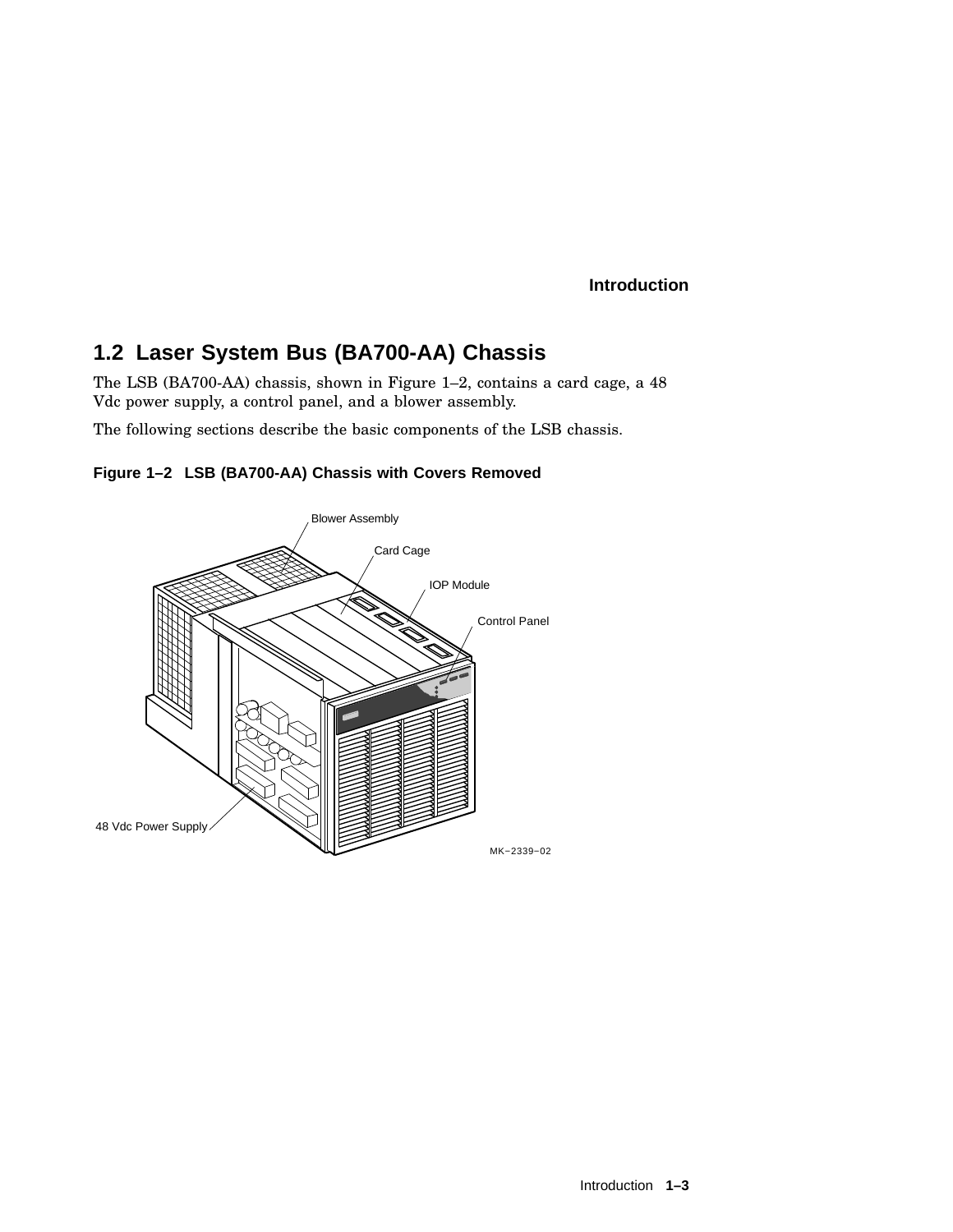# **1.2 Laser System Bus (BA700-AA) Chassis**

The LSB (BA700-AA) chassis, shown in Figure 1–2, contains a card cage, a 48 Vdc power supply, a control panel, and a blower assembly.

The following sections describe the basic components of the LSB chassis.



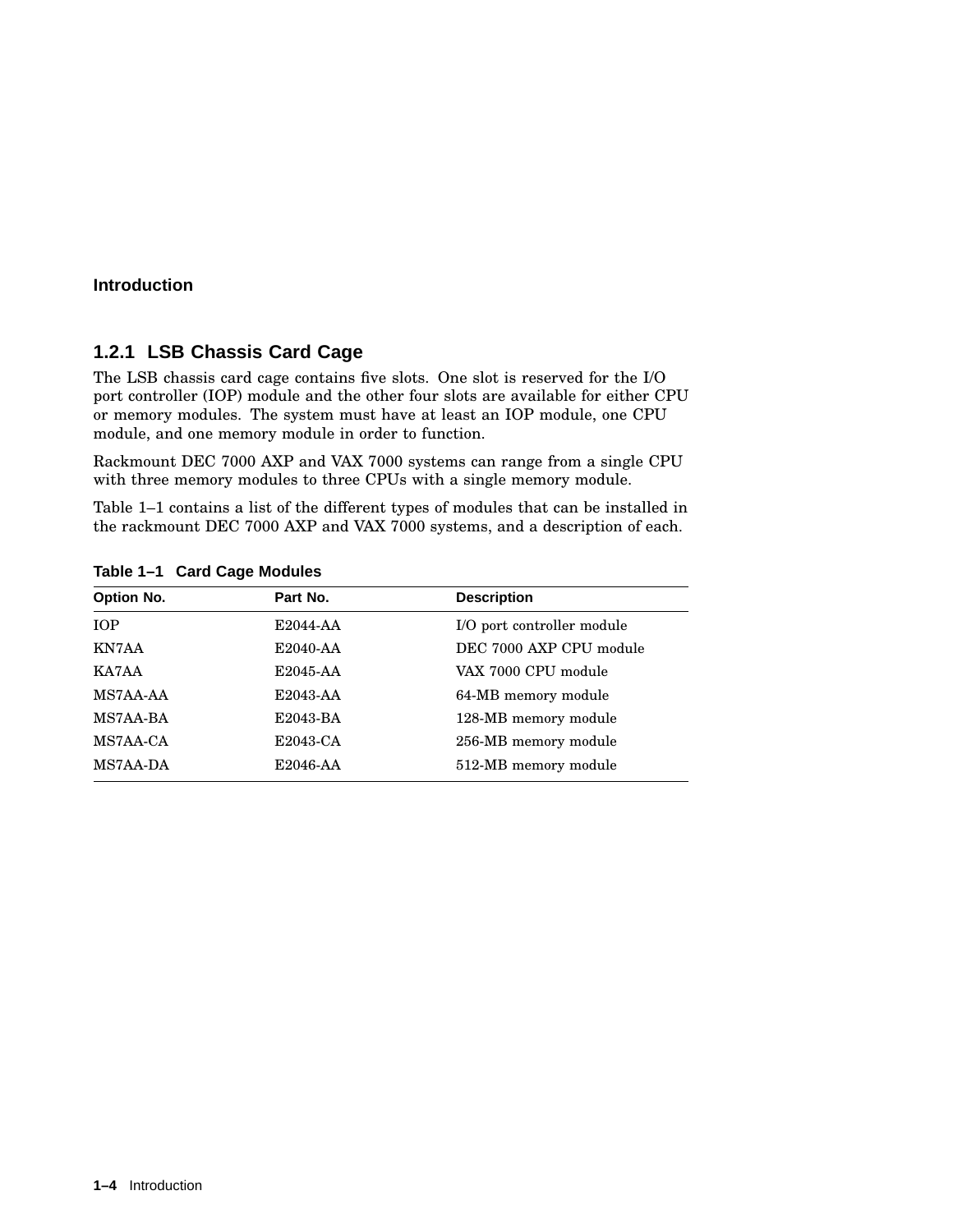#### **1.2.1 LSB Chassis Card Cage**

The LSB chassis card cage contains five slots. One slot is reserved for the I/O port controller (IOP) module and the other four slots are available for either CPU or memory modules. The system must have at least an IOP module, one CPU module, and one memory module in order to function.

Rackmount DEC 7000 AXP and VAX 7000 systems can range from a single CPU with three memory modules to three CPUs with a single memory module.

Table 1–1 contains a list of the different types of modules that can be installed in the rackmount DEC 7000 AXP and VAX 7000 systems, and a description of each.

| Option No. | Part No. | <b>Description</b>         |
|------------|----------|----------------------------|
| <b>IOP</b> | E2044-AA | I/O port controller module |
| KN7AA      | E2040-AA | DEC 7000 AXP CPU module    |
| KA7AA      | E2045-AA | VAX 7000 CPU module        |
| MS7AA-AA   | E2043-AA | 64-MB memory module        |
| MS7AA-BA   | E2043-BA | 128-MB memory module       |
| MS7AA-CA   | E2043-CA | 256-MB memory module       |
| MS7AA-DA   | E2046-AA | 512-MB memory module       |

**Table 1–1 Card Cage Modules**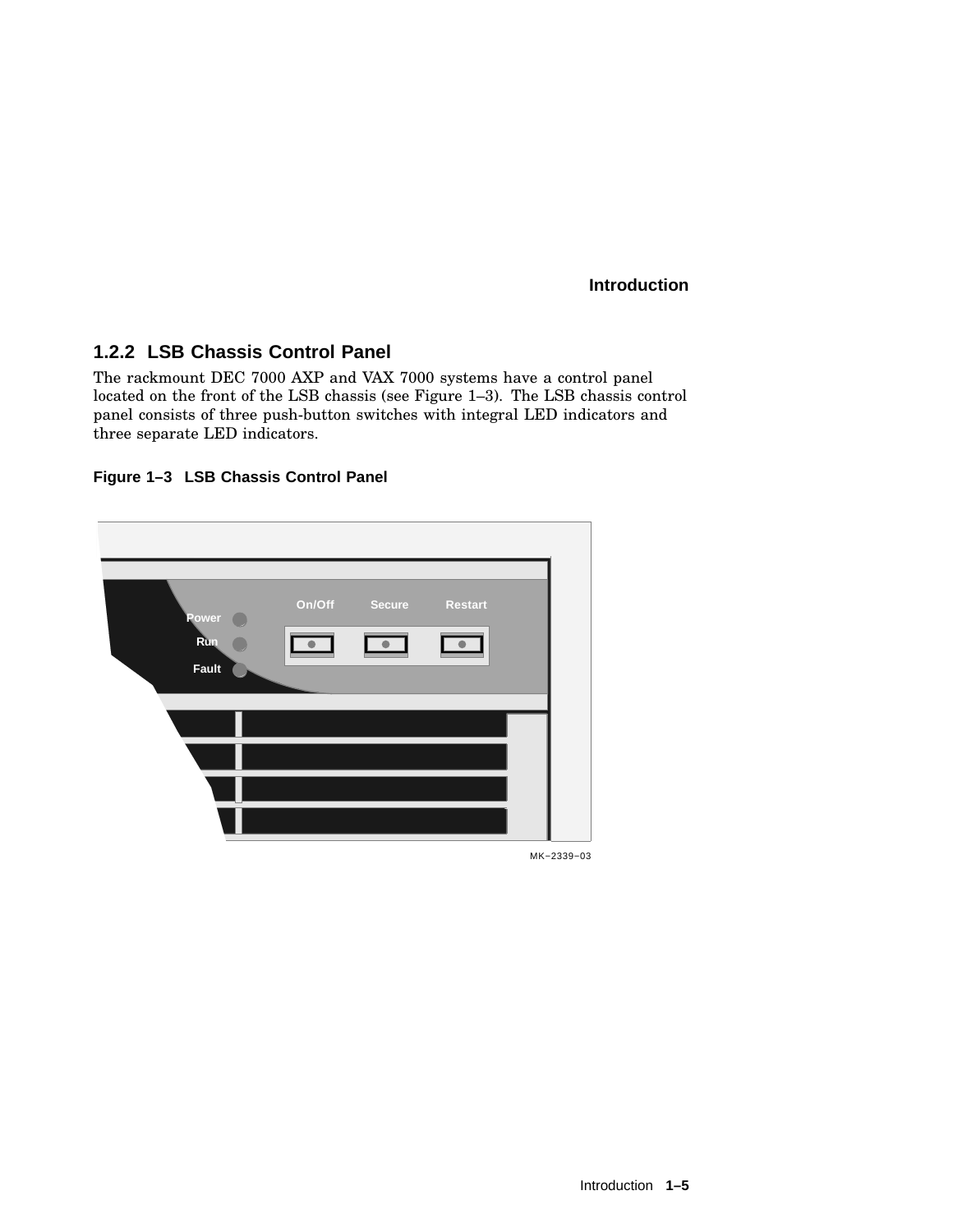## **1.2.2 LSB Chassis Control Panel**

The rackmount DEC 7000 AXP and VAX 7000 systems have a control panel located on the front of the LSB chassis (see Figure 1–3). The LSB chassis control panel consists of three push-button switches with integral LED indicators and three separate LED indicators.





MK−2339−03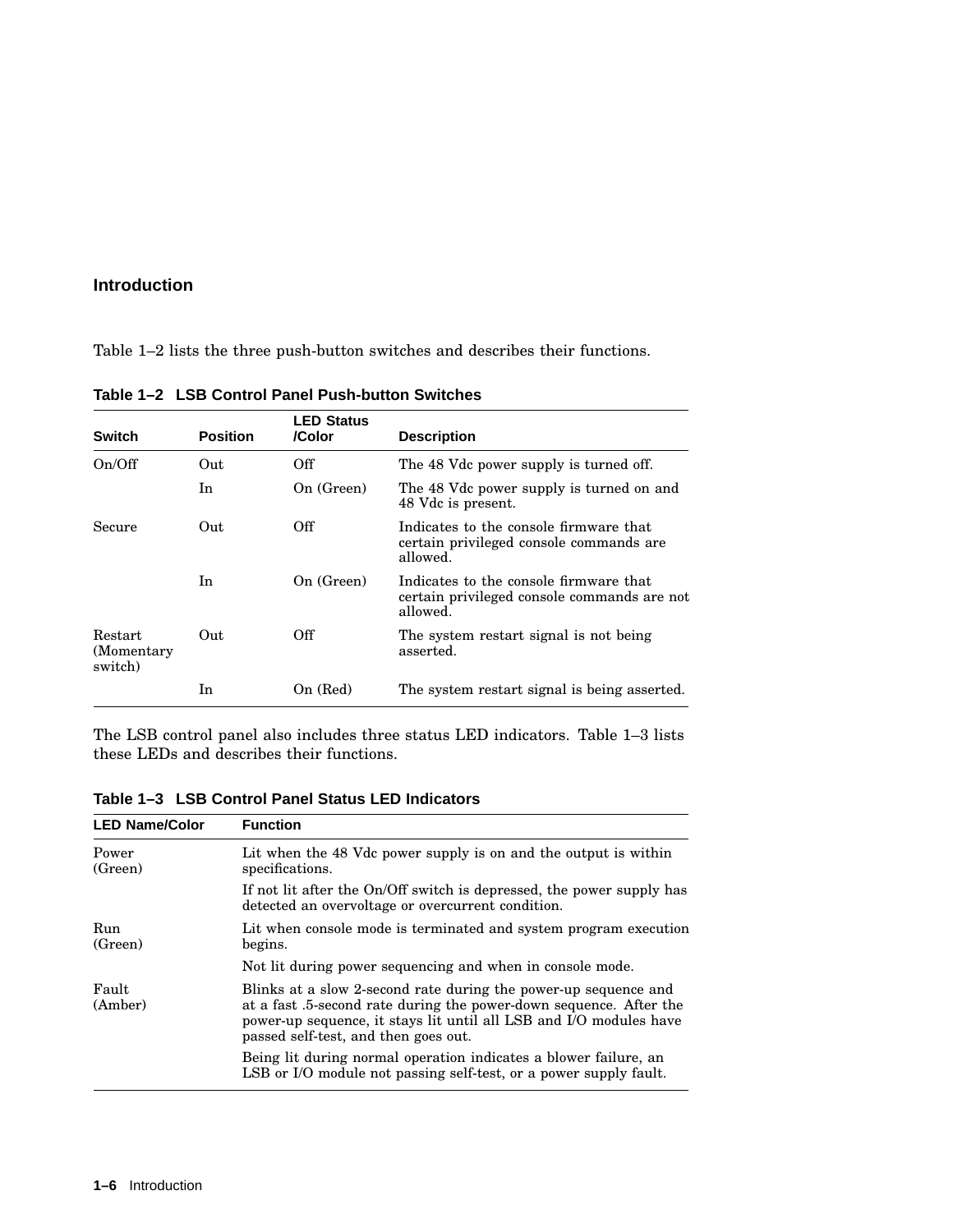Table 1–2 lists the three push-button switches and describes their functions.

| <b>Switch</b>                            | <b>Position</b> | <b>LED Status</b><br>/Color | <b>Description</b>                                                                                |
|------------------------------------------|-----------------|-----------------------------|---------------------------------------------------------------------------------------------------|
| On/Off                                   | Out             | Off                         | The 48 Vdc power supply is turned off.                                                            |
|                                          | In.             | On (Green)                  | The 48 Vdc power supply is turned on and<br>48 Vdc is present.                                    |
| Secure                                   | Out             | Off                         | Indicates to the console firmware that<br>certain privileged console commands are<br>allowed.     |
|                                          | In              | On (Green)                  | Indicates to the console firmware that<br>certain privileged console commands are not<br>allowed. |
| <b>Restart</b><br>(Momentary)<br>switch) | Out             | Off                         | The system restart signal is not being<br>asserted.                                               |
|                                          | In              | On (Red)                    | The system restart signal is being asserted.                                                      |

**Table 1–2 LSB Control Panel Push-button Switches**

The LSB control panel also includes three status LED indicators. Table 1–3 lists these LEDs and describes their functions.

**Table 1–3 LSB Control Panel Status LED Indicators**

| <b>LED Name/Color</b> | <b>Function</b>                                                                                                                                                                                                                                     |
|-----------------------|-----------------------------------------------------------------------------------------------------------------------------------------------------------------------------------------------------------------------------------------------------|
| Power<br>(Green)      | Lit when the 48 Vdc power supply is on and the output is within<br>specifications.                                                                                                                                                                  |
|                       | If not lit after the On/Off switch is depressed, the power supply has<br>detected an overvoltage or overcurrent condition.                                                                                                                          |
| Run<br>(Green)        | Lit when console mode is terminated and system program execution<br>begins.                                                                                                                                                                         |
|                       | Not lit during power sequencing and when in console mode.                                                                                                                                                                                           |
| Fault<br>(Amber)      | Blinks at a slow 2-second rate during the power-up sequence and<br>at a fast .5-second rate during the power-down sequence. After the<br>power-up sequence, it stays lit until all LSB and I/O modules have<br>passed self-test, and then goes out. |
|                       | Being lit during normal operation indicates a blower failure, an<br>LSB or I/O module not passing self-test, or a power supply fault.                                                                                                               |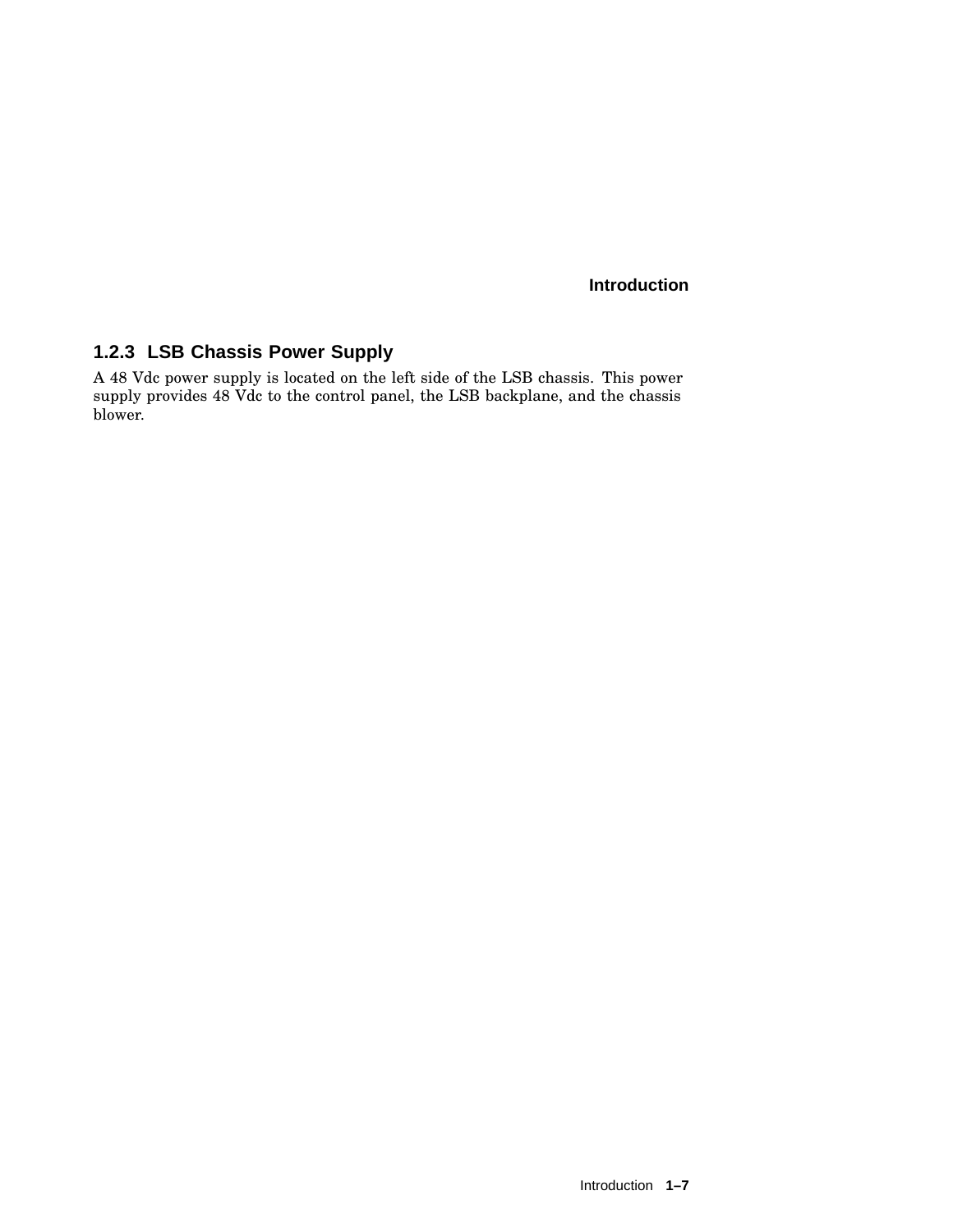# **1.2.3 LSB Chassis Power Supply**

A 48 Vdc power supply is located on the left side of the LSB chassis. This power supply provides 48 Vdc to the control panel, the LSB backplane, and the chassis blower.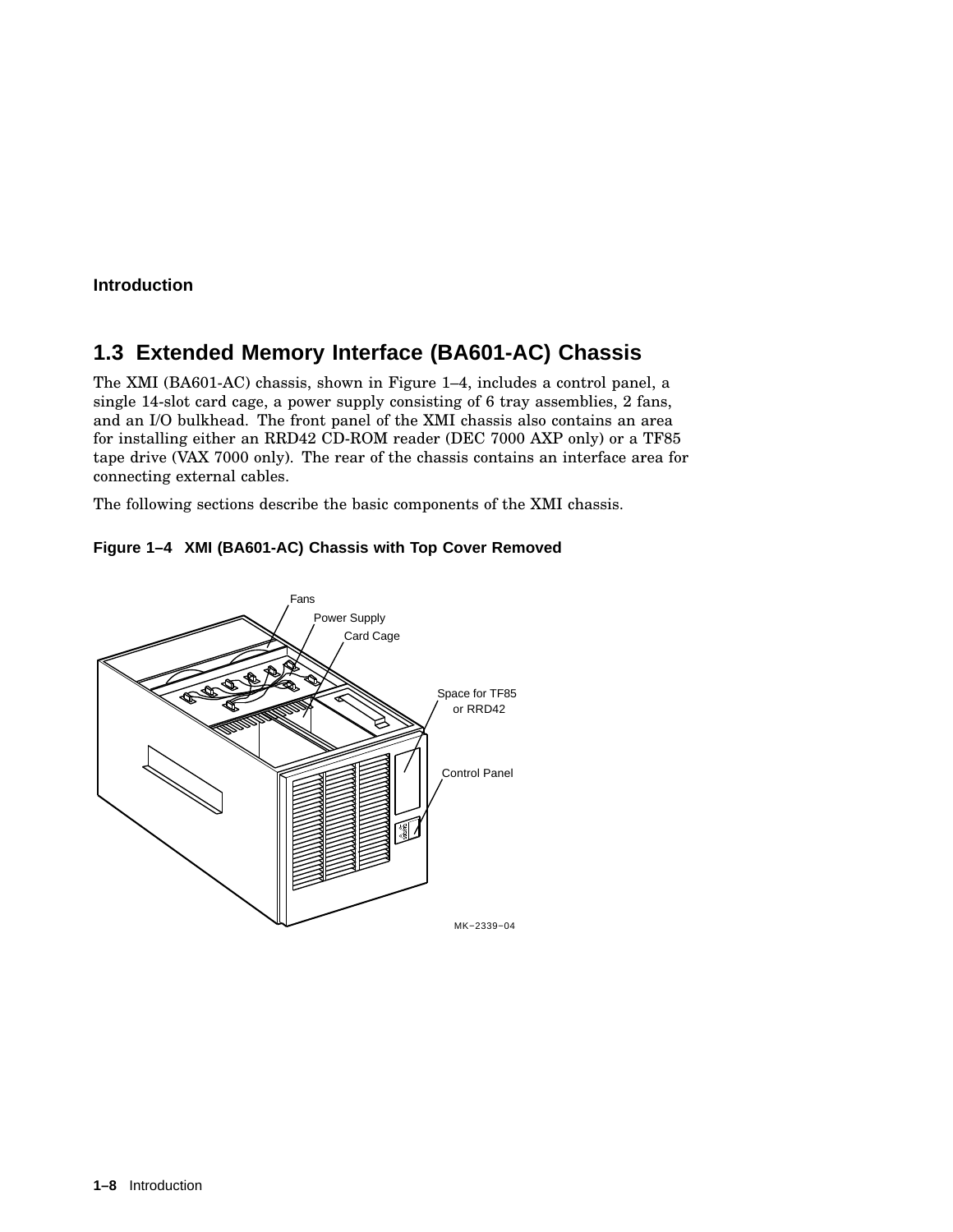# **1.3 Extended Memory Interface (BA601-AC) Chassis**

The XMI (BA601-AC) chassis, shown in Figure 1–4, includes a control panel, a single 14-slot card cage, a power supply consisting of 6 tray assemblies, 2 fans, and an I/O bulkhead. The front panel of the XMI chassis also contains an area for installing either an RRD42 CD-ROM reader (DEC 7000 AXP only) or a TF85 tape drive (VAX 7000 only). The rear of the chassis contains an interface area for connecting external cables.

The following sections describe the basic components of the XMI chassis.



**Figure 1–4 XMI (BA601-AC) Chassis with Top Cover Removed**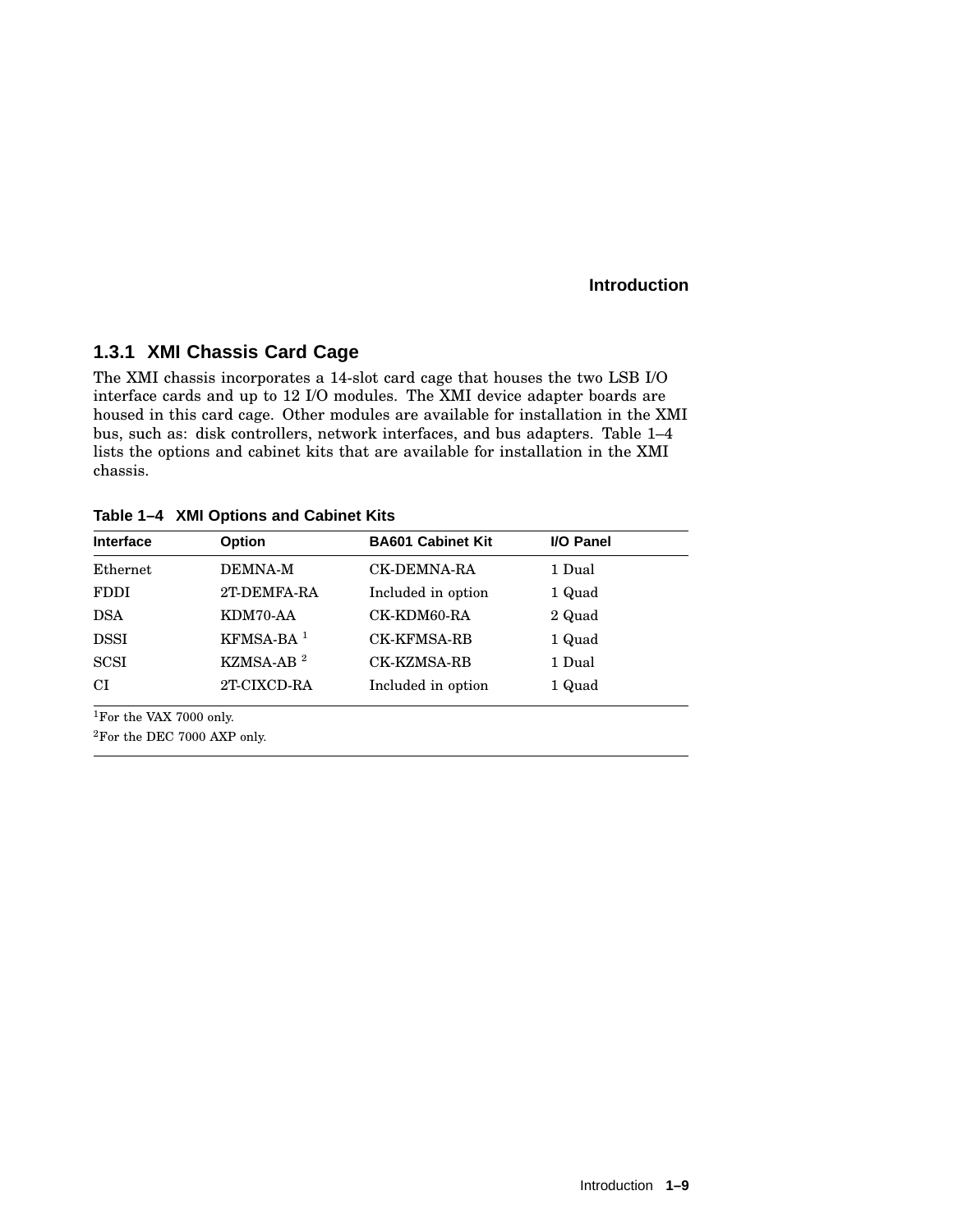# **1.3.1 XMI Chassis Card Cage**

The XMI chassis incorporates a 14-slot card cage that houses the two LSB I/O interface cards and up to 12 I/O modules. The XMI device adapter boards are housed in this card cage. Other modules are available for installation in the XMI bus, such as: disk controllers, network interfaces, and bus adapters. Table 1–4 lists the options and cabinet kits that are available for installation in the XMI chassis.

**Table 1–4 XMI Options and Cabinet Kits**

| <b>Option</b>           | <b>BA601 Cabinet Kit</b> | I/O Panel |
|-------------------------|--------------------------|-----------|
| <b>DEMNA-M</b>          | <b>CK-DEMNA-RA</b>       | 1 Dual    |
| 2T-DEMFA-RA             | Included in option       | 1 Quad    |
| KDM70-AA                | CK-KDM60-RA              | 2 Quad    |
| $KFMSA-BA$ <sup>1</sup> | <b>CK-KFMSA-RB</b>       | 1 Quad    |
| KZMSA-AB $^2$           | <b>CK-KZMSA-RB</b>       | 1 Dual    |
| 2T-CIXCD-RA             | Included in option       | 1 Quad    |
|                         |                          |           |

<sup>1</sup>For the VAX 7000 only.

<sup>2</sup>For the DEC 7000 AXP only.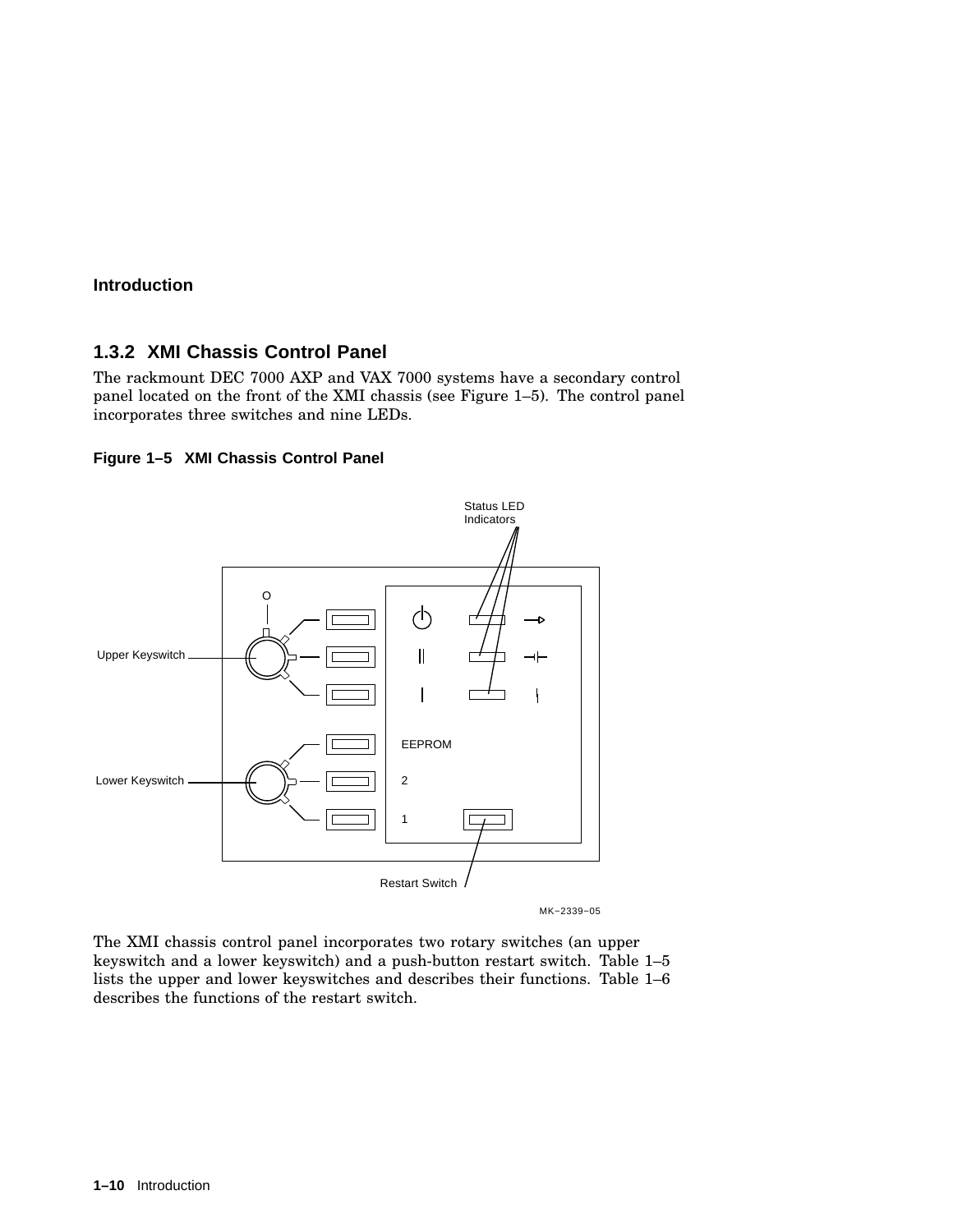### **1.3.2 XMI Chassis Control Panel**

The rackmount DEC 7000 AXP and VAX 7000 systems have a secondary control panel located on the front of the XMI chassis (see Figure 1–5). The control panel incorporates three switches and nine LEDs.

#### **Figure 1–5 XMI Chassis Control Panel**



The XMI chassis control panel incorporates two rotary switches (an upper keyswitch and a lower keyswitch) and a push-button restart switch. Table 1–5 lists the upper and lower keyswitches and describes their functions. Table 1–6 describes the functions of the restart switch.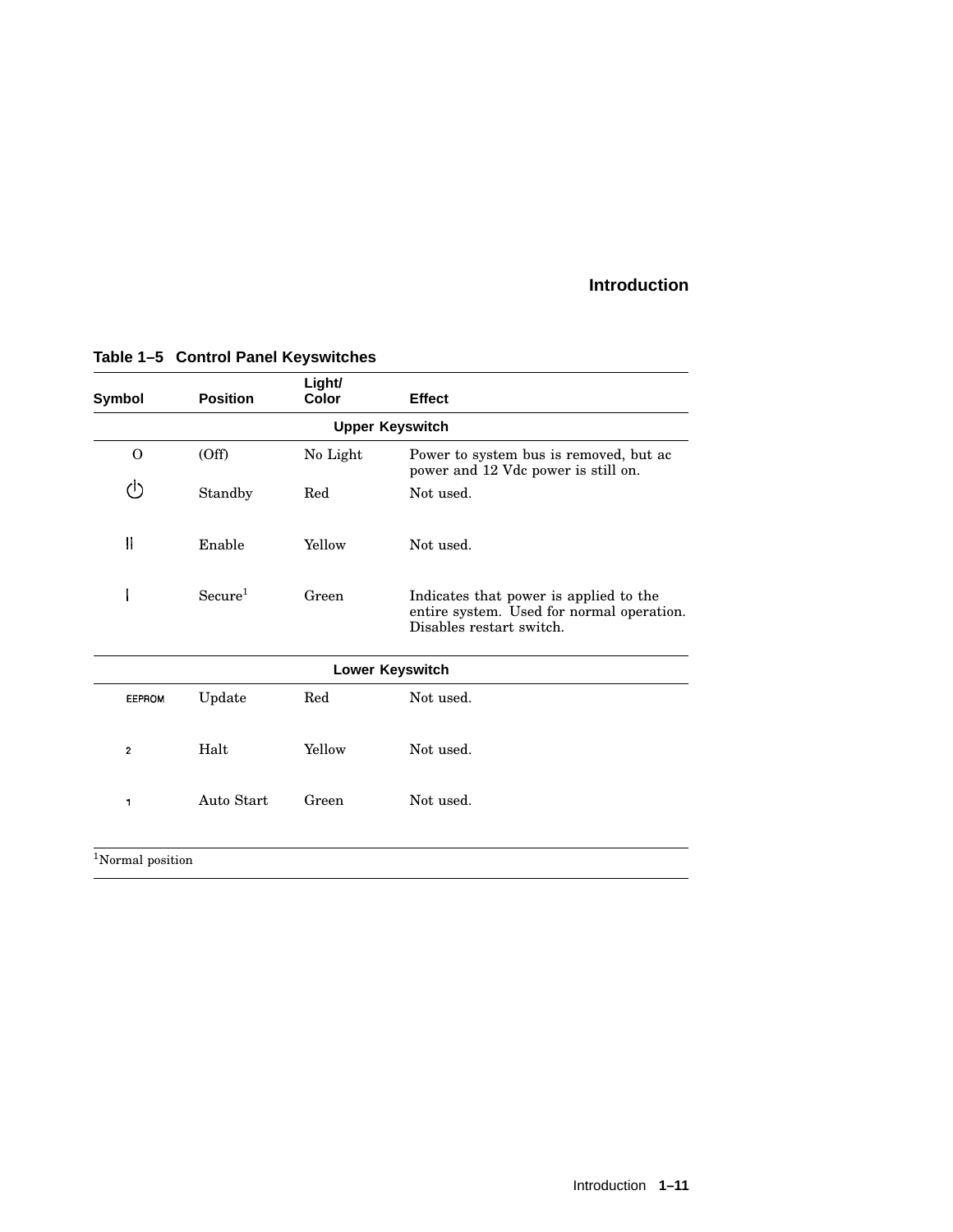| <b>Symbol</b> | <b>Position</b>              | Light/<br>Color | <b>Effect</b>                                                                                                   |  |  |
|---------------|------------------------------|-----------------|-----------------------------------------------------------------------------------------------------------------|--|--|
|               |                              |                 | <b>Upper Keyswitch</b>                                                                                          |  |  |
| O             | (Off)                        | No Light        | Power to system bus is removed, but ac<br>power and 12 Vdc power is still on.                                   |  |  |
| ↺             | Standby                      | Red             | Not used.                                                                                                       |  |  |
| $\vert$       | Enable                       | Yellow          | Not used.                                                                                                       |  |  |
|               | Secure <sup>1</sup>          | Green           | Indicates that power is applied to the<br>entire system. Used for normal operation.<br>Disables restart switch. |  |  |
|               |                              |                 | Lower Keyswitch                                                                                                 |  |  |
| <b>EEPROM</b> | Update                       | Red             | Not used.                                                                                                       |  |  |
| $\mathbf{2}$  | Halt                         | Yellow          | Not used.                                                                                                       |  |  |
| 1             | Auto Start                   | Green           | Not used.                                                                                                       |  |  |
|               | <sup>1</sup> Normal position |                 |                                                                                                                 |  |  |

# **Table 1–5 Control Panel Keyswitches**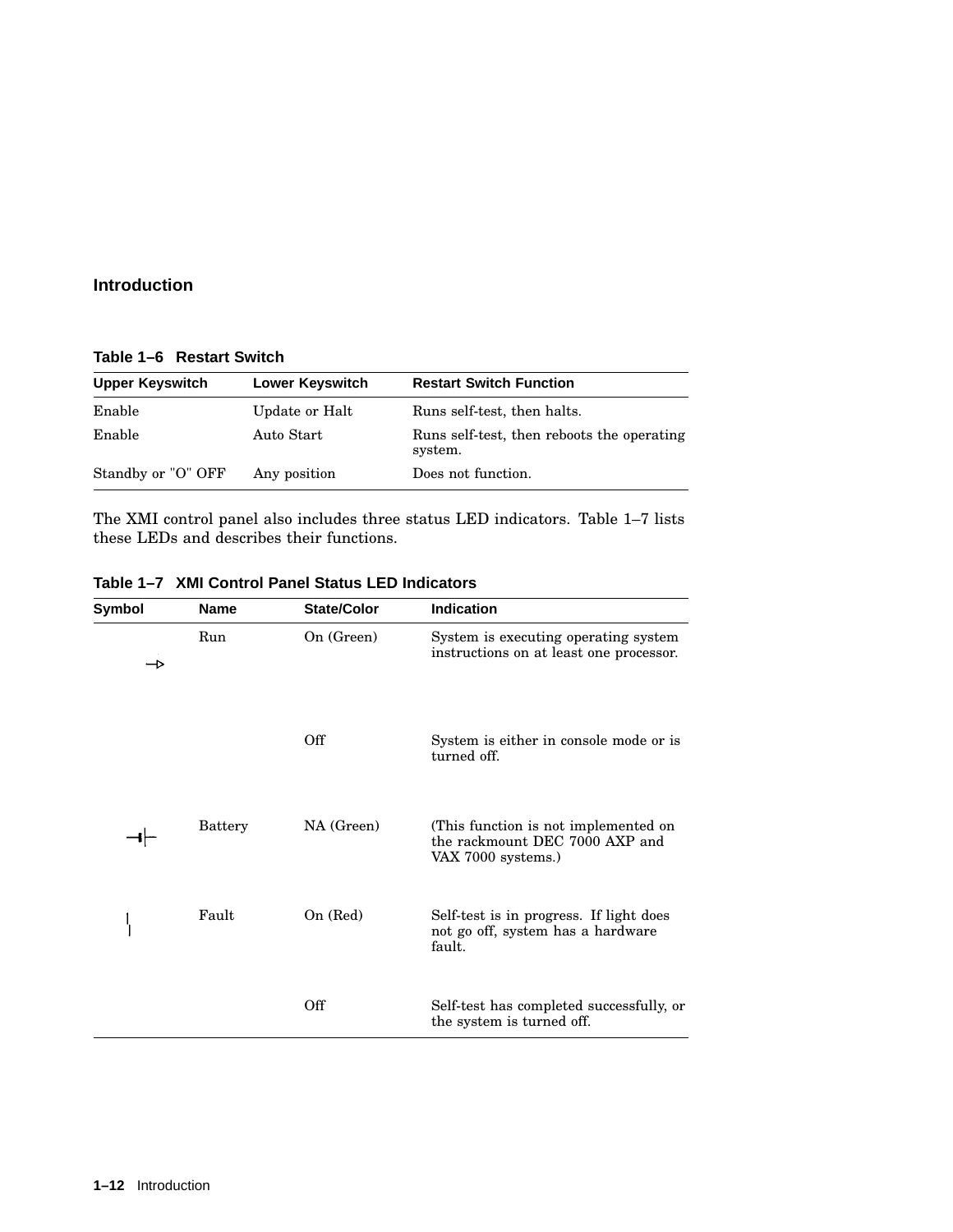**Table 1–6 Restart Switch**

| <b>Upper Keyswitch</b> | Lower Keyswitch | <b>Restart Switch Function</b>                        |
|------------------------|-----------------|-------------------------------------------------------|
| Enable                 | Update or Halt  | Runs self-test, then halts.                           |
| Enable                 | Auto Start      | Runs self-test, then reboots the operating<br>system. |
| Standby or "O" OFF     | Any position    | Does not function.                                    |

The XMI control panel also includes three status LED indicators. Table 1–7 lists these LEDs and describes their functions.

| Symbol | <b>Name</b>    | <b>State/Color</b> | <b>Indication</b>                                                                            |
|--------|----------------|--------------------|----------------------------------------------------------------------------------------------|
|        | Run            | On (Green)         | System is executing operating system<br>instructions on at least one processor.              |
|        |                | Off                | System is either in console mode or is<br>turned off.                                        |
|        | <b>Battery</b> | NA (Green)         | (This function is not implemented on<br>the rackmount DEC 7000 AXP and<br>VAX 7000 systems.) |
|        | Fault          | On (Red)           | Self-test is in progress. If light does<br>not go off, system has a hardware<br>fault.       |
|        |                | Off                | Self-test has completed successfully, or<br>the system is turned off.                        |

**Table 1–7 XMI Control Panel Status LED Indicators**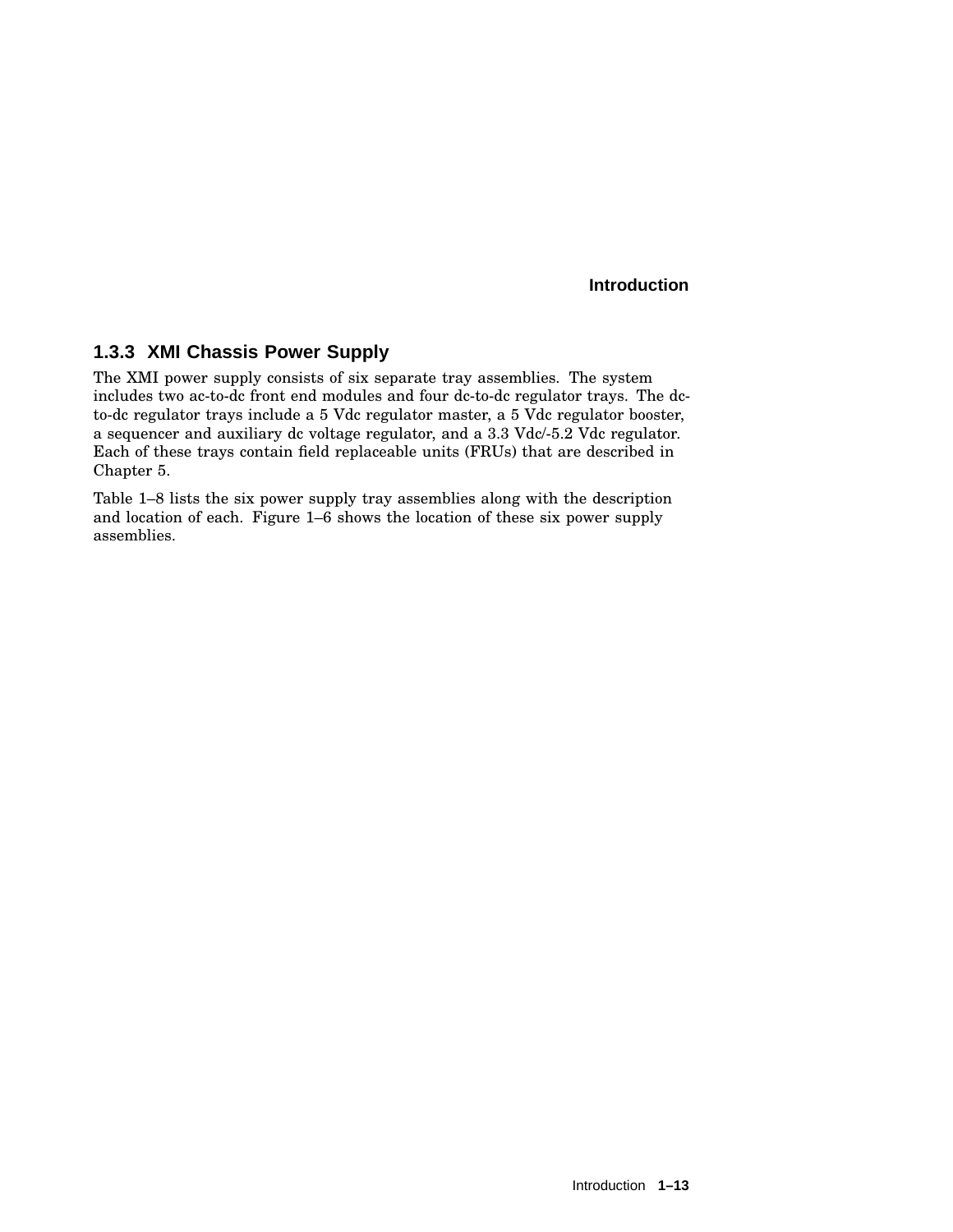## **1.3.3 XMI Chassis Power Supply**

The XMI power supply consists of six separate tray assemblies. The system includes two ac-to-dc front end modules and four dc-to-dc regulator trays. The dcto-dc regulator trays include a 5 Vdc regulator master, a 5 Vdc regulator booster, a sequencer and auxiliary dc voltage regulator, and a 3.3 Vdc/-5.2 Vdc regulator. Each of these trays contain field replaceable units (FRUs) that are described in Chapter 5.

Table 1–8 lists the six power supply tray assemblies along with the description and location of each. Figure 1–6 shows the location of these six power supply assemblies.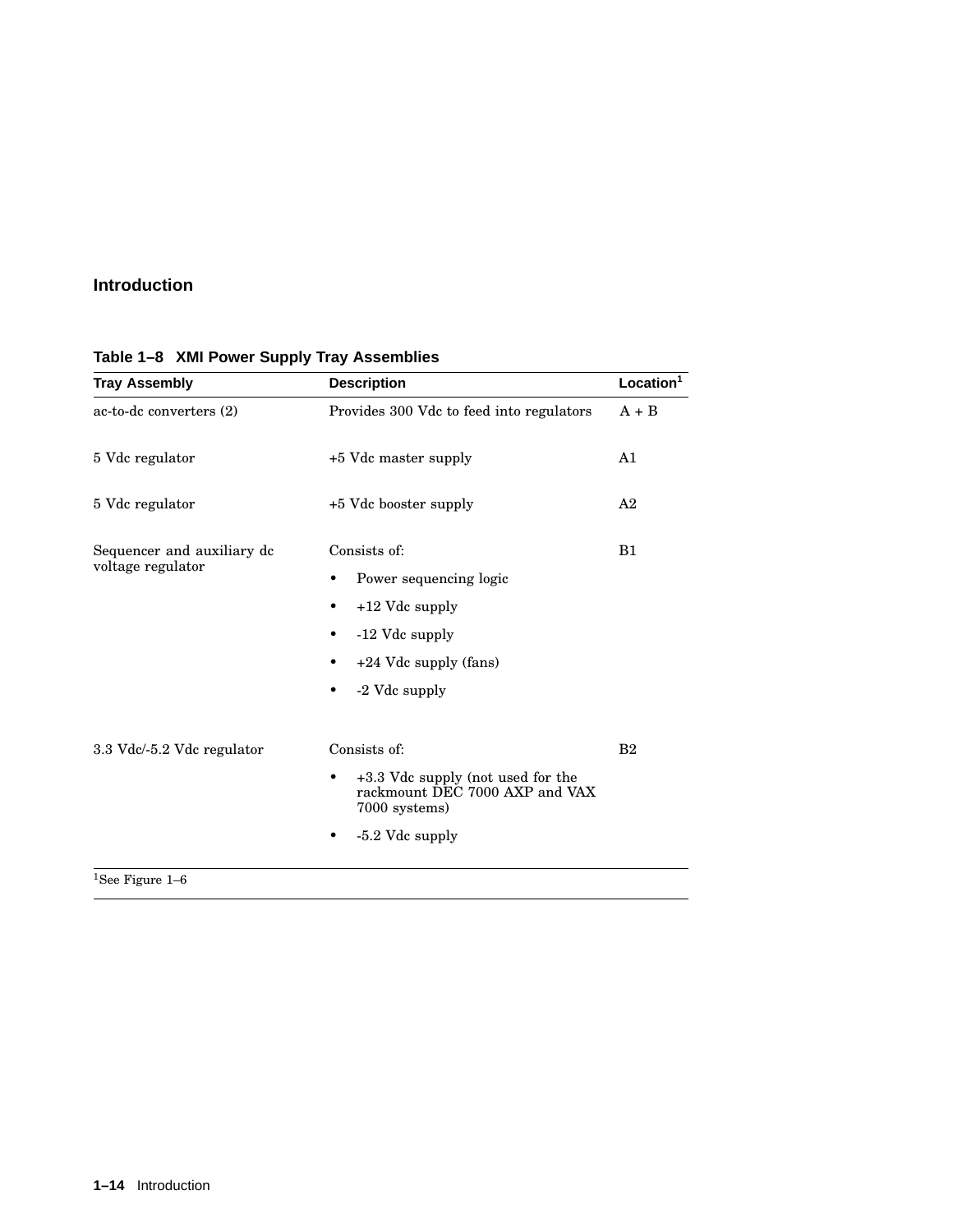| <b>Tray Assembly</b>       | <b>Description</b>                                                                   | Location <sup>1</sup> |
|----------------------------|--------------------------------------------------------------------------------------|-----------------------|
| ac-to-dc converters (2)    | Provides 300 Vdc to feed into regulators                                             | $A + B$               |
| 5 Vdc regulator            | +5 Vdc master supply                                                                 | A1                    |
| 5 Vdc regulator            | +5 Vdc booster supply                                                                | A <sub>2</sub>        |
| Sequencer and auxiliary dc | Consists of:                                                                         | B1                    |
| voltage regulator          | Power sequencing logic<br>٠                                                          |                       |
|                            | +12 Vdc supply<br>٠                                                                  |                       |
|                            | -12 Vdc supply<br>٠                                                                  |                       |
|                            | +24 Vdc supply (fans)<br>٠                                                           |                       |
|                            | -2 Vdc supply<br>٠                                                                   |                       |
| 3.3 Vdc/-5.2 Vdc regulator | Consists of:                                                                         | B <sub>2</sub>        |
|                            | +3.3 Vdc supply (not used for the<br>rackmount DEC 7000 AXP and VAX<br>7000 systems) |                       |
|                            | -5.2 Vdc supply                                                                      |                       |

# **Table 1–8 XMI Power Supply Tray Assemblies**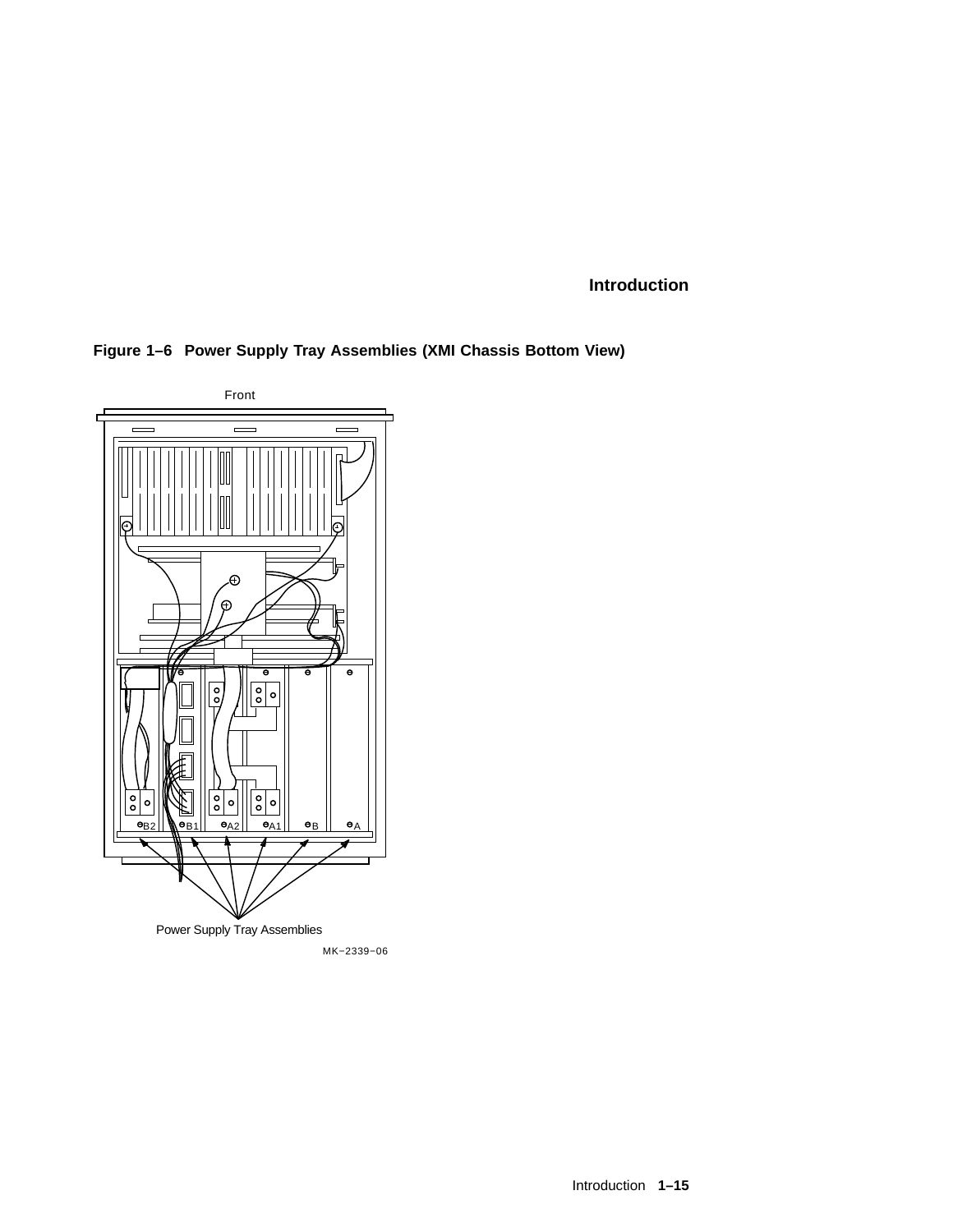**Figure 1–6 Power Supply Tray Assemblies (XMI Chassis Bottom View)**

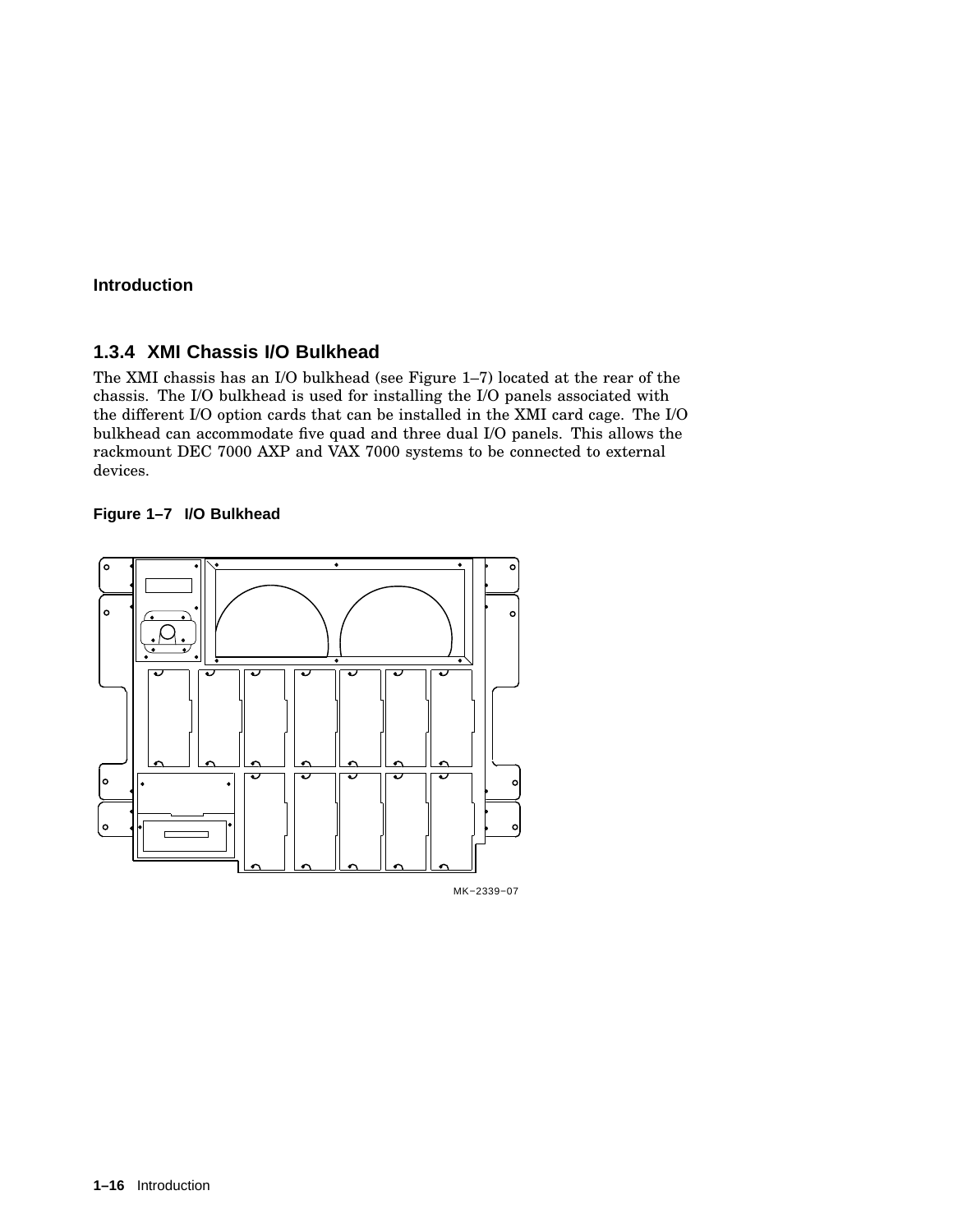#### **1.3.4 XMI Chassis I/O Bulkhead**

The XMI chassis has an I/O bulkhead (see Figure 1–7) located at the rear of the chassis. The I/O bulkhead is used for installing the I/O panels associated with the different I/O option cards that can be installed in the XMI card cage. The I/O bulkhead can accommodate five quad and three dual I/O panels. This allows the rackmount DEC 7000 AXP and VAX 7000 systems to be connected to external devices.

#### **Figure 1–7 I/O Bulkhead**



MK−2339−07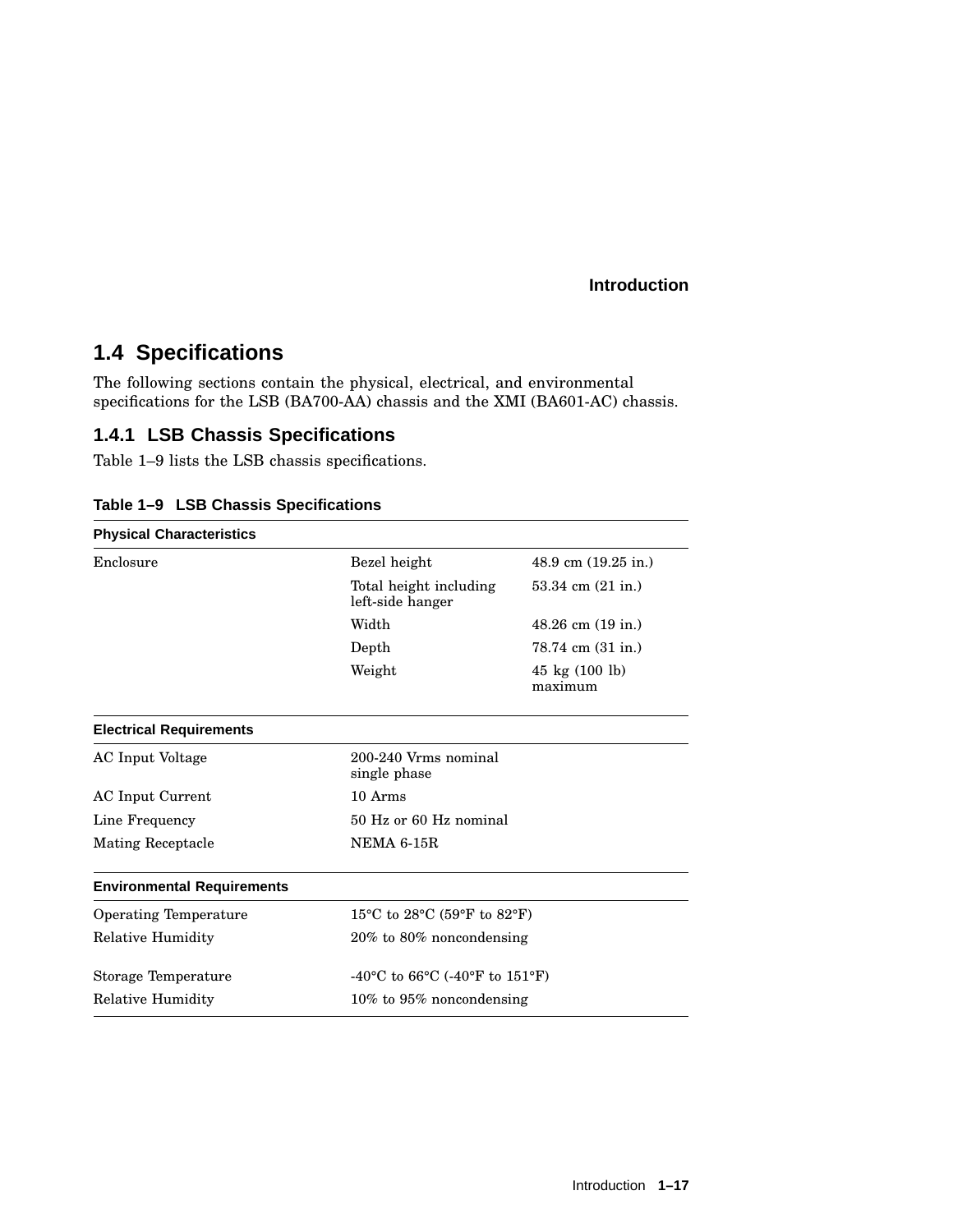# **1.4 Specifications**

The following sections contain the physical, electrical, and environmental specifications for the LSB (BA700-AA) chassis and the XMI (BA601-AC) chassis.

# **1.4.1 LSB Chassis Specifications**

Table 1–9 lists the LSB chassis specifications.

| <b>Physical Characteristics</b>   |                                                                                                                      |                                             |  |
|-----------------------------------|----------------------------------------------------------------------------------------------------------------------|---------------------------------------------|--|
| Enclosure                         | Bezel height<br>48.9 cm $(19.25 \text{ in.})$<br>Total height including<br>$53.34$ cm $(21$ in.)<br>left-side hanger |                                             |  |
|                                   |                                                                                                                      |                                             |  |
|                                   | Width                                                                                                                | $48.26$ cm $(19$ in.)                       |  |
|                                   | Depth                                                                                                                | 78.74 cm (31 in.)                           |  |
|                                   | Weight                                                                                                               | $45 \text{ kg} (100 \text{ lb})$<br>maximum |  |
| <b>Electrical Requirements</b>    |                                                                                                                      |                                             |  |
| AC Input Voltage                  | 200-240 Vrms nominal<br>single phase                                                                                 |                                             |  |
| AC Input Current                  | 10 Arms                                                                                                              |                                             |  |
| Line Frequency                    | 50 Hz or 60 Hz nominal                                                                                               |                                             |  |
| <b>Mating Receptacle</b>          | <b>NEMA 6-15R</b>                                                                                                    |                                             |  |
| <b>Environmental Requirements</b> |                                                                                                                      |                                             |  |
| <b>Operating Temperature</b>      | 15 <sup>o</sup> C to 28 <sup>o</sup> C (59 <sup>o</sup> F to 82 <sup>o</sup> F)                                      |                                             |  |
| <b>Relative Humidity</b>          |                                                                                                                      | $20\%$ to 80% noncondensing                 |  |
| Storage Temperature               | -40 °C to 66 °C (-40 °F to 151 °F)                                                                                   |                                             |  |
| <b>Relative Humidity</b>          | 10% to 95% noncondensing                                                                                             |                                             |  |

|  | Table 1-9 LSB Chassis Specifications |
|--|--------------------------------------|
|  |                                      |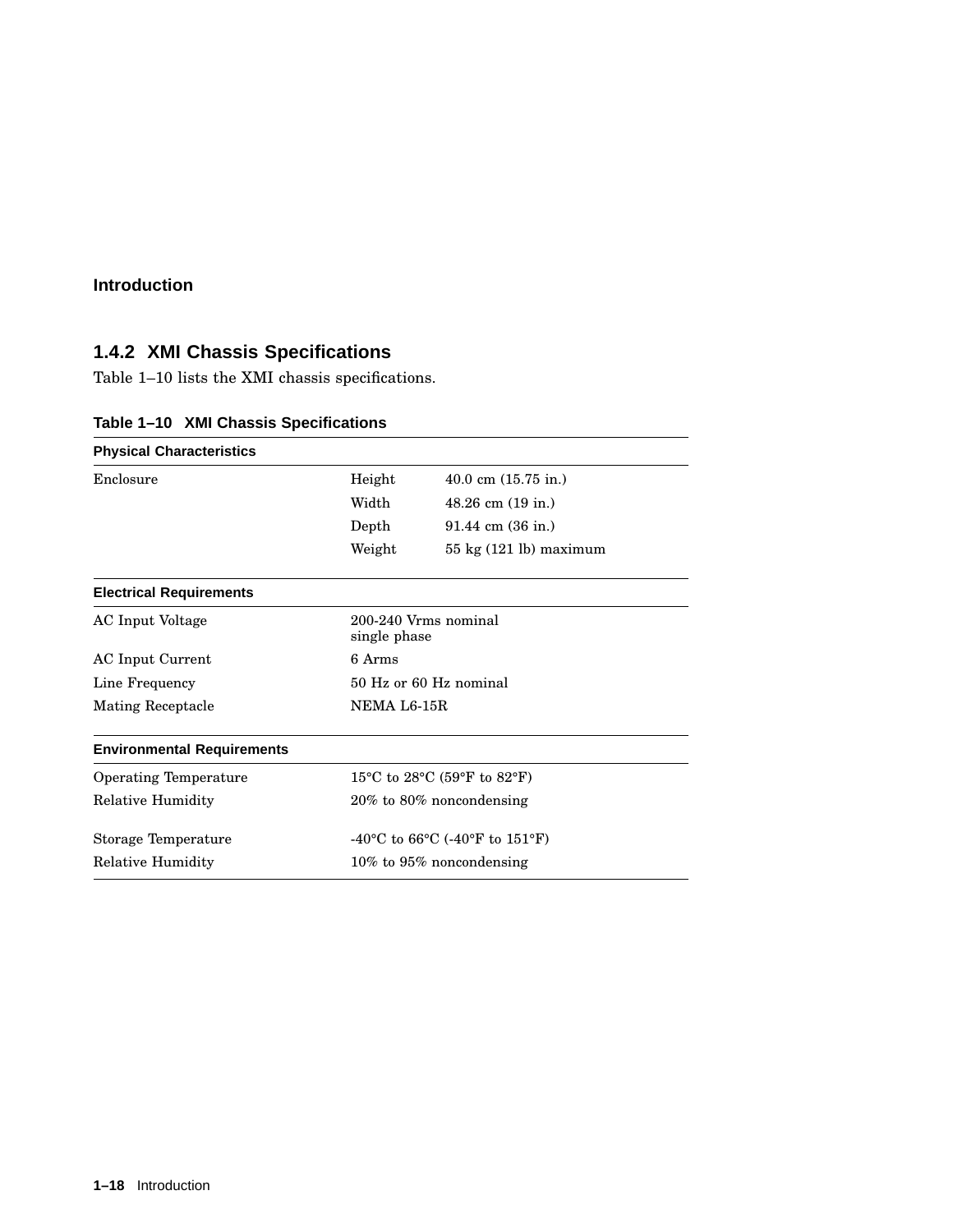# **1.4.2 XMI Chassis Specifications**

Table 1–10 lists the XMI chassis specifications.

| <b>Physical Characteristics</b>   |                                      |                                        |  |
|-----------------------------------|--------------------------------------|----------------------------------------|--|
| Enclosure                         | Height                               | $40.0 \text{ cm } (15.75 \text{ in.})$ |  |
|                                   | Width                                | $48.26$ cm $(19$ in.)                  |  |
|                                   | Depth                                | $91.44 \text{ cm } (36 \text{ in.})$   |  |
|                                   | Weight                               | $55 \text{ kg}$ (121 lb) maximum       |  |
| <b>Electrical Requirements</b>    |                                      |                                        |  |
| <b>AC</b> Input Voltage           | 200-240 Vrms nominal<br>single phase |                                        |  |
| AC Input Current                  | 6 Arms                               |                                        |  |
| Line Frequency                    | 50 Hz or 60 Hz nominal               |                                        |  |
| Mating Receptacle                 | NEMA L6-15R                          |                                        |  |
| <b>Environmental Requirements</b> |                                      |                                        |  |
| Operating Temperature             | 15°C to 28°C (59°F to 82°F)          |                                        |  |
| <b>Relative Humidity</b>          | $20\%$ to 80% noncondensing          |                                        |  |
| Storage Temperature               | -40°C to 66°C (-40°F to 151°F)       |                                        |  |
| <b>Relative Humidity</b>          | $10\%$ to $95\%$ noncondensing       |                                        |  |

# **Table 1–10 XMI Chassis Specifications**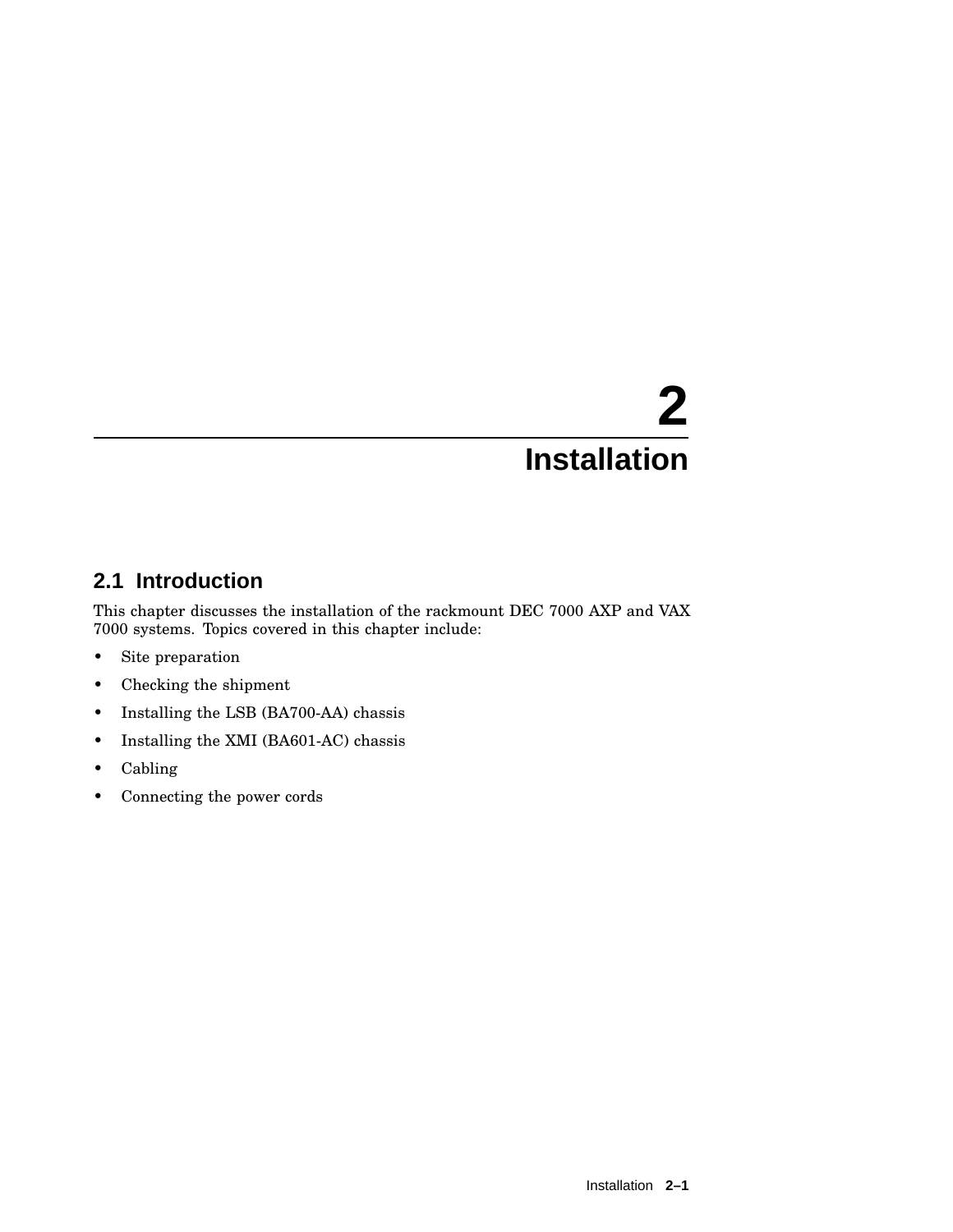# **2.1 Introduction**

This chapter discusses the installation of the rackmount DEC 7000 AXP and VAX 7000 systems. Topics covered in this chapter include:

- Site preparation
- Checking the shipment
- Installing the LSB (BA700-AA) chassis
- Installing the XMI (BA601-AC) chassis
- Cabling
- Connecting the power cords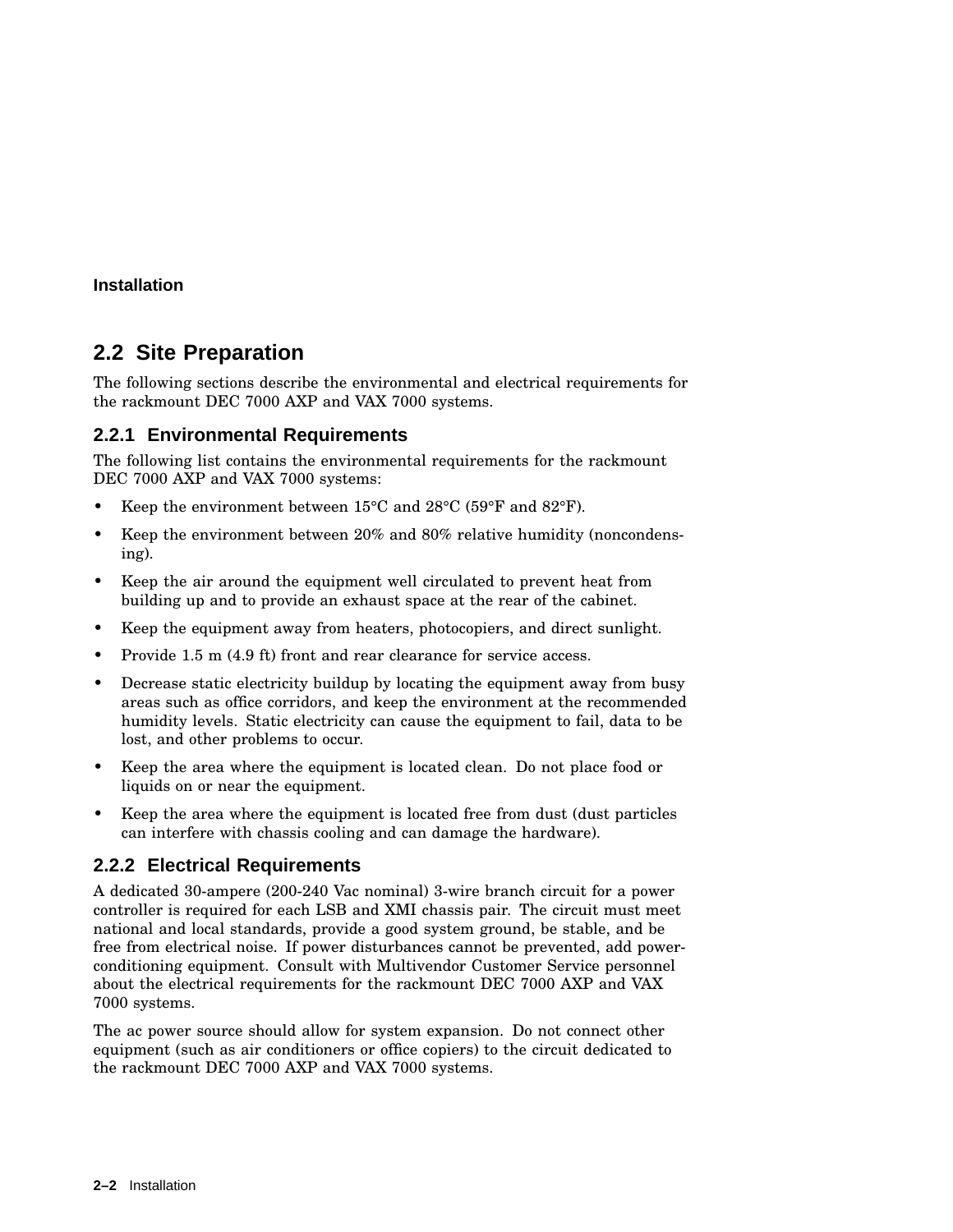# **2.2 Site Preparation**

The following sections describe the environmental and electrical requirements for the rackmount DEC 7000 AXP and VAX 7000 systems.

#### **2.2.1 Environmental Requirements**

The following list contains the environmental requirements for the rackmount DEC 7000 AXP and VAX 7000 systems:

- Keep the environment between 15°C and 28°C (59°F and 82°F).
- Keep the environment between 20% and 80% relative humidity (noncondensing).
- Keep the air around the equipment well circulated to prevent heat from building up and to provide an exhaust space at the rear of the cabinet.
- Keep the equipment away from heaters, photocopiers, and direct sunlight.
- Provide 1.5 m (4.9 ft) front and rear clearance for service access.
- Decrease static electricity buildup by locating the equipment away from busy areas such as office corridors, and keep the environment at the recommended humidity levels. Static electricity can cause the equipment to fail, data to be lost, and other problems to occur.
- Keep the area where the equipment is located clean. Do not place food or liquids on or near the equipment.
- Keep the area where the equipment is located free from dust (dust particles can interfere with chassis cooling and can damage the hardware).

## **2.2.2 Electrical Requirements**

A dedicated 30-ampere (200-240 Vac nominal) 3-wire branch circuit for a power controller is required for each LSB and XMI chassis pair. The circuit must meet national and local standards, provide a good system ground, be stable, and be free from electrical noise. If power disturbances cannot be prevented, add powerconditioning equipment. Consult with Multivendor Customer Service personnel about the electrical requirements for the rackmount DEC 7000 AXP and VAX 7000 systems.

The ac power source should allow for system expansion. Do not connect other equipment (such as air conditioners or office copiers) to the circuit dedicated to the rackmount DEC 7000 AXP and VAX 7000 systems.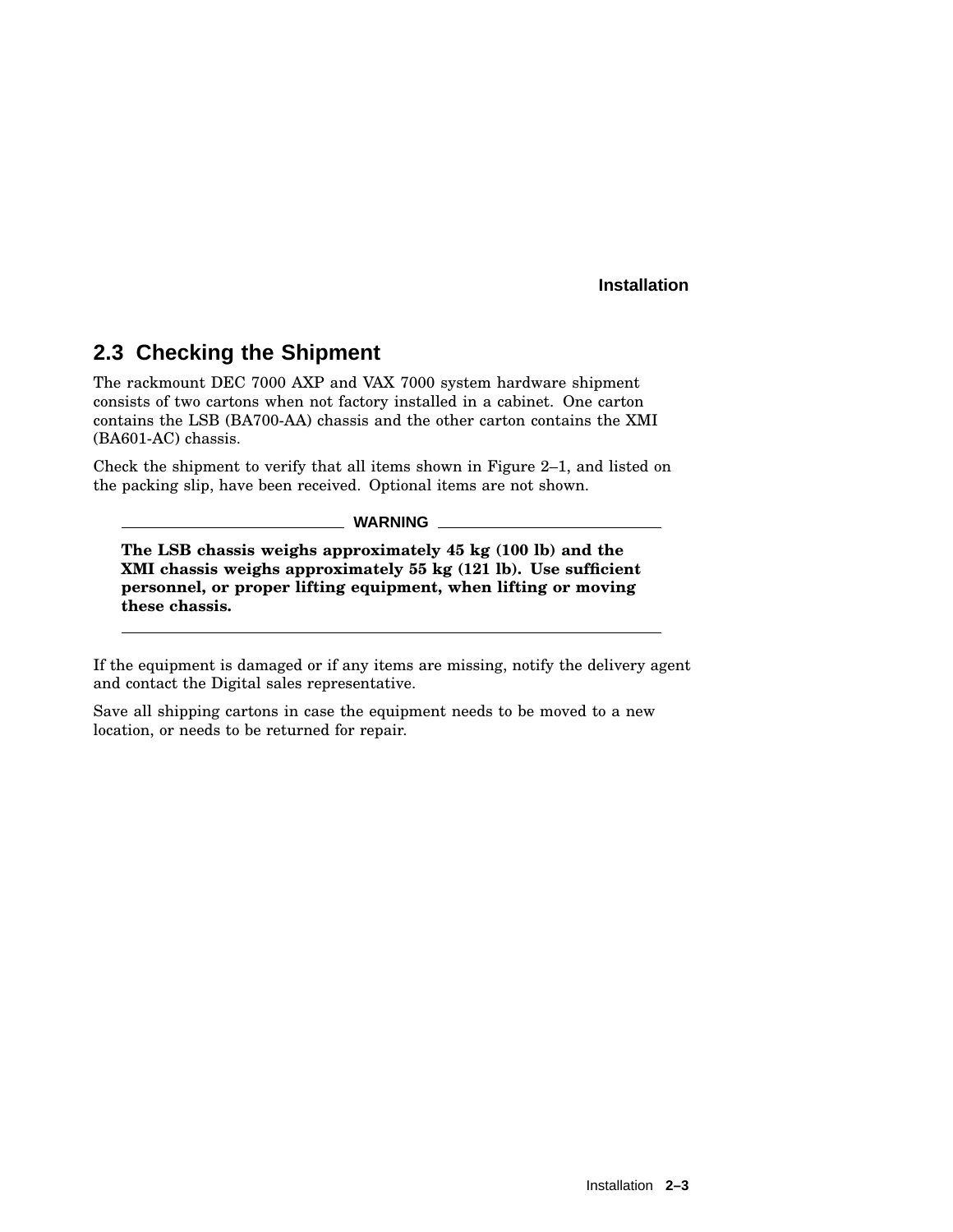# **2.3 Checking the Shipment**

The rackmount DEC 7000 AXP and VAX 7000 system hardware shipment consists of two cartons when not factory installed in a cabinet. One carton contains the LSB (BA700-AA) chassis and the other carton contains the XMI (BA601-AC) chassis.

Check the shipment to verify that all items shown in Figure 2–1, and listed on the packing slip, have been received. Optional items are not shown.

**WARNING**

**The LSB chassis weighs approximately 45 kg (100 lb) and the XMI chassis weighs approximately 55 kg (121 lb). Use sufficient personnel, or proper lifting equipment, when lifting or moving these chassis.**

If the equipment is damaged or if any items are missing, notify the delivery agent and contact the Digital sales representative.

Save all shipping cartons in case the equipment needs to be moved to a new location, or needs to be returned for repair.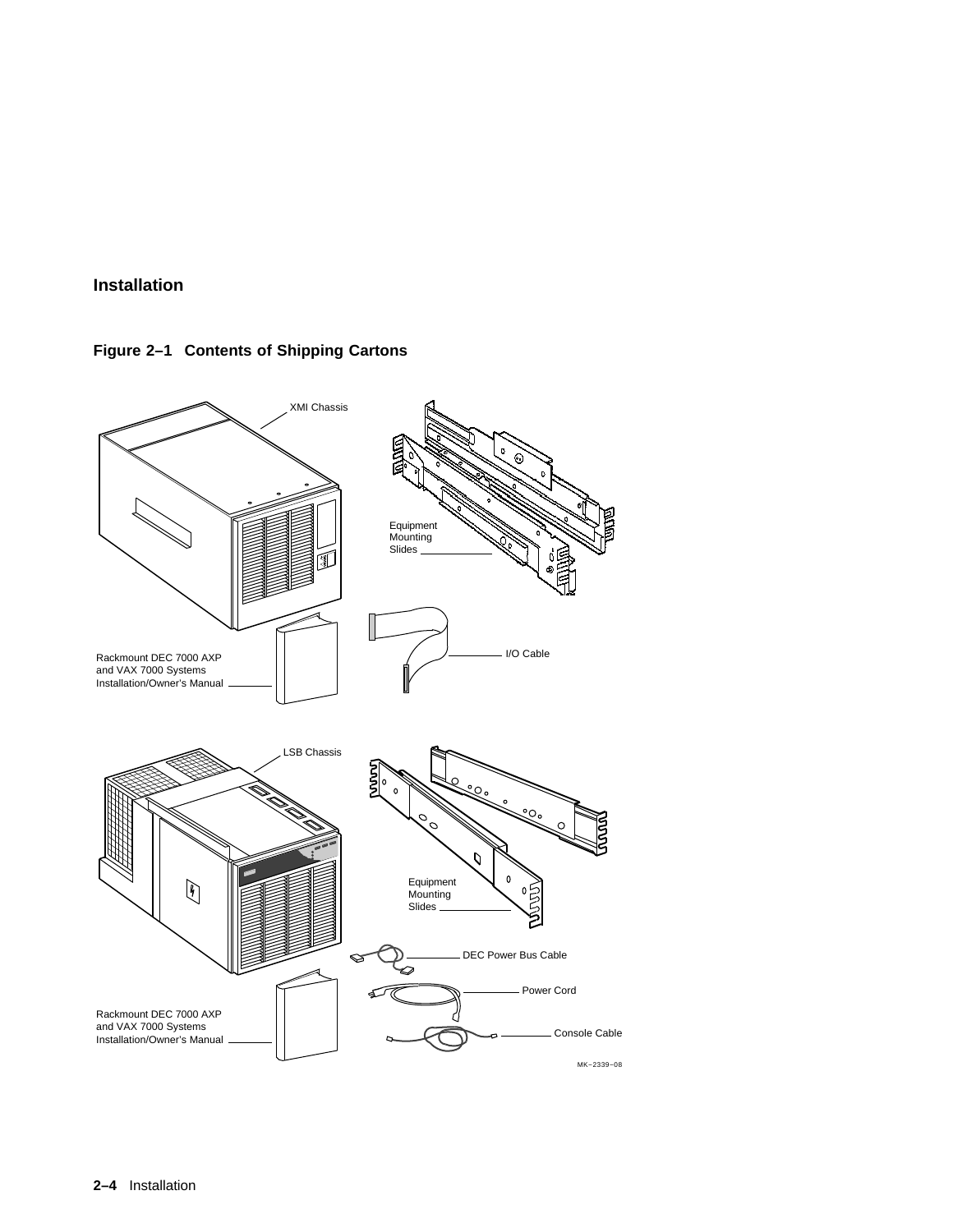**Figure 2–1 Contents of Shipping Cartons**

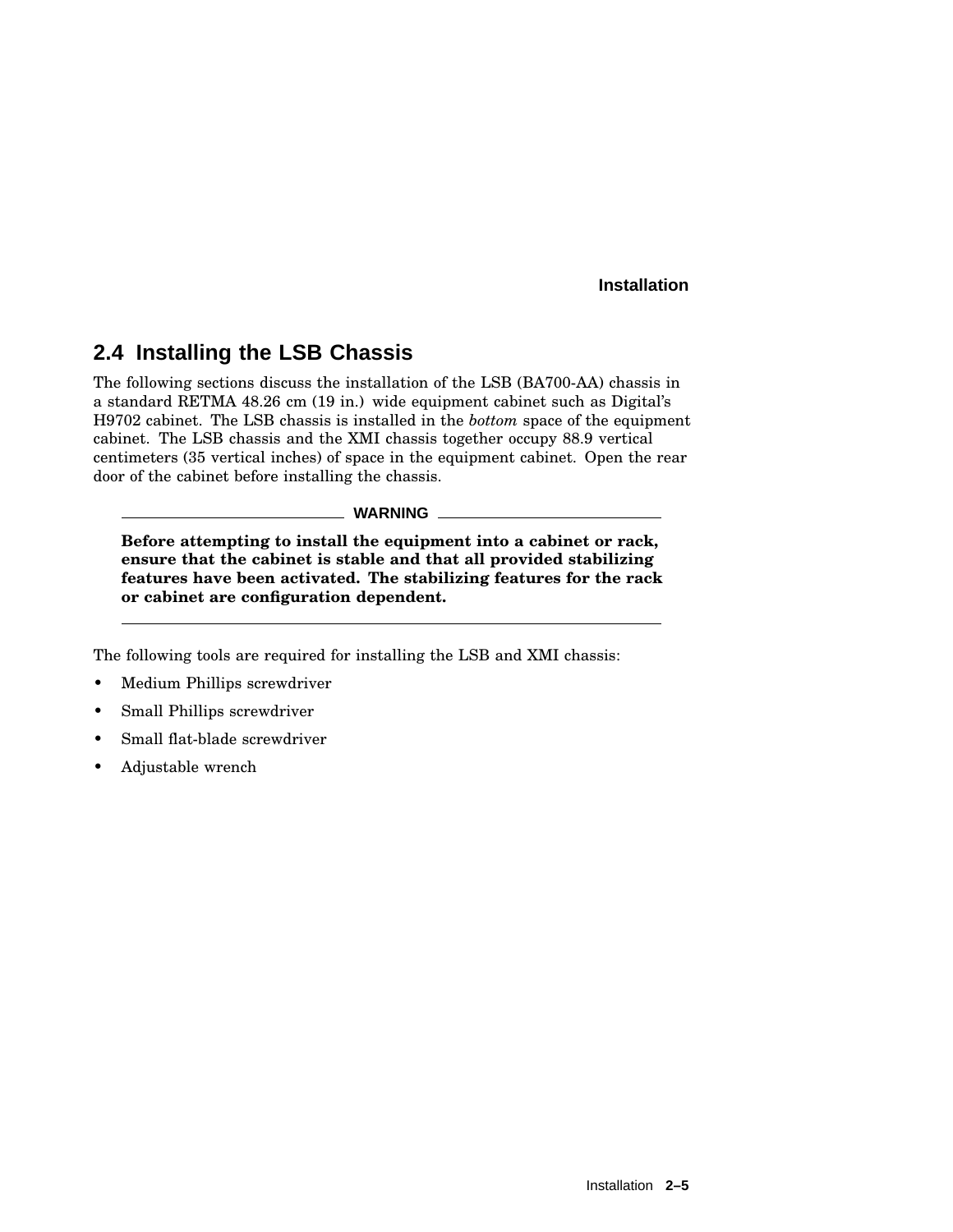# **2.4 Installing the LSB Chassis**

The following sections discuss the installation of the LSB (BA700-AA) chassis in a standard RETMA 48.26 cm (19 in.) wide equipment cabinet such as Digital's H9702 cabinet. The LSB chassis is installed in the *bottom* space of the equipment cabinet. The LSB chassis and the XMI chassis together occupy 88.9 vertical centimeters (35 vertical inches) of space in the equipment cabinet. Open the rear door of the cabinet before installing the chassis.

#### **WARNING**

**Before attempting to install the equipment into a cabinet or rack, ensure that the cabinet is stable and that all provided stabilizing features have been activated. The stabilizing features for the rack or cabinet are configuration dependent.**

The following tools are required for installing the LSB and XMI chassis:

- Medium Phillips screwdriver
- Small Phillips screwdriver
- Small flat-blade screwdriver
- Adjustable wrench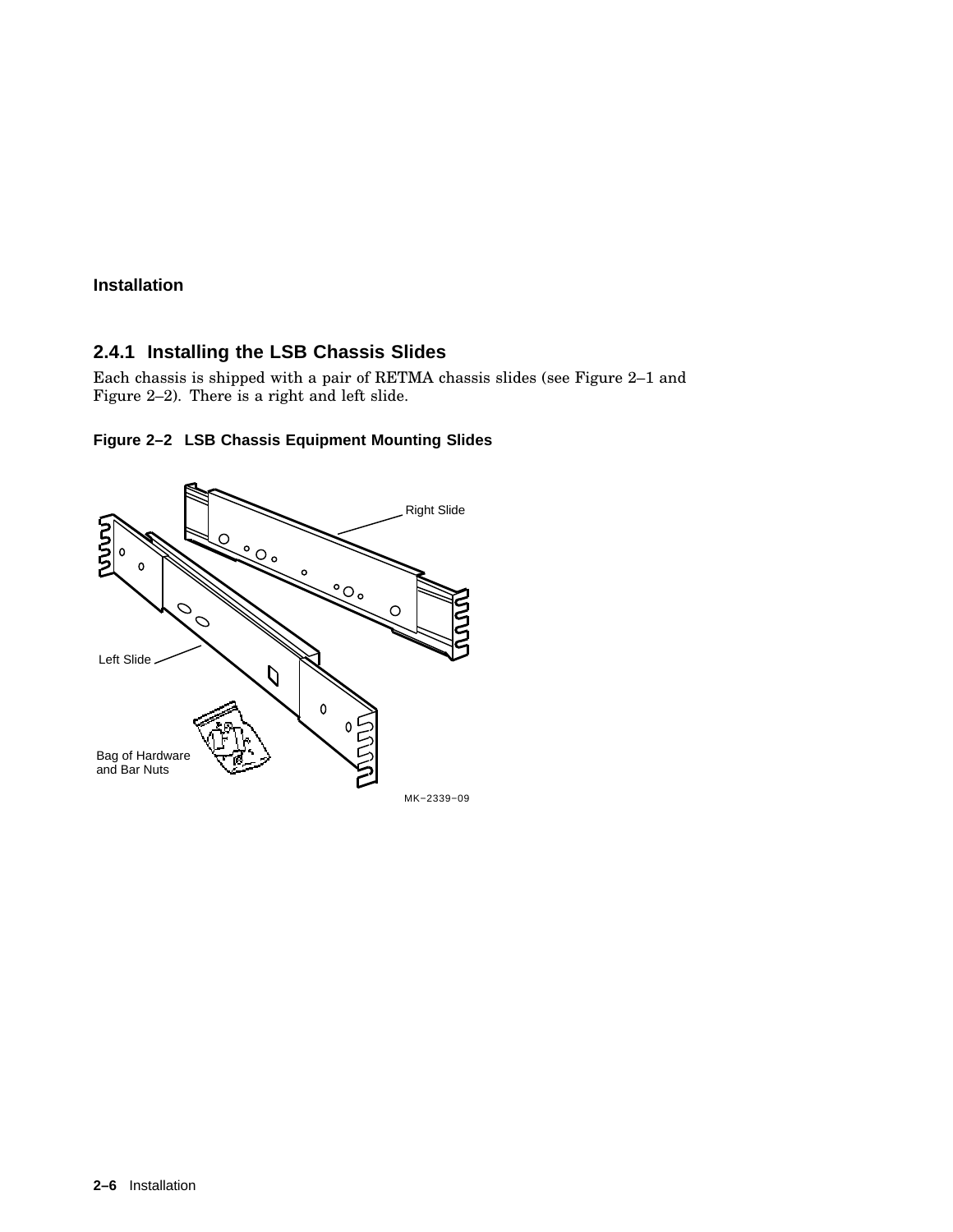### **2.4.1 Installing the LSB Chassis Slides**

Each chassis is shipped with a pair of RETMA chassis slides (see Figure 2–1 and Figure 2–2). There is a right and left slide.



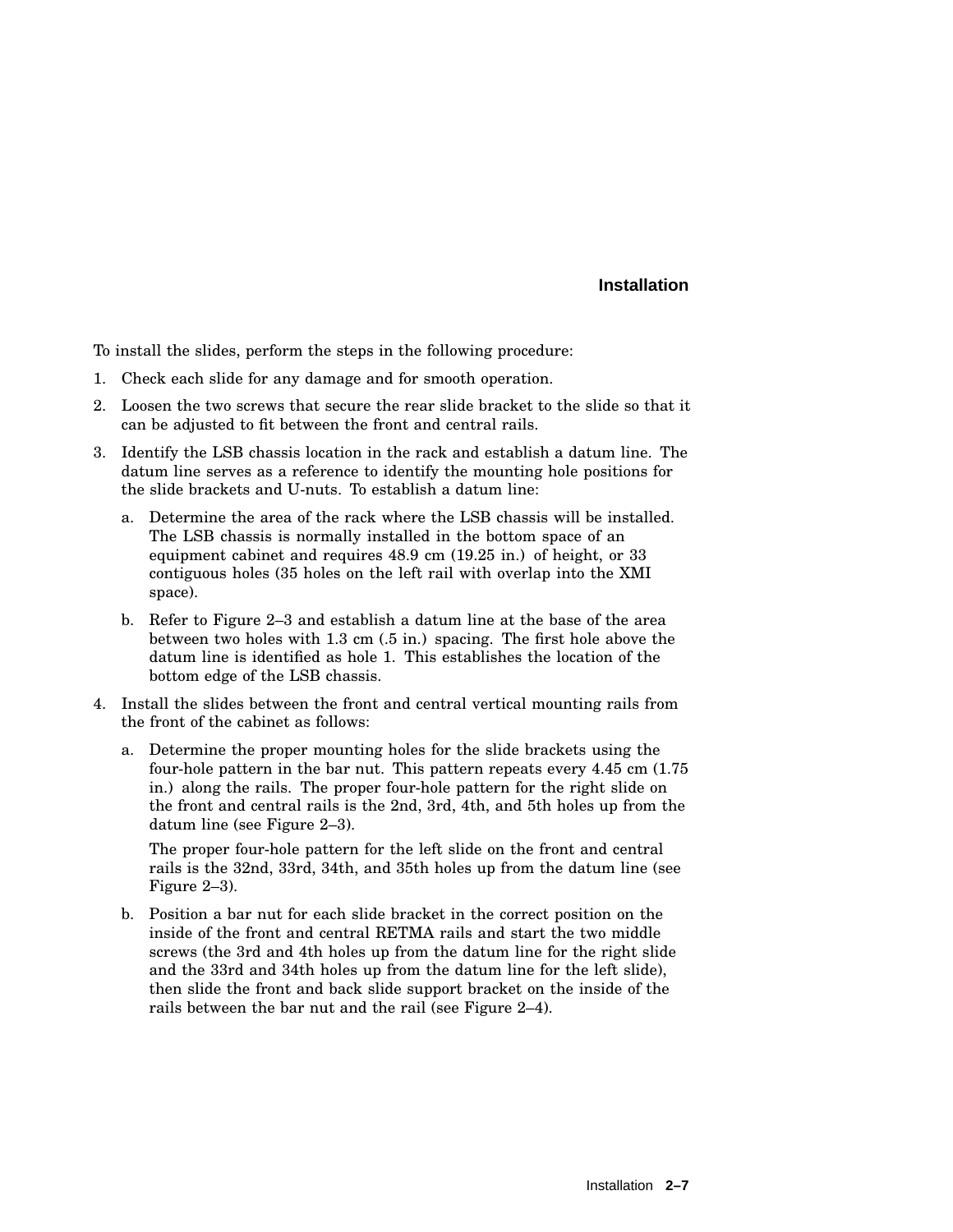To install the slides, perform the steps in the following procedure:

- 1. Check each slide for any damage and for smooth operation.
- 2. Loosen the two screws that secure the rear slide bracket to the slide so that it can be adjusted to fit between the front and central rails.
- 3. Identify the LSB chassis location in the rack and establish a datum line. The datum line serves as a reference to identify the mounting hole positions for the slide brackets and U-nuts. To establish a datum line:
	- a. Determine the area of the rack where the LSB chassis will be installed. The LSB chassis is normally installed in the bottom space of an equipment cabinet and requires 48.9 cm (19.25 in.) of height, or 33 contiguous holes (35 holes on the left rail with overlap into the XMI space).
	- b. Refer to Figure 2–3 and establish a datum line at the base of the area between two holes with 1.3 cm (.5 in.) spacing. The first hole above the datum line is identified as hole 1. This establishes the location of the bottom edge of the LSB chassis.
- 4. Install the slides between the front and central vertical mounting rails from the front of the cabinet as follows:
	- a. Determine the proper mounting holes for the slide brackets using the four-hole pattern in the bar nut. This pattern repeats every 4.45 cm (1.75 in.) along the rails. The proper four-hole pattern for the right slide on the front and central rails is the 2nd, 3rd, 4th, and 5th holes up from the datum line (see Figure 2–3).

The proper four-hole pattern for the left slide on the front and central rails is the 32nd, 33rd, 34th, and 35th holes up from the datum line (see Figure 2–3).

b. Position a bar nut for each slide bracket in the correct position on the inside of the front and central RETMA rails and start the two middle screws (the 3rd and 4th holes up from the datum line for the right slide and the 33rd and 34th holes up from the datum line for the left slide), then slide the front and back slide support bracket on the inside of the rails between the bar nut and the rail (see Figure 2–4).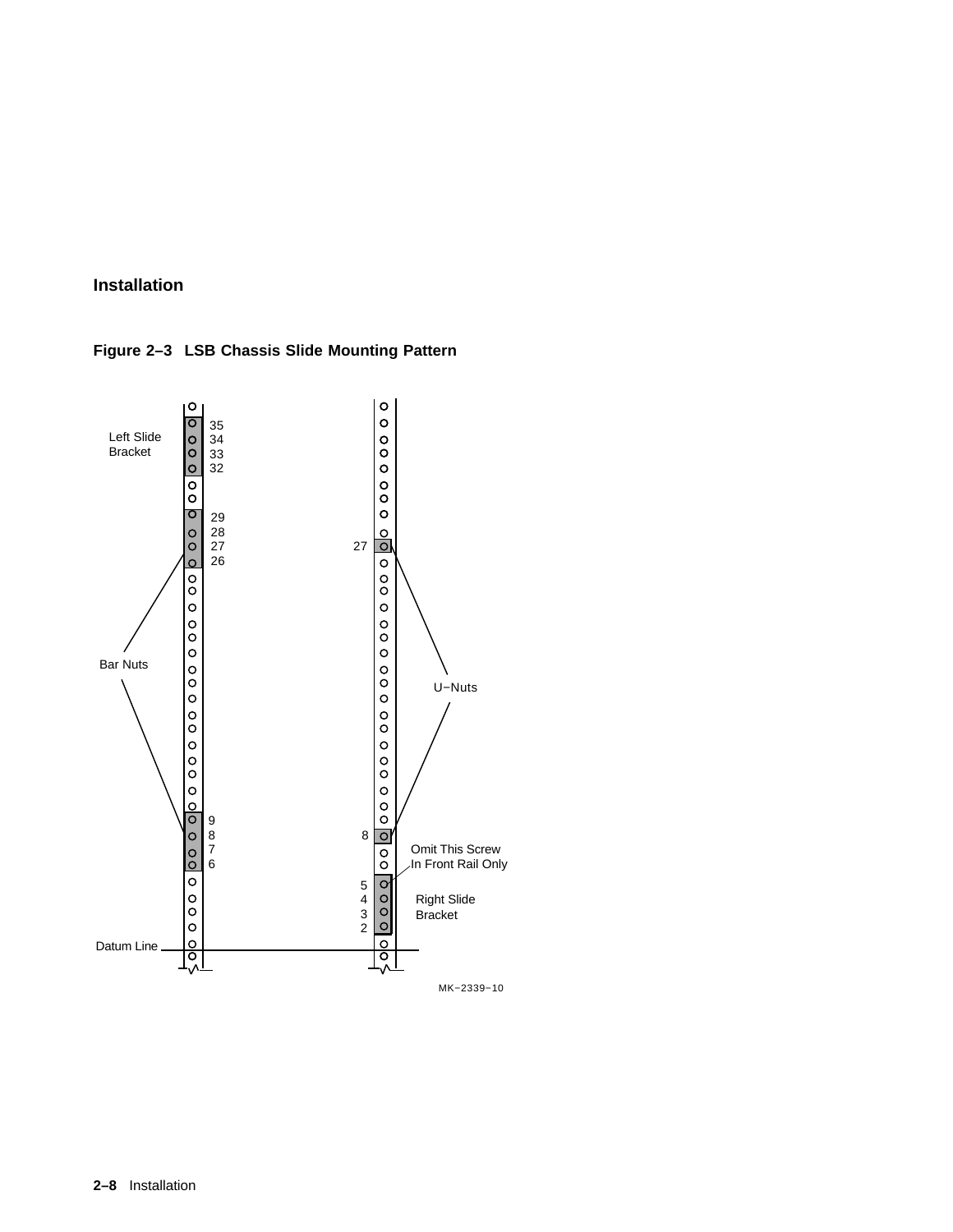**Figure 2–3 LSB Chassis Slide Mounting Pattern**

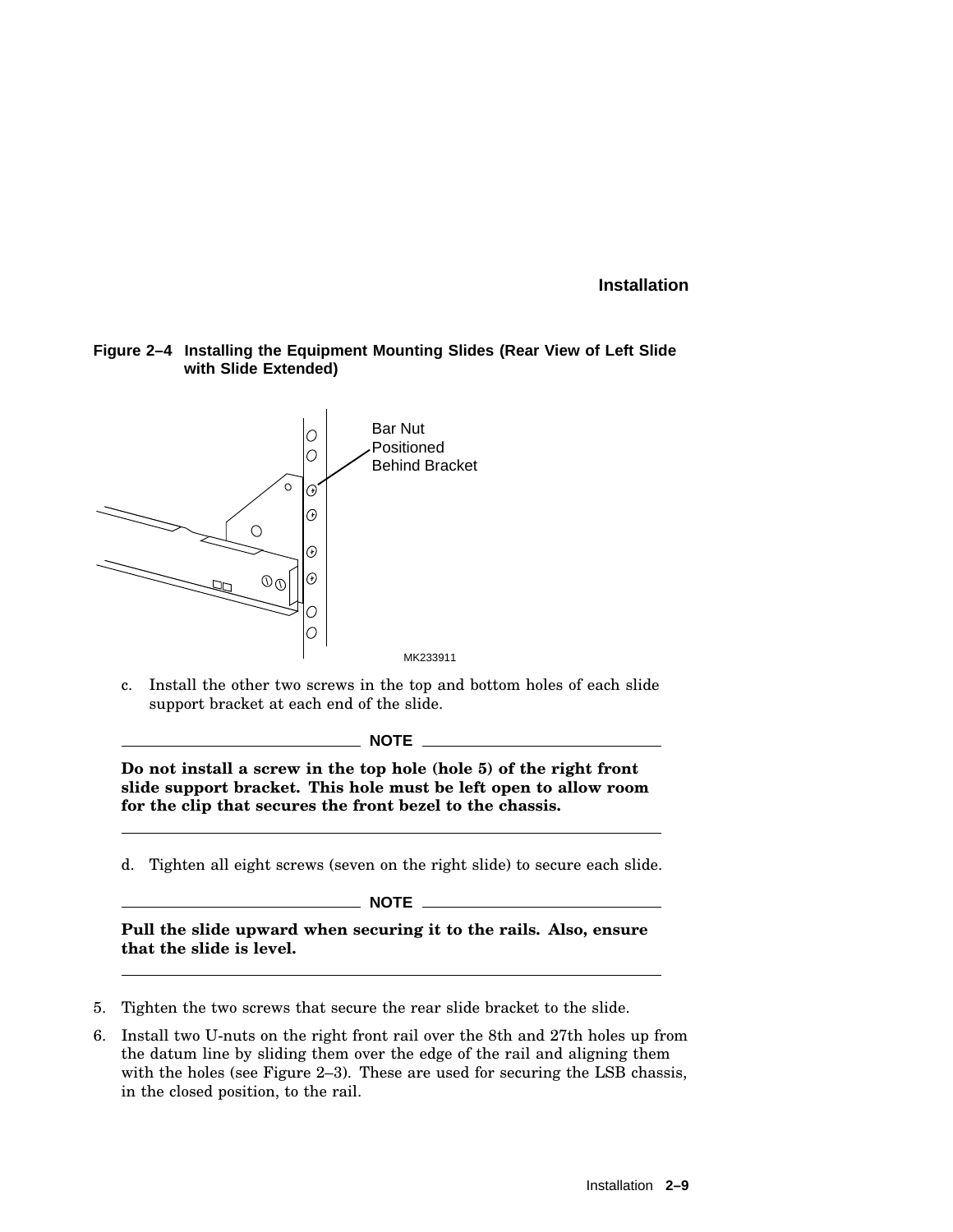#### **Figure 2–4 Installing the Equipment Mounting Slides (Rear View of Left Slide with Slide Extended)**



c. Install the other two screws in the top and bottom holes of each slide support bracket at each end of the slide.

**NOTE**

**Do not install a screw in the top hole (hole 5) of the right front slide support bracket. This hole must be left open to allow room for the clip that secures the front bezel to the chassis.**

d. Tighten all eight screws (seven on the right slide) to secure each slide.

\_\_\_\_\_\_\_ NOTE \_\_\_\_\_\_\_\_\_

**Pull the slide upward when securing it to the rails. Also, ensure that the slide is level.**

- 5. Tighten the two screws that secure the rear slide bracket to the slide.
- 6. Install two U-nuts on the right front rail over the 8th and 27th holes up from the datum line by sliding them over the edge of the rail and aligning them with the holes (see Figure 2–3). These are used for securing the LSB chassis, in the closed position, to the rail.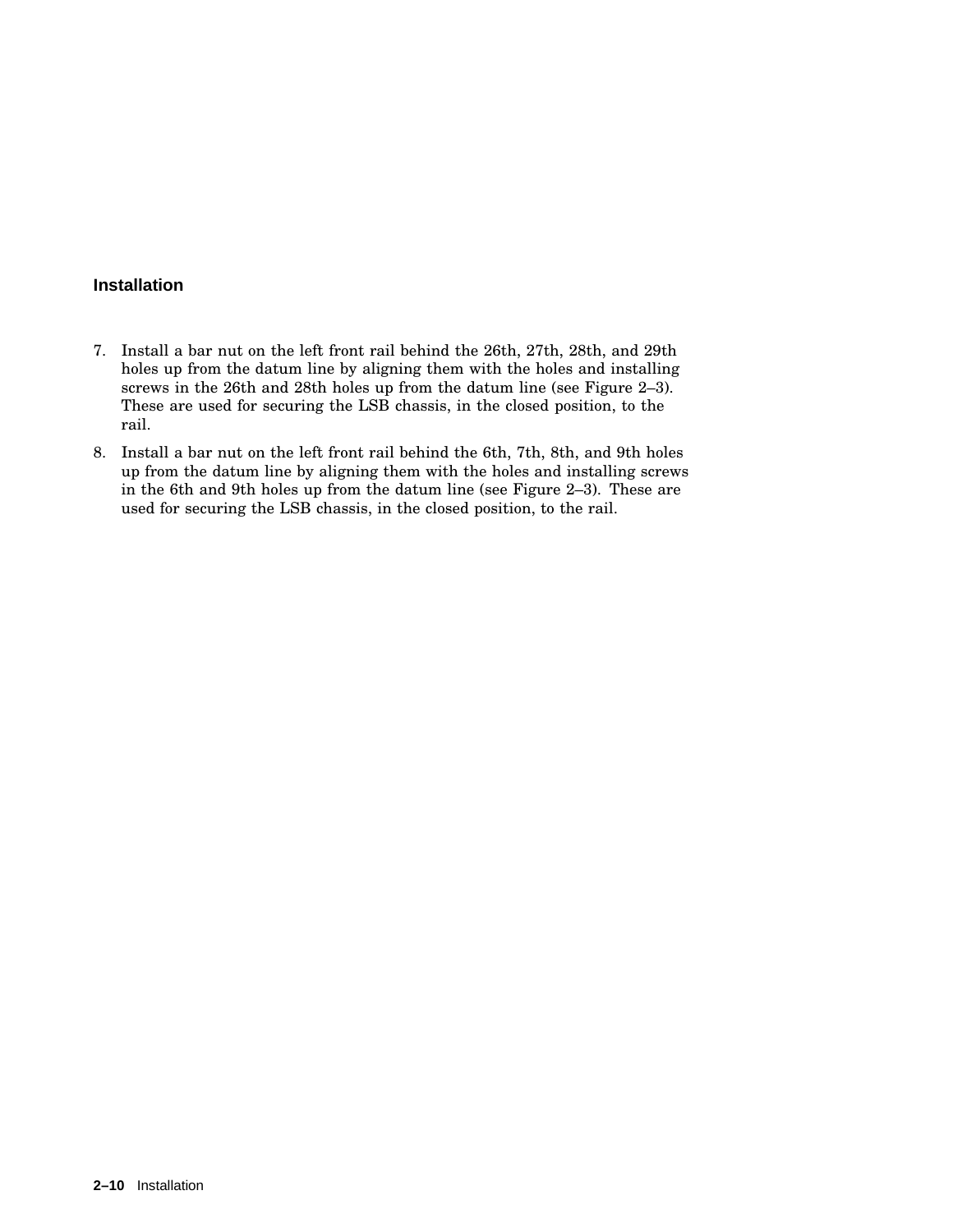- 7. Install a bar nut on the left front rail behind the 26th, 27th, 28th, and 29th holes up from the datum line by aligning them with the holes and installing screws in the 26th and 28th holes up from the datum line (see Figure 2–3). These are used for securing the LSB chassis, in the closed position, to the rail.
- 8. Install a bar nut on the left front rail behind the 6th, 7th, 8th, and 9th holes up from the datum line by aligning them with the holes and installing screws in the 6th and 9th holes up from the datum line (see Figure 2–3). These are used for securing the LSB chassis, in the closed position, to the rail.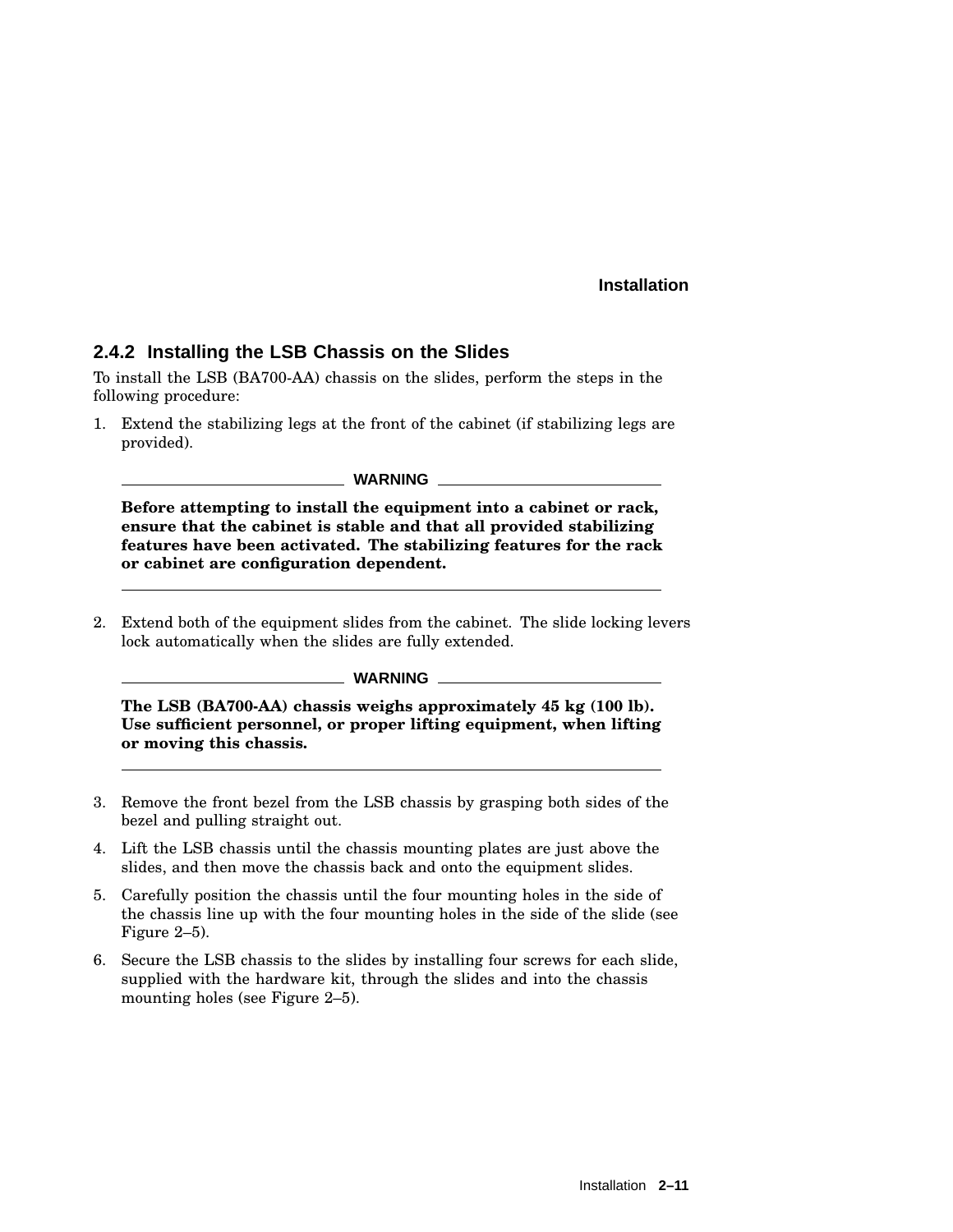#### **2.4.2 Installing the LSB Chassis on the Slides**

To install the LSB (BA700-AA) chassis on the slides, perform the steps in the following procedure:

1. Extend the stabilizing legs at the front of the cabinet (if stabilizing legs are provided).

**WARNING**

**Before attempting to install the equipment into a cabinet or rack, ensure that the cabinet is stable and that all provided stabilizing features have been activated. The stabilizing features for the rack or cabinet are configuration dependent.**

2. Extend both of the equipment slides from the cabinet. The slide locking levers lock automatically when the slides are fully extended.

#### **WARNING**

**The LSB (BA700-AA) chassis weighs approximately 45 kg (100 lb). Use sufficient personnel, or proper lifting equipment, when lifting or moving this chassis.**

- 3. Remove the front bezel from the LSB chassis by grasping both sides of the bezel and pulling straight out.
- 4. Lift the LSB chassis until the chassis mounting plates are just above the slides, and then move the chassis back and onto the equipment slides.
- 5. Carefully position the chassis until the four mounting holes in the side of the chassis line up with the four mounting holes in the side of the slide (see Figure 2–5).
- 6. Secure the LSB chassis to the slides by installing four screws for each slide, supplied with the hardware kit, through the slides and into the chassis mounting holes (see Figure 2–5).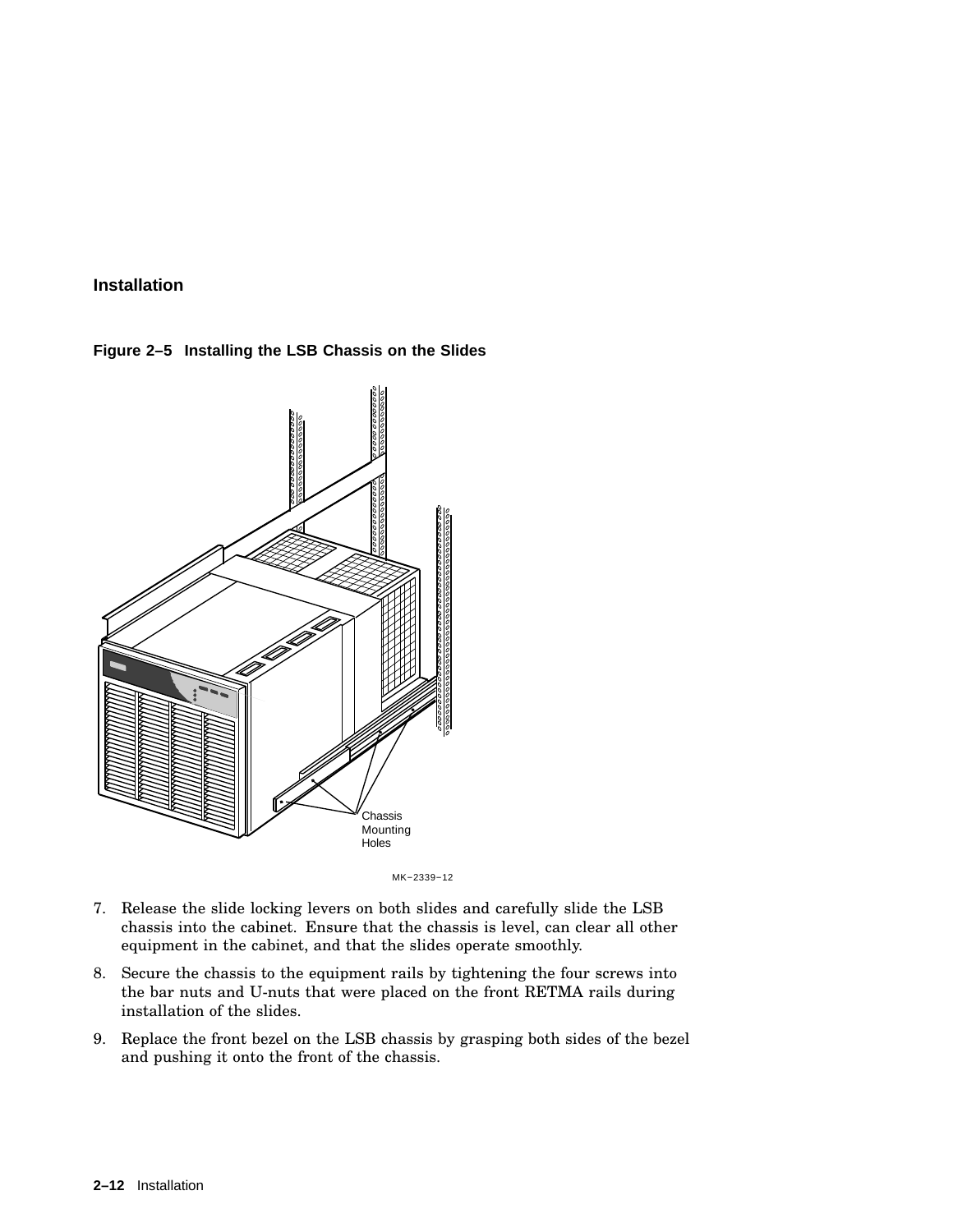



MK−2339−12

- 7. Release the slide locking levers on both slides and carefully slide the LSB chassis into the cabinet. Ensure that the chassis is level, can clear all other equipment in the cabinet, and that the slides operate smoothly.
- 8. Secure the chassis to the equipment rails by tightening the four screws into the bar nuts and U-nuts that were placed on the front RETMA rails during installation of the slides.
- 9. Replace the front bezel on the LSB chassis by grasping both sides of the bezel and pushing it onto the front of the chassis.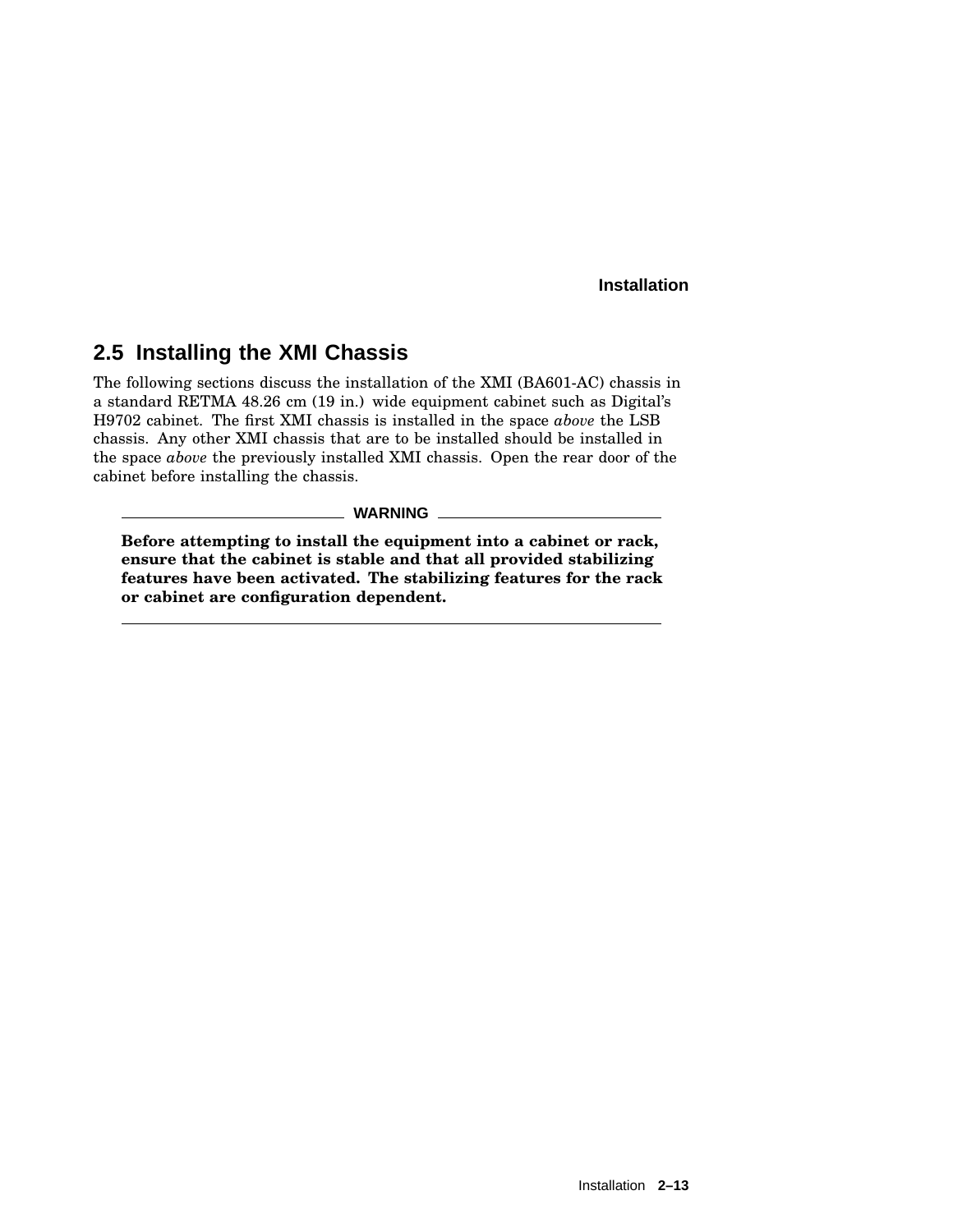# **2.5 Installing the XMI Chassis**

The following sections discuss the installation of the XMI (BA601-AC) chassis in a standard RETMA 48.26 cm (19 in.) wide equipment cabinet such as Digital's H9702 cabinet. The first XMI chassis is installed in the space *above* the LSB chassis. Any other XMI chassis that are to be installed should be installed in the space *above* the previously installed XMI chassis. Open the rear door of the cabinet before installing the chassis.

**WARNING**

**Before attempting to install the equipment into a cabinet or rack, ensure that the cabinet is stable and that all provided stabilizing features have been activated. The stabilizing features for the rack or cabinet are configuration dependent.**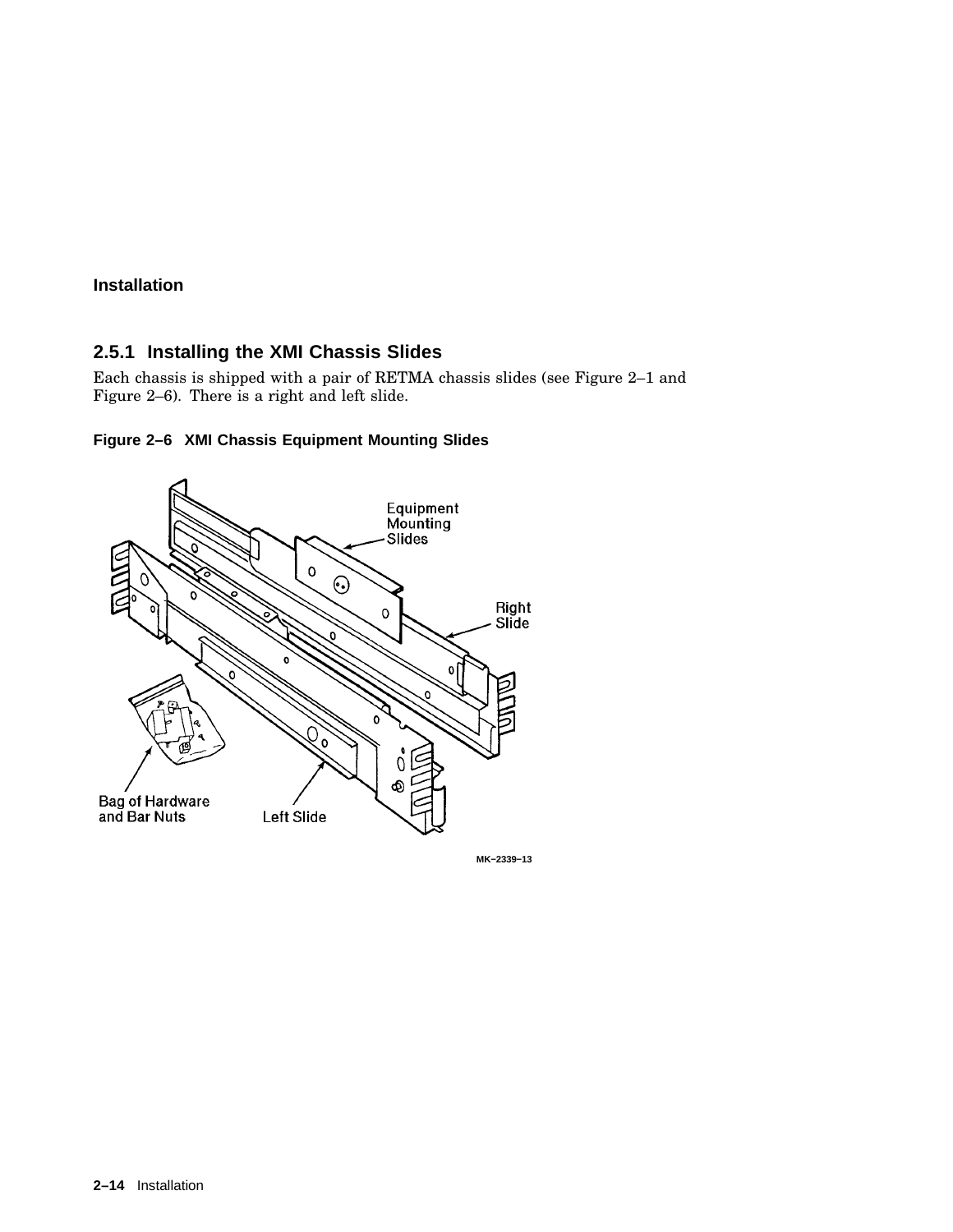## **2.5.1 Installing the XMI Chassis Slides**

Each chassis is shipped with a pair of RETMA chassis slides (see Figure 2–1 and Figure 2–6). There is a right and left slide.





**MK−2339−13**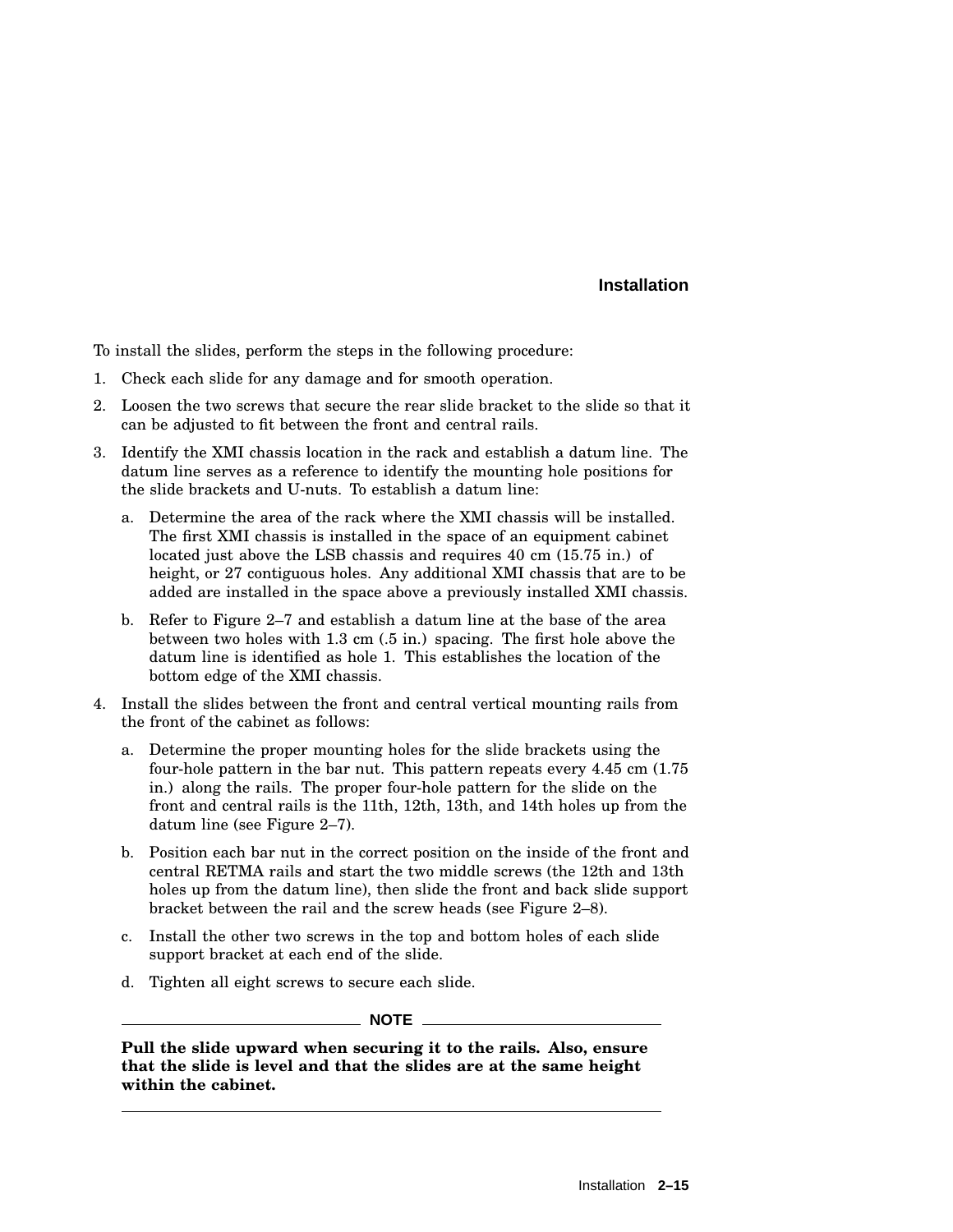To install the slides, perform the steps in the following procedure:

- 1. Check each slide for any damage and for smooth operation.
- 2. Loosen the two screws that secure the rear slide bracket to the slide so that it can be adjusted to fit between the front and central rails.
- 3. Identify the XMI chassis location in the rack and establish a datum line. The datum line serves as a reference to identify the mounting hole positions for the slide brackets and U-nuts. To establish a datum line:
	- a. Determine the area of the rack where the XMI chassis will be installed. The first XMI chassis is installed in the space of an equipment cabinet located just above the LSB chassis and requires 40 cm (15.75 in.) of height, or 27 contiguous holes. Any additional XMI chassis that are to be added are installed in the space above a previously installed XMI chassis.
	- b. Refer to Figure 2–7 and establish a datum line at the base of the area between two holes with 1.3 cm (.5 in.) spacing. The first hole above the datum line is identified as hole 1. This establishes the location of the bottom edge of the XMI chassis.
- 4. Install the slides between the front and central vertical mounting rails from the front of the cabinet as follows:
	- a. Determine the proper mounting holes for the slide brackets using the four-hole pattern in the bar nut. This pattern repeats every 4.45 cm (1.75 in.) along the rails. The proper four-hole pattern for the slide on the front and central rails is the 11th, 12th, 13th, and 14th holes up from the datum line (see Figure 2–7).
	- b. Position each bar nut in the correct position on the inside of the front and central RETMA rails and start the two middle screws (the 12th and 13th holes up from the datum line), then slide the front and back slide support bracket between the rail and the screw heads (see Figure 2–8).
	- c. Install the other two screws in the top and bottom holes of each slide support bracket at each end of the slide.
	- d. Tighten all eight screws to secure each slide.

 $\_$  NOTE  $\_$ 

**Pull the slide upward when securing it to the rails. Also, ensure that the slide is level and that the slides are at the same height within the cabinet.**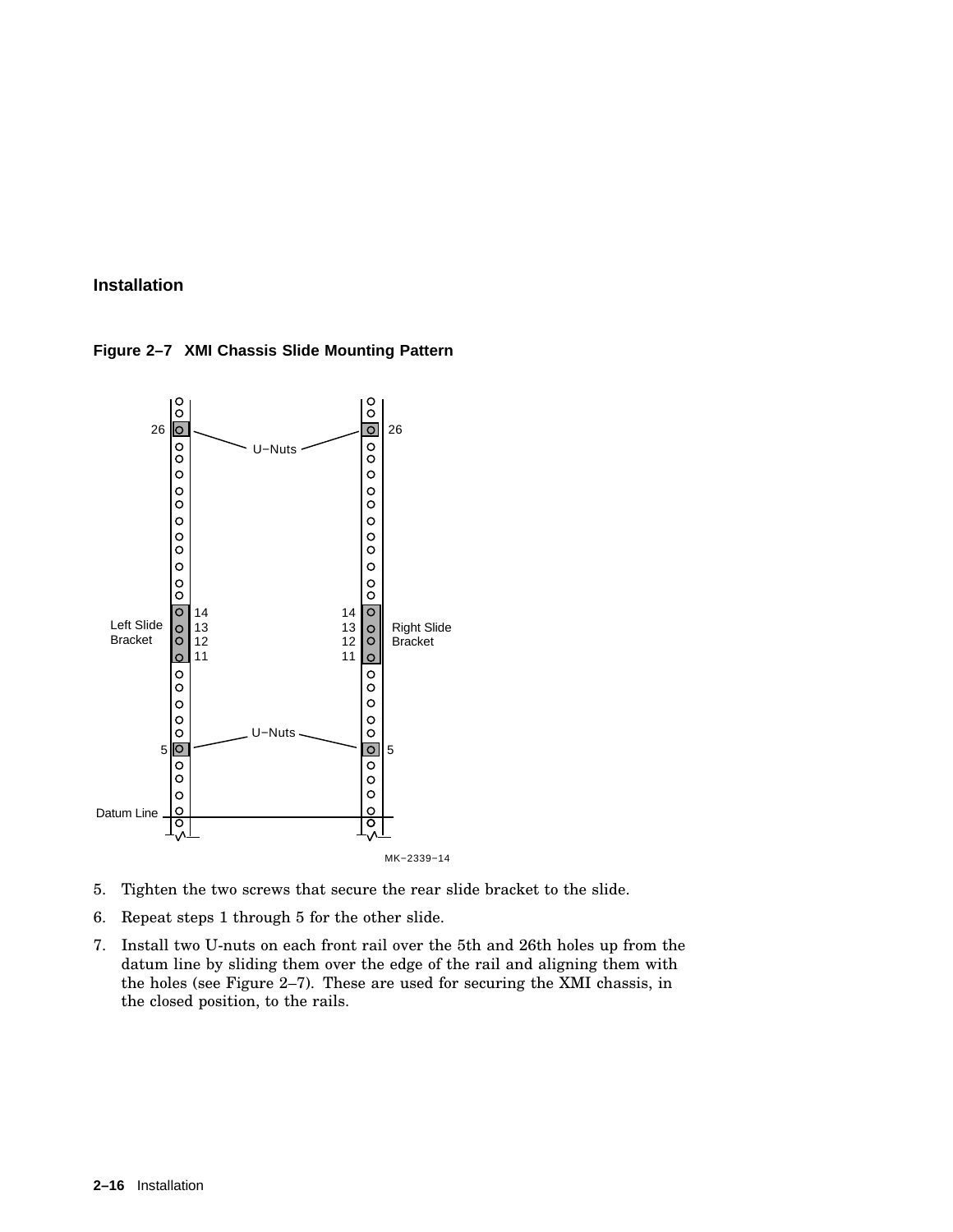



- 5. Tighten the two screws that secure the rear slide bracket to the slide.
- 6. Repeat steps 1 through 5 for the other slide.
- 7. Install two U-nuts on each front rail over the 5th and 26th holes up from the datum line by sliding them over the edge of the rail and aligning them with the holes (see Figure 2–7). These are used for securing the XMI chassis, in the closed position, to the rails.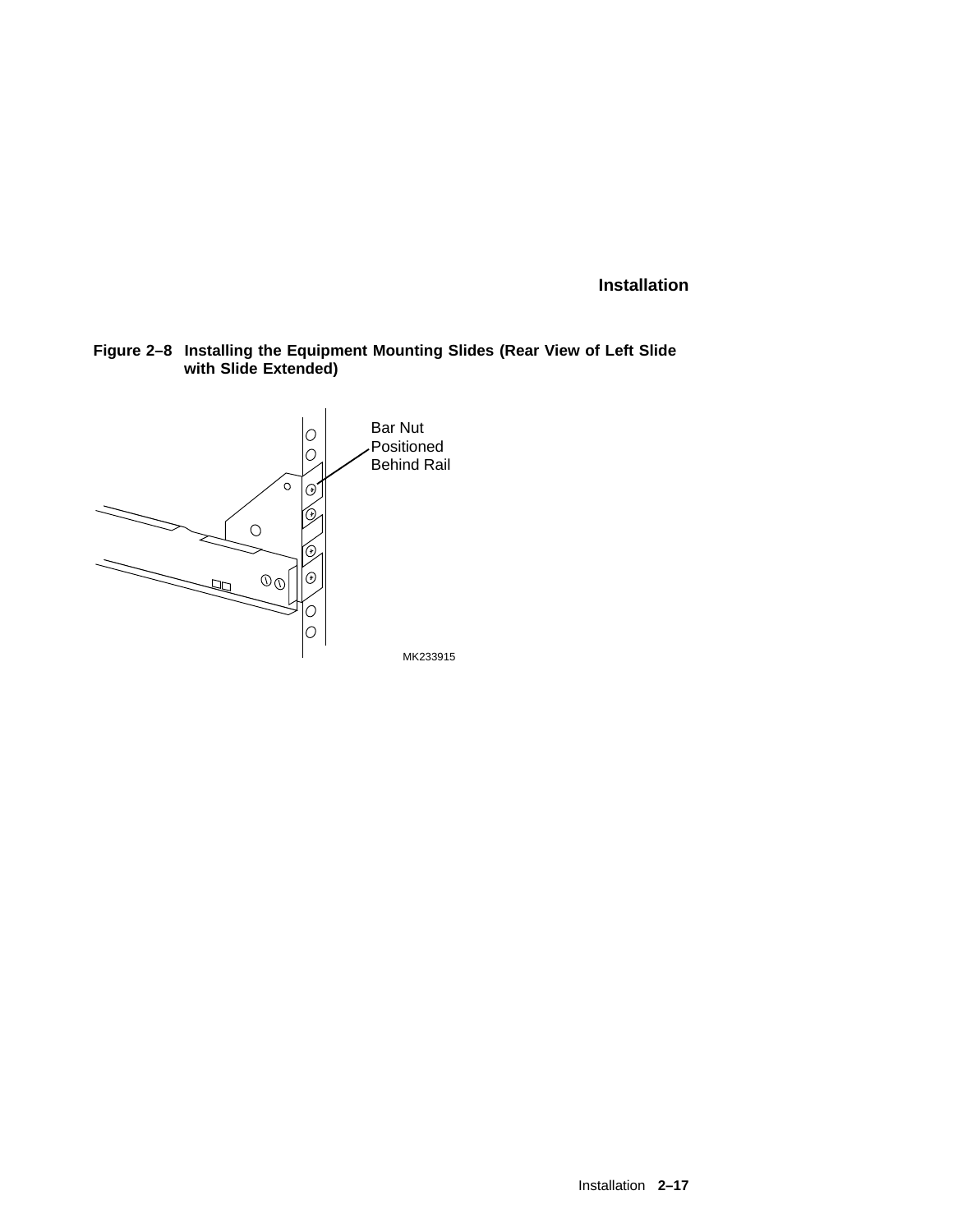**Figure 2–8 Installing the Equipment Mounting Slides (Rear View of Left Slide with Slide Extended)**

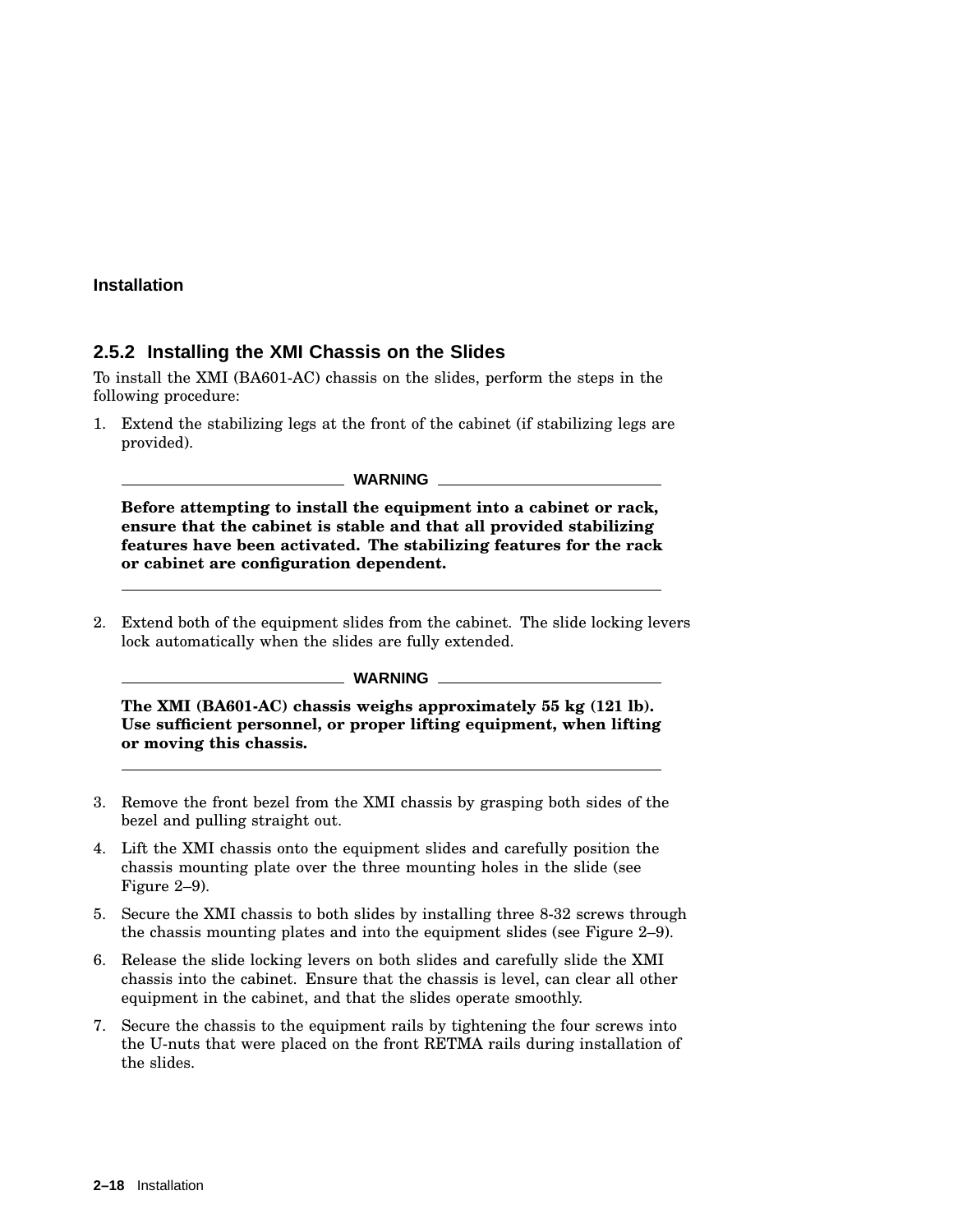#### **2.5.2 Installing the XMI Chassis on the Slides**

To install the XMI (BA601-AC) chassis on the slides, perform the steps in the following procedure:

1. Extend the stabilizing legs at the front of the cabinet (if stabilizing legs are provided).

**WARNING**

**Before attempting to install the equipment into a cabinet or rack, ensure that the cabinet is stable and that all provided stabilizing features have been activated. The stabilizing features for the rack or cabinet are configuration dependent.**

2. Extend both of the equipment slides from the cabinet. The slide locking levers lock automatically when the slides are fully extended.

#### **WARNING**

**The XMI (BA601-AC) chassis weighs approximately 55 kg (121 lb). Use sufficient personnel, or proper lifting equipment, when lifting or moving this chassis.**

- 3. Remove the front bezel from the XMI chassis by grasping both sides of the bezel and pulling straight out.
- 4. Lift the XMI chassis onto the equipment slides and carefully position the chassis mounting plate over the three mounting holes in the slide (see Figure 2–9).
- 5. Secure the XMI chassis to both slides by installing three 8-32 screws through the chassis mounting plates and into the equipment slides (see Figure 2–9).
- 6. Release the slide locking levers on both slides and carefully slide the XMI chassis into the cabinet. Ensure that the chassis is level, can clear all other equipment in the cabinet, and that the slides operate smoothly.
- 7. Secure the chassis to the equipment rails by tightening the four screws into the U-nuts that were placed on the front RETMA rails during installation of the slides.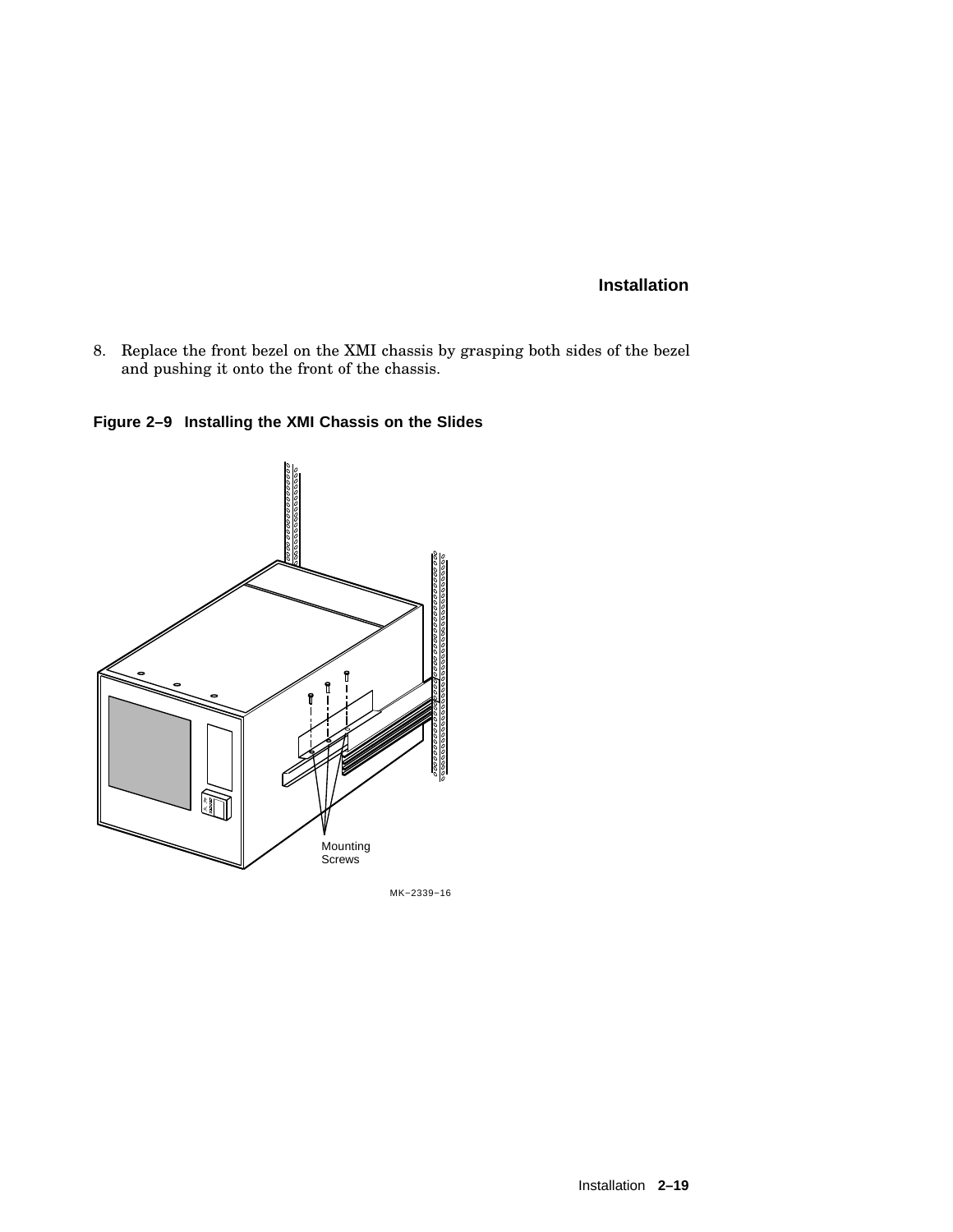8. Replace the front bezel on the XMI chassis by grasping both sides of the bezel and pushing it onto the front of the chassis.

**Figure 2–9 Installing the XMI Chassis on the Slides**



MK−2339−16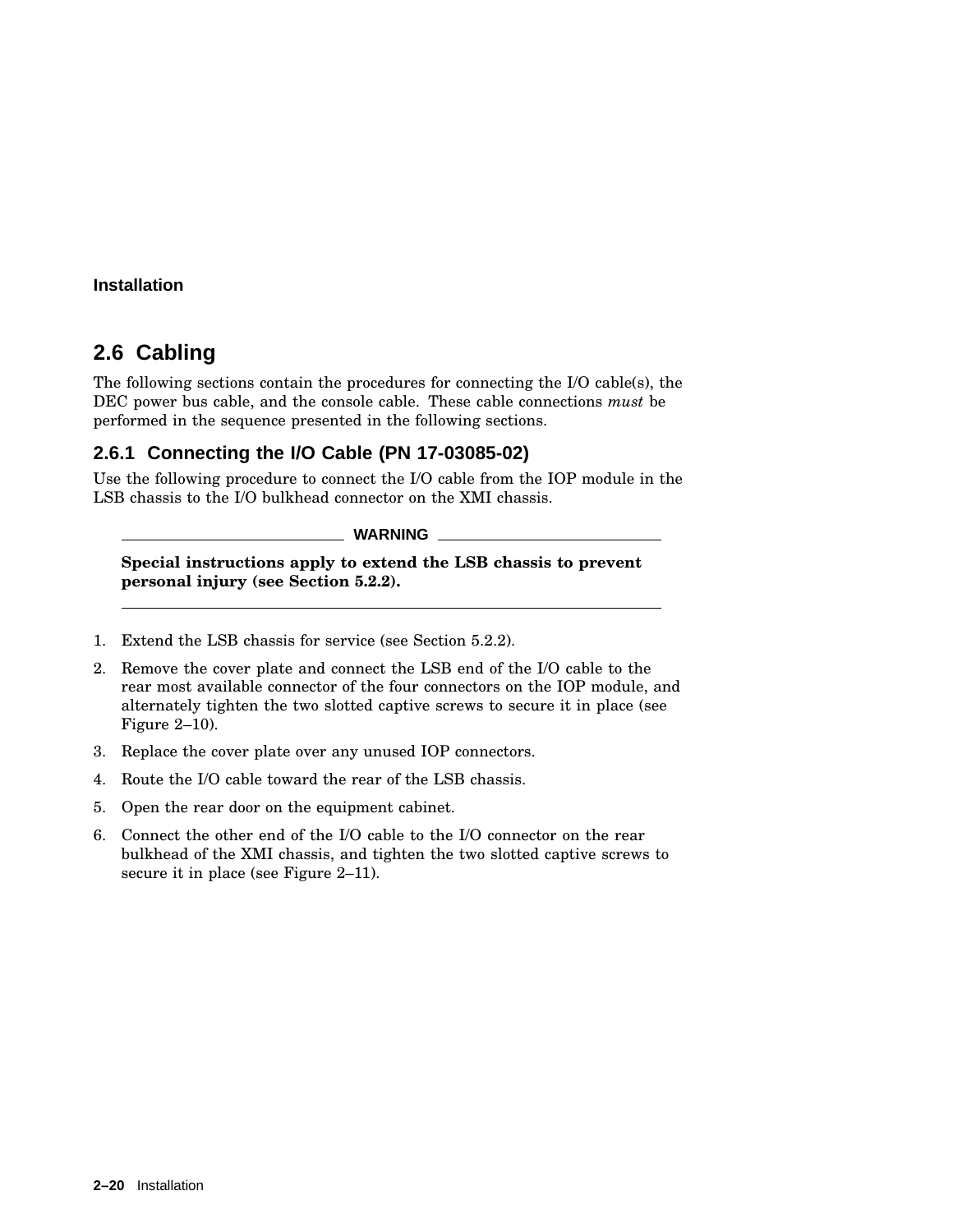# **2.6 Cabling**

The following sections contain the procedures for connecting the I/O cable(s), the DEC power bus cable, and the console cable. These cable connections *must* be performed in the sequence presented in the following sections.

## **2.6.1 Connecting the I/O Cable (PN 17-03085-02)**

Use the following procedure to connect the I/O cable from the IOP module in the LSB chassis to the I/O bulkhead connector on the XMI chassis.

#### **WARNING**

**Special instructions apply to extend the LSB chassis to prevent personal injury (see Section 5.2.2).**

- 1. Extend the LSB chassis for service (see Section 5.2.2).
- 2. Remove the cover plate and connect the LSB end of the I/O cable to the rear most available connector of the four connectors on the IOP module, and alternately tighten the two slotted captive screws to secure it in place (see Figure 2–10).
- 3. Replace the cover plate over any unused IOP connectors.
- 4. Route the I/O cable toward the rear of the LSB chassis.
- 5. Open the rear door on the equipment cabinet.
- 6. Connect the other end of the I/O cable to the I/O connector on the rear bulkhead of the XMI chassis, and tighten the two slotted captive screws to secure it in place (see Figure 2–11).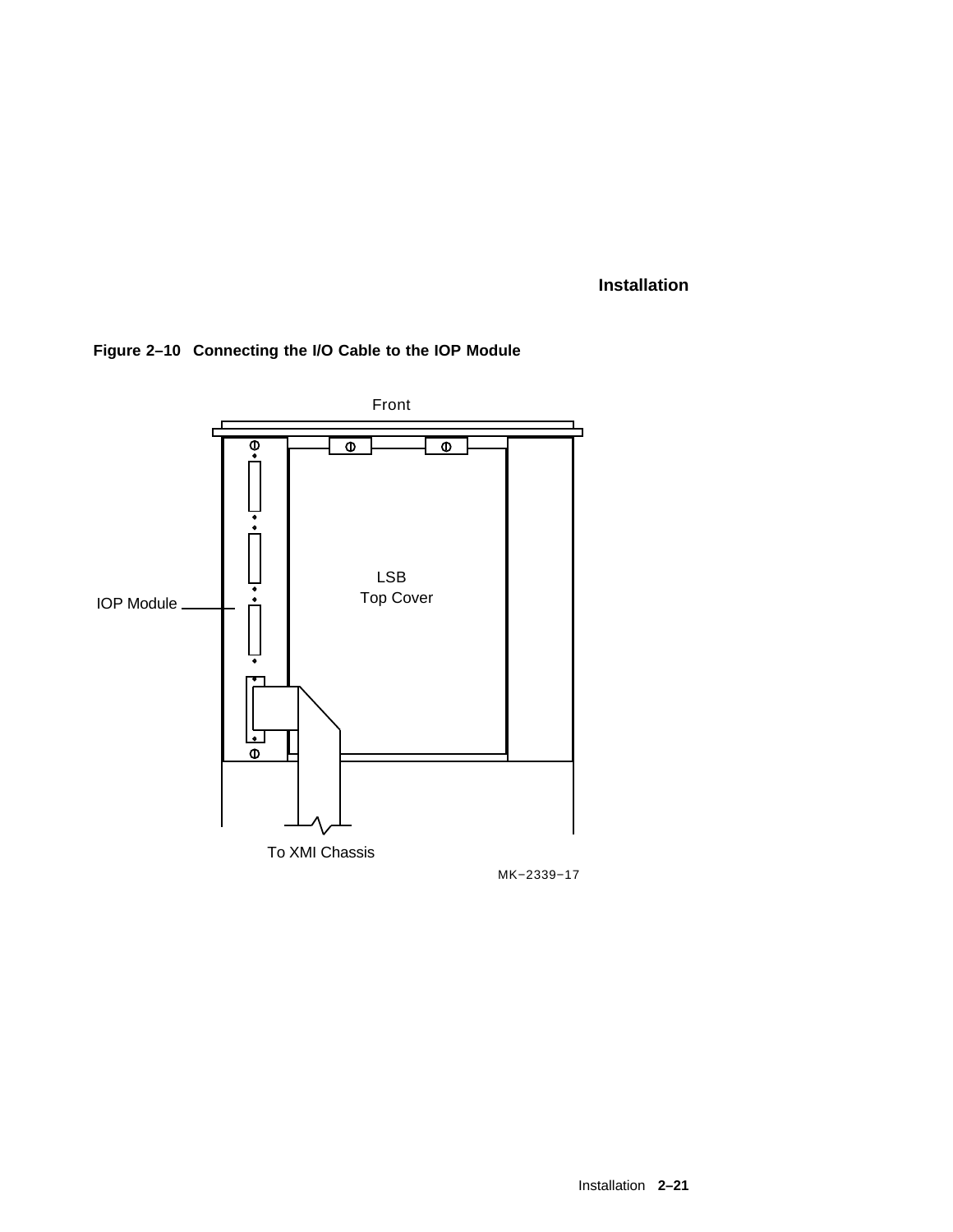

**Figure 2–10 Connecting the I/O Cable to the IOP Module**

MK−2339−17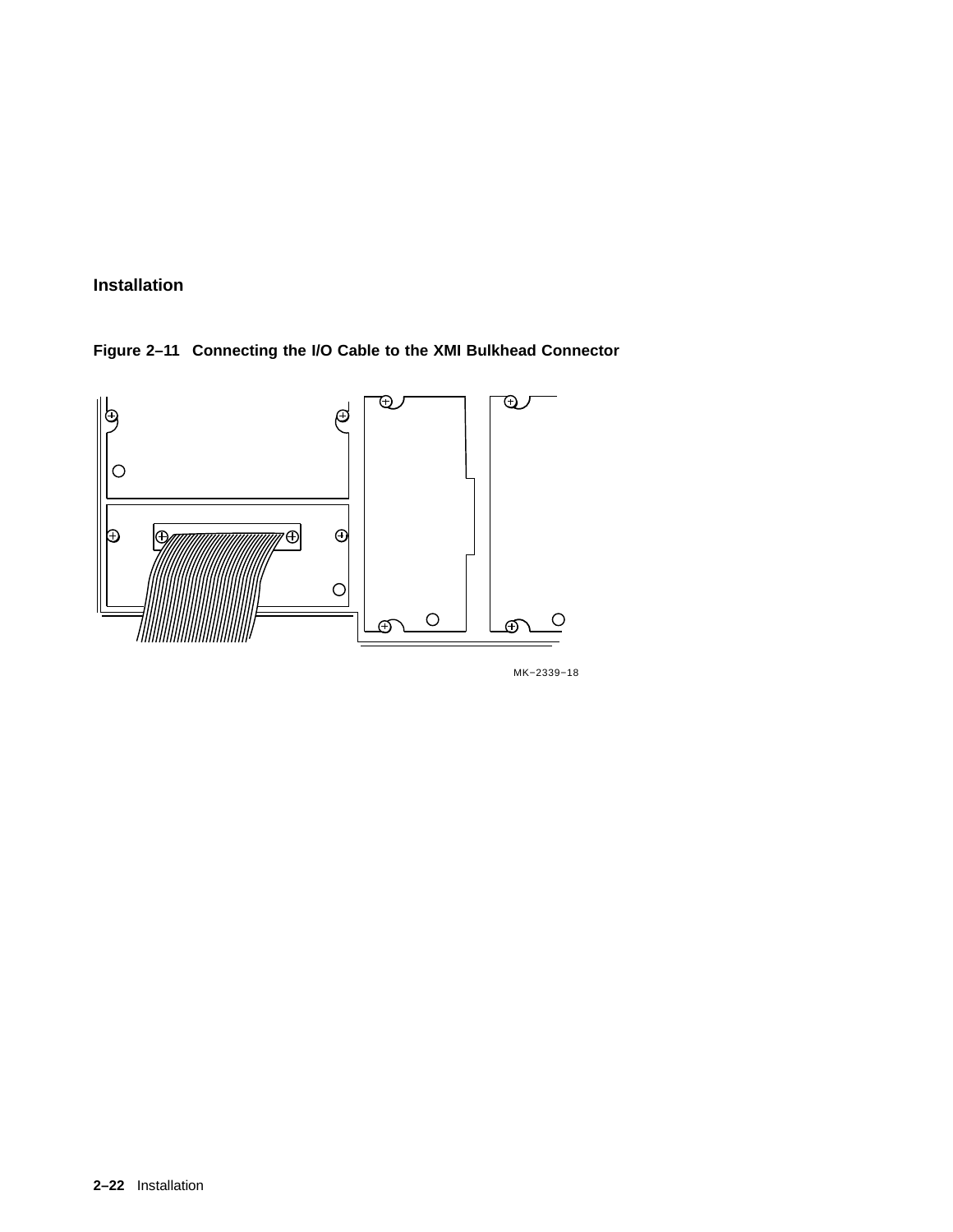**Figure 2–11 Connecting the I/O Cable to the XMI Bulkhead Connector**



MK−2339−18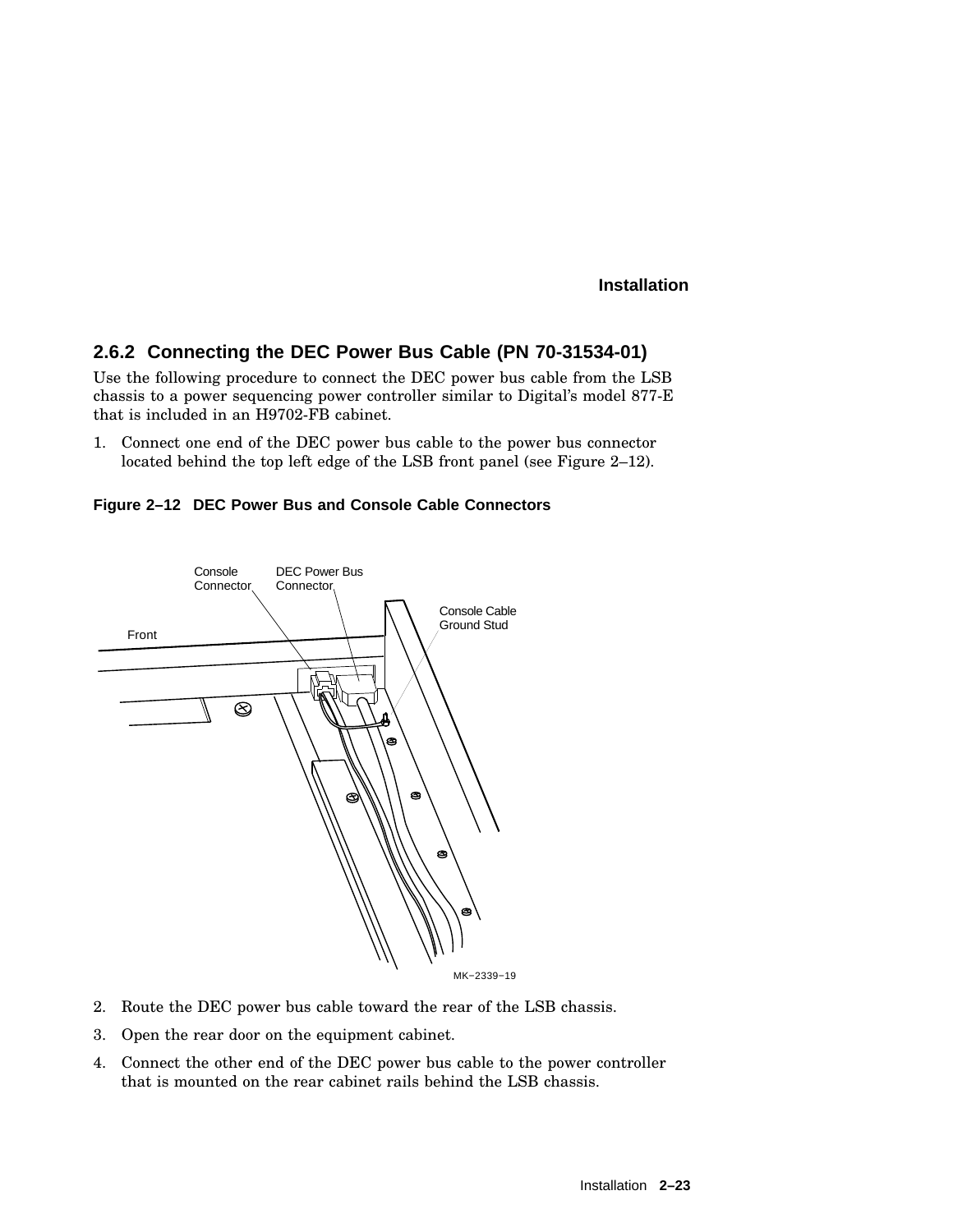## **2.6.2 Connecting the DEC Power Bus Cable (PN 70-31534-01)**

Use the following procedure to connect the DEC power bus cable from the LSB chassis to a power sequencing power controller similar to Digital's model 877-E that is included in an H9702-FB cabinet.

1. Connect one end of the DEC power bus cable to the power bus connector located behind the top left edge of the LSB front panel (see Figure 2–12).





- 2. Route the DEC power bus cable toward the rear of the LSB chassis.
- 3. Open the rear door on the equipment cabinet.
- 4. Connect the other end of the DEC power bus cable to the power controller that is mounted on the rear cabinet rails behind the LSB chassis.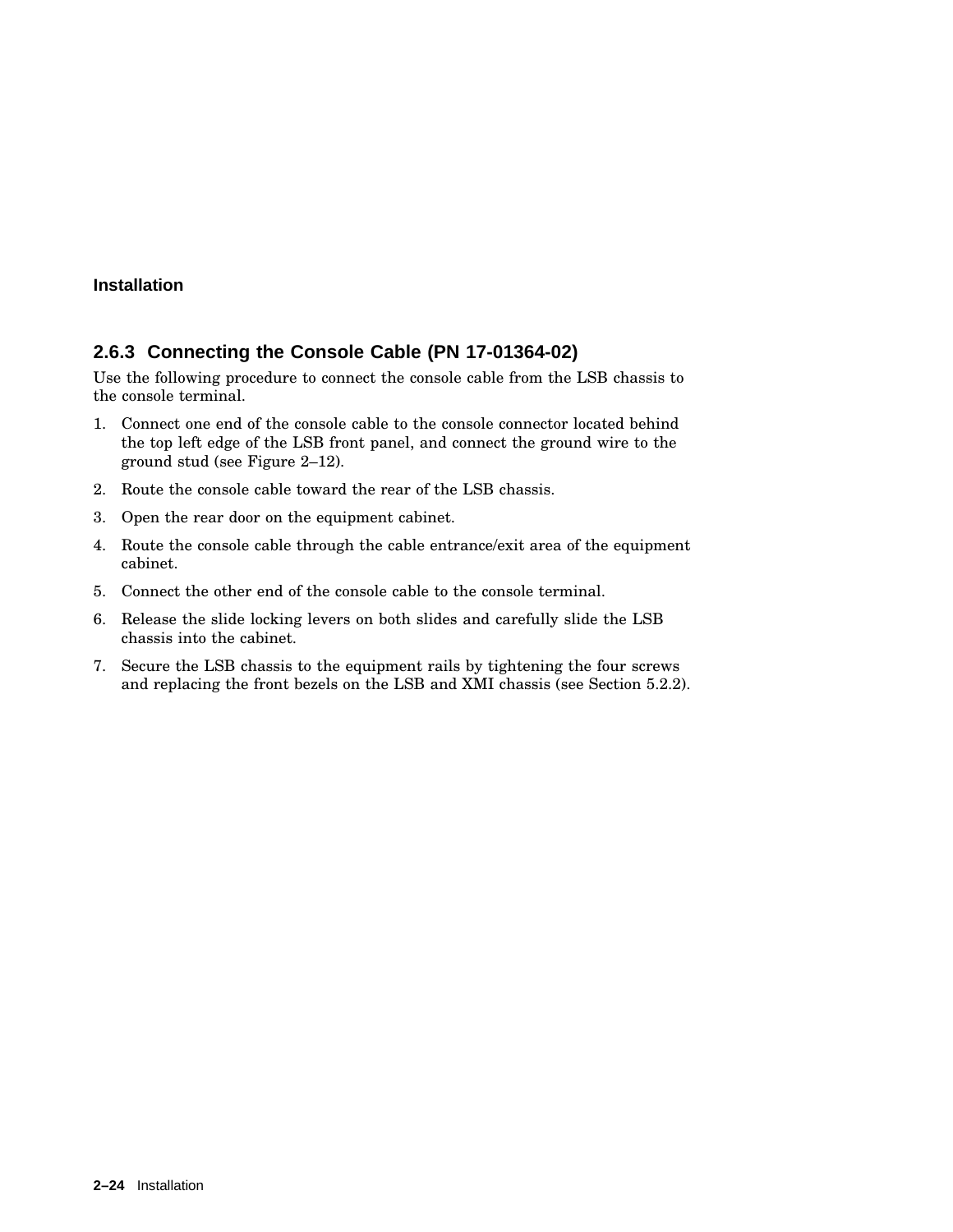#### **2.6.3 Connecting the Console Cable (PN 17-01364-02)**

Use the following procedure to connect the console cable from the LSB chassis to the console terminal.

- 1. Connect one end of the console cable to the console connector located behind the top left edge of the LSB front panel, and connect the ground wire to the ground stud (see Figure 2–12).
- 2. Route the console cable toward the rear of the LSB chassis.
- 3. Open the rear door on the equipment cabinet.
- 4. Route the console cable through the cable entrance/exit area of the equipment cabinet.
- 5. Connect the other end of the console cable to the console terminal.
- 6. Release the slide locking levers on both slides and carefully slide the LSB chassis into the cabinet.
- 7. Secure the LSB chassis to the equipment rails by tightening the four screws and replacing the front bezels on the LSB and XMI chassis (see Section 5.2.2).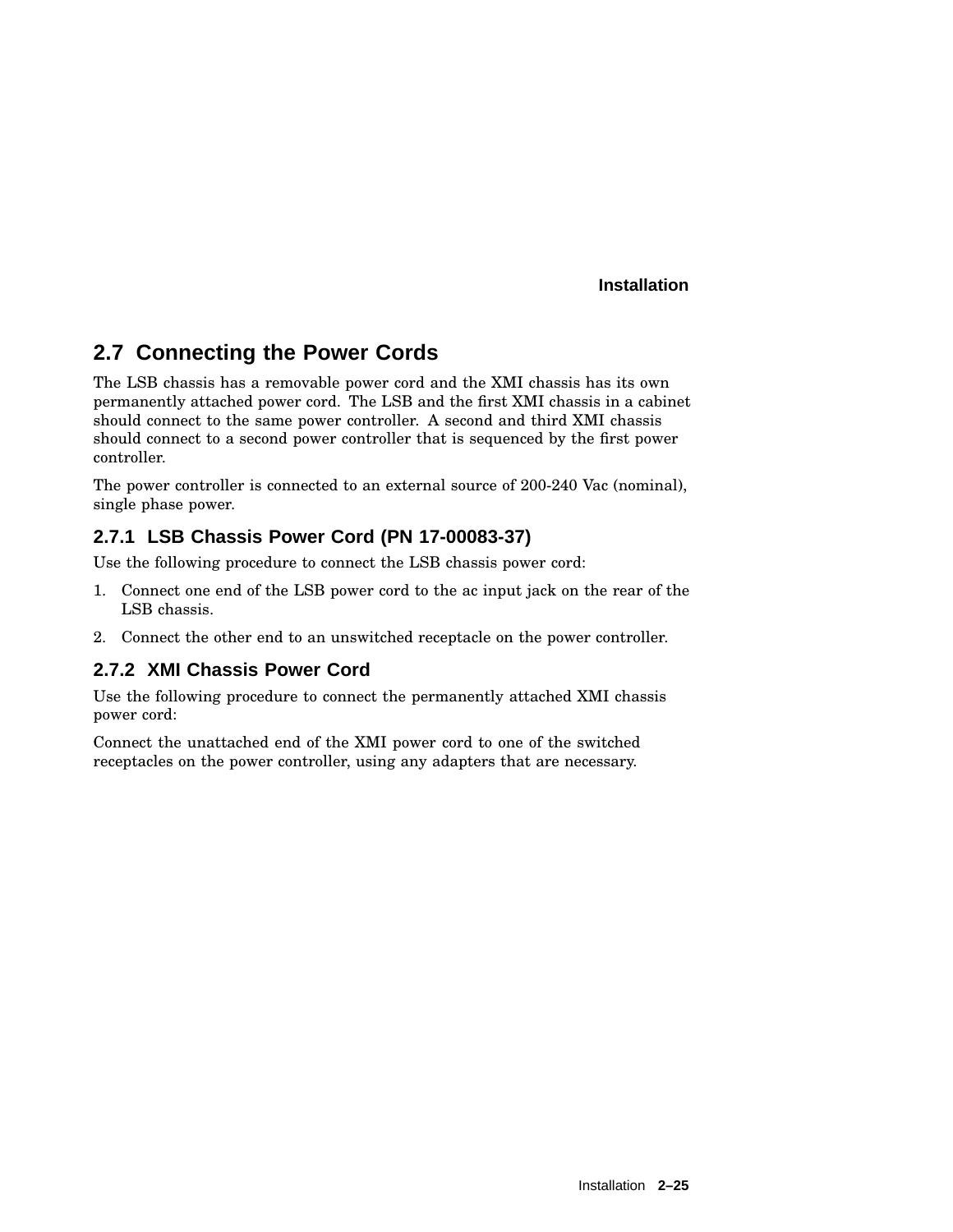# **2.7 Connecting the Power Cords**

The LSB chassis has a removable power cord and the XMI chassis has its own permanently attached power cord. The LSB and the first XMI chassis in a cabinet should connect to the same power controller. A second and third XMI chassis should connect to a second power controller that is sequenced by the first power controller.

The power controller is connected to an external source of 200-240 Vac (nominal), single phase power.

## **2.7.1 LSB Chassis Power Cord (PN 17-00083-37)**

Use the following procedure to connect the LSB chassis power cord:

- 1. Connect one end of the LSB power cord to the ac input jack on the rear of the LSB chassis.
- 2. Connect the other end to an unswitched receptacle on the power controller.

## **2.7.2 XMI Chassis Power Cord**

Use the following procedure to connect the permanently attached XMI chassis power cord:

Connect the unattached end of the XMI power cord to one of the switched receptacles on the power controller, using any adapters that are necessary.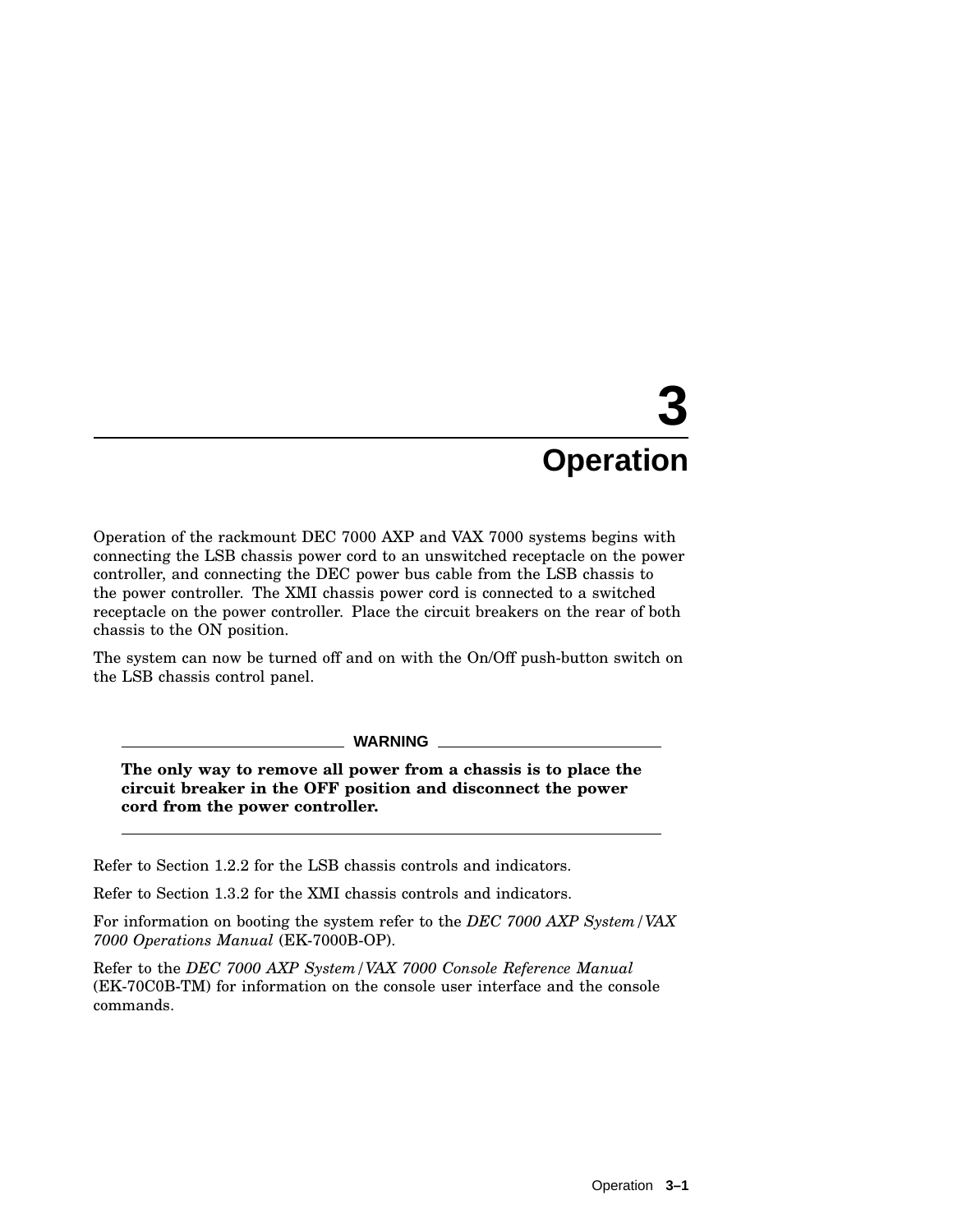# **3 Operation**

Operation of the rackmount DEC 7000 AXP and VAX 7000 systems begins with connecting the LSB chassis power cord to an unswitched receptacle on the power controller, and connecting the DEC power bus cable from the LSB chassis to the power controller. The XMI chassis power cord is connected to a switched receptacle on the power controller. Place the circuit breakers on the rear of both chassis to the ON position.

The system can now be turned off and on with the On/Off push-button switch on the LSB chassis control panel.

**WARNING**

**The only way to remove all power from a chassis is to place the circuit breaker in the OFF position and disconnect the power cord from the power controller.**

Refer to Section 1.2.2 for the LSB chassis controls and indicators.

Refer to Section 1.3.2 for the XMI chassis controls and indicators.

For information on booting the system refer to the *DEC 7000 AXP System/VAX 7000 Operations Manual* (EK-7000B-OP).

Refer to the *DEC 7000 AXP System/VAX 7000 Console Reference Manual* (EK-70C0B-TM) for information on the console user interface and the console commands.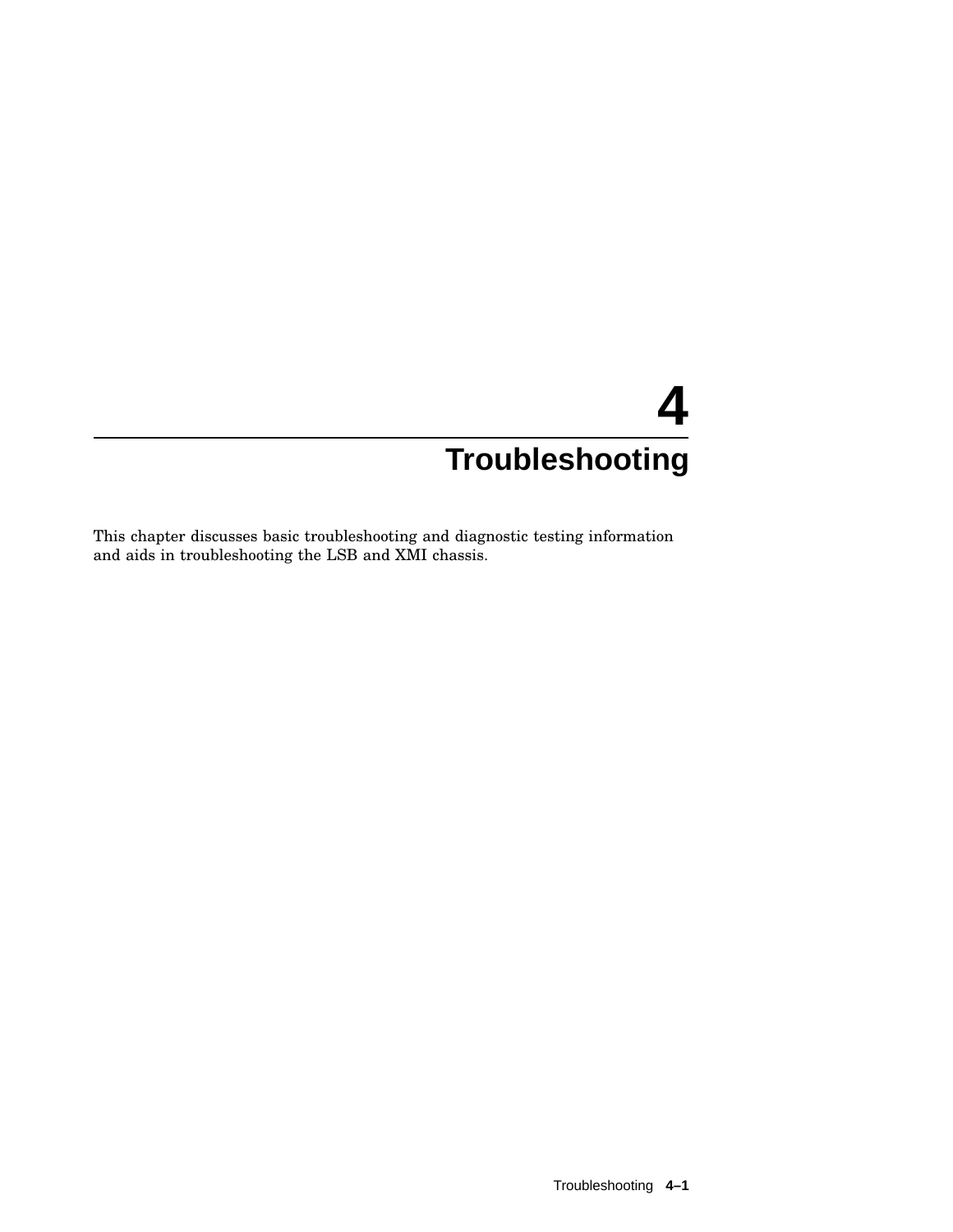This chapter discusses basic troubleshooting and diagnostic testing information and aids in troubleshooting the LSB and XMI chassis.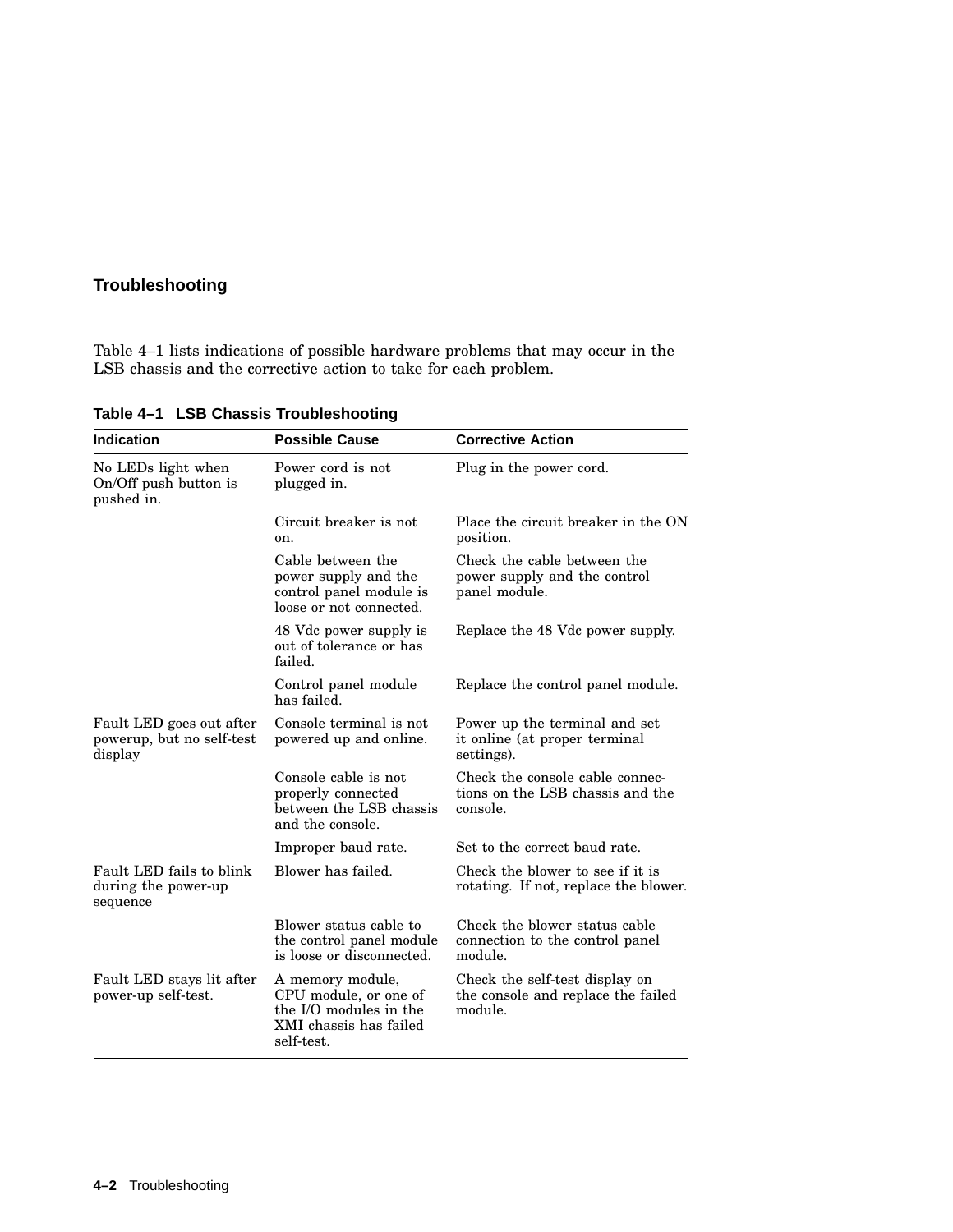Table 4–1 lists indications of possible hardware problems that may occur in the LSB chassis and the corrective action to take for each problem.

| <b>Indication</b>                                                | <b>Possible Cause</b>                                                                                       | <b>Corrective Action</b>                                                        |
|------------------------------------------------------------------|-------------------------------------------------------------------------------------------------------------|---------------------------------------------------------------------------------|
| No LEDs light when<br>On/Off push button is<br>pushed in.        | Power cord is not<br>plugged in.                                                                            | Plug in the power cord.                                                         |
|                                                                  | Circuit breaker is not<br>on.                                                                               | Place the circuit breaker in the ON<br>position.                                |
|                                                                  | Cable between the<br>power supply and the<br>control panel module is<br>loose or not connected.             | Check the cable between the<br>power supply and the control<br>panel module.    |
|                                                                  | 48 Vdc power supply is<br>out of tolerance or has<br>failed.                                                | Replace the 48 Vdc power supply.                                                |
|                                                                  | Control panel module<br>has failed.                                                                         | Replace the control panel module.                                               |
| Fault LED goes out after<br>powerup, but no self-test<br>display | Console terminal is not<br>powered up and online.                                                           | Power up the terminal and set<br>it online (at proper terminal<br>settings).    |
|                                                                  | Console cable is not<br>properly connected<br>between the LSB chassis<br>and the console.                   | Check the console cable connec-<br>tions on the LSB chassis and the<br>console. |
|                                                                  | Improper baud rate.                                                                                         | Set to the correct baud rate.                                                   |
| Fault LED fails to blink<br>during the power-up<br>sequence      | Blower has failed.                                                                                          | Check the blower to see if it is<br>rotating. If not, replace the blower.       |
|                                                                  | Blower status cable to<br>the control panel module<br>is loose or disconnected.                             | Check the blower status cable<br>connection to the control panel<br>module.     |
| Fault LED stays lit after<br>power-up self-test.                 | A memory module,<br>CPU module, or one of<br>the I/O modules in the<br>XMI chassis has failed<br>self-test. | Check the self-test display on<br>the console and replace the failed<br>module. |

**Table 4–1 LSB Chassis Troubleshooting**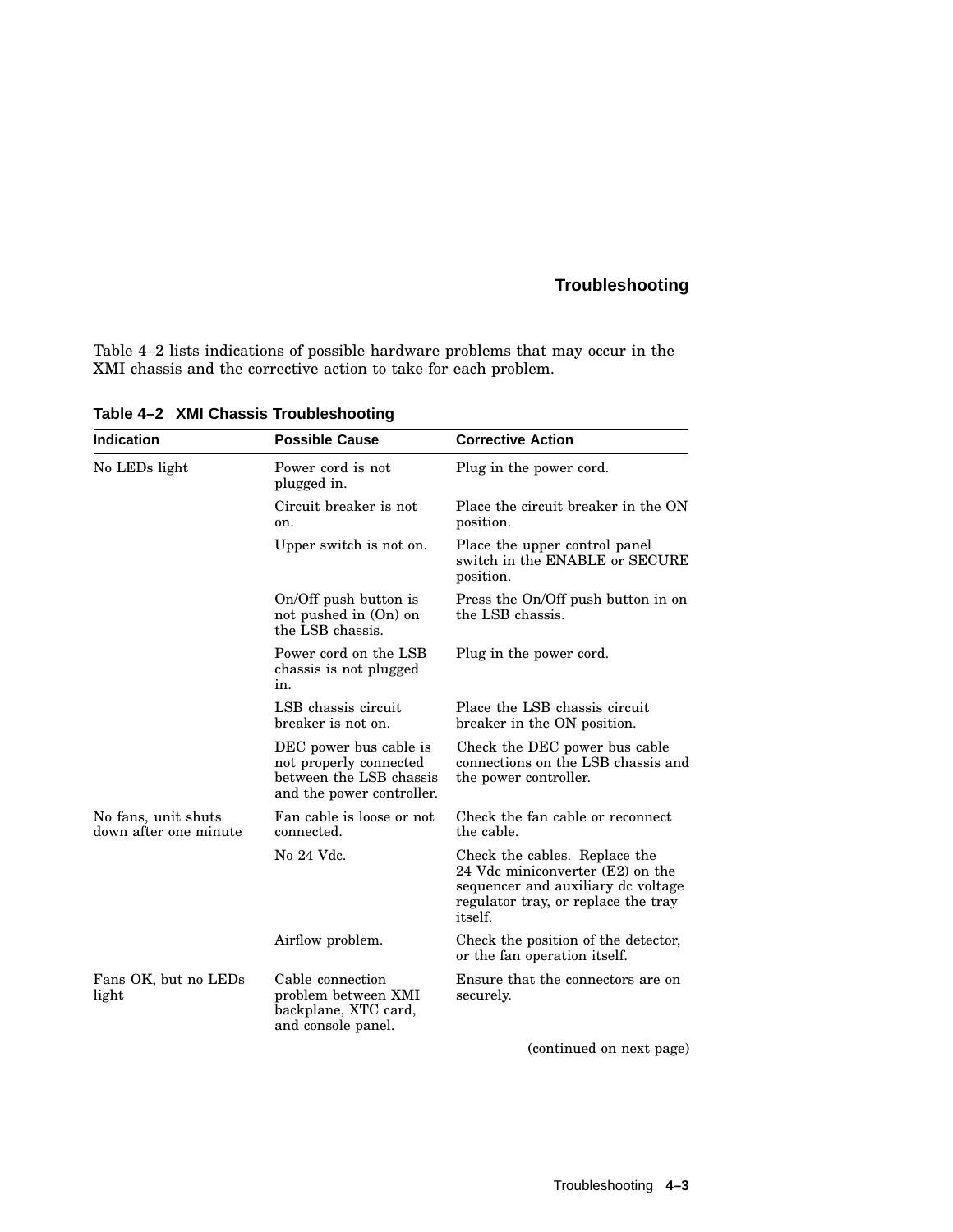Table 4–2 lists indications of possible hardware problems that may occur in the XMI chassis and the corrective action to take for each problem.

| <b>Indication</b>                            | <b>Possible Cause</b>                                                                                    | <b>Corrective Action</b>                                                                                                                                         |
|----------------------------------------------|----------------------------------------------------------------------------------------------------------|------------------------------------------------------------------------------------------------------------------------------------------------------------------|
| No LEDs light                                | Power cord is not<br>plugged in.                                                                         | Plug in the power cord.                                                                                                                                          |
|                                              | Circuit breaker is not<br>on.                                                                            | Place the circuit breaker in the ON<br>position.                                                                                                                 |
|                                              | Upper switch is not on.                                                                                  | Place the upper control panel<br>switch in the ENABLE or SECURE<br>position.                                                                                     |
|                                              | On/Off push button is<br>not pushed in (On) on<br>the LSB chassis.                                       | Press the On/Off push button in on<br>the LSB chassis.                                                                                                           |
|                                              | Power cord on the LSB<br>chassis is not plugged<br>in.                                                   | Plug in the power cord.                                                                                                                                          |
|                                              | LSB chassis circuit<br>breaker is not on.                                                                | Place the LSB chassis circuit<br>breaker in the ON position.                                                                                                     |
|                                              | DEC power bus cable is<br>not properly connected<br>between the LSB chassis<br>and the power controller. | Check the DEC power bus cable<br>connections on the LSB chassis and<br>the power controller.                                                                     |
| No fans, unit shuts<br>down after one minute | Fan cable is loose or not<br>connected.                                                                  | Check the fan cable or reconnect<br>the cable.                                                                                                                   |
|                                              | No 24 Vdc.                                                                                               | Check the cables. Replace the<br>24 Vdc miniconverter (E2) on the<br>sequencer and auxiliary de voltage<br>regulator tray, or replace the tray<br><i>itself.</i> |
|                                              | Airflow problem.                                                                                         | Check the position of the detector,<br>or the fan operation itself.                                                                                              |
| Fans OK, but no LEDs<br>light                | Cable connection<br>problem between XMI<br>backplane, XTC card,<br>and console panel.                    | Ensure that the connectors are on<br>securely.                                                                                                                   |
|                                              |                                                                                                          | (continued on next page)                                                                                                                                         |

**Table 4–2 XMI Chassis Troubleshooting**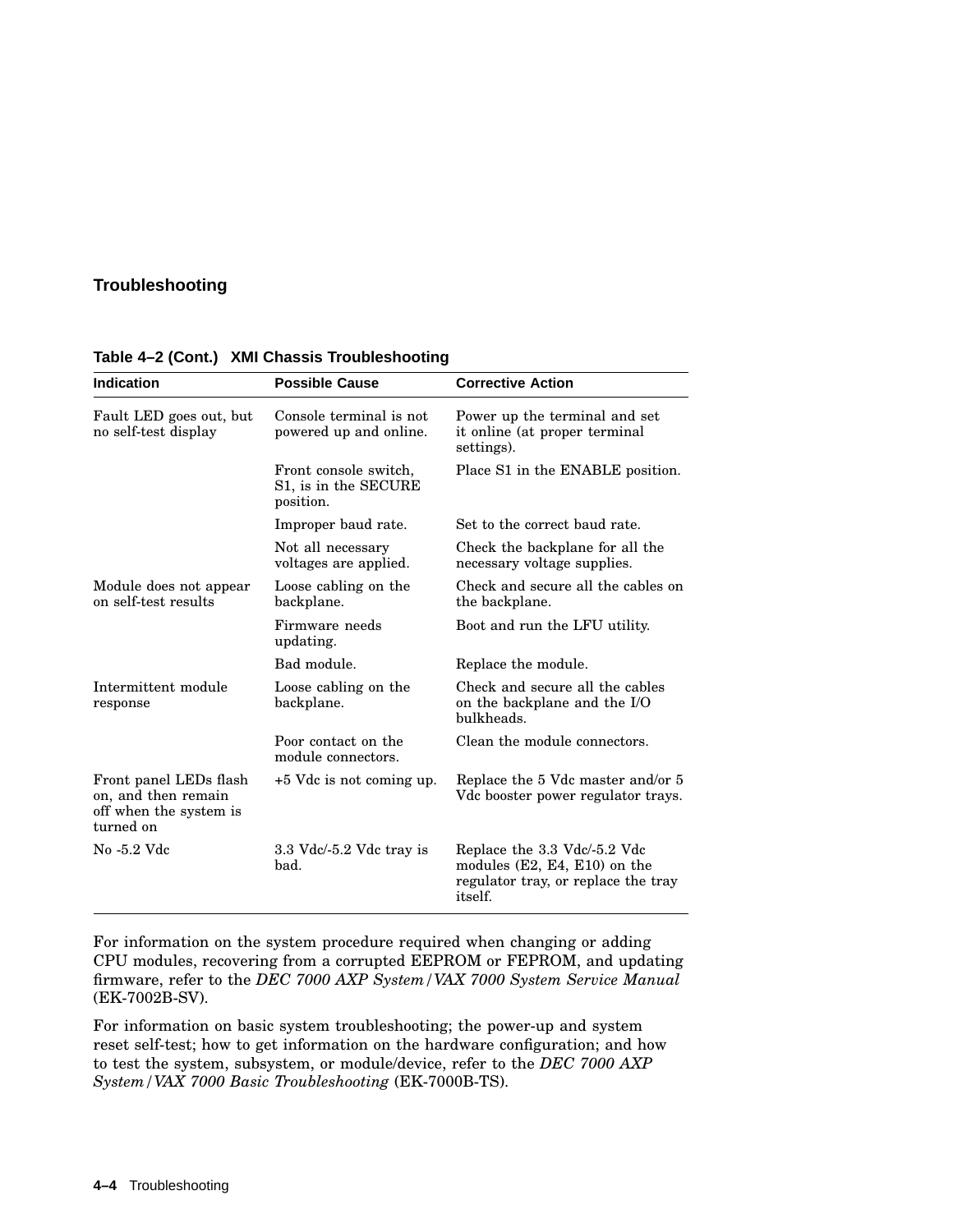| <b>Indication</b>                                                                    | <b>Possible Cause</b>                                      | <b>Corrective Action</b>                                                                                                |
|--------------------------------------------------------------------------------------|------------------------------------------------------------|-------------------------------------------------------------------------------------------------------------------------|
| Fault LED goes out, but<br>no self-test display                                      | Console terminal is not<br>powered up and online.          | Power up the terminal and set<br>it online (at proper terminal<br>settings).                                            |
|                                                                                      | Front console switch,<br>S1, is in the SECURE<br>position. | Place S1 in the ENABLE position.                                                                                        |
|                                                                                      | Improper baud rate.                                        | Set to the correct baud rate.                                                                                           |
|                                                                                      | Not all necessary<br>voltages are applied.                 | Check the backplane for all the<br>necessary voltage supplies.                                                          |
| Module does not appear<br>on self-test results                                       | Loose cabling on the<br>backplane.                         | Check and secure all the cables on<br>the backplane.                                                                    |
|                                                                                      | Firmware needs<br>updating.                                | Boot and run the LFU utility.                                                                                           |
|                                                                                      | Bad module.                                                | Replace the module.                                                                                                     |
| Intermittent module<br>response                                                      | Loose cabling on the<br>backplane.                         | Check and secure all the cables<br>on the backplane and the I/O<br>bulkheads.                                           |
|                                                                                      | Poor contact on the<br>module connectors.                  | Clean the module connectors.                                                                                            |
| Front panel LEDs flash<br>on, and then remain<br>off when the system is<br>turned on | $+5$ Vdc is not coming up.                                 | Replace the 5 Vdc master and/or 5<br>Vdc booster power regulator trays.                                                 |
| No -5.2 Vdc                                                                          | $3.3$ Vdc $/$ -5.2 Vdc tray is<br>bad.                     | Replace the 3.3 Vdc/-5.2 Vdc<br>modules $(E2, E4, E10)$ on the<br>regulator tray, or replace the tray<br><i>itself.</i> |

**Table 4–2 (Cont.) XMI Chassis Troubleshooting**

For information on the system procedure required when changing or adding CPU modules, recovering from a corrupted EEPROM or FEPROM, and updating firmware, refer to the *DEC 7000 AXP System/VAX 7000 System Service Manual* (EK-7002B-SV).

For information on basic system troubleshooting; the power-up and system reset self-test; how to get information on the hardware configuration; and how to test the system, subsystem, or module/device, refer to the *DEC 7000 AXP System/VAX 7000 Basic Troubleshooting* (EK-7000B-TS).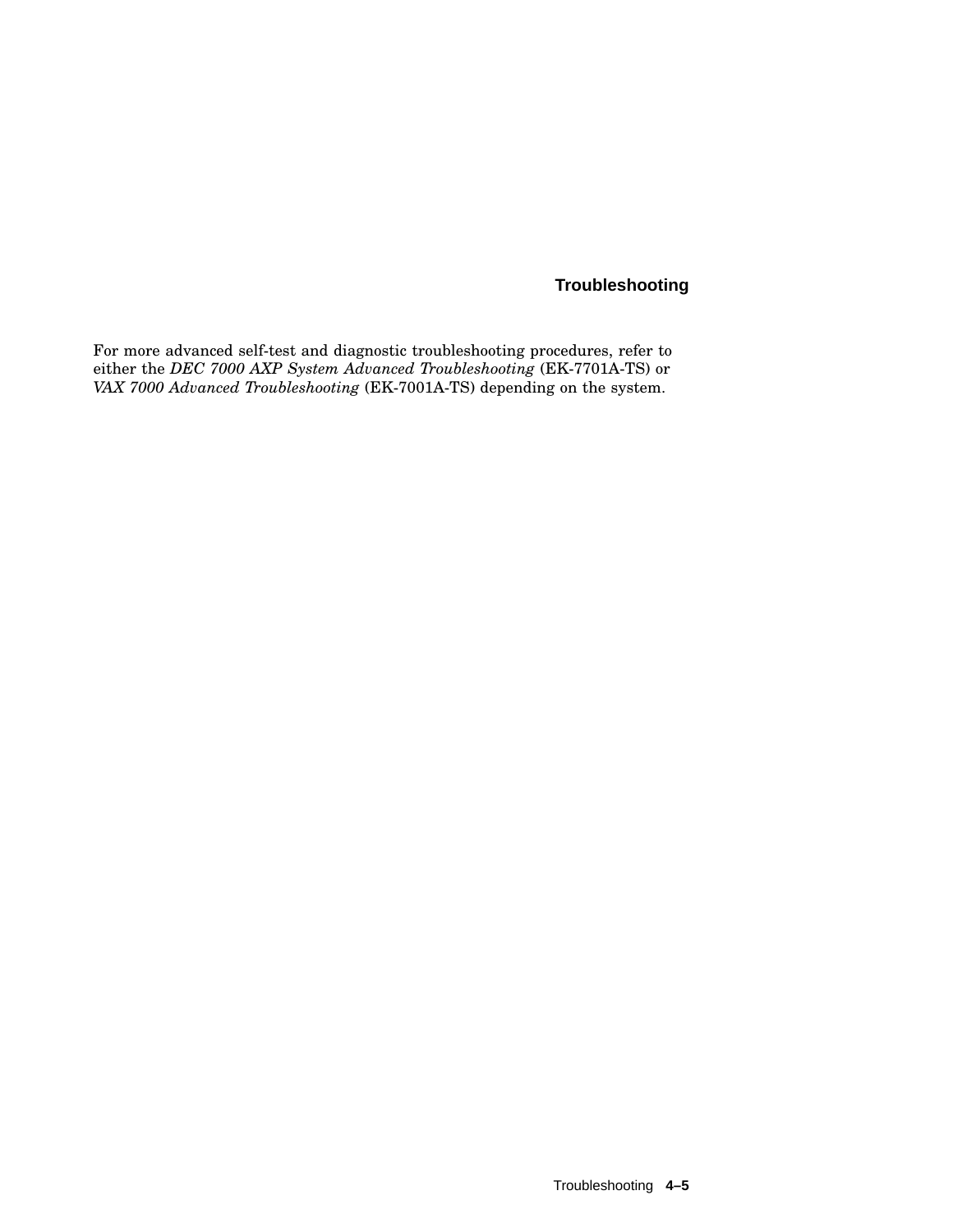For more advanced self-test and diagnostic troubleshooting procedures, refer to either the *DEC 7000 AXP System Advanced Troubleshooting* (EK-7701A-TS) or *VAX 7000 Advanced Troubleshooting* (EK-7001A-TS) depending on the system.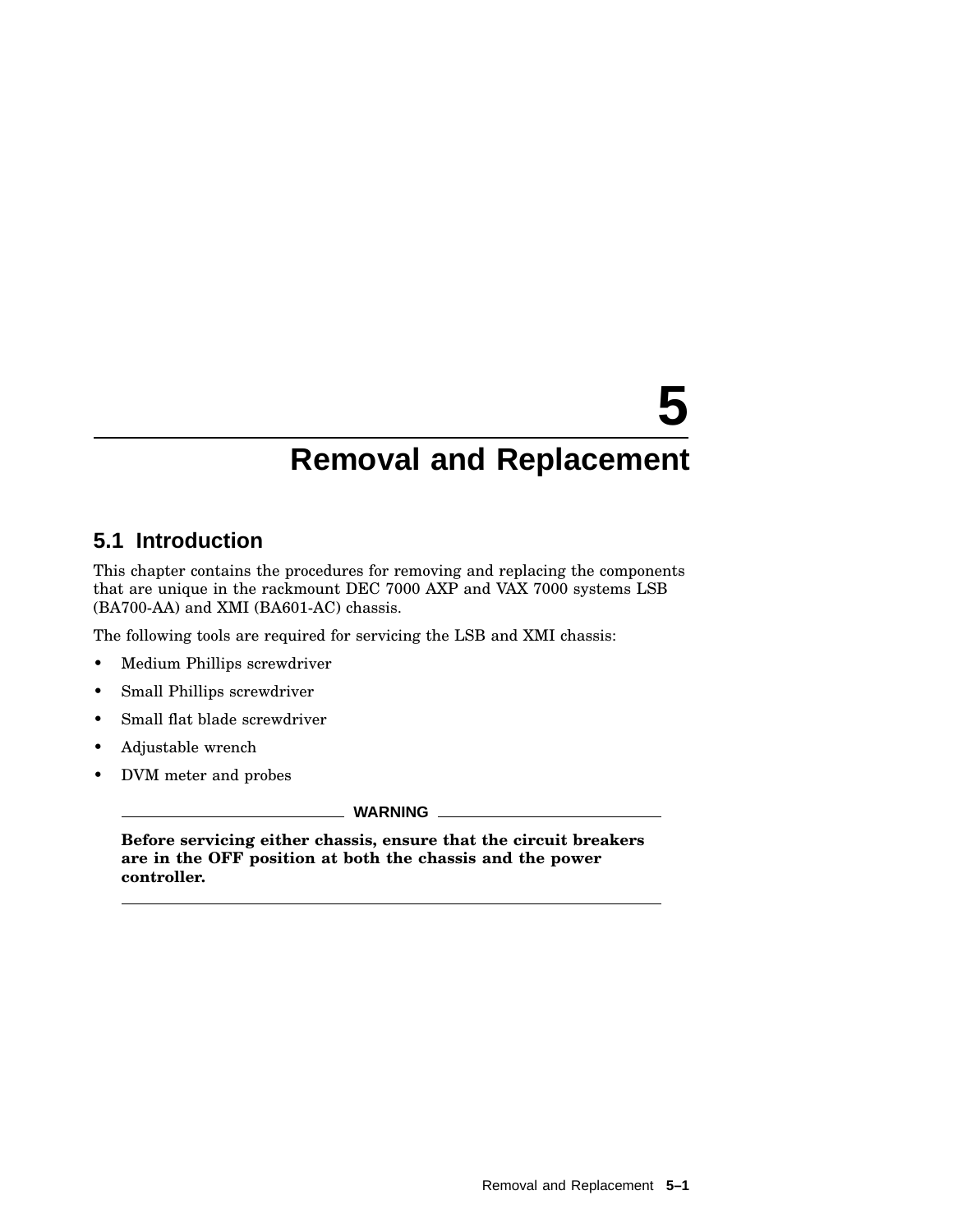# **5.1 Introduction**

This chapter contains the procedures for removing and replacing the components that are unique in the rackmount DEC 7000 AXP and VAX 7000 systems LSB (BA700-AA) and XMI (BA601-AC) chassis.

The following tools are required for servicing the LSB and XMI chassis:

- Medium Phillips screwdriver
- Small Phillips screwdriver
- Small flat blade screwdriver
- Adjustable wrench
- DVM meter and probes

**WARNING**

**Before servicing either chassis, ensure that the circuit breakers are in the OFF position at both the chassis and the power controller.**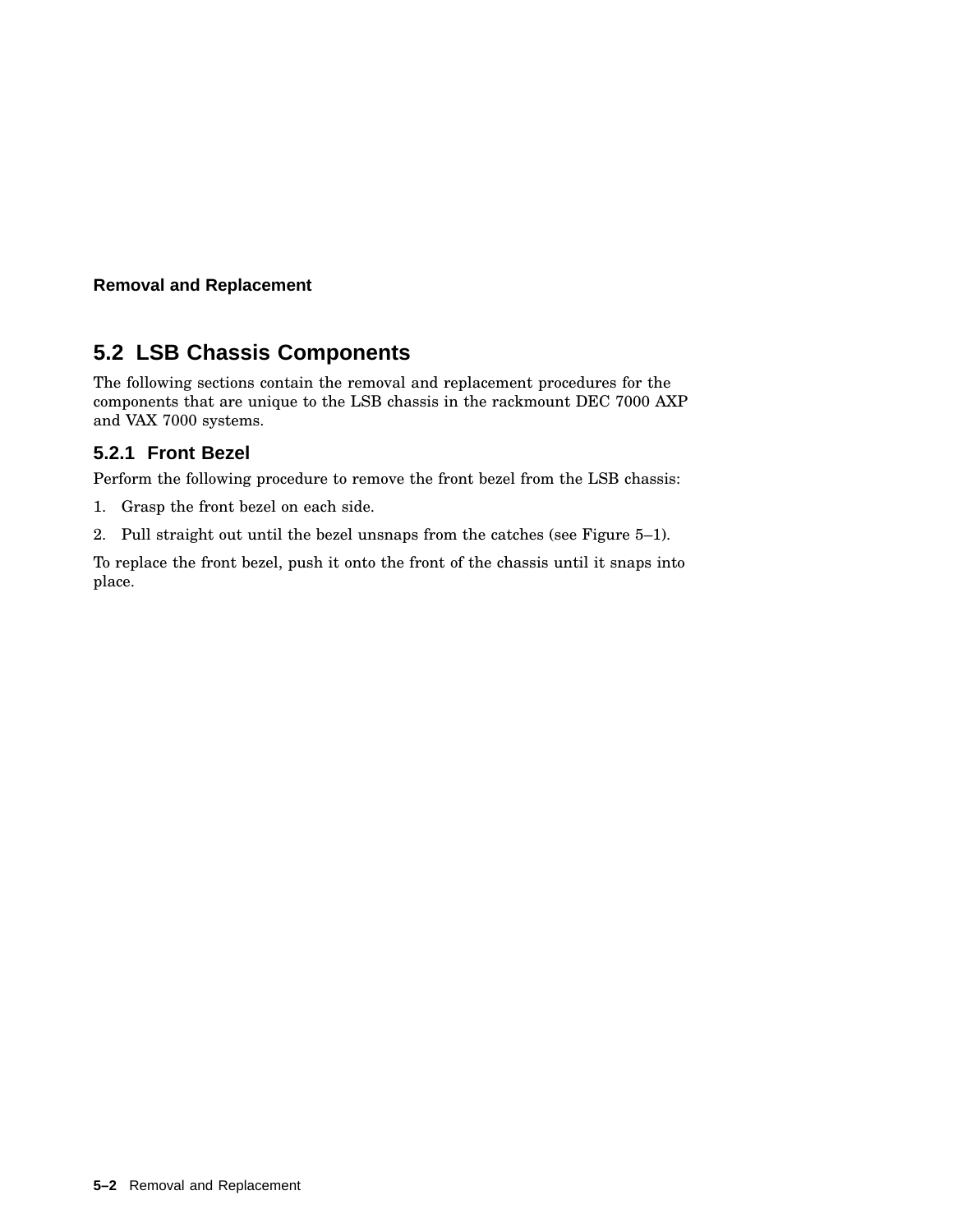# **5.2 LSB Chassis Components**

The following sections contain the removal and replacement procedures for the components that are unique to the LSB chassis in the rackmount DEC 7000 AXP and VAX 7000 systems.

## **5.2.1 Front Bezel**

Perform the following procedure to remove the front bezel from the LSB chassis:

- 1. Grasp the front bezel on each side.
- 2. Pull straight out until the bezel unsnaps from the catches (see Figure 5–1).

To replace the front bezel, push it onto the front of the chassis until it snaps into place.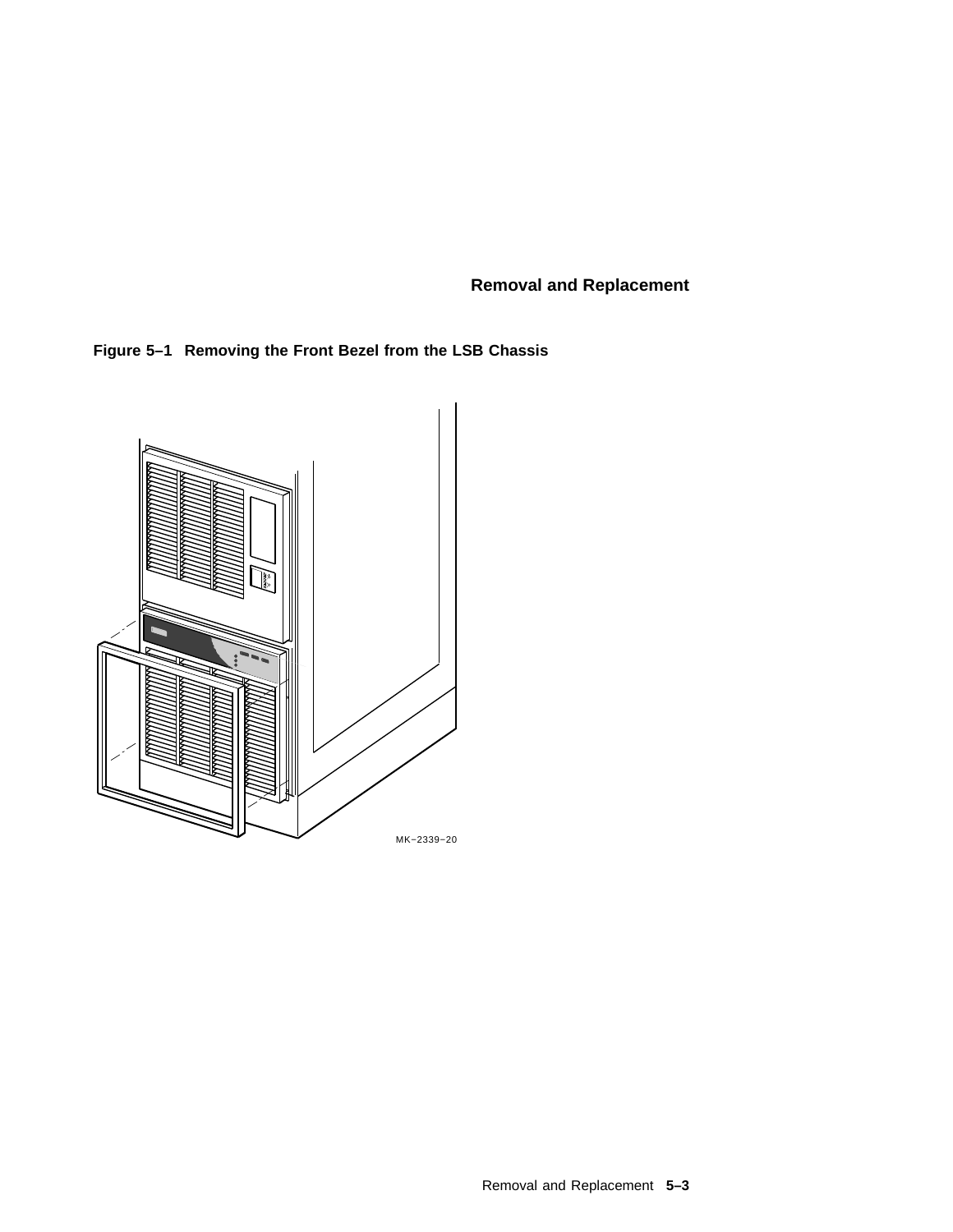**Figure 5–1 Removing the Front Bezel from the LSB Chassis**

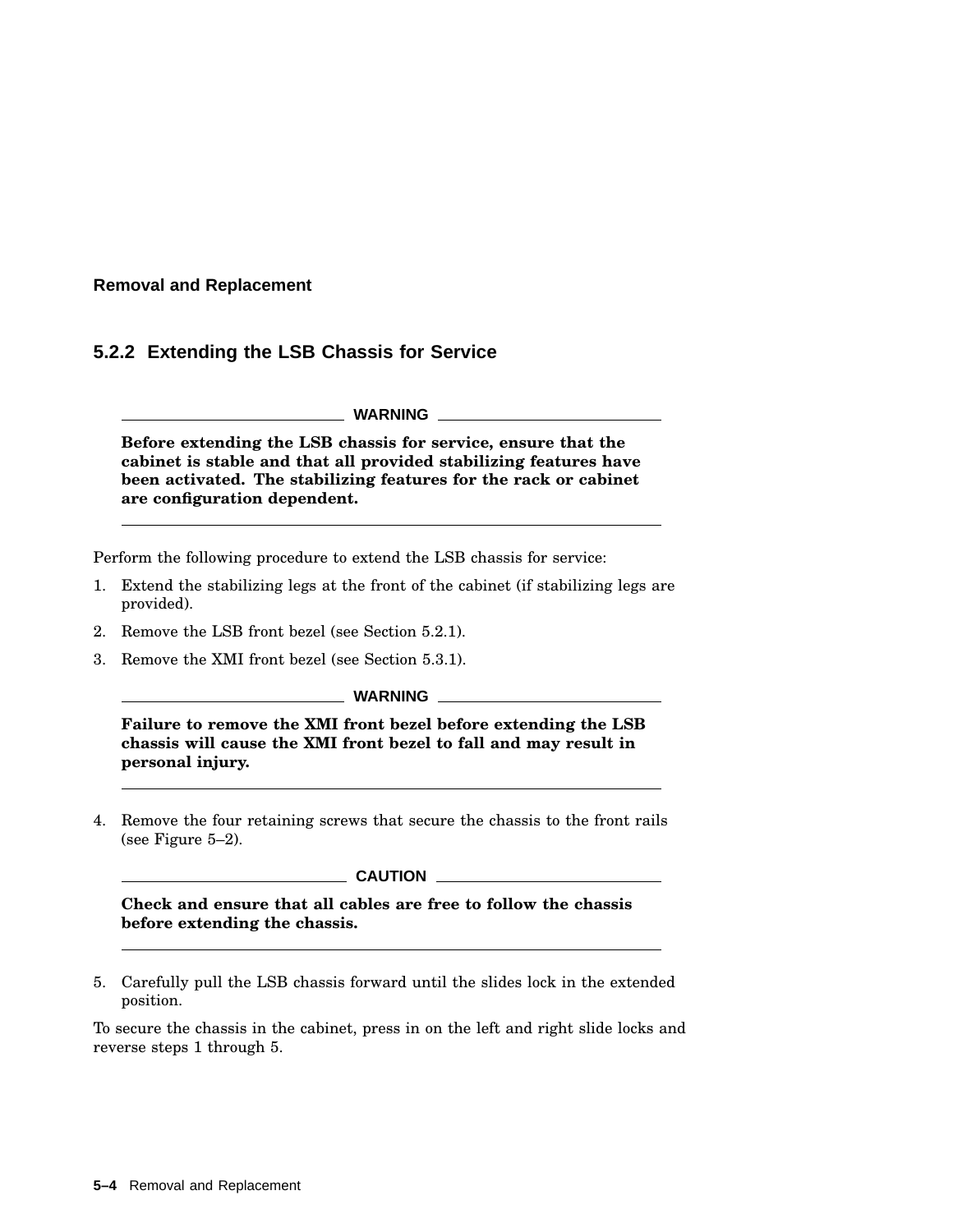## **5.2.2 Extending the LSB Chassis for Service**

**WARNING**

**Before extending the LSB chassis for service, ensure that the cabinet is stable and that all provided stabilizing features have been activated. The stabilizing features for the rack or cabinet are configuration dependent.**

Perform the following procedure to extend the LSB chassis for service:

- 1. Extend the stabilizing legs at the front of the cabinet (if stabilizing legs are provided).
- 2. Remove the LSB front bezel (see Section 5.2.1).
- 3. Remove the XMI front bezel (see Section 5.3.1).

**WARNING**

**Failure to remove the XMI front bezel before extending the LSB chassis will cause the XMI front bezel to fall and may result in personal injury.**

4. Remove the four retaining screws that secure the chassis to the front rails (see Figure 5–2).

#### **CAUTION**

**Check and ensure that all cables are free to follow the chassis before extending the chassis.**

5. Carefully pull the LSB chassis forward until the slides lock in the extended position.

To secure the chassis in the cabinet, press in on the left and right slide locks and reverse steps 1 through 5.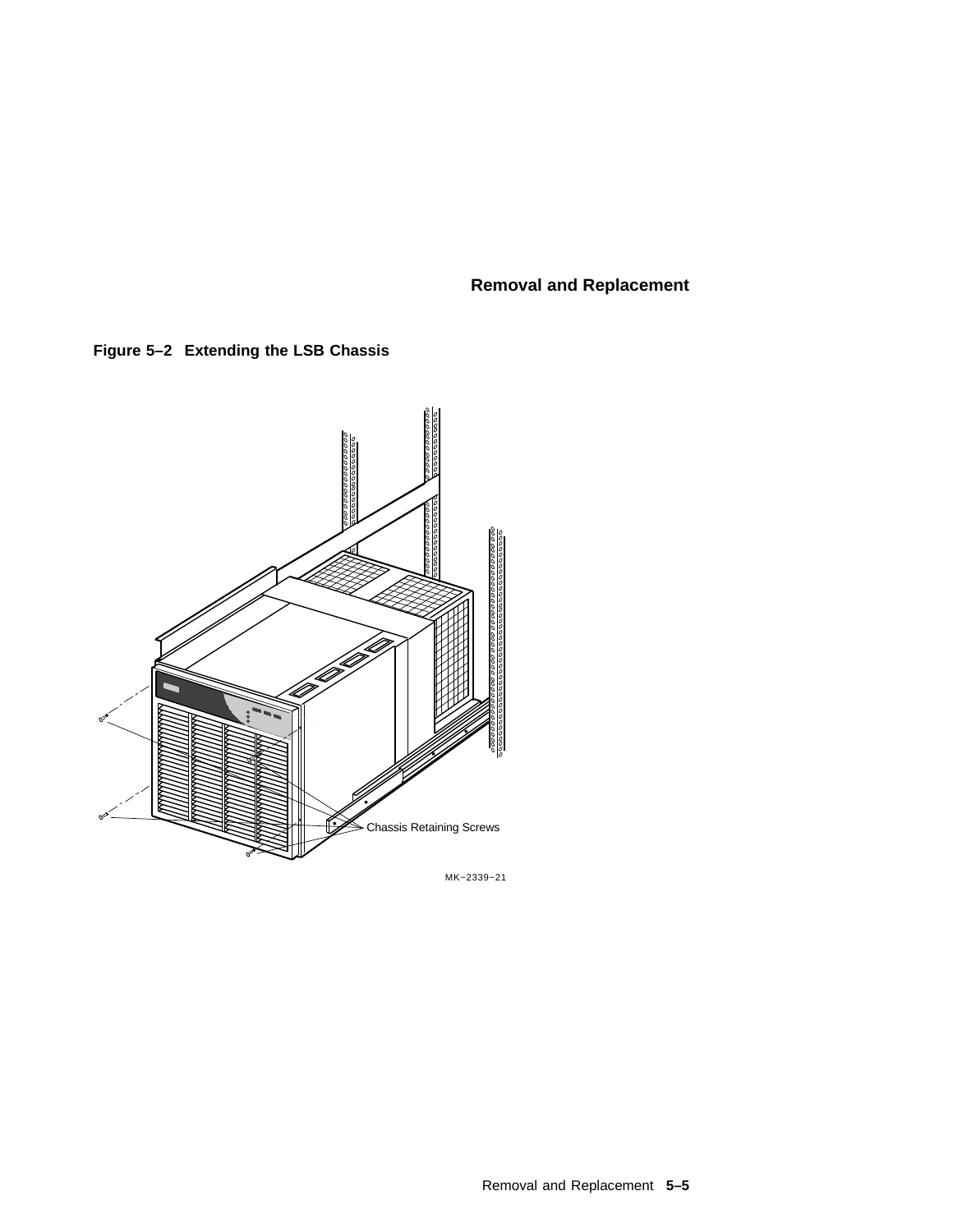**Figure 5–2 Extending the LSB Chassis**



MK−2339−21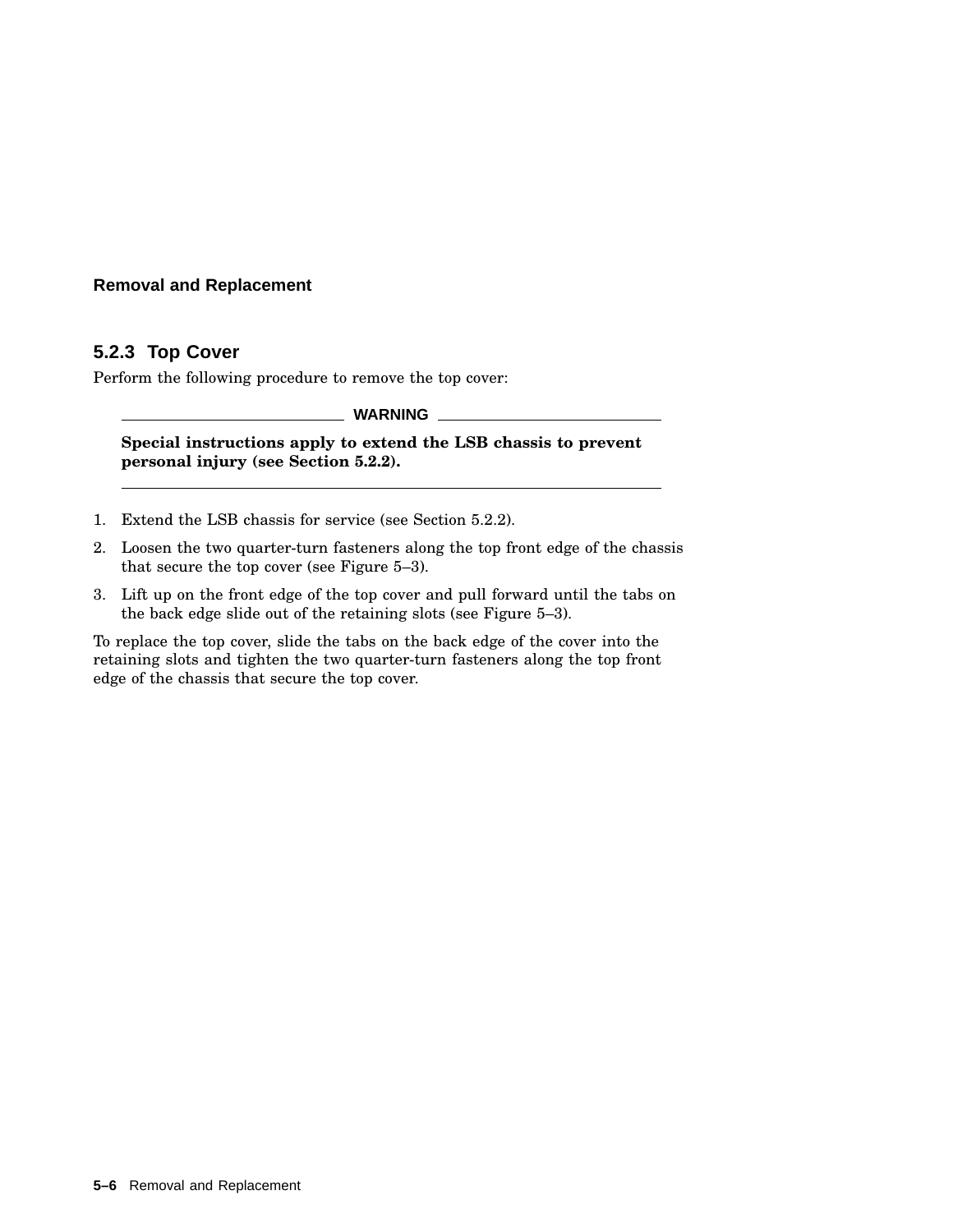## **5.2.3 Top Cover**

Perform the following procedure to remove the top cover:

**WARNING**

**Special instructions apply to extend the LSB chassis to prevent personal injury (see Section 5.2.2).**

- 1. Extend the LSB chassis for service (see Section 5.2.2).
- 2. Loosen the two quarter-turn fasteners along the top front edge of the chassis that secure the top cover (see Figure 5–3).
- 3. Lift up on the front edge of the top cover and pull forward until the tabs on the back edge slide out of the retaining slots (see Figure 5–3).

To replace the top cover, slide the tabs on the back edge of the cover into the retaining slots and tighten the two quarter-turn fasteners along the top front edge of the chassis that secure the top cover.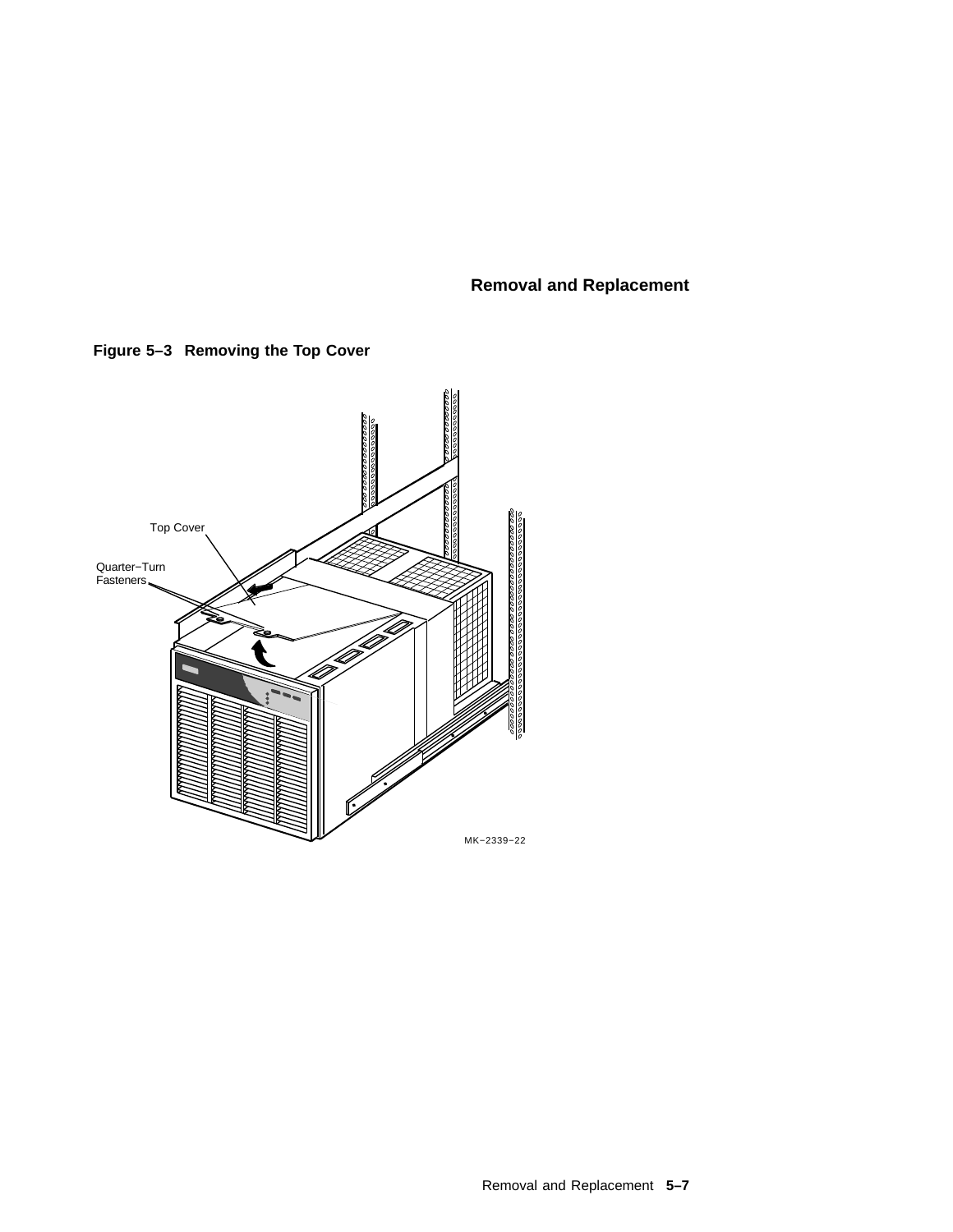**Figure 5–3 Removing the Top Cover**

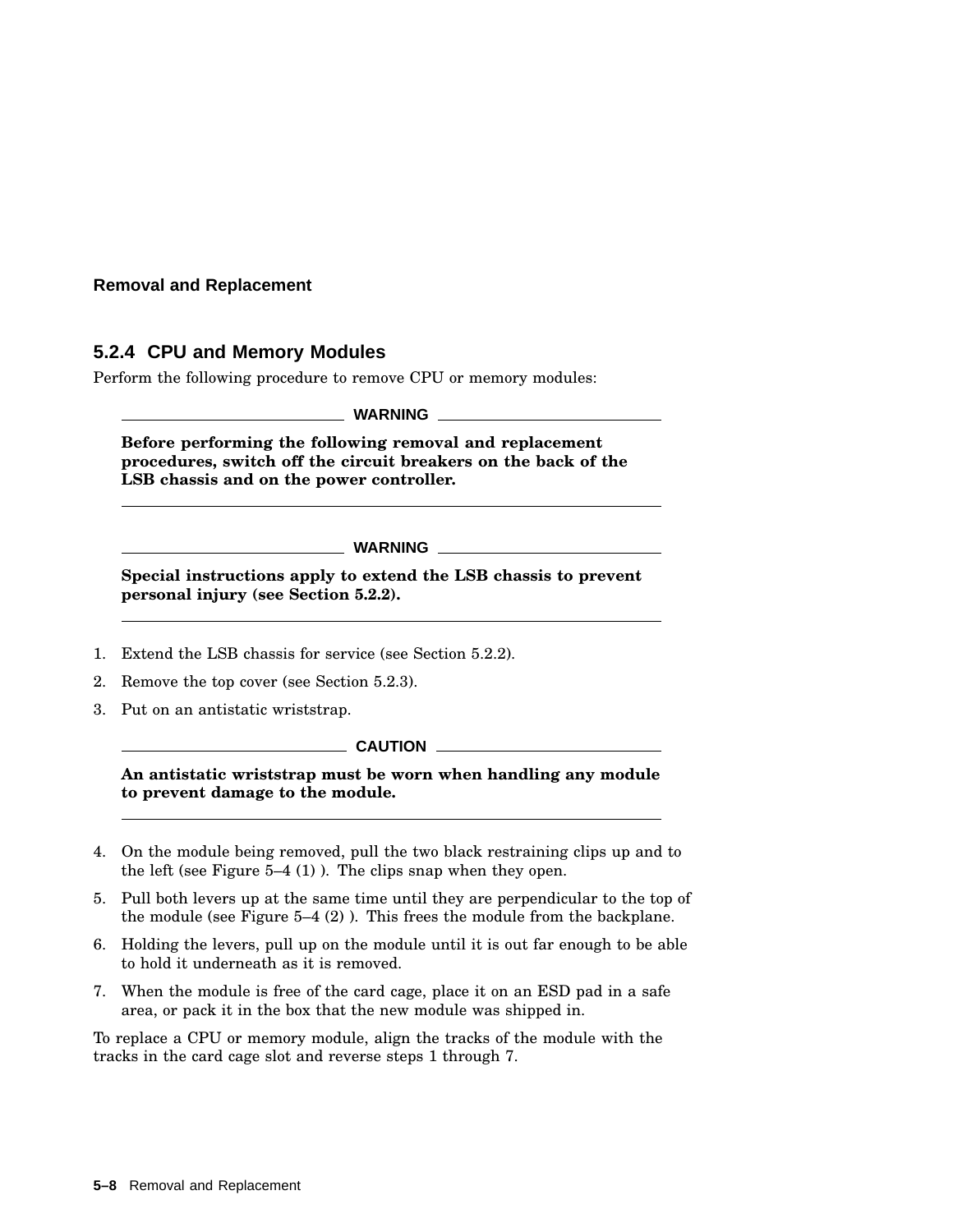## **5.2.4 CPU and Memory Modules**

Perform the following procedure to remove CPU or memory modules:

**WARNING**

**Before performing the following removal and replacement procedures, switch off the circuit breakers on the back of the LSB chassis and on the power controller.**

**WARNING**

**Special instructions apply to extend the LSB chassis to prevent personal injury (see Section 5.2.2).**

- 1. Extend the LSB chassis for service (see Section 5.2.2).
- 2. Remove the top cover (see Section 5.2.3).
- 3. Put on an antistatic wriststrap.

**CAUTION** 

**An antistatic wriststrap must be worn when handling any module to prevent damage to the module.**

- 4. On the module being removed, pull the two black restraining clips up and to the left (see Figure  $5-4$  (1)). The clips snap when they open.
- 5. Pull both levers up at the same time until they are perpendicular to the top of the module (see Figure 5–4 (2) ). This frees the module from the backplane.
- 6. Holding the levers, pull up on the module until it is out far enough to be able to hold it underneath as it is removed.
- 7. When the module is free of the card cage, place it on an ESD pad in a safe area, or pack it in the box that the new module was shipped in.

To replace a CPU or memory module, align the tracks of the module with the tracks in the card cage slot and reverse steps 1 through 7.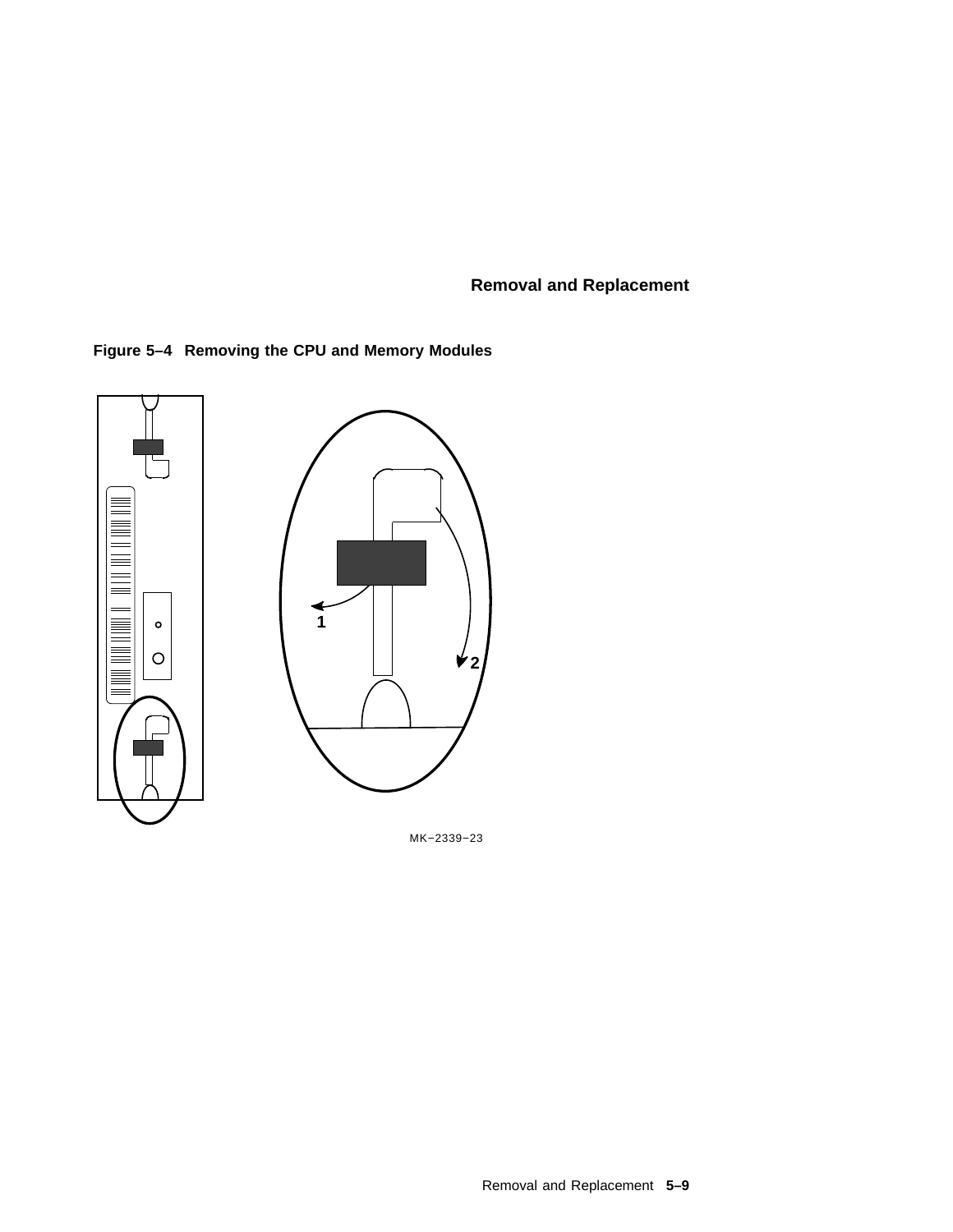



MK−2339−23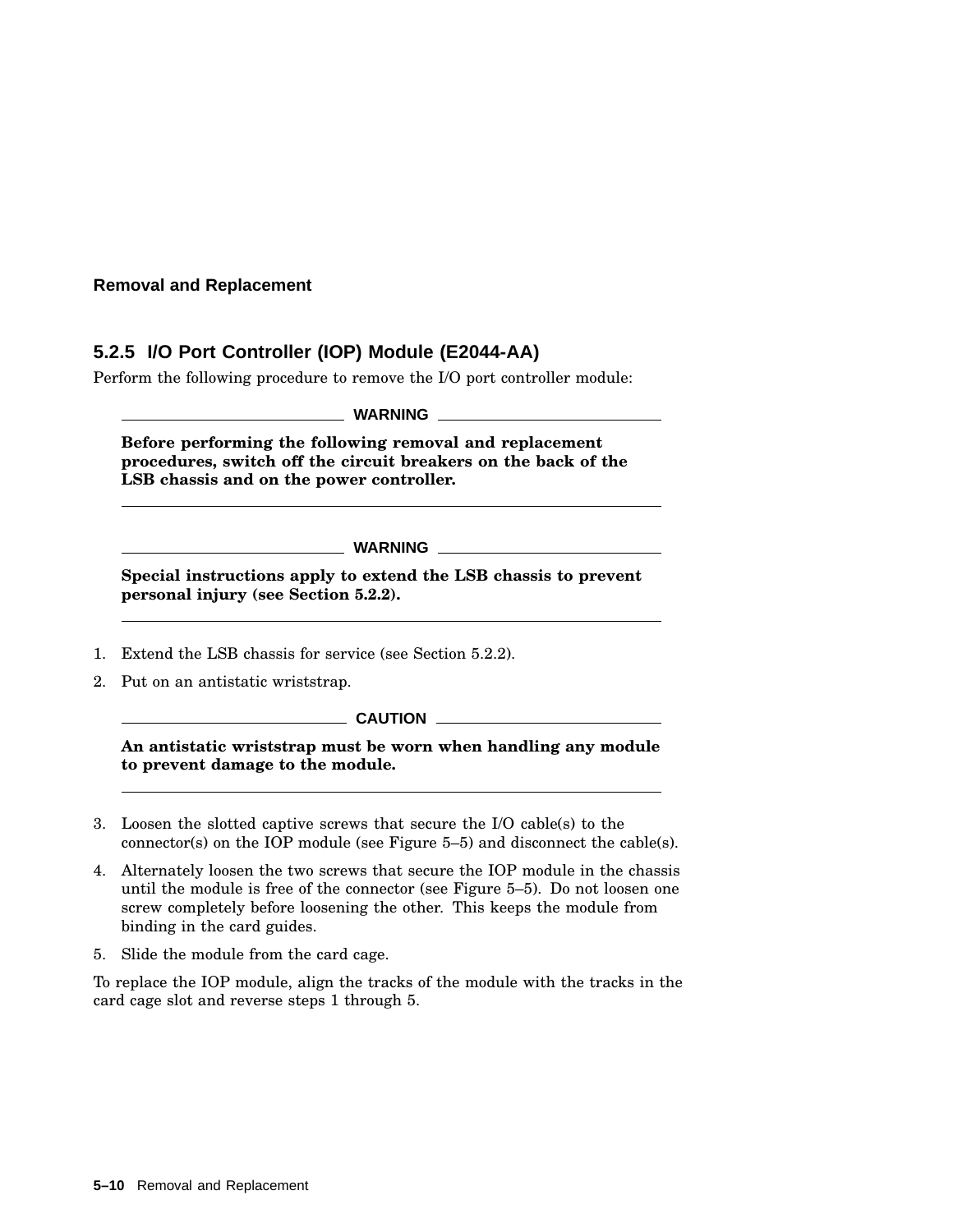# **5.2.5 I/O Port Controller (IOP) Module (E2044-AA)**

Perform the following procedure to remove the I/O port controller module:

**WARNING**

**Before performing the following removal and replacement procedures, switch off the circuit breakers on the back of the LSB chassis and on the power controller.**

**WARNING**

**Special instructions apply to extend the LSB chassis to prevent personal injury (see Section 5.2.2).**

- 1. Extend the LSB chassis for service (see Section 5.2.2).
- 2. Put on an antistatic wriststrap.

 $\equiv$  CAUTION  $\equiv$ 

**An antistatic wriststrap must be worn when handling any module to prevent damage to the module.**

- 3. Loosen the slotted captive screws that secure the I/O cable(s) to the connector(s) on the IOP module (see Figure 5–5) and disconnect the cable(s).
- 4. Alternately loosen the two screws that secure the IOP module in the chassis until the module is free of the connector (see Figure 5–5). Do not loosen one screw completely before loosening the other. This keeps the module from binding in the card guides.
- 5. Slide the module from the card cage.

To replace the IOP module, align the tracks of the module with the tracks in the card cage slot and reverse steps 1 through 5.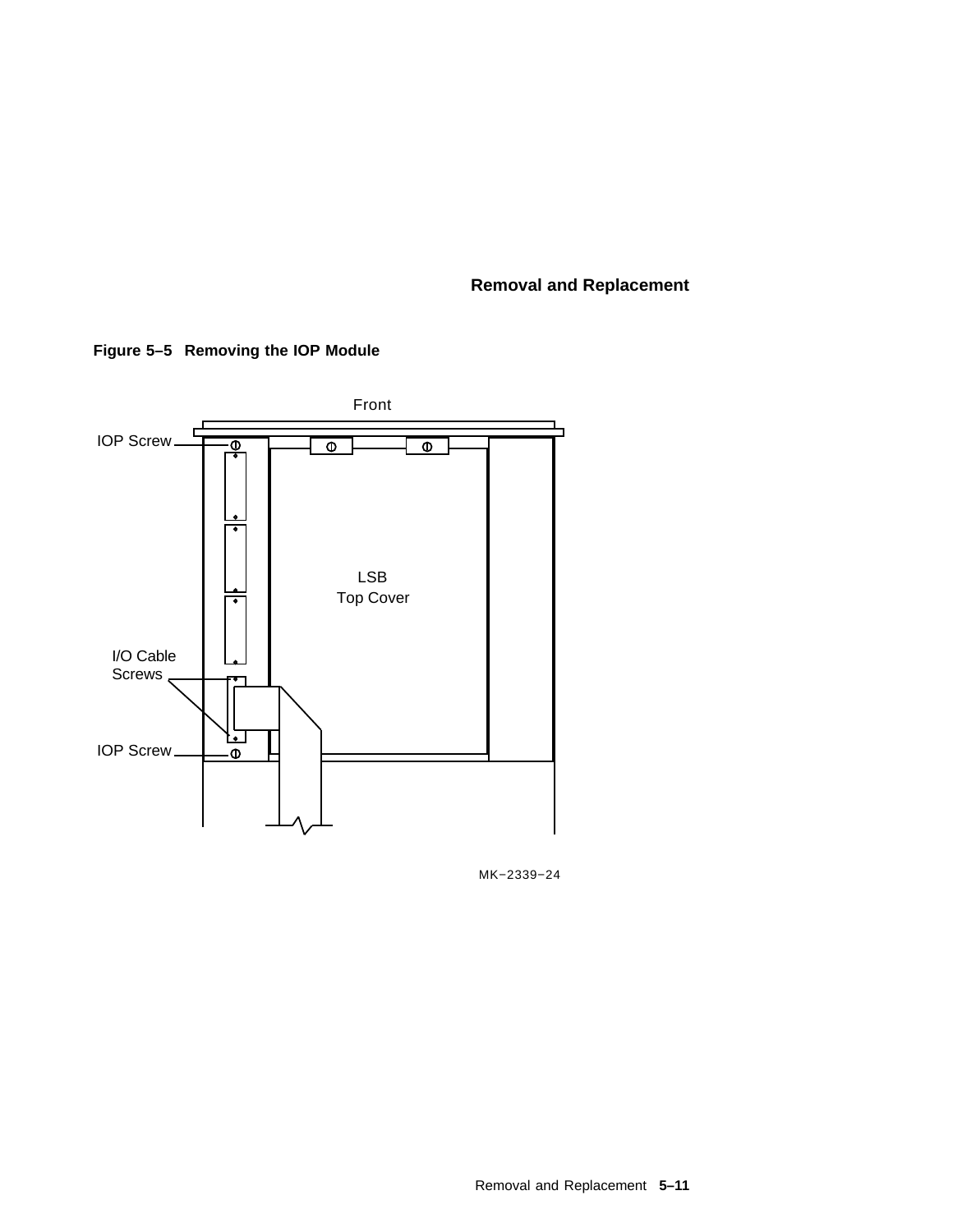

**Figure 5–5 Removing the IOP Module**

MK−2339−24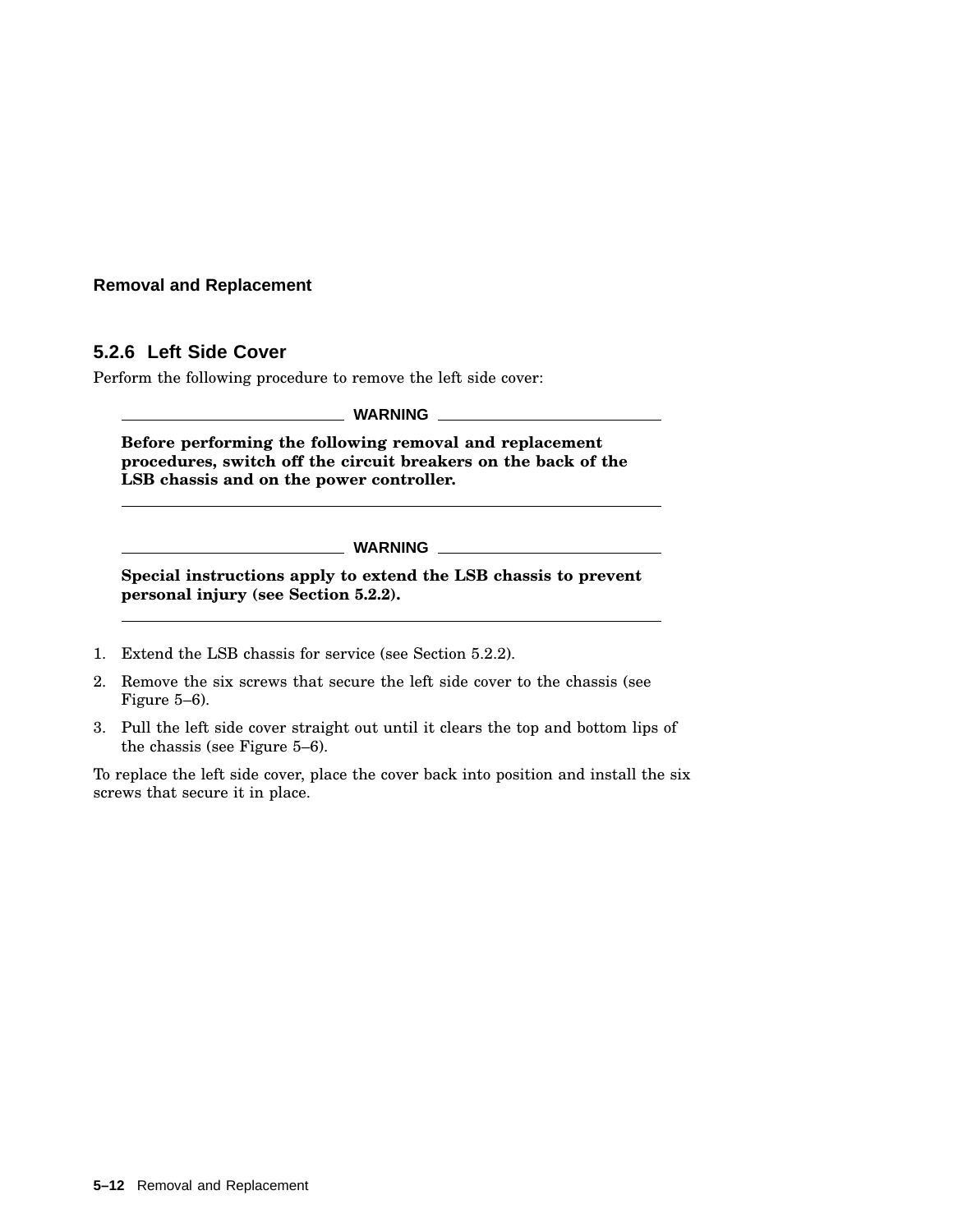## **5.2.6 Left Side Cover**

Perform the following procedure to remove the left side cover:

**WARNING**

**Before performing the following removal and replacement procedures, switch off the circuit breakers on the back of the LSB chassis and on the power controller.**

**WARNING**

**Special instructions apply to extend the LSB chassis to prevent personal injury (see Section 5.2.2).**

- 1. Extend the LSB chassis for service (see Section 5.2.2).
- 2. Remove the six screws that secure the left side cover to the chassis (see Figure 5–6).
- 3. Pull the left side cover straight out until it clears the top and bottom lips of the chassis (see Figure 5–6).

To replace the left side cover, place the cover back into position and install the six screws that secure it in place.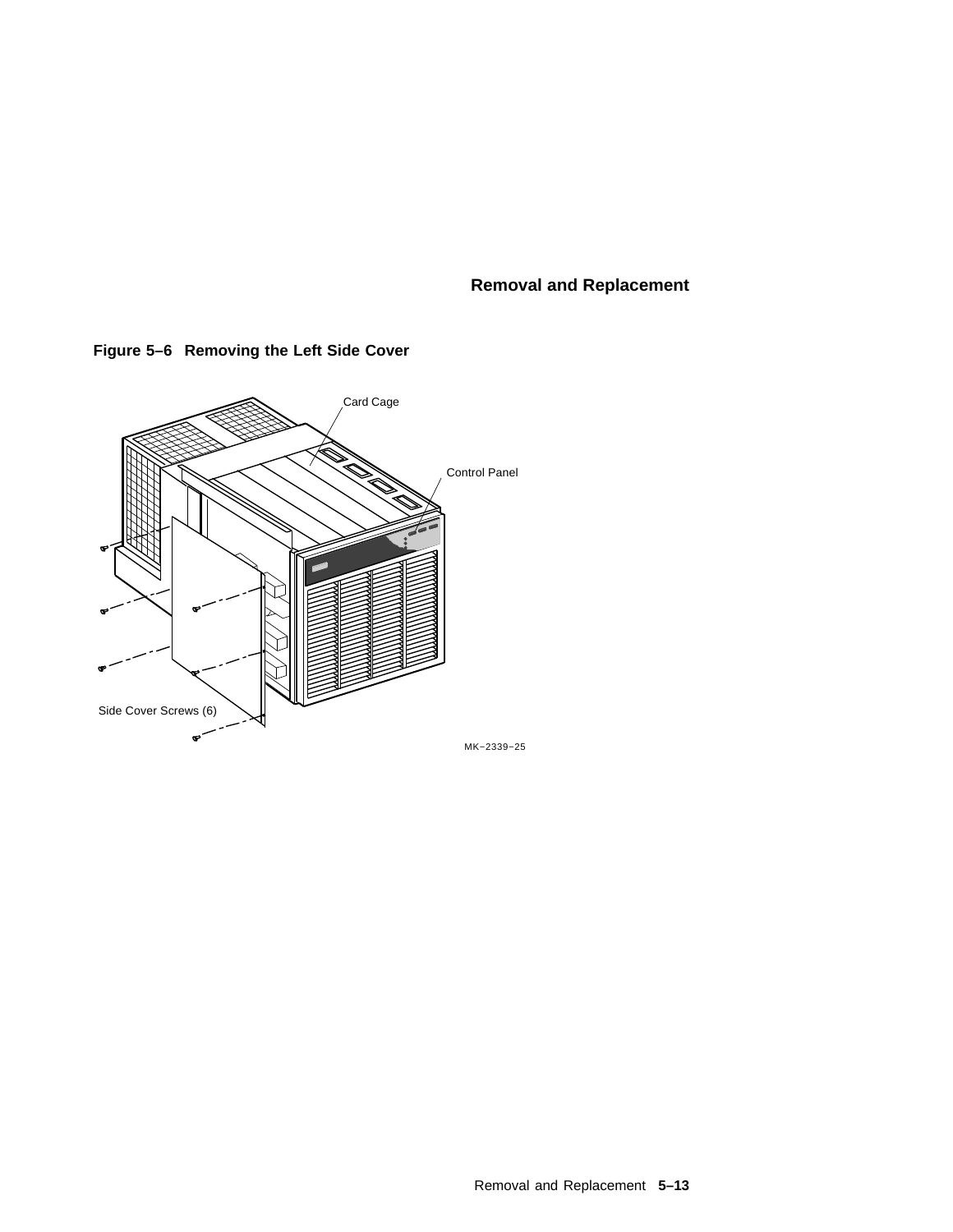

# **Figure 5–6 Removing the Left Side Cover**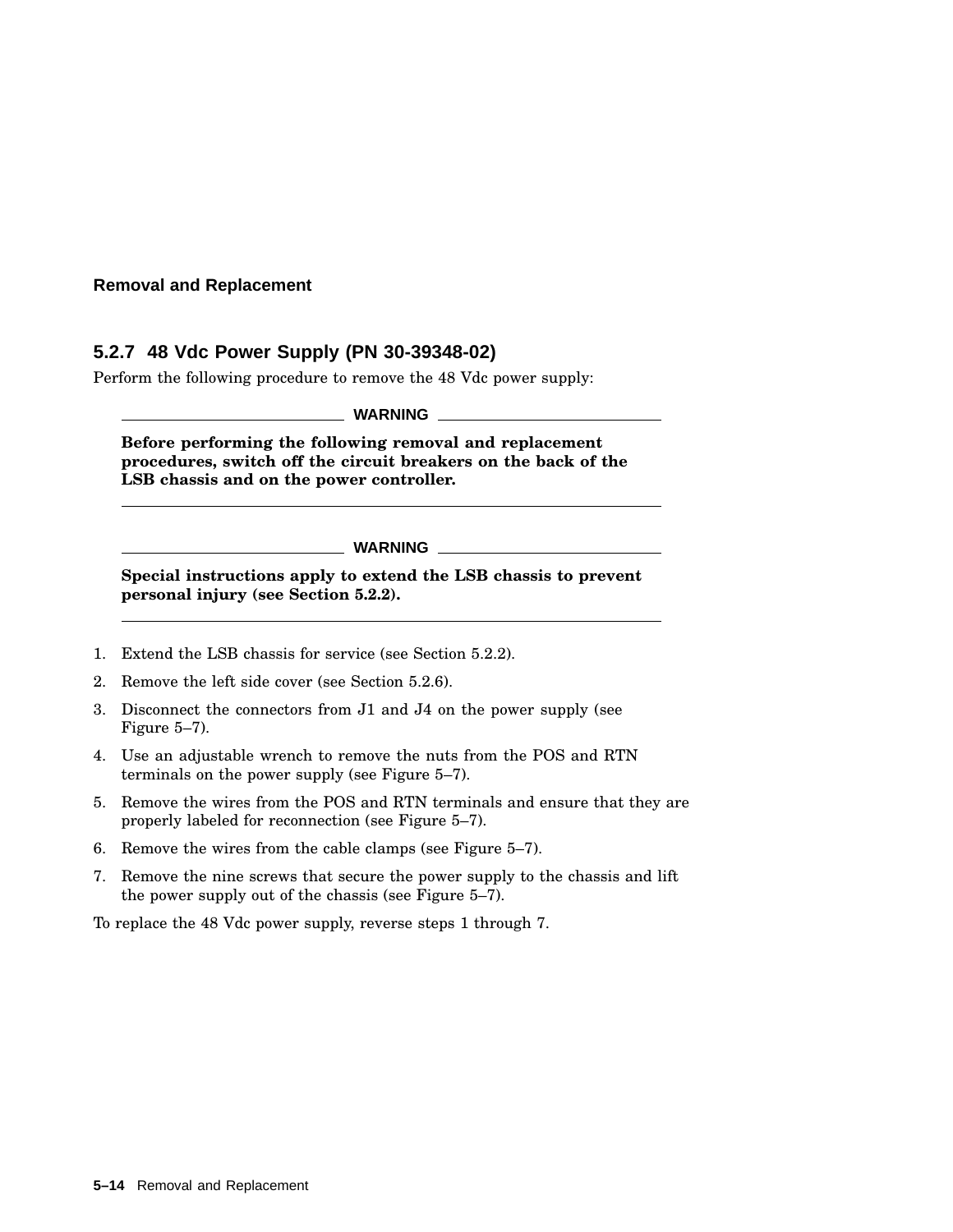## **5.2.7 48 Vdc Power Supply (PN 30-39348-02)**

Perform the following procedure to remove the 48 Vdc power supply:

**WARNING**

**Before performing the following removal and replacement procedures, switch off the circuit breakers on the back of the LSB chassis and on the power controller.**

**WARNING**

**Special instructions apply to extend the LSB chassis to prevent personal injury (see Section 5.2.2).**

- 1. Extend the LSB chassis for service (see Section 5.2.2).
- 2. Remove the left side cover (see Section 5.2.6).
- 3. Disconnect the connectors from J1 and J4 on the power supply (see Figure 5–7).
- 4. Use an adjustable wrench to remove the nuts from the POS and RTN terminals on the power supply (see Figure 5–7).
- 5. Remove the wires from the POS and RTN terminals and ensure that they are properly labeled for reconnection (see Figure 5–7).
- 6. Remove the wires from the cable clamps (see Figure 5–7).
- 7. Remove the nine screws that secure the power supply to the chassis and lift the power supply out of the chassis (see Figure 5–7).

To replace the 48 Vdc power supply, reverse steps 1 through 7.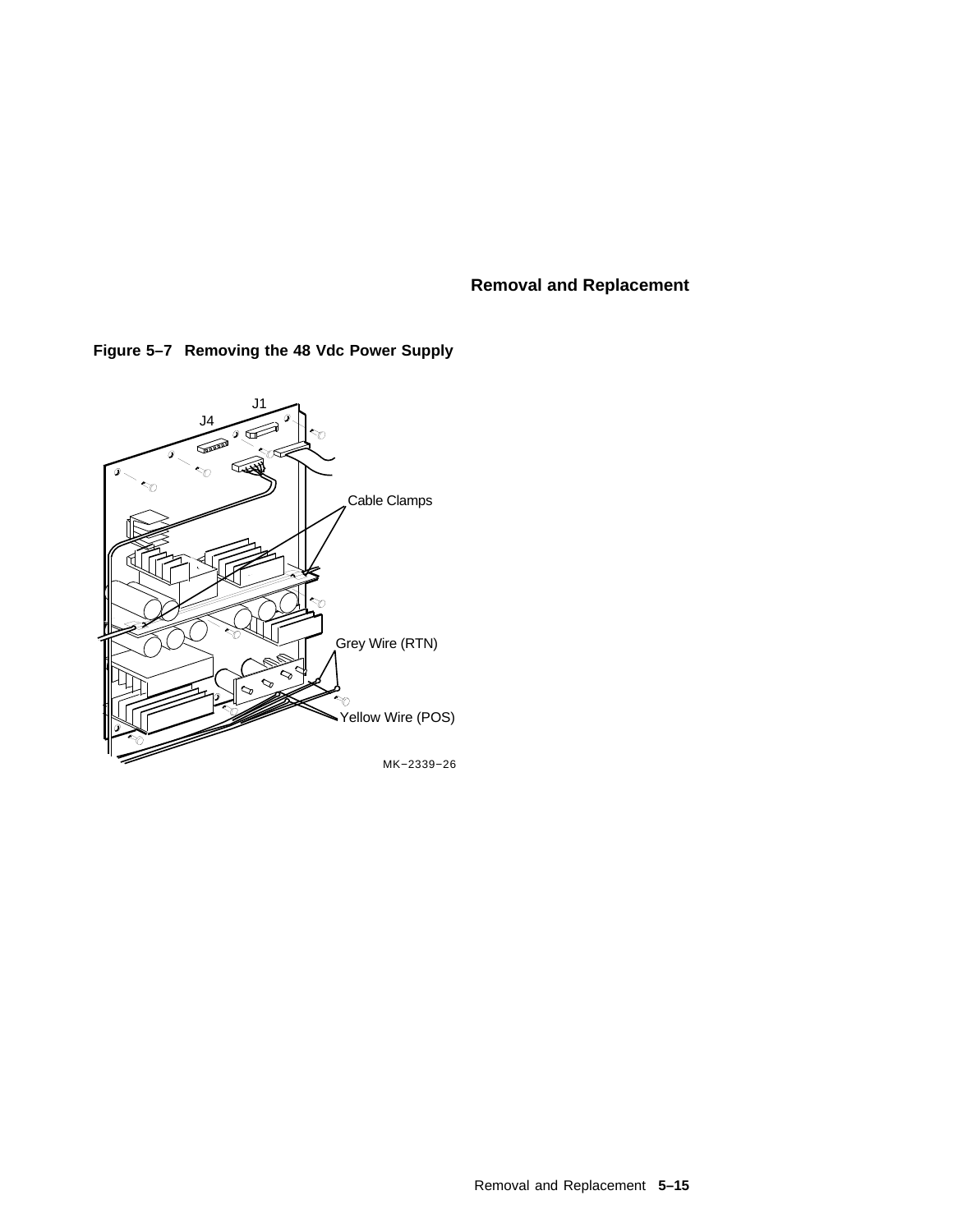

# **Figure 5–7 Removing the 48 Vdc Power Supply**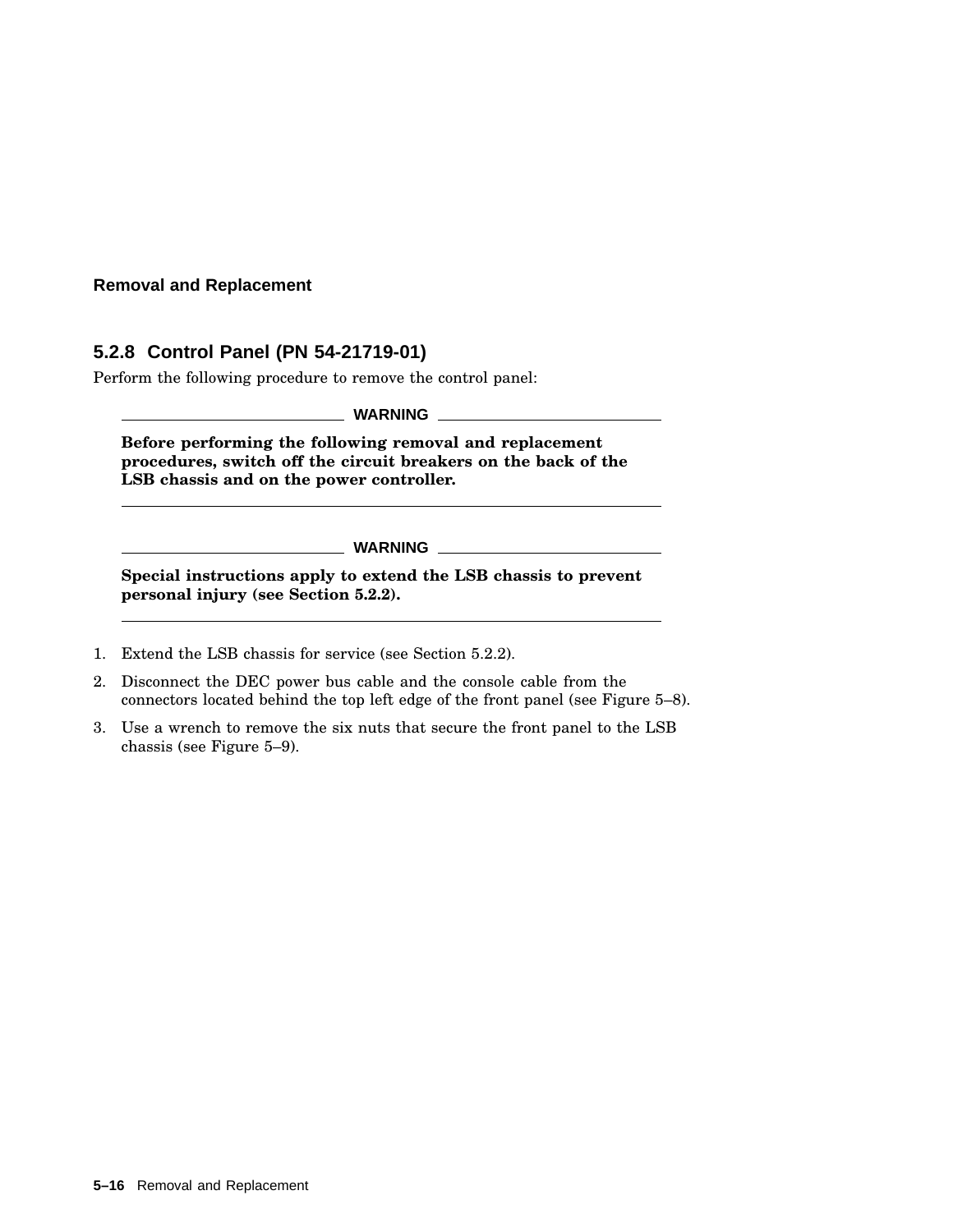# **5.2.8 Control Panel (PN 54-21719-01)**

Perform the following procedure to remove the control panel:

**WARNING**

**Before performing the following removal and replacement procedures, switch off the circuit breakers on the back of the LSB chassis and on the power controller.**

**WARNING**

**Special instructions apply to extend the LSB chassis to prevent personal injury (see Section 5.2.2).**

- 1. Extend the LSB chassis for service (see Section 5.2.2).
- 2. Disconnect the DEC power bus cable and the console cable from the connectors located behind the top left edge of the front panel (see Figure 5–8).
- 3. Use a wrench to remove the six nuts that secure the front panel to the LSB chassis (see Figure 5–9).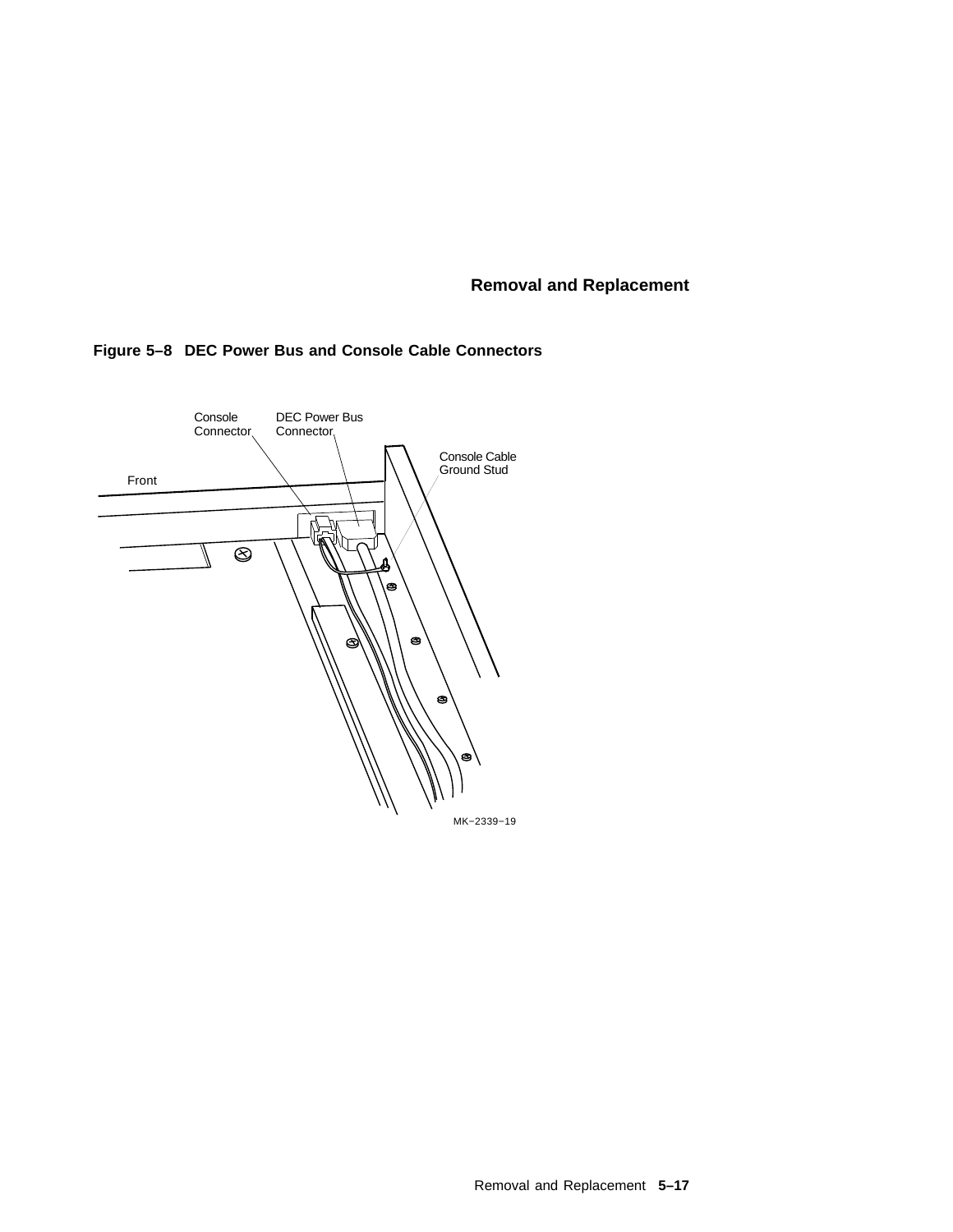

## **Figure 5–8 DEC Power Bus and Console Cable Connectors**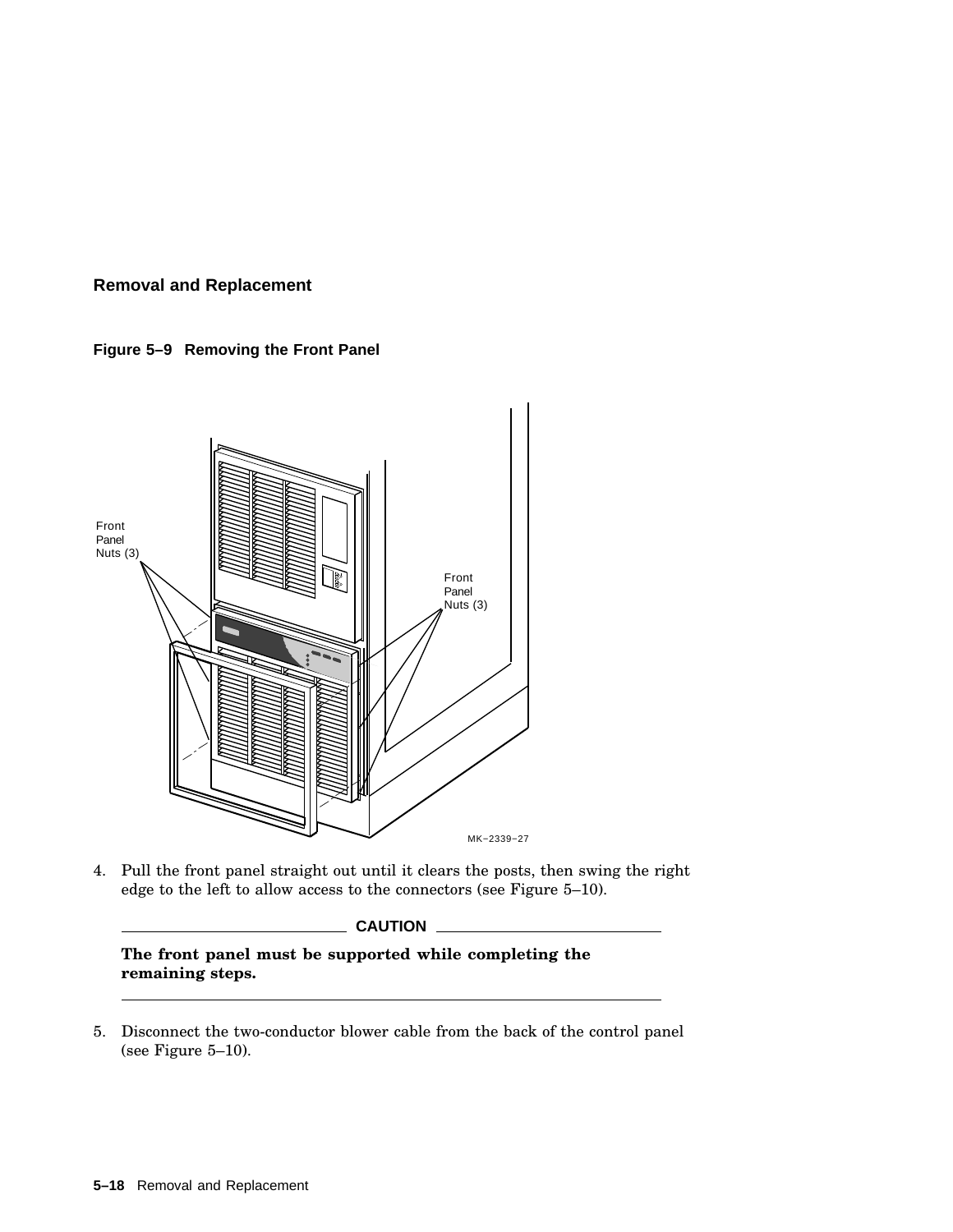



4. Pull the front panel straight out until it clears the posts, then swing the right edge to the left to allow access to the connectors (see Figure 5–10).

**CAUTION**

**The front panel must be supported while completing the remaining steps.**

5. Disconnect the two-conductor blower cable from the back of the control panel (see Figure 5–10).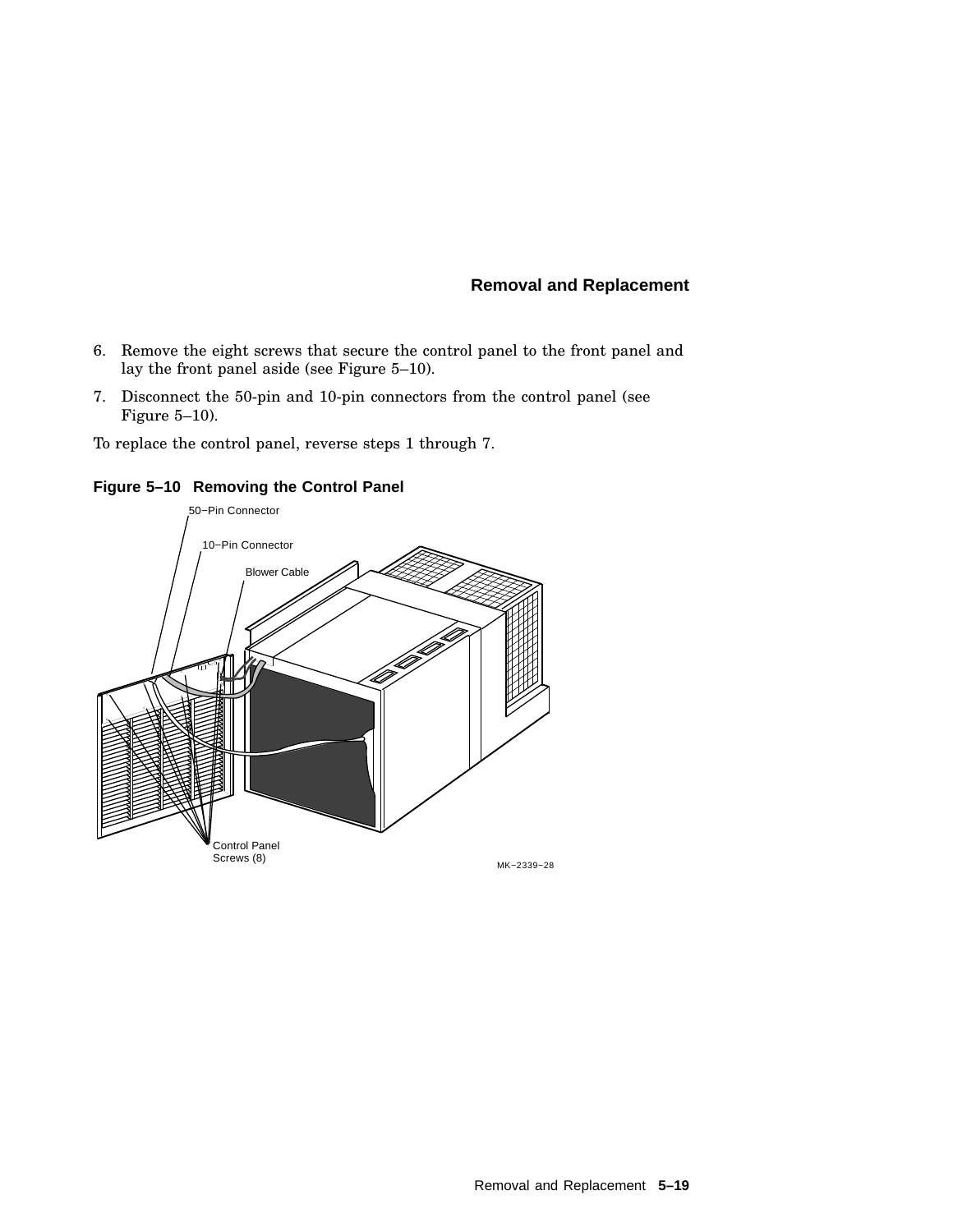- 6. Remove the eight screws that secure the control panel to the front panel and lay the front panel aside (see Figure 5–10).
- 7. Disconnect the 50-pin and 10-pin connectors from the control panel (see Figure 5–10).

To replace the control panel, reverse steps 1 through 7.



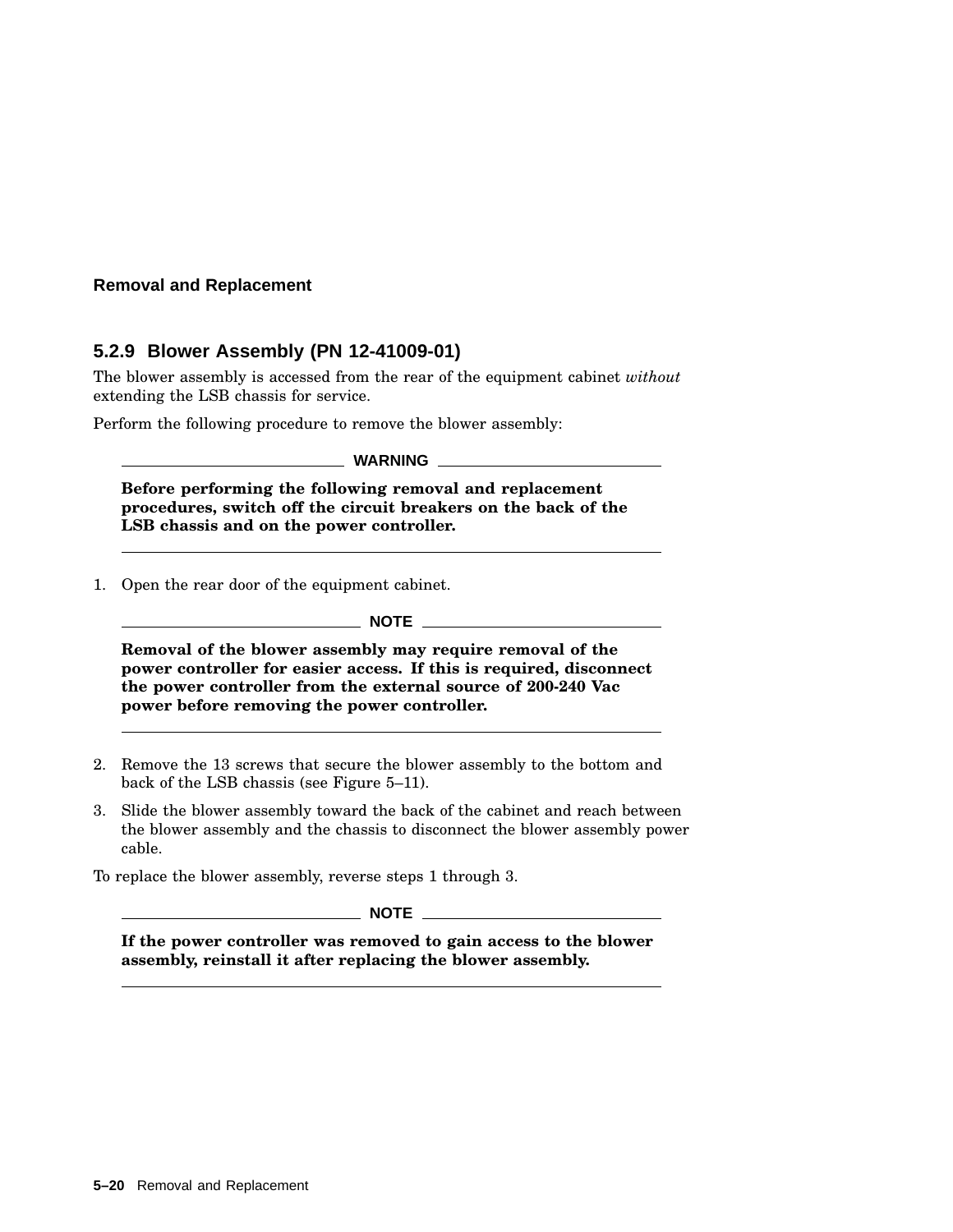### **5.2.9 Blower Assembly (PN 12-41009-01)**

The blower assembly is accessed from the rear of the equipment cabinet *without* extending the LSB chassis for service.

Perform the following procedure to remove the blower assembly:

|  | <b>WARNING</b> |  |  |
|--|----------------|--|--|
|  |                |  |  |

**Before performing the following removal and replacement procedures, switch off the circuit breakers on the back of the LSB chassis and on the power controller.**

1. Open the rear door of the equipment cabinet.

\_ NOTE \_

**Removal of the blower assembly may require removal of the power controller for easier access. If this is required, disconnect the power controller from the external source of 200-240 Vac power before removing the power controller.**

- 2. Remove the 13 screws that secure the blower assembly to the bottom and back of the LSB chassis (see Figure 5–11).
- 3. Slide the blower assembly toward the back of the cabinet and reach between the blower assembly and the chassis to disconnect the blower assembly power cable.

To replace the blower assembly, reverse steps 1 through 3.

 $\_$  NOTE  $\_$ 

**If the power controller was removed to gain access to the blower assembly, reinstall it after replacing the blower assembly.**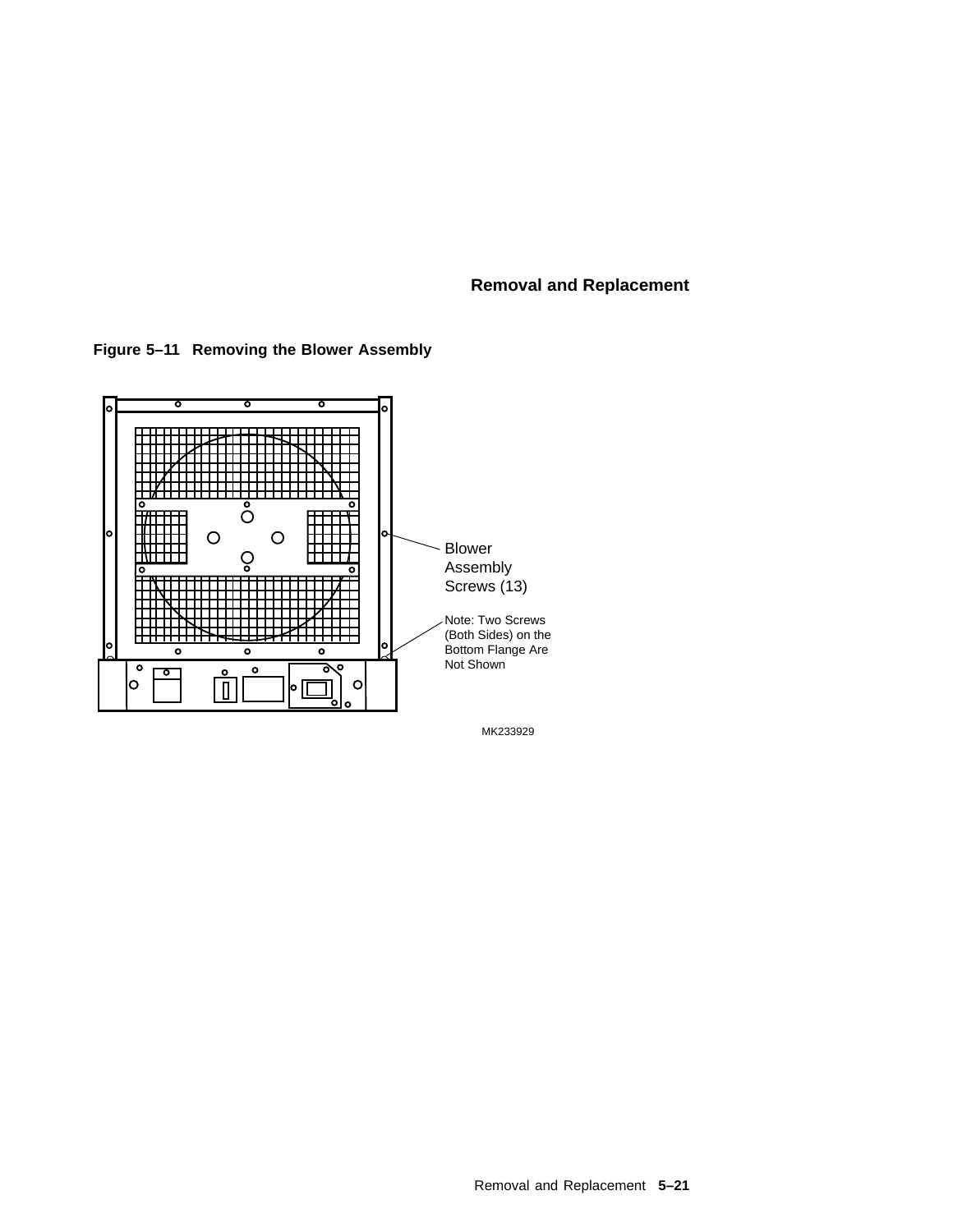**Figure 5–11 Removing the Blower Assembly**

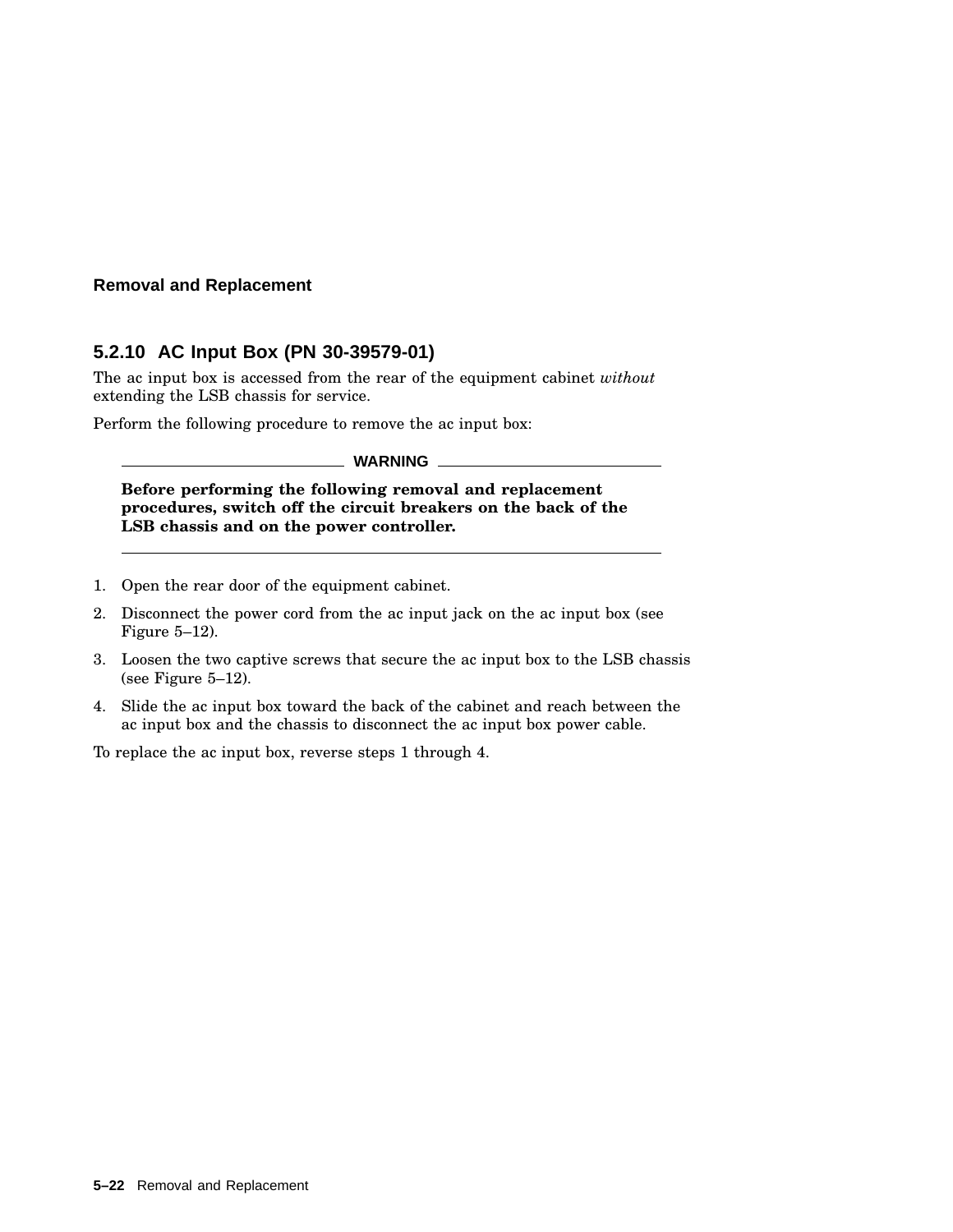## **5.2.10 AC Input Box (PN 30-39579-01)**

The ac input box is accessed from the rear of the equipment cabinet *without* extending the LSB chassis for service.

Perform the following procedure to remove the ac input box:

**WARNING**

**Before performing the following removal and replacement procedures, switch off the circuit breakers on the back of the LSB chassis and on the power controller.**

- 1. Open the rear door of the equipment cabinet.
- 2. Disconnect the power cord from the ac input jack on the ac input box (see Figure 5–12).
- 3. Loosen the two captive screws that secure the ac input box to the LSB chassis (see Figure 5–12).
- 4. Slide the ac input box toward the back of the cabinet and reach between the ac input box and the chassis to disconnect the ac input box power cable.

To replace the ac input box, reverse steps 1 through 4.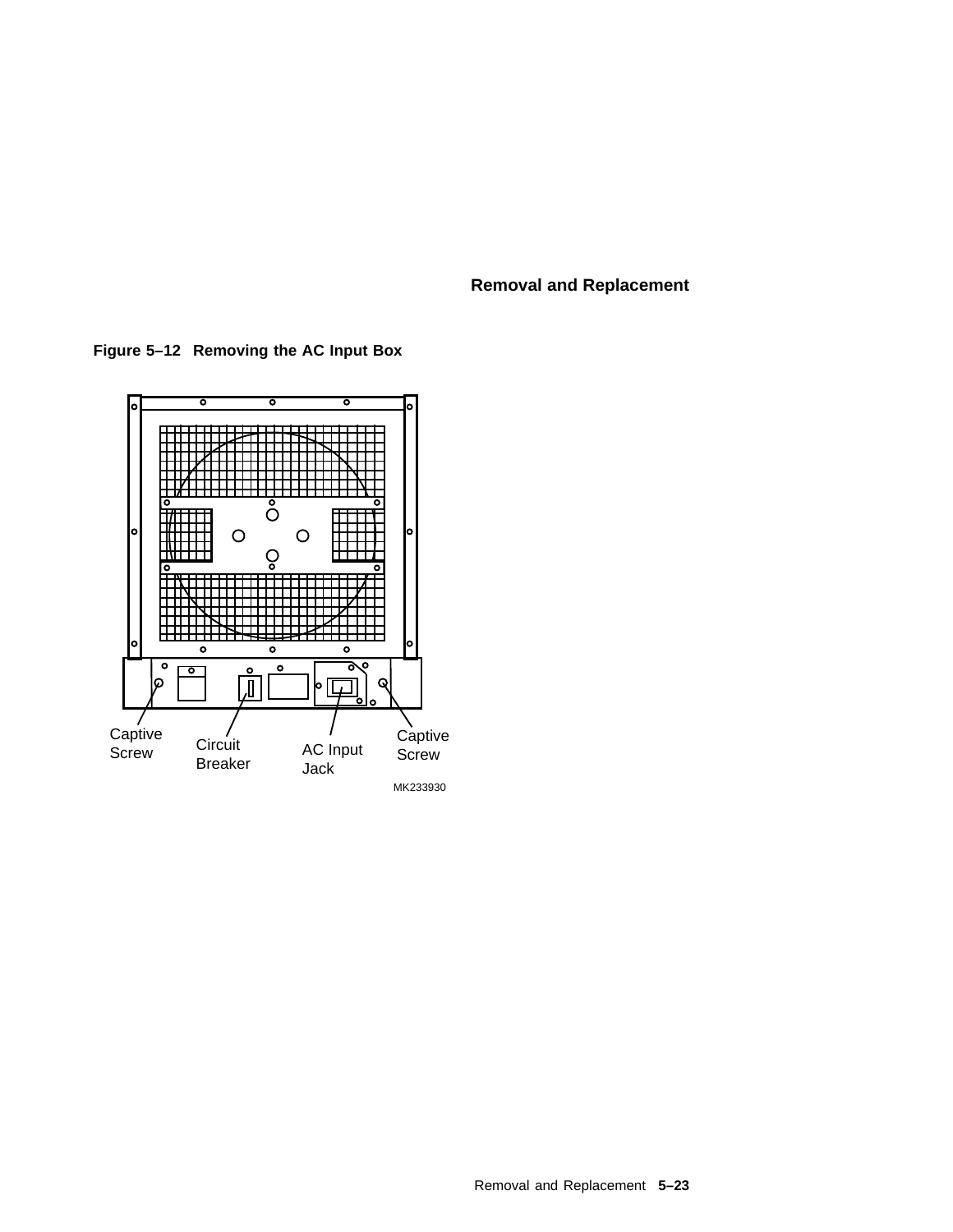**Figure 5–12 Removing the AC Input Box**

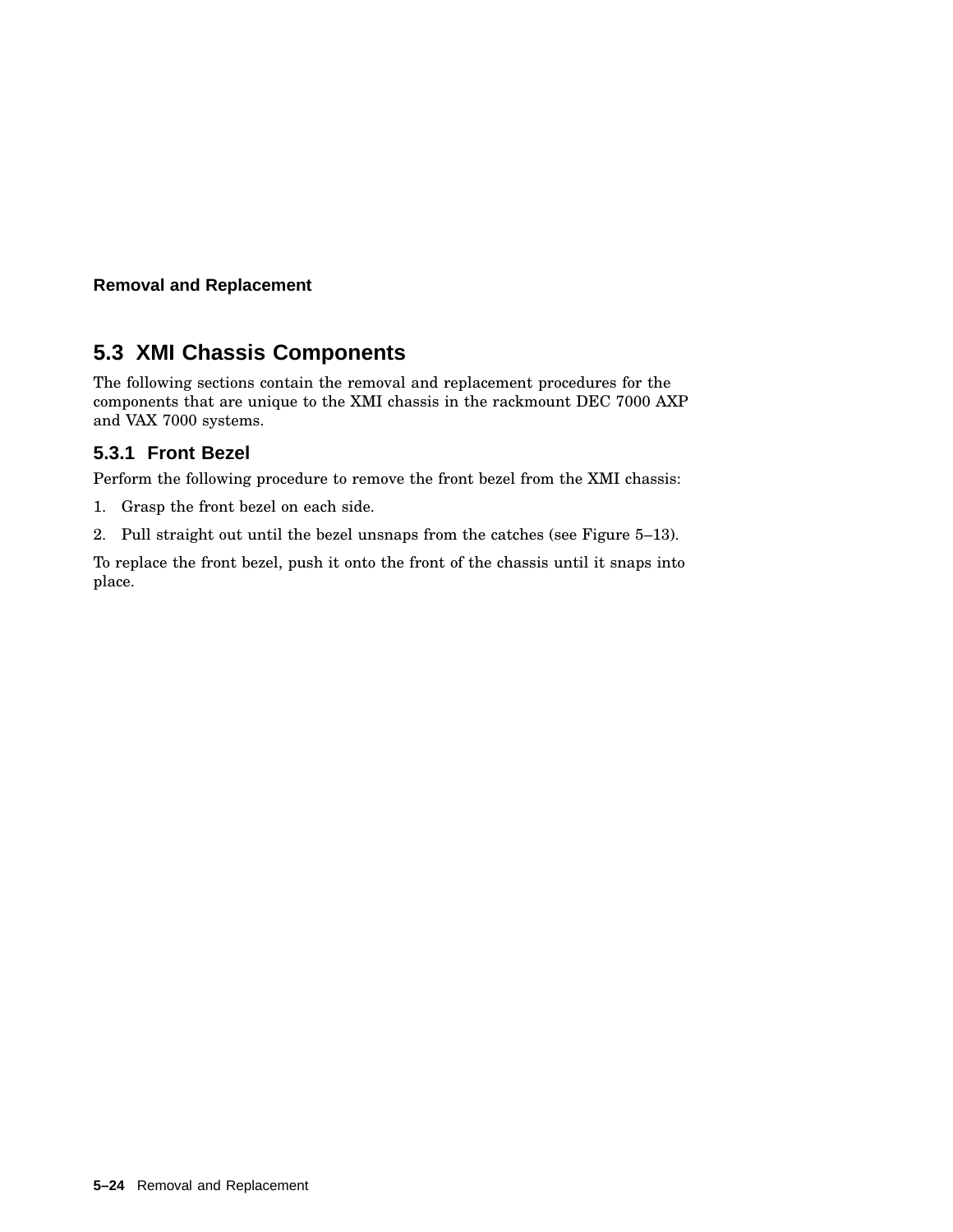# **5.3 XMI Chassis Components**

The following sections contain the removal and replacement procedures for the components that are unique to the XMI chassis in the rackmount DEC 7000 AXP and VAX 7000 systems.

# **5.3.1 Front Bezel**

Perform the following procedure to remove the front bezel from the XMI chassis:

- 1. Grasp the front bezel on each side.
- 2. Pull straight out until the bezel unsnaps from the catches (see Figure 5–13).

To replace the front bezel, push it onto the front of the chassis until it snaps into place.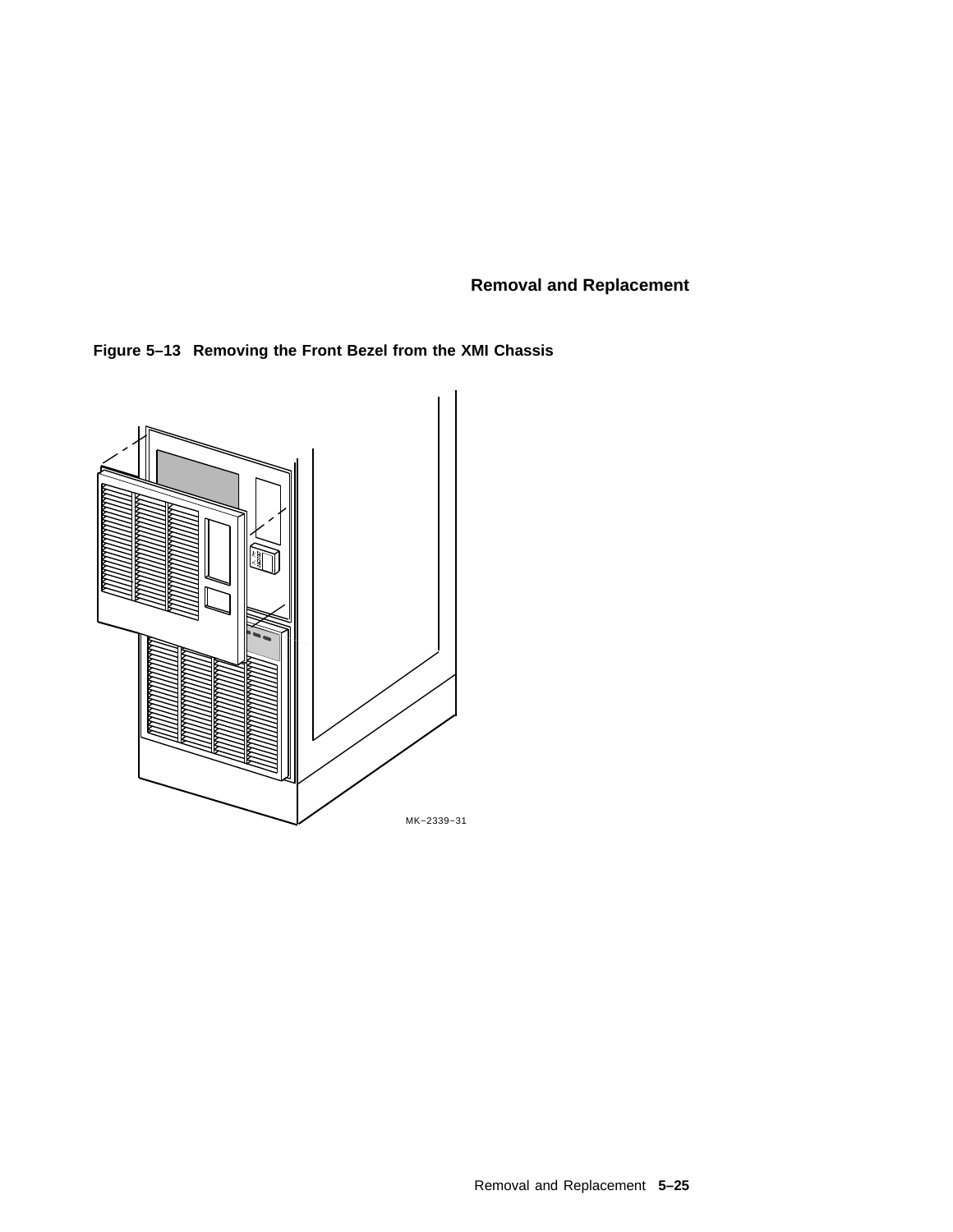**Figure 5–13 Removing the Front Bezel from the XMI Chassis**

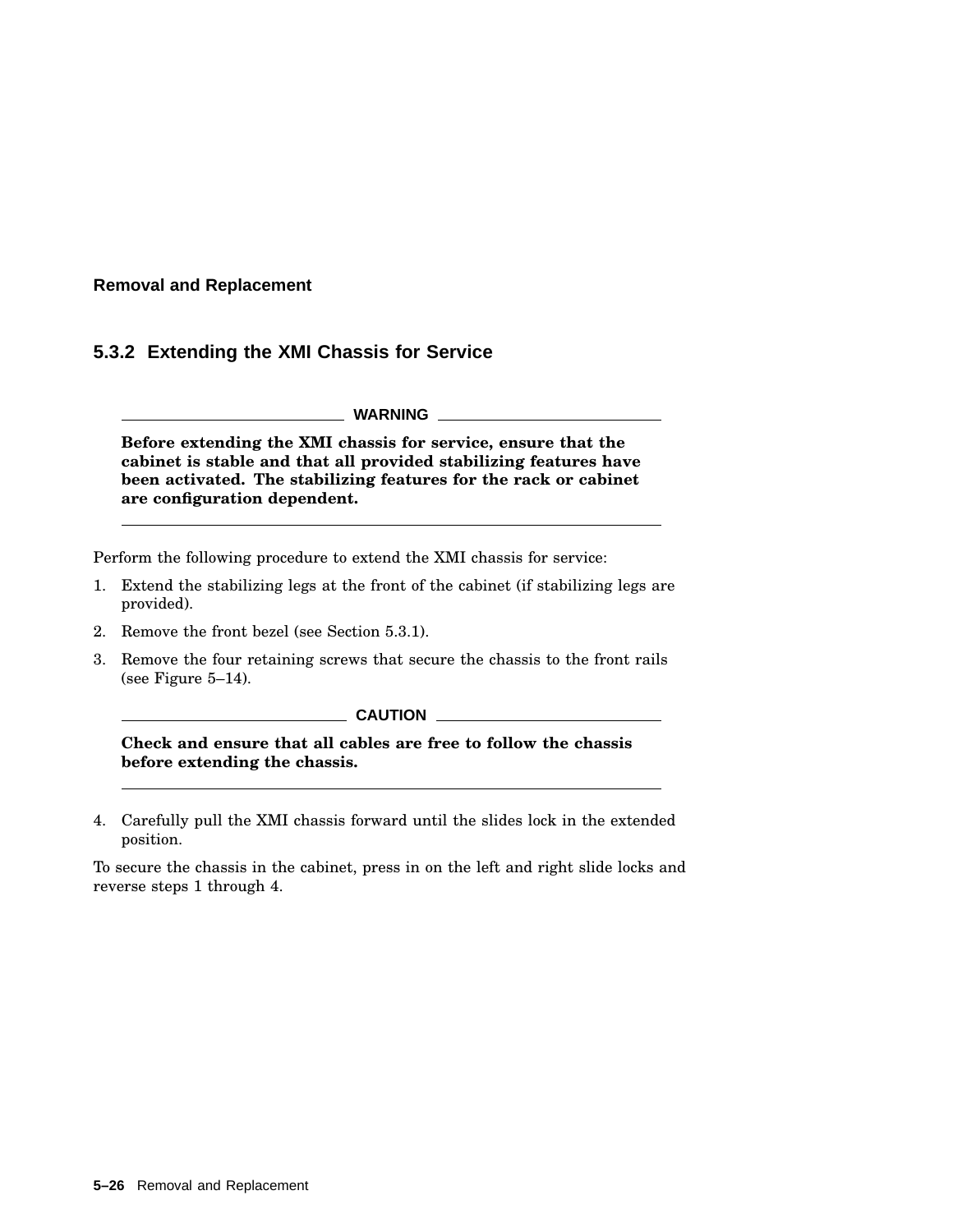## **5.3.2 Extending the XMI Chassis for Service**

**WARNING**

**Before extending the XMI chassis for service, ensure that the cabinet is stable and that all provided stabilizing features have been activated. The stabilizing features for the rack or cabinet are configuration dependent.**

Perform the following procedure to extend the XMI chassis for service:

- 1. Extend the stabilizing legs at the front of the cabinet (if stabilizing legs are provided).
- 2. Remove the front bezel (see Section 5.3.1).
- 3. Remove the four retaining screws that secure the chassis to the front rails (see Figure 5–14).

#### **CAUTION**

**Check and ensure that all cables are free to follow the chassis before extending the chassis.**

4. Carefully pull the XMI chassis forward until the slides lock in the extended position.

To secure the chassis in the cabinet, press in on the left and right slide locks and reverse steps 1 through 4.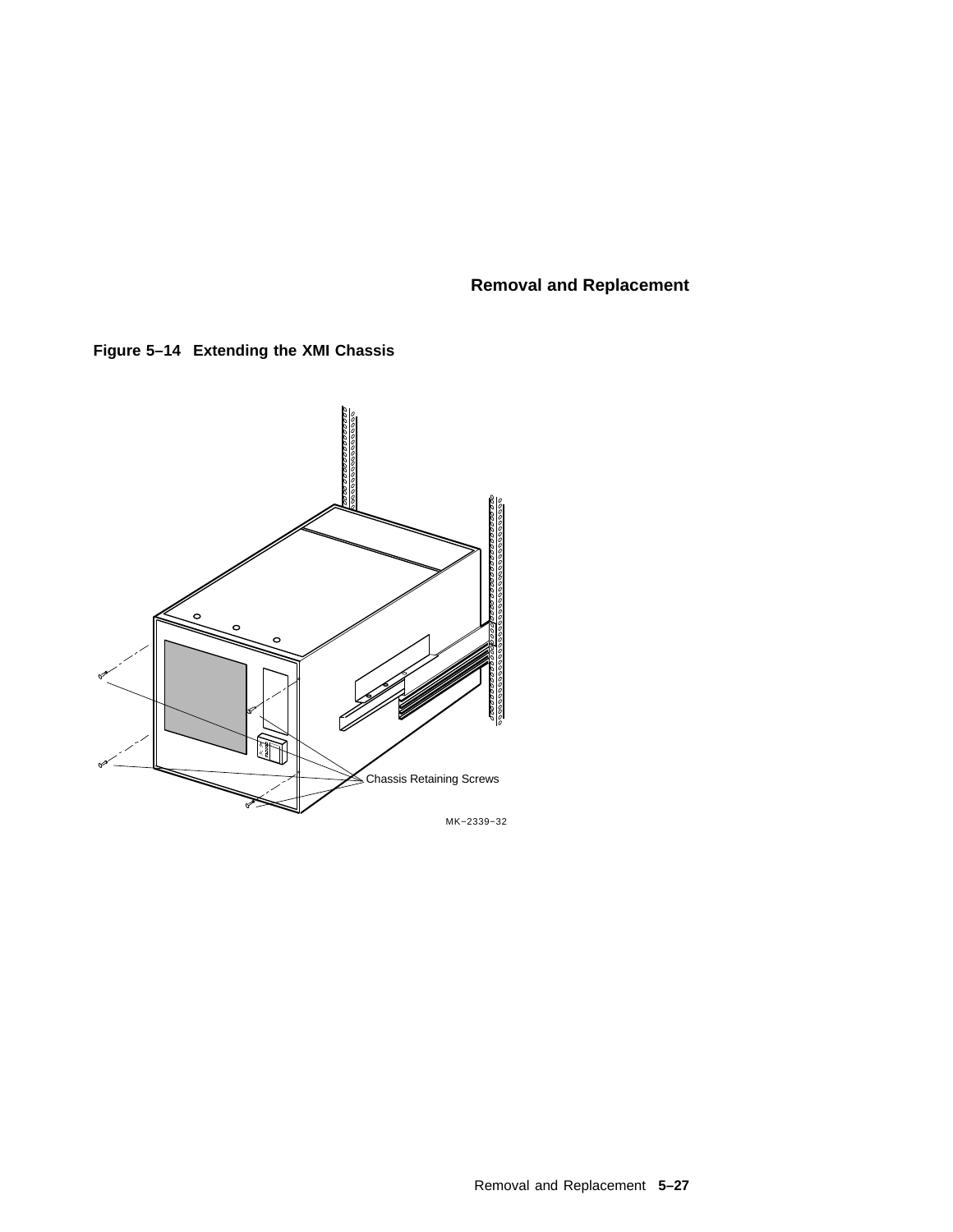**Figure 5–14 Extending the XMI Chassis**

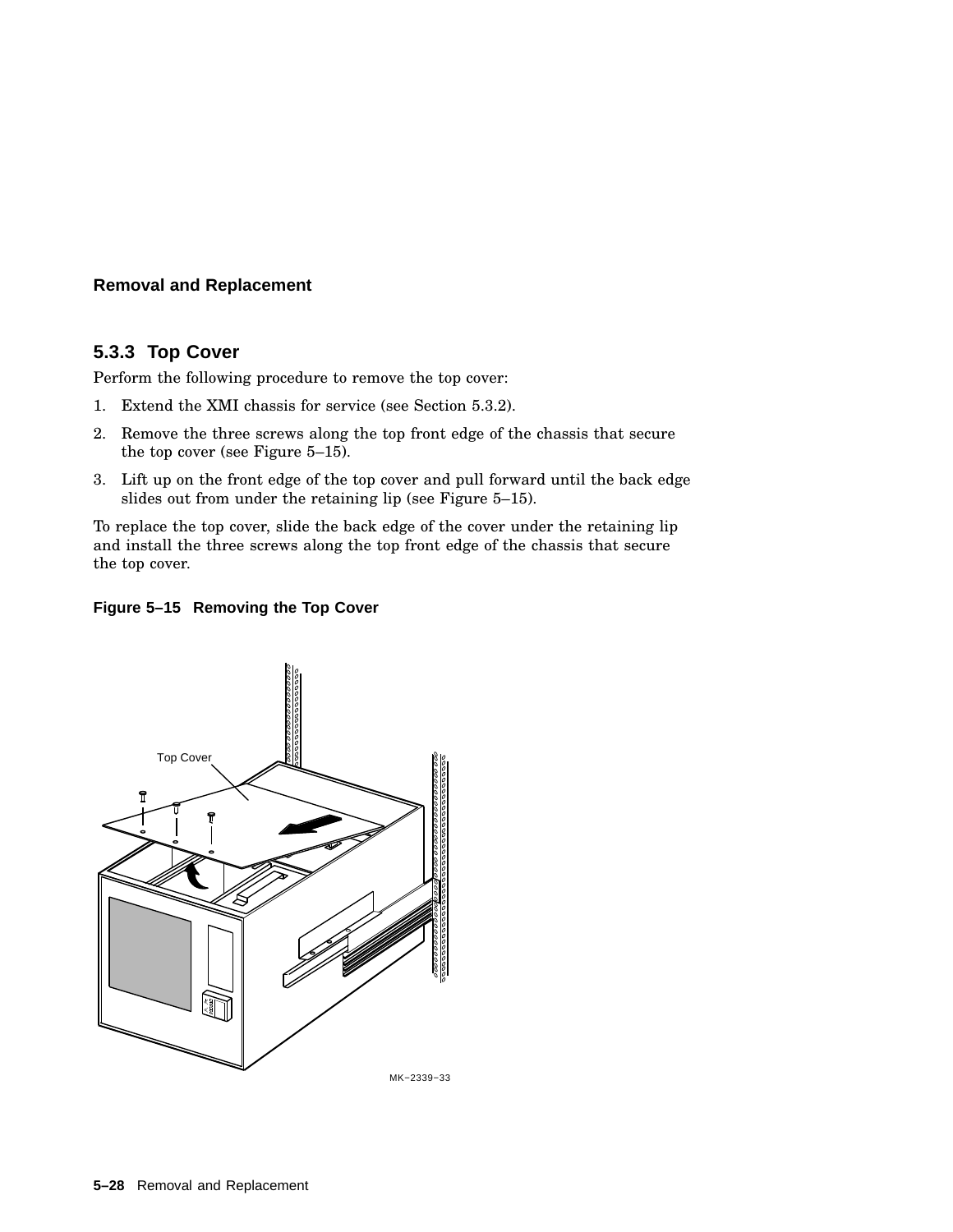## **5.3.3 Top Cover**

Perform the following procedure to remove the top cover:

- 1. Extend the XMI chassis for service (see Section 5.3.2).
- 2. Remove the three screws along the top front edge of the chassis that secure the top cover (see Figure 5–15).
- 3. Lift up on the front edge of the top cover and pull forward until the back edge slides out from under the retaining lip (see Figure 5–15).

To replace the top cover, slide the back edge of the cover under the retaining lip and install the three screws along the top front edge of the chassis that secure the top cover.

#### **Figure 5–15 Removing the Top Cover**

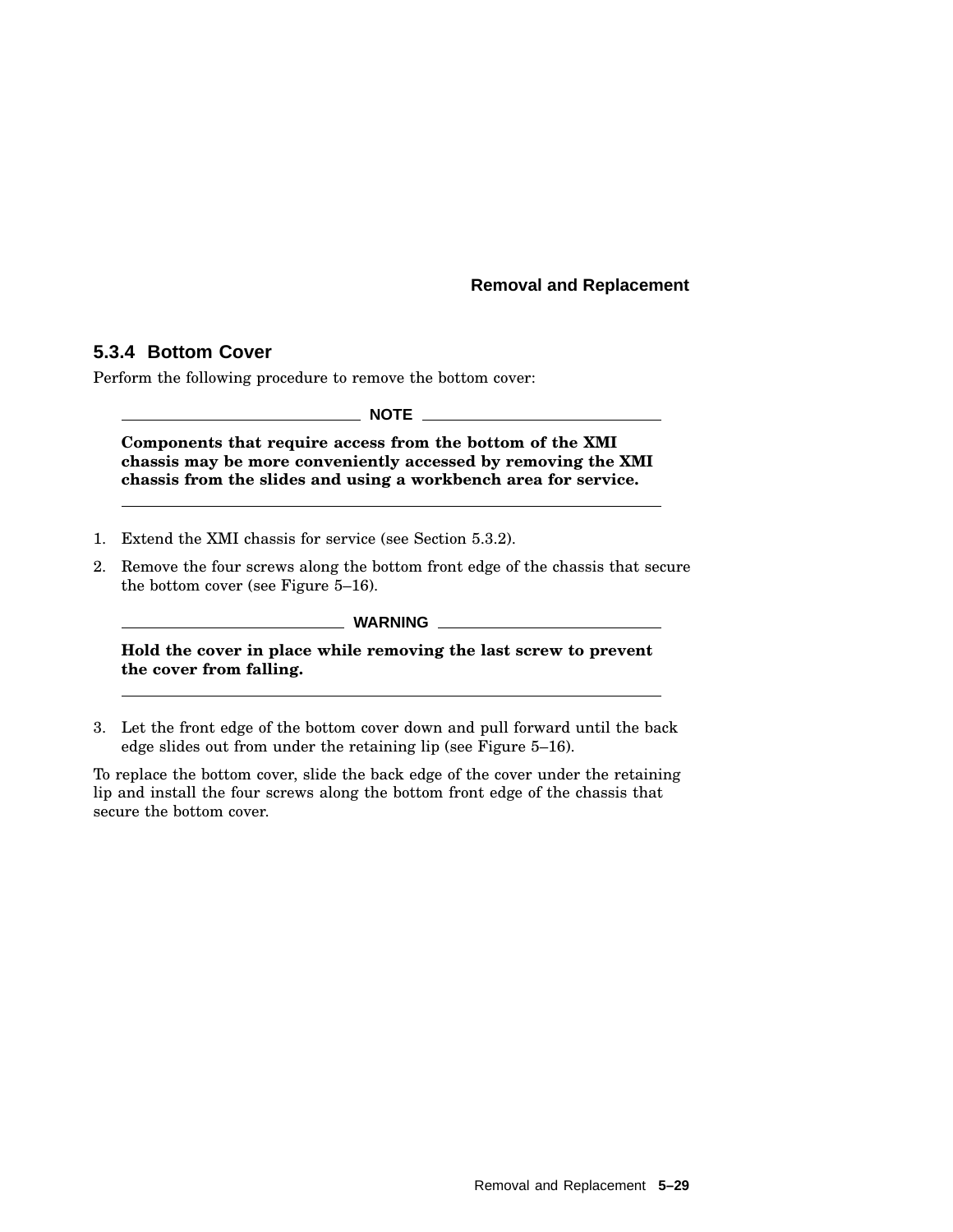## **5.3.4 Bottom Cover**

Perform the following procedure to remove the bottom cover:

**NOTE**

**Components that require access from the bottom of the XMI chassis may be more conveniently accessed by removing the XMI chassis from the slides and using a workbench area for service.**

- 1. Extend the XMI chassis for service (see Section 5.3.2).
- 2. Remove the four screws along the bottom front edge of the chassis that secure the bottom cover (see Figure 5–16).

**WARNING**

**Hold the cover in place while removing the last screw to prevent the cover from falling.**

3. Let the front edge of the bottom cover down and pull forward until the back edge slides out from under the retaining lip (see Figure 5–16).

To replace the bottom cover, slide the back edge of the cover under the retaining lip and install the four screws along the bottom front edge of the chassis that secure the bottom cover.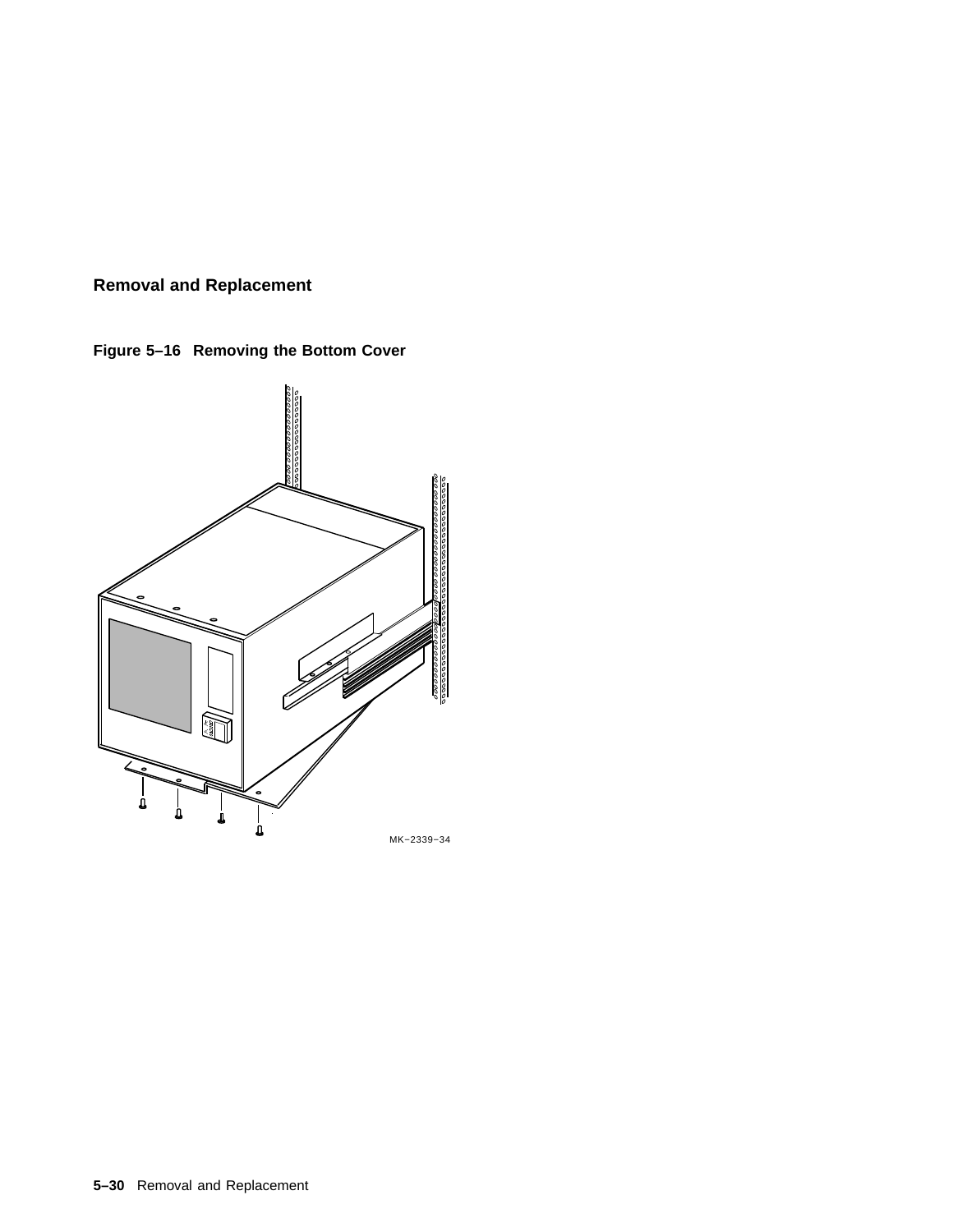**Figure 5–16 Removing the Bottom Cover**



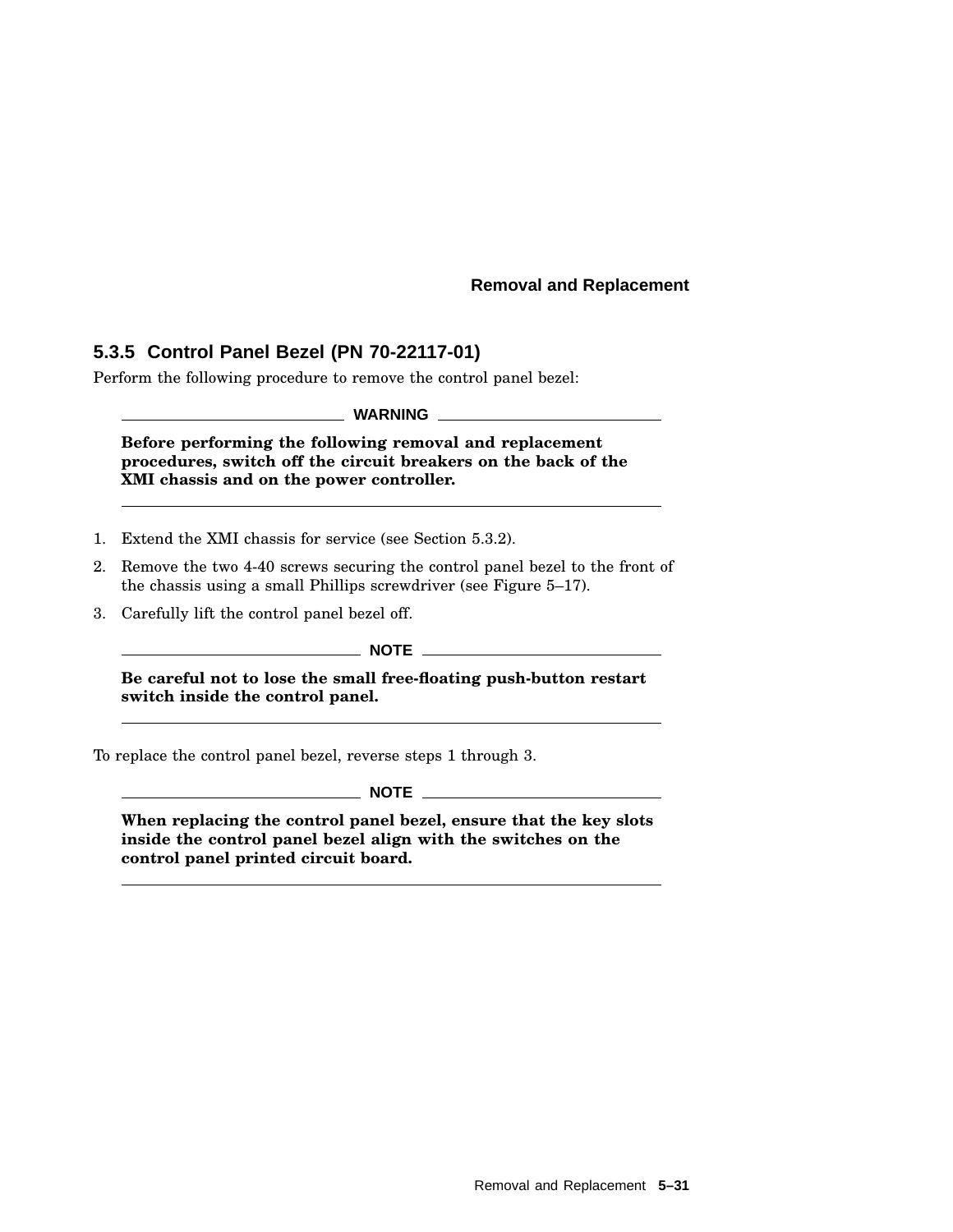# **5.3.5 Control Panel Bezel (PN 70-22117-01)**

Perform the following procedure to remove the control panel bezel:

**WARNING**

**Before performing the following removal and replacement procedures, switch off the circuit breakers on the back of the XMI chassis and on the power controller.**

- 1. Extend the XMI chassis for service (see Section 5.3.2).
- 2. Remove the two 4-40 screws securing the control panel bezel to the front of the chassis using a small Phillips screwdriver (see Figure 5–17).
- 3. Carefully lift the control panel bezel off.

**NOTE**

**Be careful not to lose the small free-floating push-button restart switch inside the control panel.**

To replace the control panel bezel, reverse steps 1 through 3.

**NOTE**

**When replacing the control panel bezel, ensure that the key slots inside the control panel bezel align with the switches on the control panel printed circuit board.**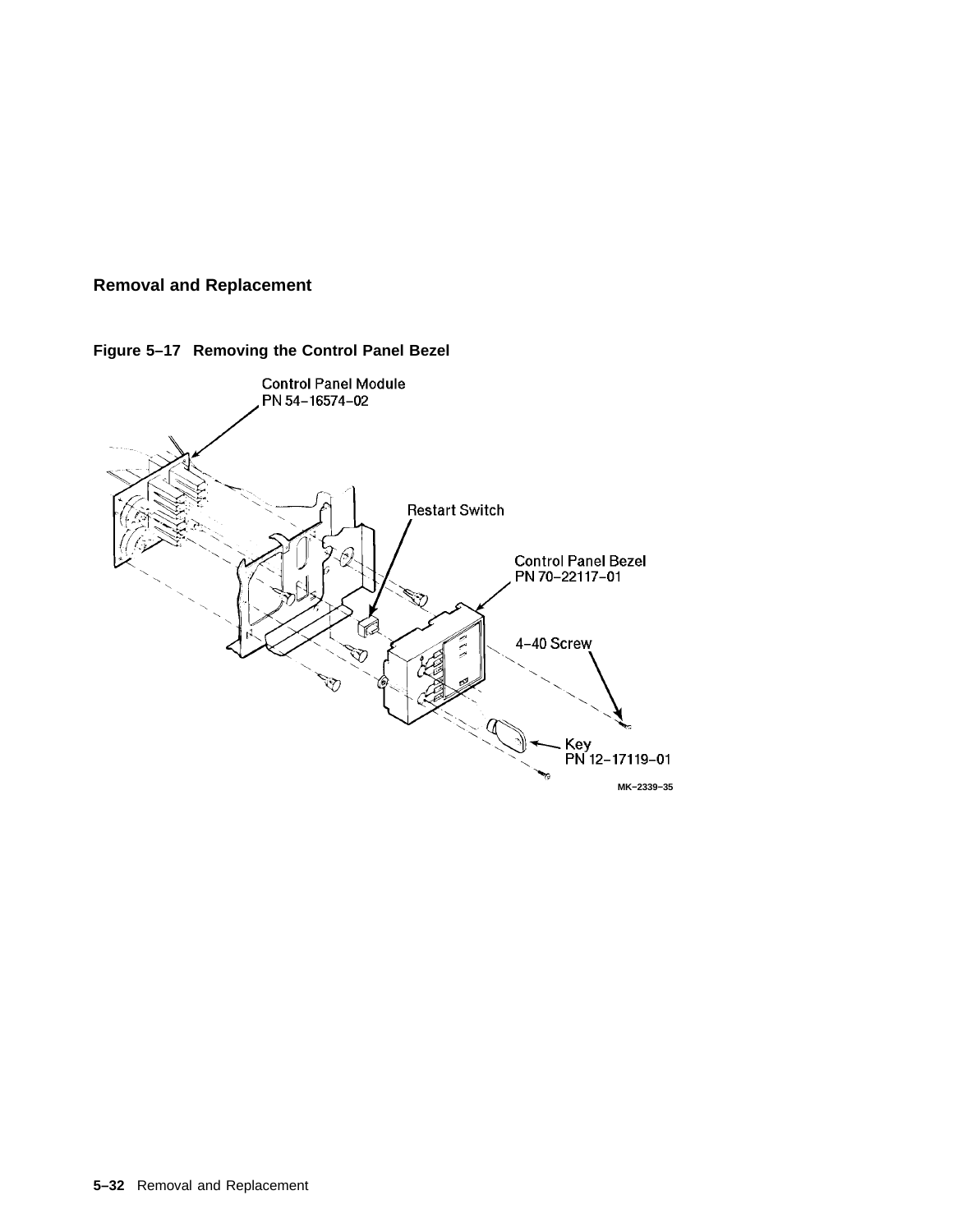



**Figure 5–17 Removing the Control Panel Bezel**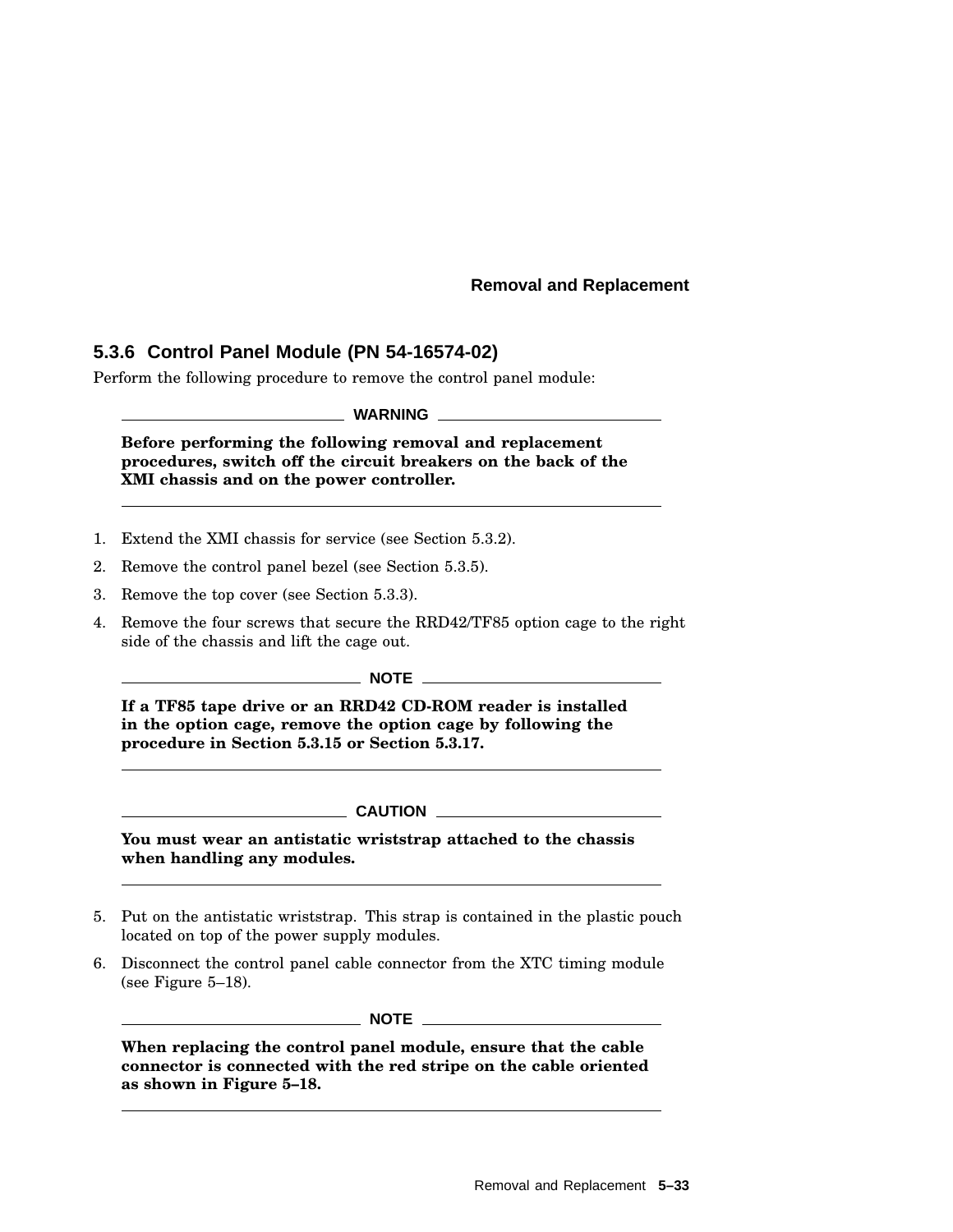## **5.3.6 Control Panel Module (PN 54-16574-02)**

Perform the following procedure to remove the control panel module:

**WARNING**

**Before performing the following removal and replacement procedures, switch off the circuit breakers on the back of the XMI chassis and on the power controller.**

- 1. Extend the XMI chassis for service (see Section 5.3.2).
- 2. Remove the control panel bezel (see Section 5.3.5).
- 3. Remove the top cover (see Section 5.3.3).
- 4. Remove the four screws that secure the RRD42/TF85 option cage to the right side of the chassis and lift the cage out.

**NOTE**

**If a TF85 tape drive or an RRD42 CD-ROM reader is installed in the option cage, remove the option cage by following the procedure in Section 5.3.15 or Section 5.3.17.**

**CAUTION** \_\_\_\_\_\_\_\_\_

**You must wear an antistatic wriststrap attached to the chassis when handling any modules.**

- 5. Put on the antistatic wriststrap. This strap is contained in the plastic pouch located on top of the power supply modules.
- 6. Disconnect the control panel cable connector from the XTC timing module (see Figure 5–18).

**NOTE** \_\_\_

**When replacing the control panel module, ensure that the cable connector is connected with the red stripe on the cable oriented as shown in Figure 5–18.**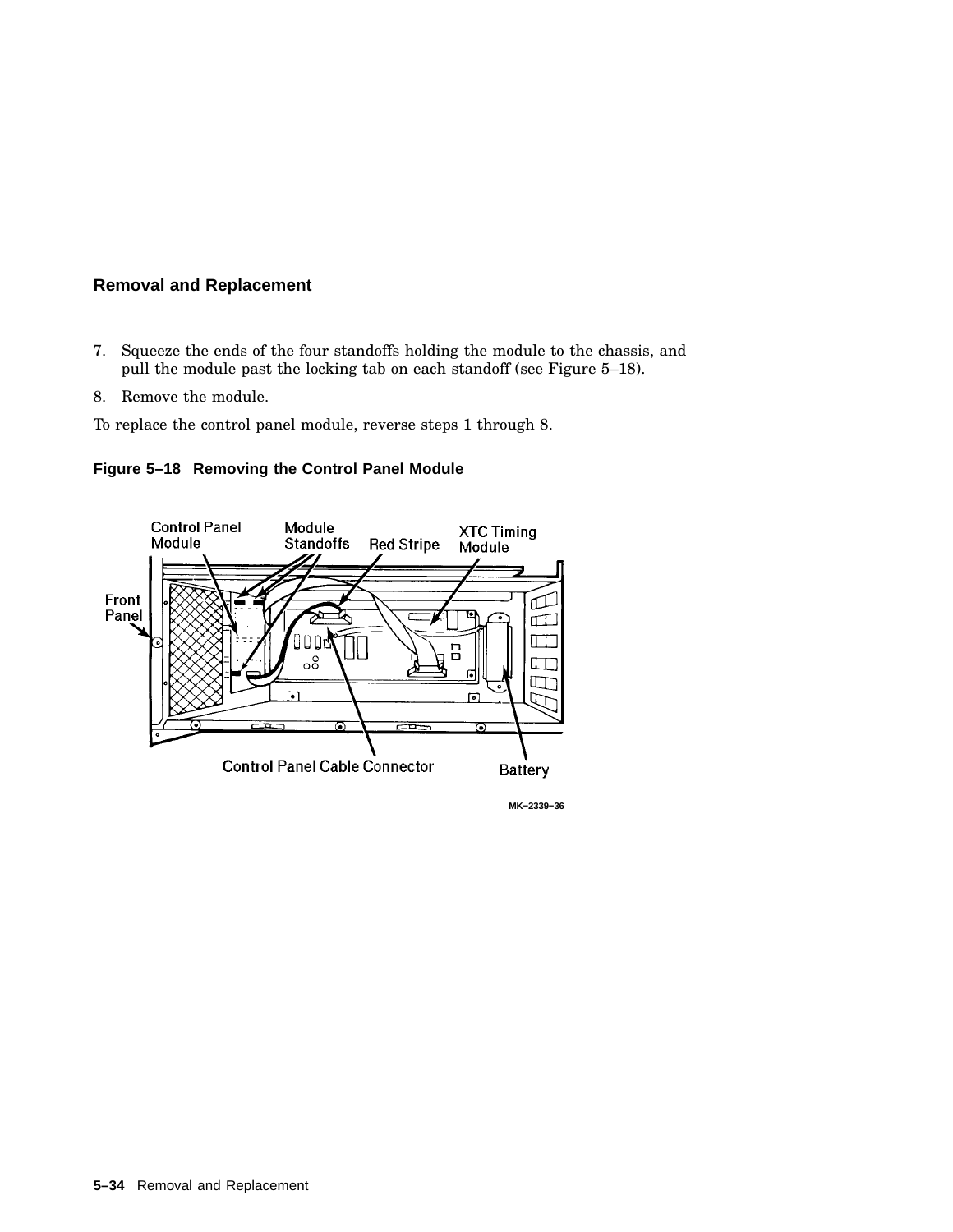- 7. Squeeze the ends of the four standoffs holding the module to the chassis, and pull the module past the locking tab on each standoff (see Figure 5–18).
- 8. Remove the module.

To replace the control panel module, reverse steps 1 through 8.

**Figure 5–18 Removing the Control Panel Module**



**MK−2339−36**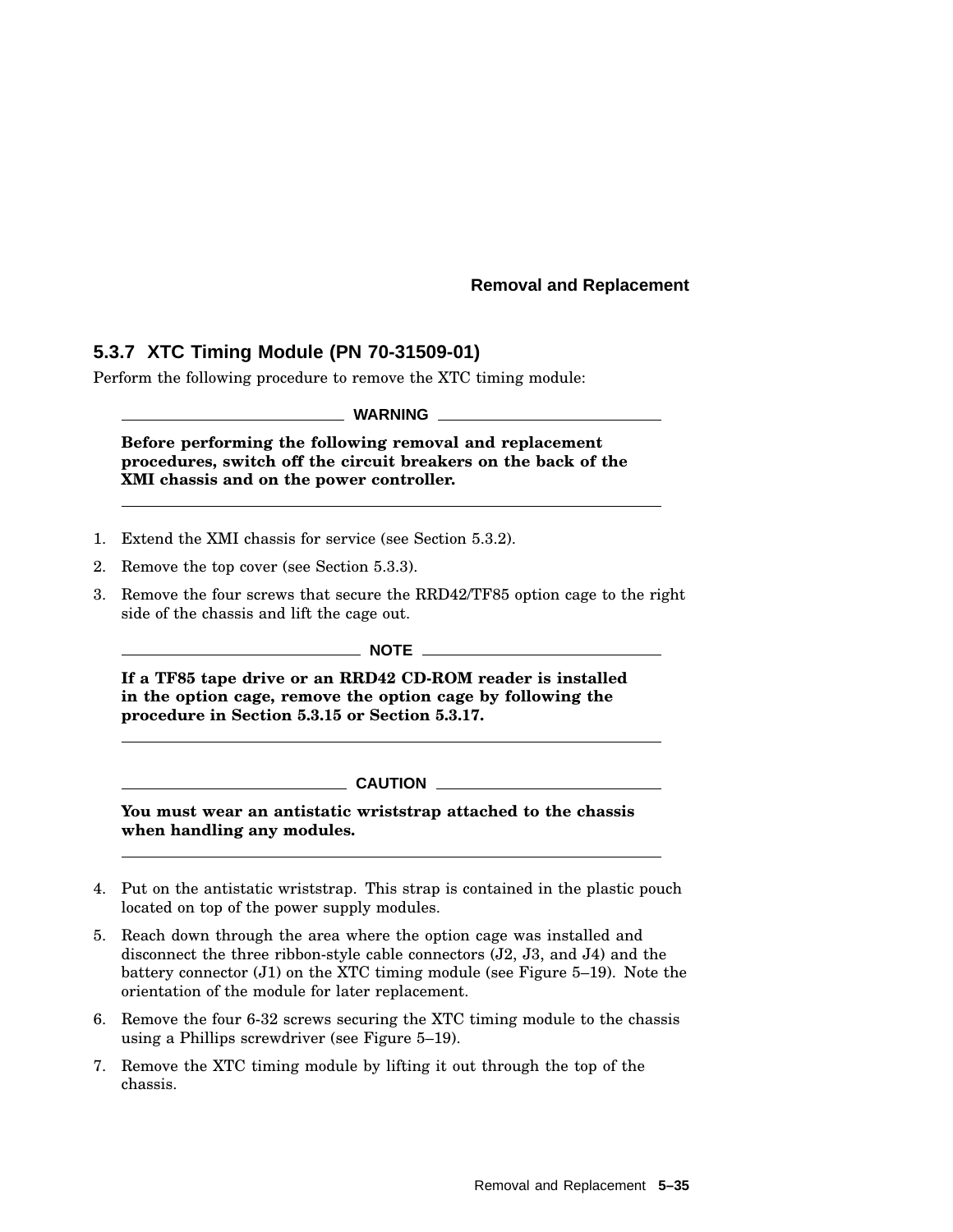# **5.3.7 XTC Timing Module (PN 70-31509-01)**

Perform the following procedure to remove the XTC timing module:

**WARNING**

**Before performing the following removal and replacement procedures, switch off the circuit breakers on the back of the XMI chassis and on the power controller.**

- 1. Extend the XMI chassis for service (see Section 5.3.2).
- 2. Remove the top cover (see Section 5.3.3).
- 3. Remove the four screws that secure the RRD42/TF85 option cage to the right side of the chassis and lift the cage out.

 $\_$  NOTE  $\_$ 

**If a TF85 tape drive or an RRD42 CD-ROM reader is installed in the option cage, remove the option cage by following the procedure in Section 5.3.15 or Section 5.3.17.**

**CAUTION**

**You must wear an antistatic wriststrap attached to the chassis when handling any modules.**

- 4. Put on the antistatic wriststrap. This strap is contained in the plastic pouch located on top of the power supply modules.
- 5. Reach down through the area where the option cage was installed and disconnect the three ribbon-style cable connectors (J2, J3, and J4) and the battery connector  $(J1)$  on the XTC timing module (see Figure 5–19). Note the orientation of the module for later replacement.
- 6. Remove the four 6-32 screws securing the XTC timing module to the chassis using a Phillips screwdriver (see Figure 5–19).
- 7. Remove the XTC timing module by lifting it out through the top of the chassis.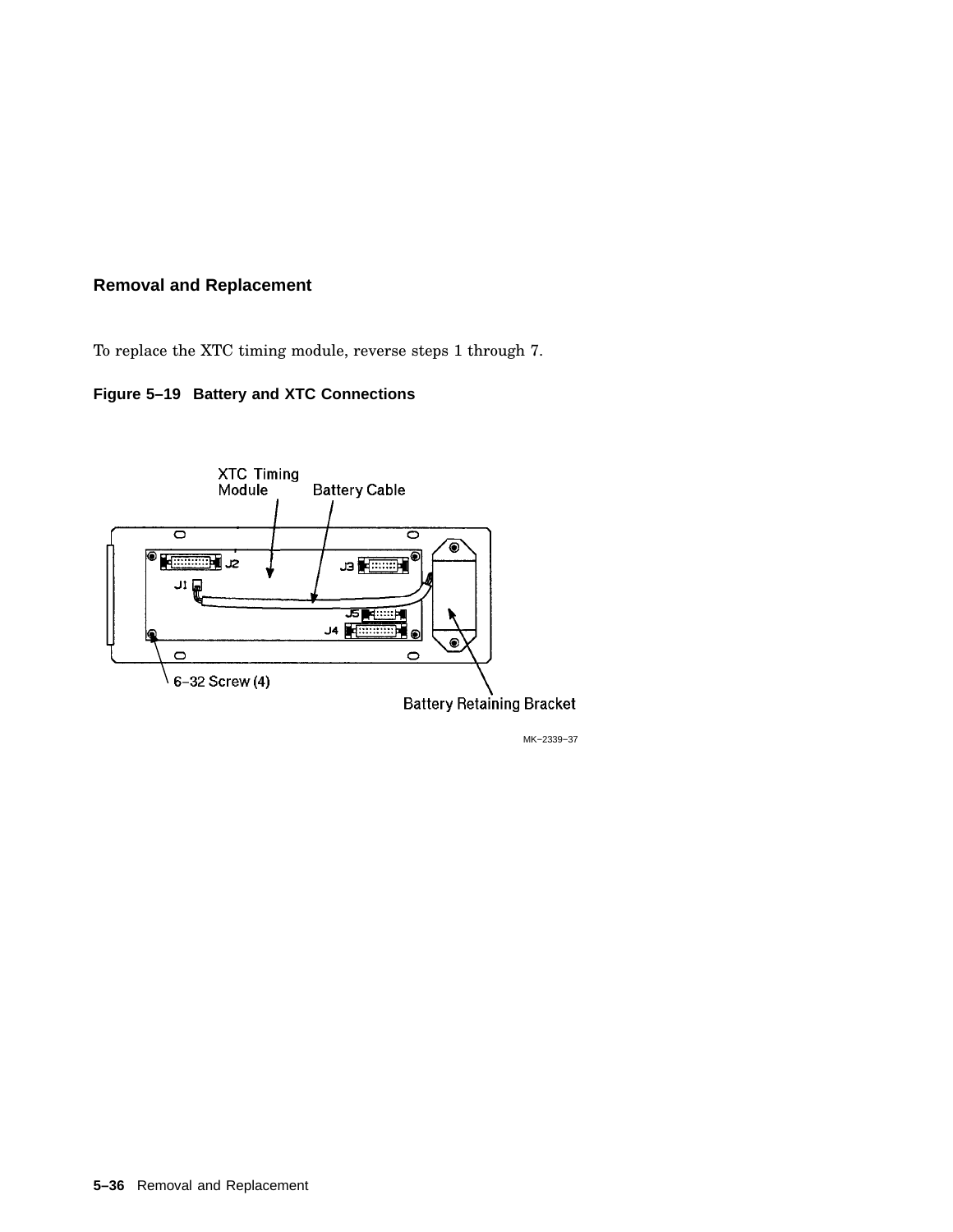To replace the XTC timing module, reverse steps 1 through 7.

# **Figure 5–19 Battery and XTC Connections**



MK−2339−37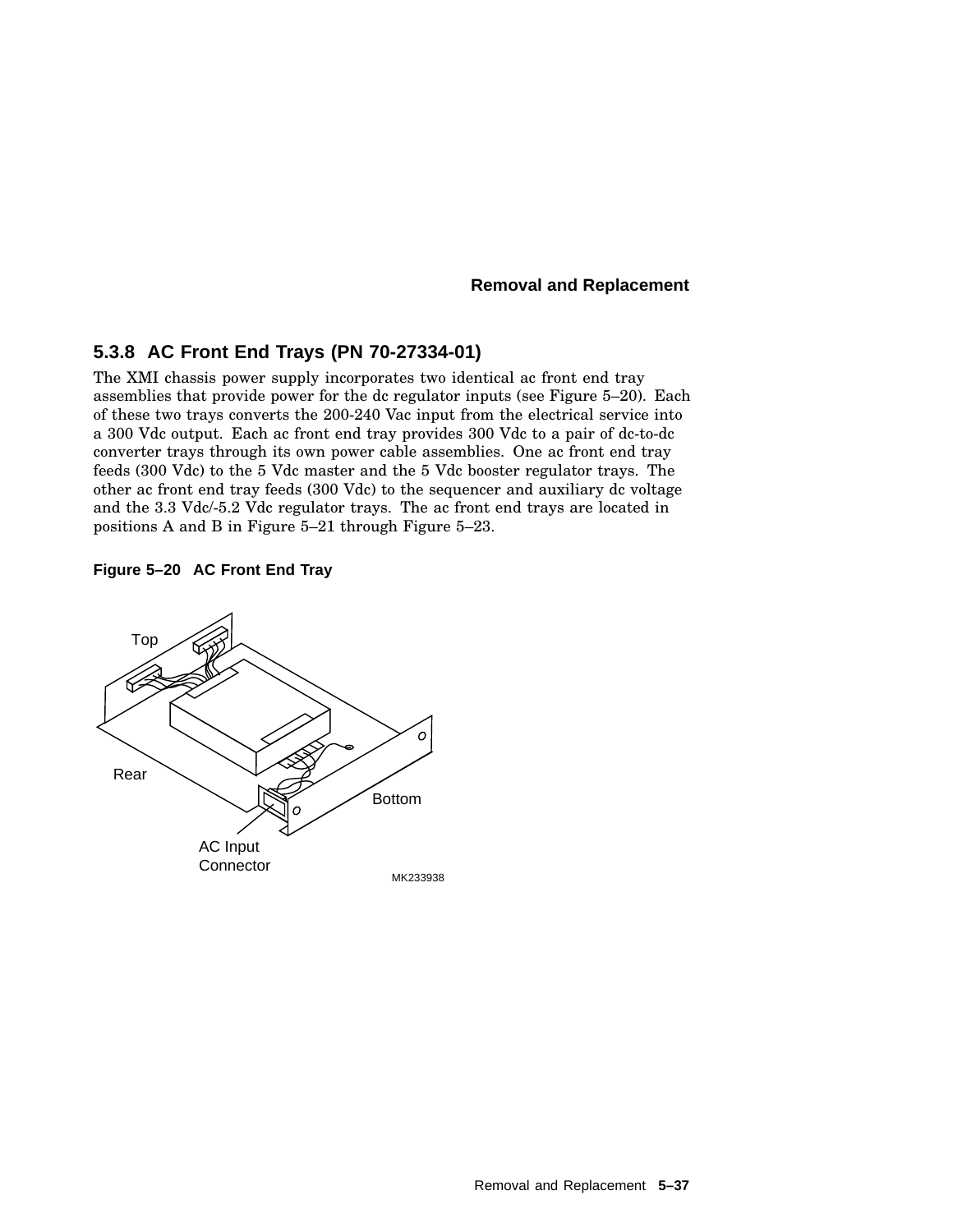## **5.3.8 AC Front End Trays (PN 70-27334-01)**

The XMI chassis power supply incorporates two identical ac front end tray assemblies that provide power for the dc regulator inputs (see Figure 5–20). Each of these two trays converts the 200-240 Vac input from the electrical service into a 300 Vdc output. Each ac front end tray provides 300 Vdc to a pair of dc-to-dc converter trays through its own power cable assemblies. One ac front end tray feeds (300 Vdc) to the 5 Vdc master and the 5 Vdc booster regulator trays. The other ac front end tray feeds (300 Vdc) to the sequencer and auxiliary dc voltage and the 3.3 Vdc/-5.2 Vdc regulator trays. The ac front end trays are located in positions A and B in Figure 5–21 through Figure 5–23.

### **Figure 5–20 AC Front End Tray**

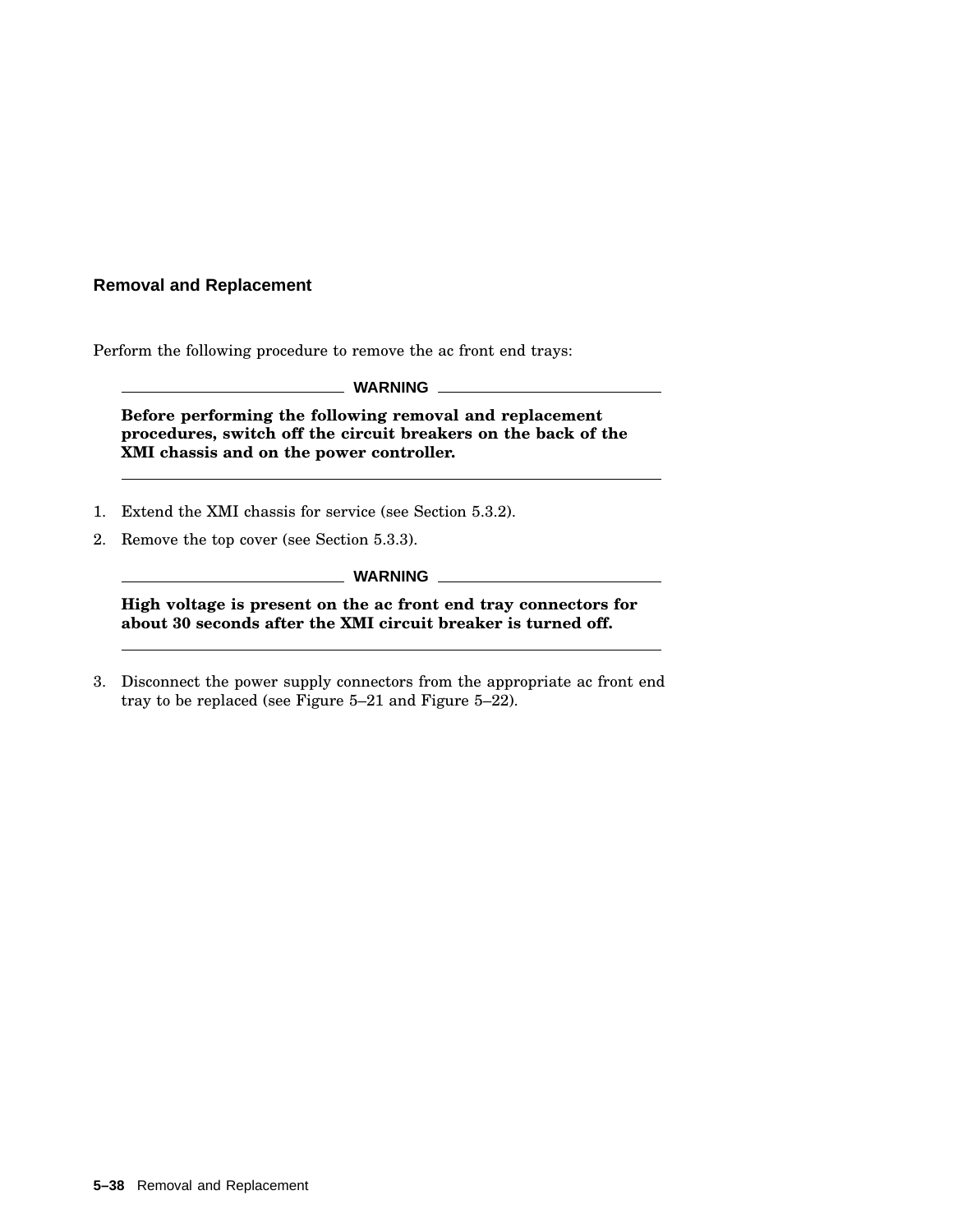Perform the following procedure to remove the ac front end trays:

**WARNING**

**Before performing the following removal and replacement procedures, switch off the circuit breakers on the back of the XMI chassis and on the power controller.**

- 1. Extend the XMI chassis for service (see Section 5.3.2).
- 2. Remove the top cover (see Section 5.3.3).

**WARNING**

**High voltage is present on the ac front end tray connectors for about 30 seconds after the XMI circuit breaker is turned off.**

3. Disconnect the power supply connectors from the appropriate ac front end tray to be replaced (see Figure 5–21 and Figure 5–22).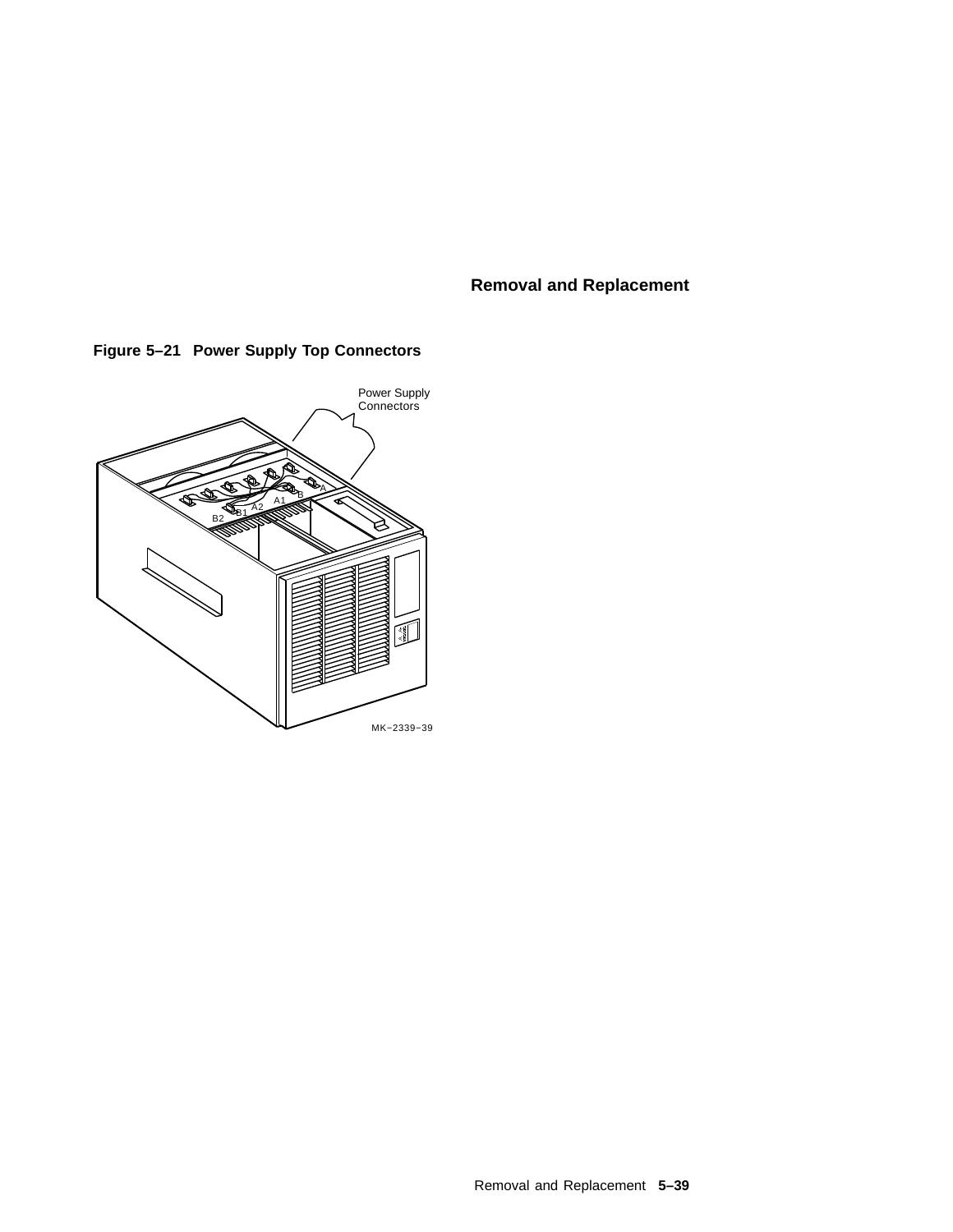

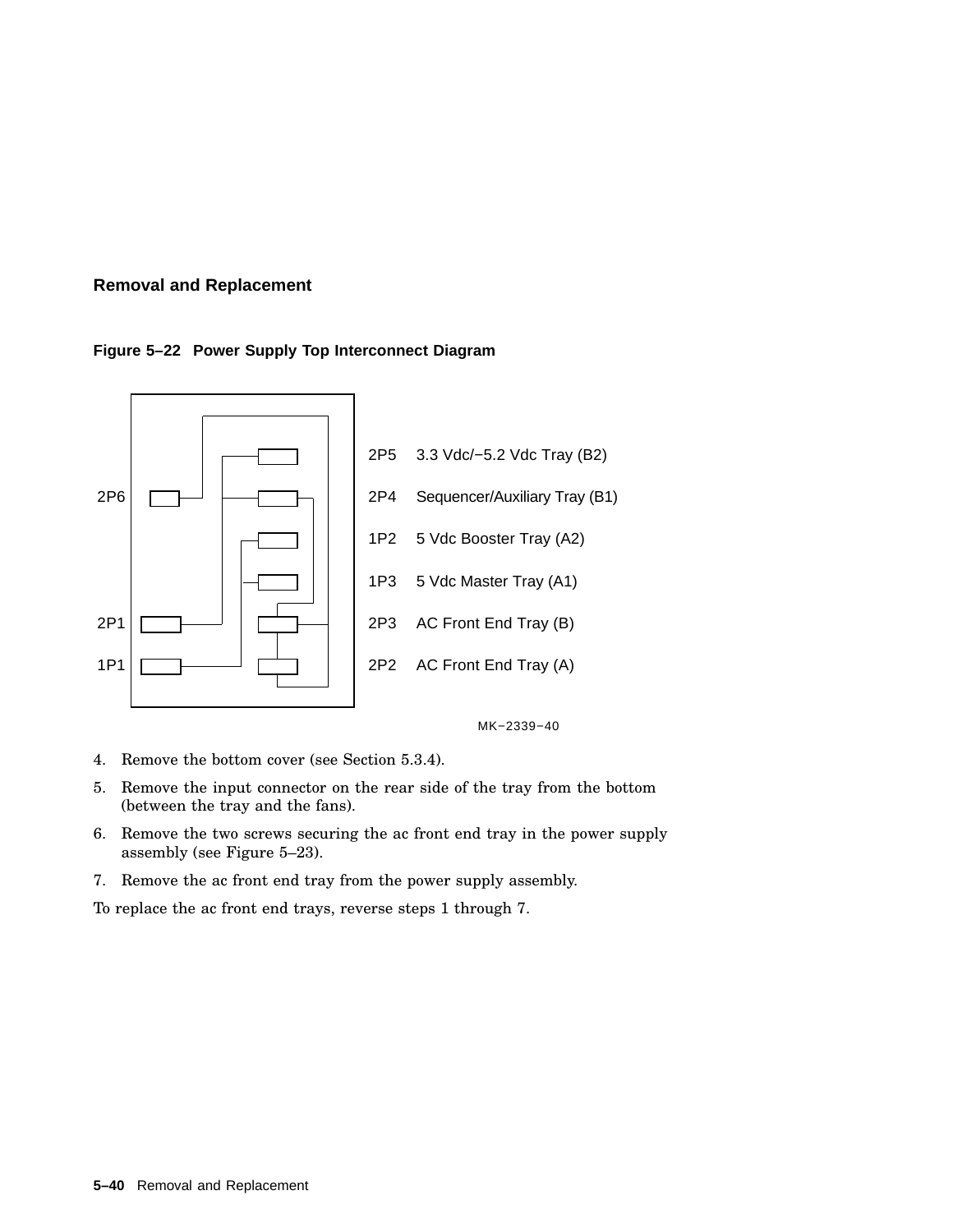### **Figure 5–22 Power Supply Top Interconnect Diagram**





- 4. Remove the bottom cover (see Section 5.3.4).
- 5. Remove the input connector on the rear side of the tray from the bottom (between the tray and the fans).
- 6. Remove the two screws securing the ac front end tray in the power supply assembly (see Figure 5–23).
- 7. Remove the ac front end tray from the power supply assembly.

To replace the ac front end trays, reverse steps 1 through 7.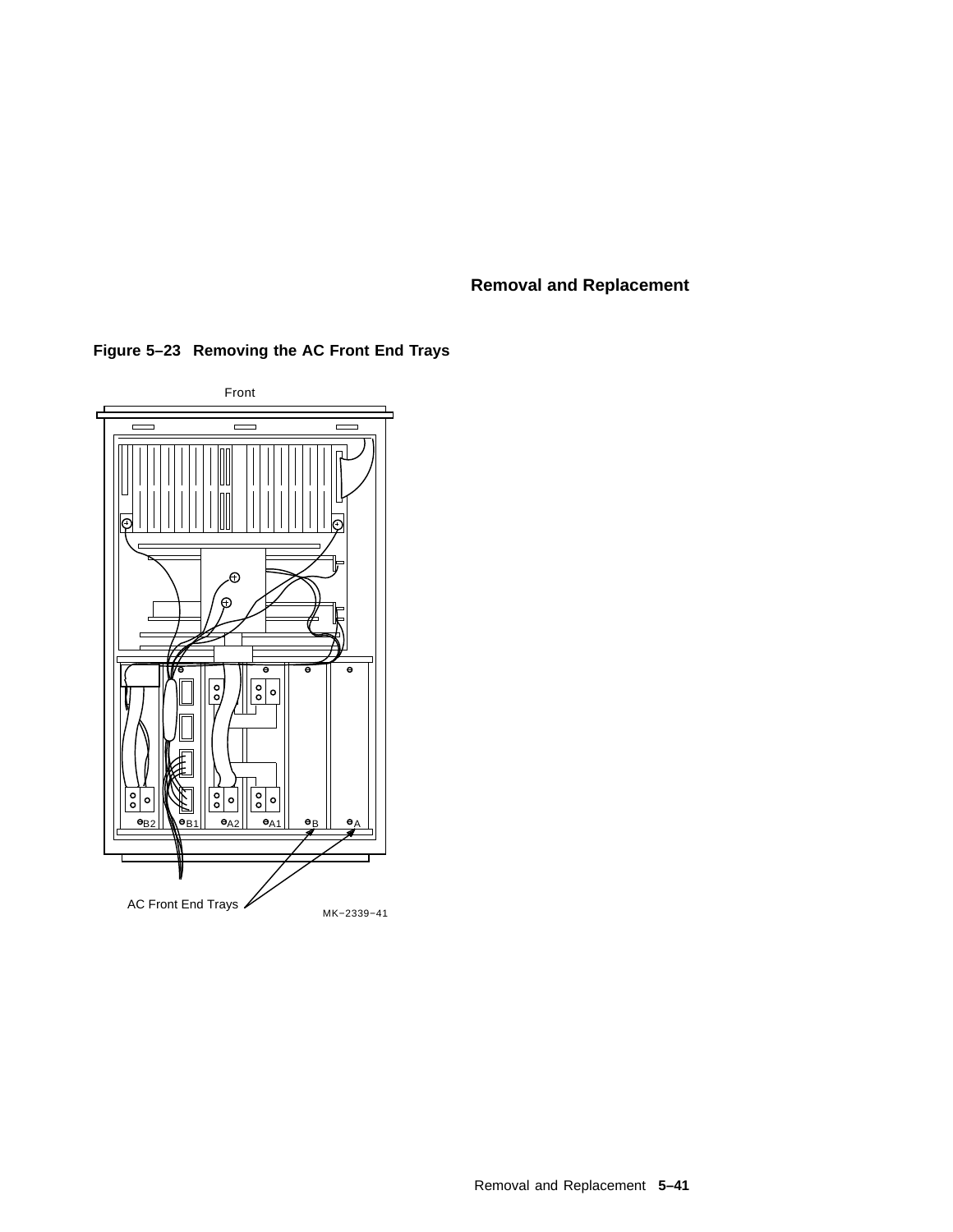

**Figure 5–23 Removing the AC Front End Trays**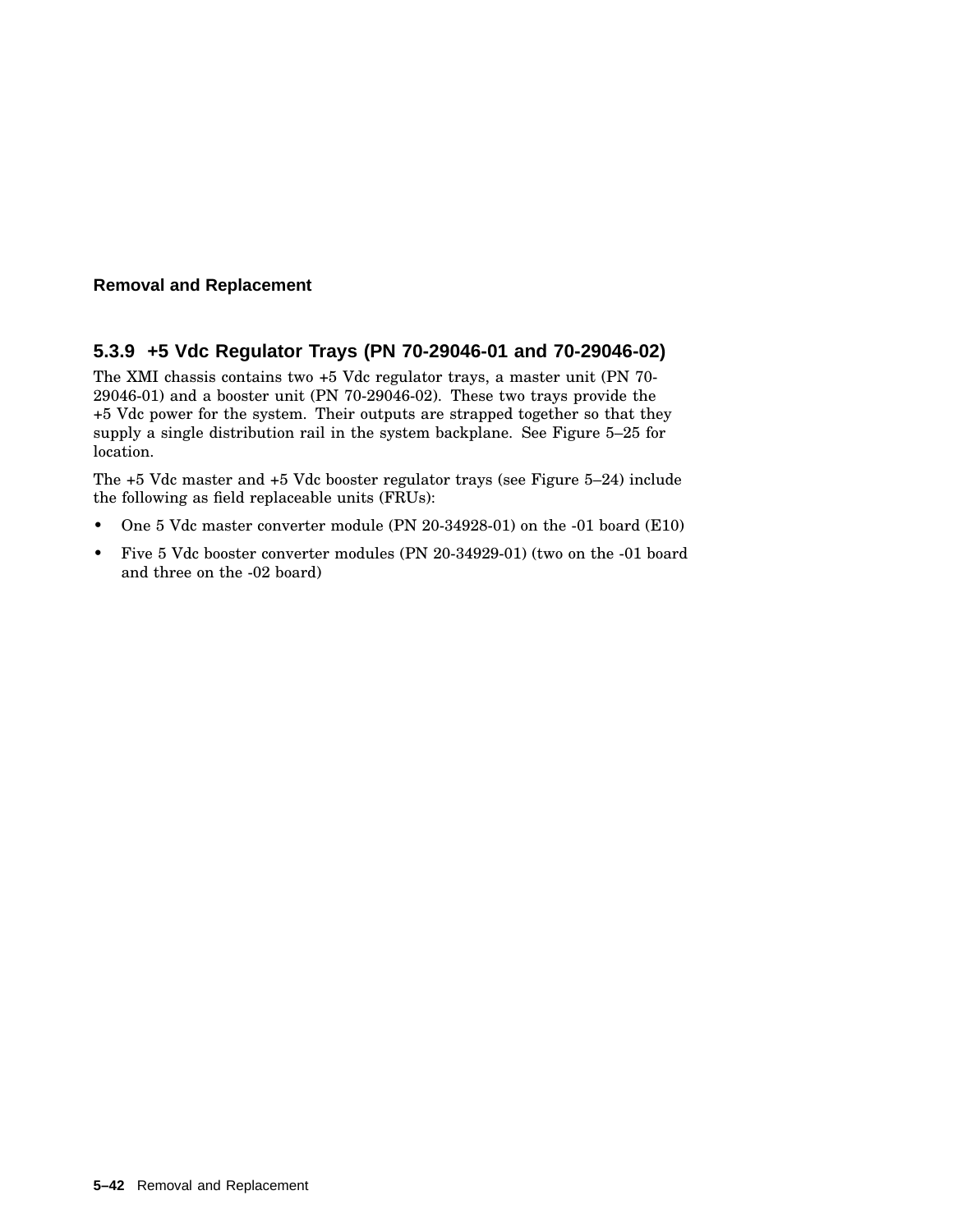## **5.3.9 +5 Vdc Regulator Trays (PN 70-29046-01 and 70-29046-02)**

The XMI chassis contains two +5 Vdc regulator trays, a master unit (PN 70- 29046-01) and a booster unit (PN 70-29046-02). These two trays provide the +5 Vdc power for the system. Their outputs are strapped together so that they supply a single distribution rail in the system backplane. See Figure 5–25 for location.

The +5 Vdc master and +5 Vdc booster regulator trays (see Figure 5–24) include the following as field replaceable units (FRUs):

- One 5 Vdc master converter module (PN 20-34928-01) on the -01 board (E10)
- Five 5 Vdc booster converter modules (PN 20-34929-01) (two on the -01 board and three on the -02 board)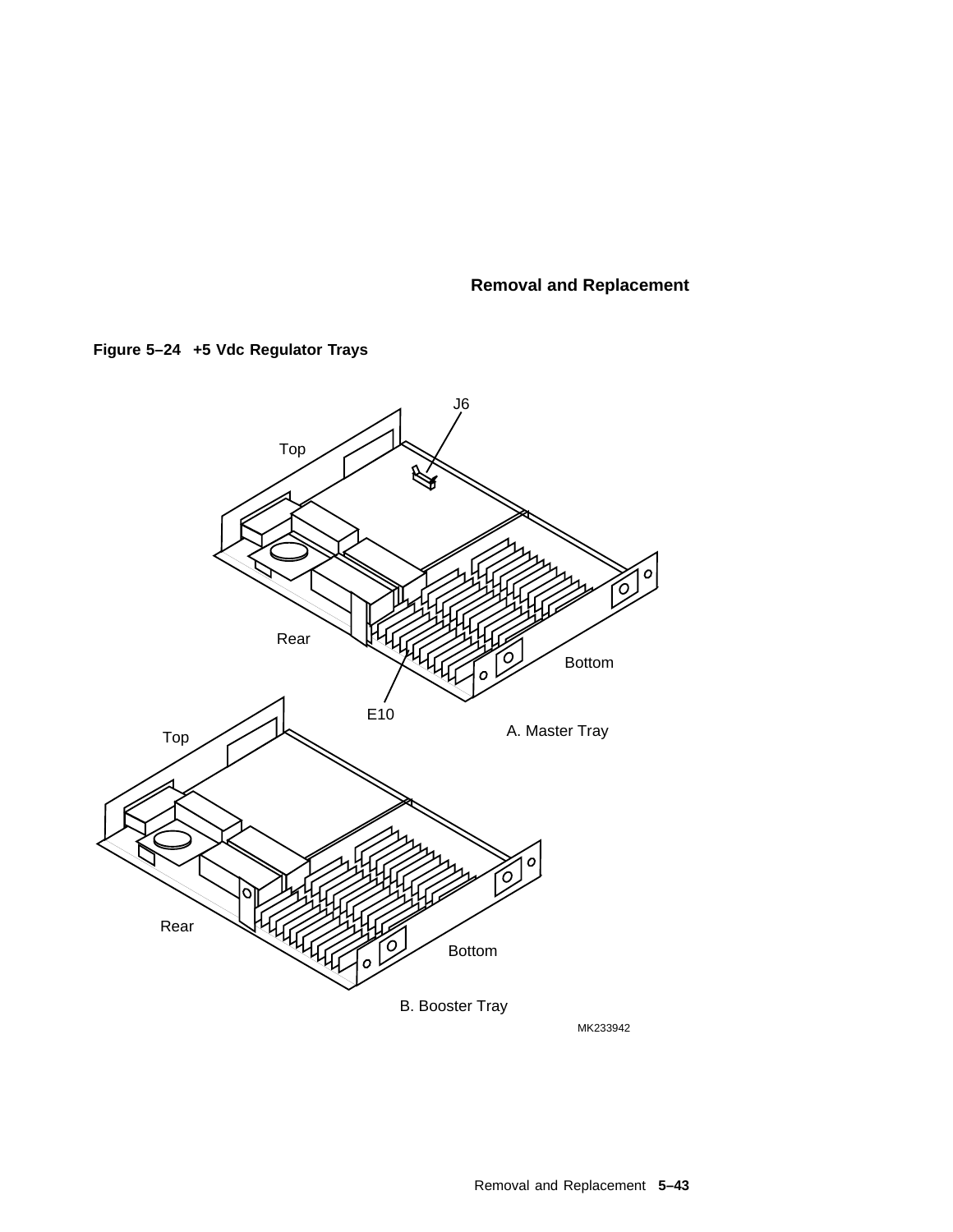



MK233942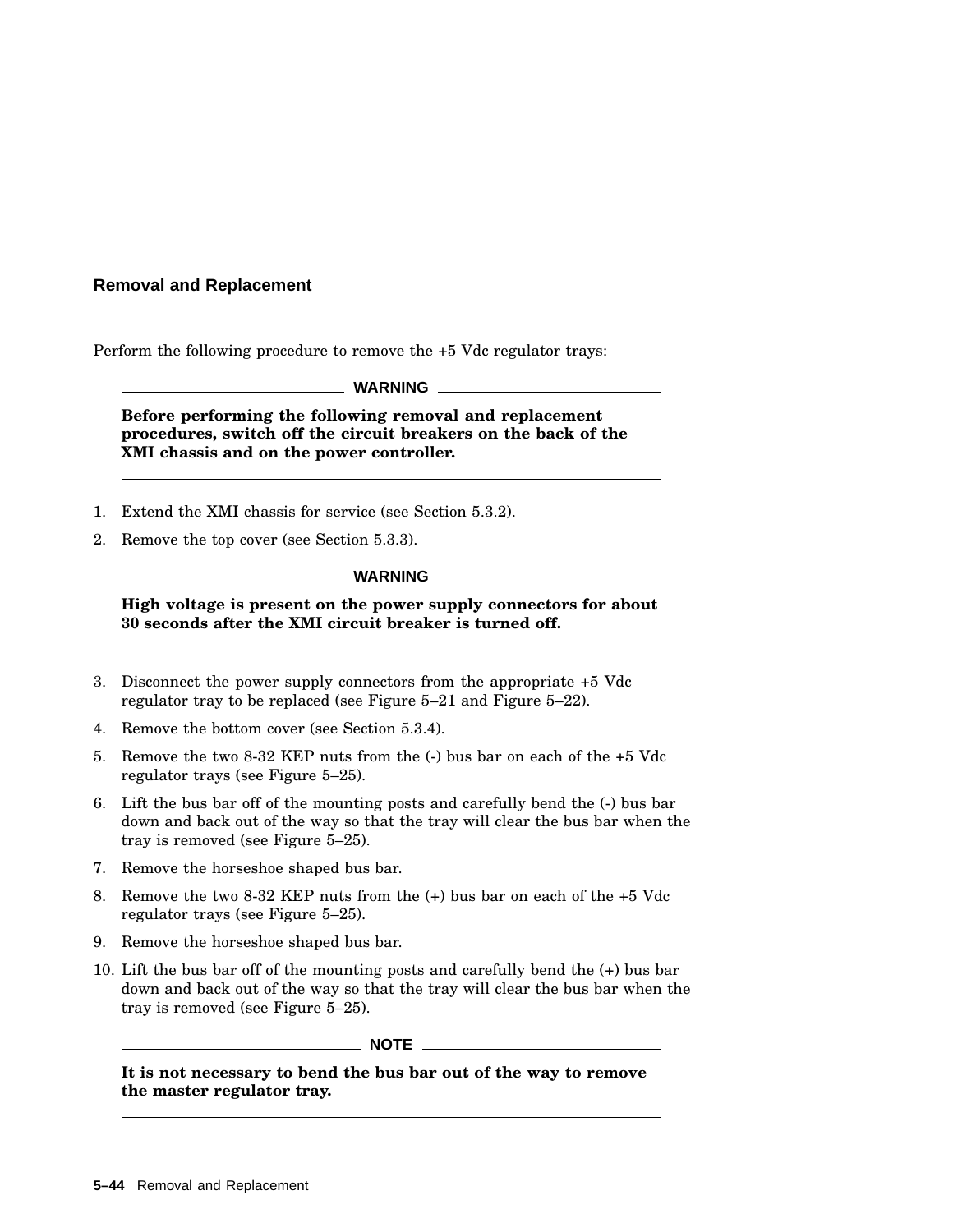Perform the following procedure to remove the +5 Vdc regulator trays:

**WARNING**

**Before performing the following removal and replacement procedures, switch off the circuit breakers on the back of the XMI chassis and on the power controller.**

- 1. Extend the XMI chassis for service (see Section 5.3.2).
- 2. Remove the top cover (see Section 5.3.3).

**WARNING**

**High voltage is present on the power supply connectors for about 30 seconds after the XMI circuit breaker is turned off.**

- 3. Disconnect the power supply connectors from the appropriate +5 Vdc regulator tray to be replaced (see Figure 5–21 and Figure 5–22).
- 4. Remove the bottom cover (see Section 5.3.4).
- 5. Remove the two 8-32 KEP nuts from the (-) bus bar on each of the +5 Vdc regulator trays (see Figure 5–25).
- 6. Lift the bus bar off of the mounting posts and carefully bend the (-) bus bar down and back out of the way so that the tray will clear the bus bar when the tray is removed (see Figure 5–25).
- 7. Remove the horseshoe shaped bus bar.
- 8. Remove the two 8-32 KEP nuts from the (+) bus bar on each of the +5 Vdc regulator trays (see Figure 5–25).
- 9. Remove the horseshoe shaped bus bar.
- 10. Lift the bus bar off of the mounting posts and carefully bend the (+) bus bar down and back out of the way so that the tray will clear the bus bar when the tray is removed (see Figure 5–25).

 $\_$  NOTE  $\_$ 

**It is not necessary to bend the bus bar out of the way to remove the master regulator tray.**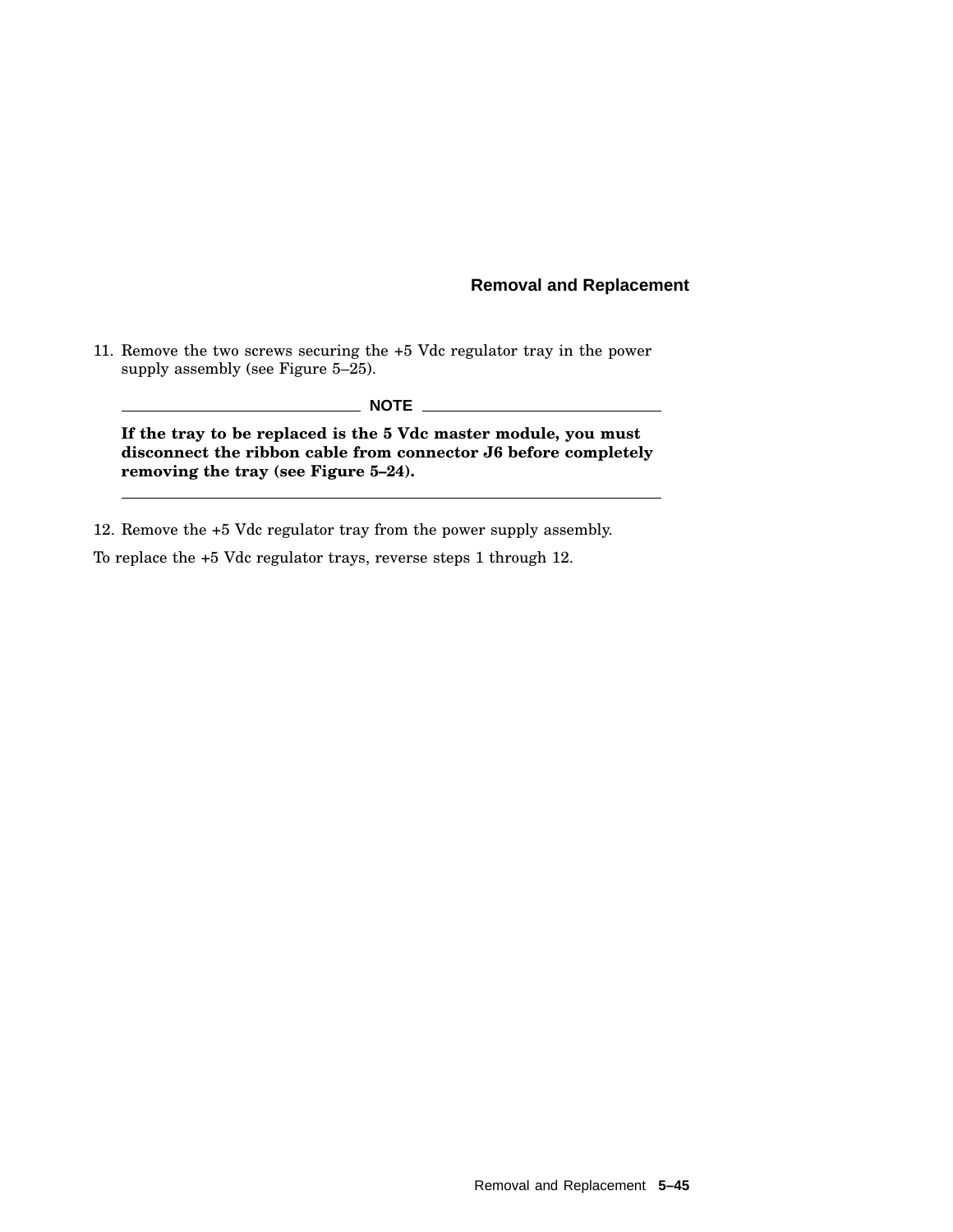11. Remove the two screws securing the +5 Vdc regulator tray in the power supply assembly (see Figure 5–25).

#### **NOTE**

**If the tray to be replaced is the 5 Vdc master module, you must disconnect the ribbon cable from connector J6 before completely removing the tray (see Figure 5–24).**

12. Remove the +5 Vdc regulator tray from the power supply assembly.

To replace the +5 Vdc regulator trays, reverse steps 1 through 12.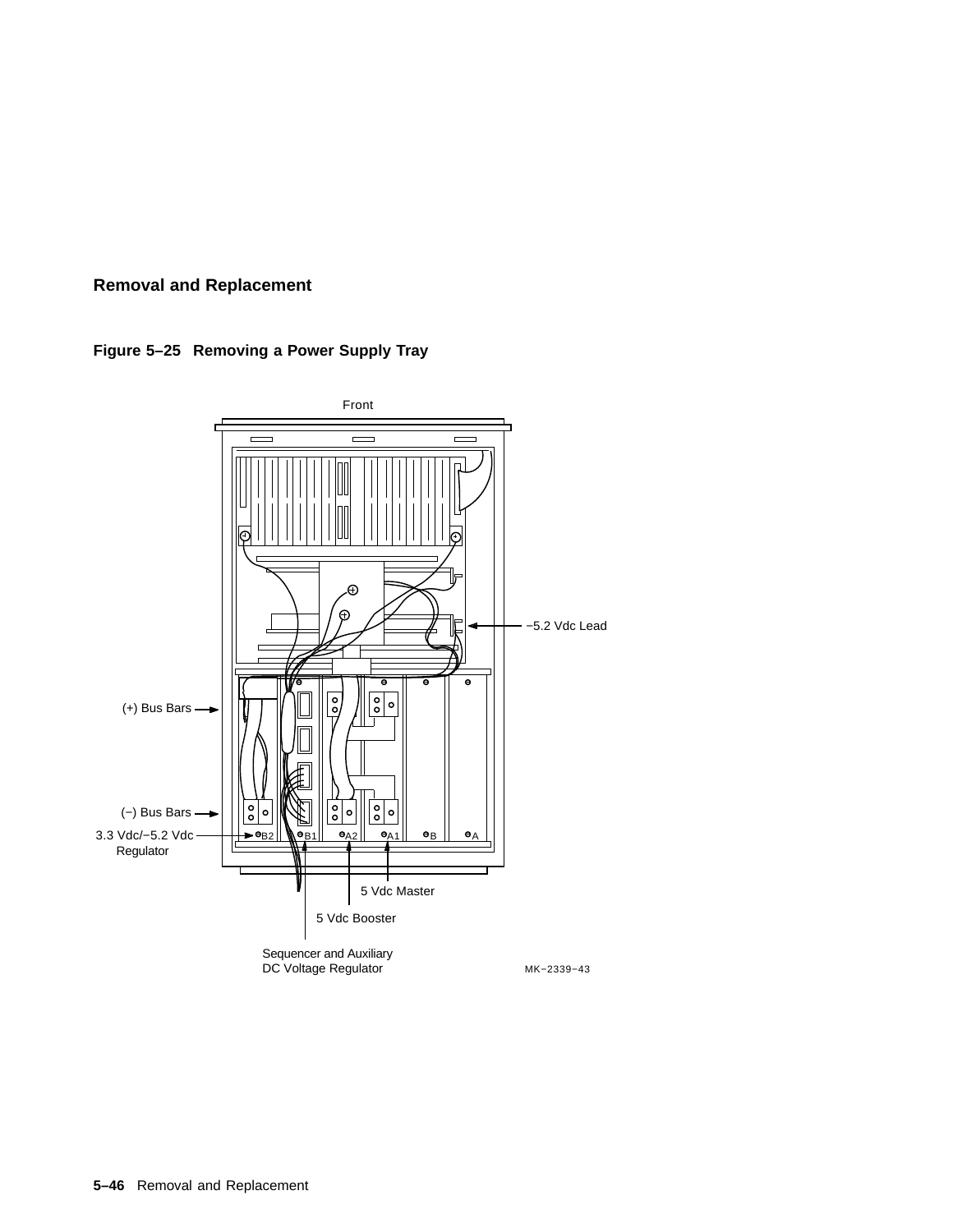

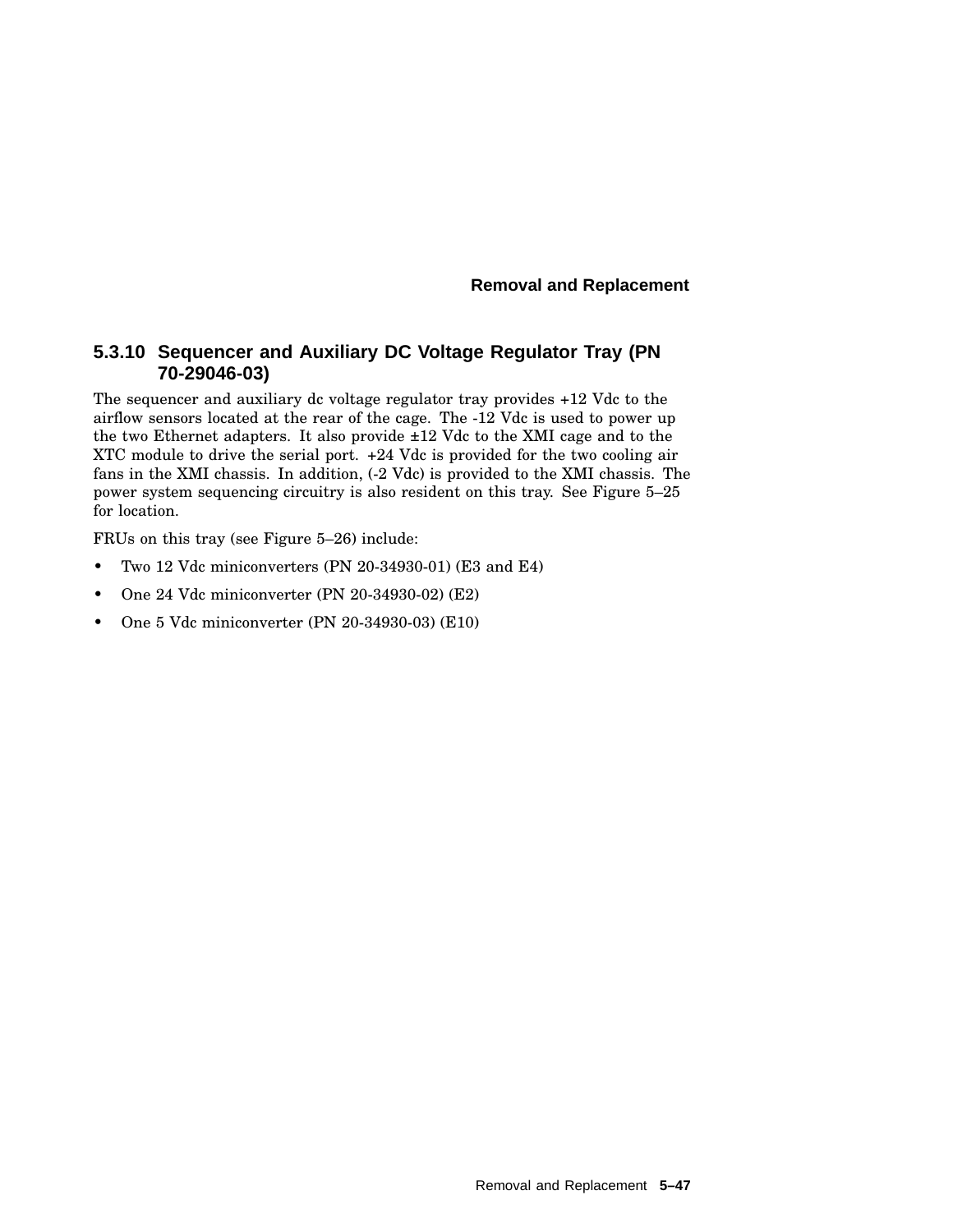## **5.3.10 Sequencer and Auxiliary DC Voltage Regulator Tray (PN 70-29046-03)**

The sequencer and auxiliary dc voltage regulator tray provides +12 Vdc to the airflow sensors located at the rear of the cage. The -12 Vdc is used to power up the two Ethernet adapters. It also provide ±12 Vdc to the XMI cage and to the XTC module to drive the serial port. +24 Vdc is provided for the two cooling air fans in the XMI chassis. In addition, (-2 Vdc) is provided to the XMI chassis. The power system sequencing circuitry is also resident on this tray. See Figure 5–25 for location.

FRUs on this tray (see Figure 5–26) include:

- Two 12 Vdc miniconverters (PN 20-34930-01) (E3 and E4)
- One 24 Vdc miniconverter (PN 20-34930-02) (E2)
- One 5 Vdc miniconverter (PN 20-34930-03) (E10)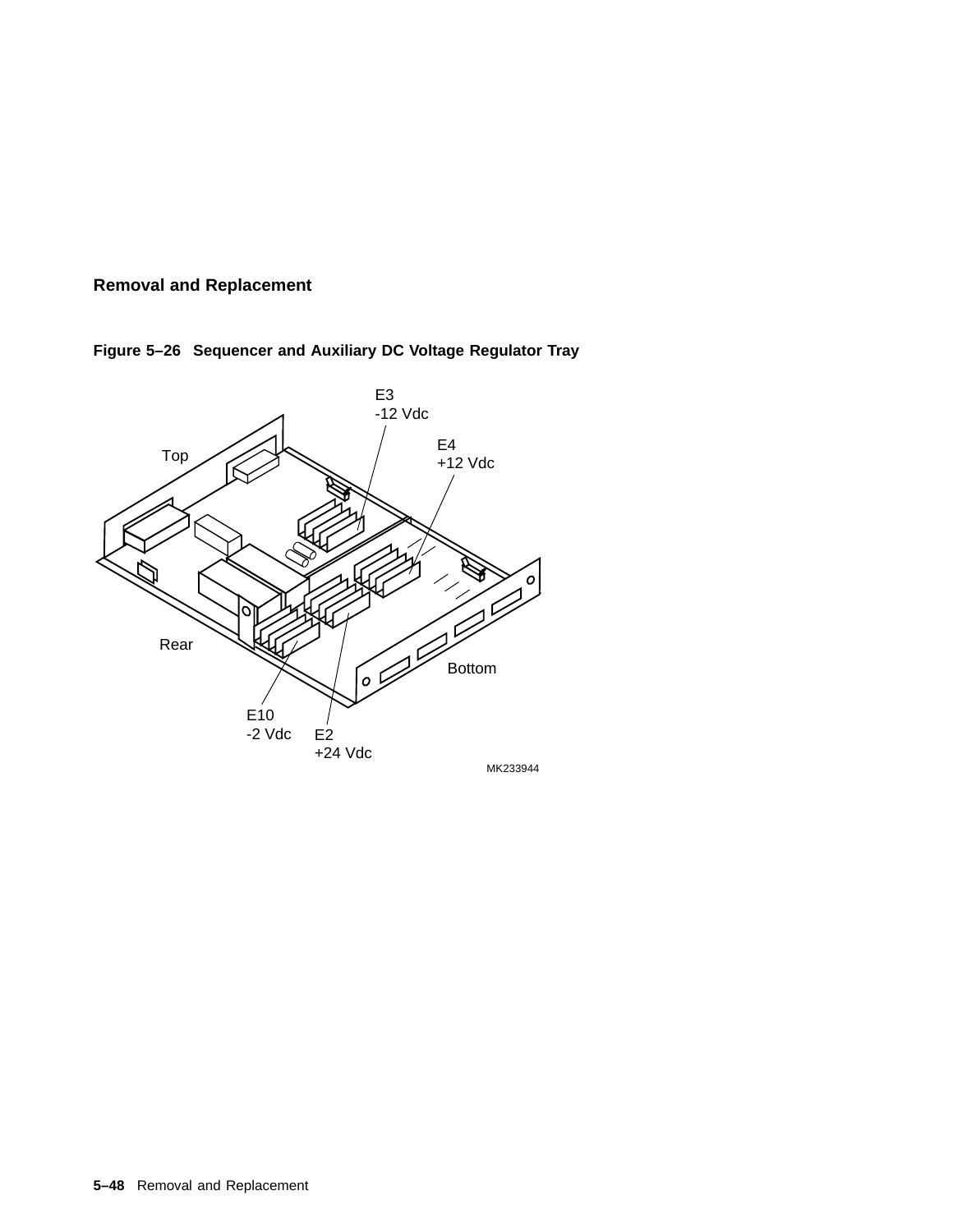

**Figure 5–26 Sequencer and Auxiliary DC Voltage Regulator Tray**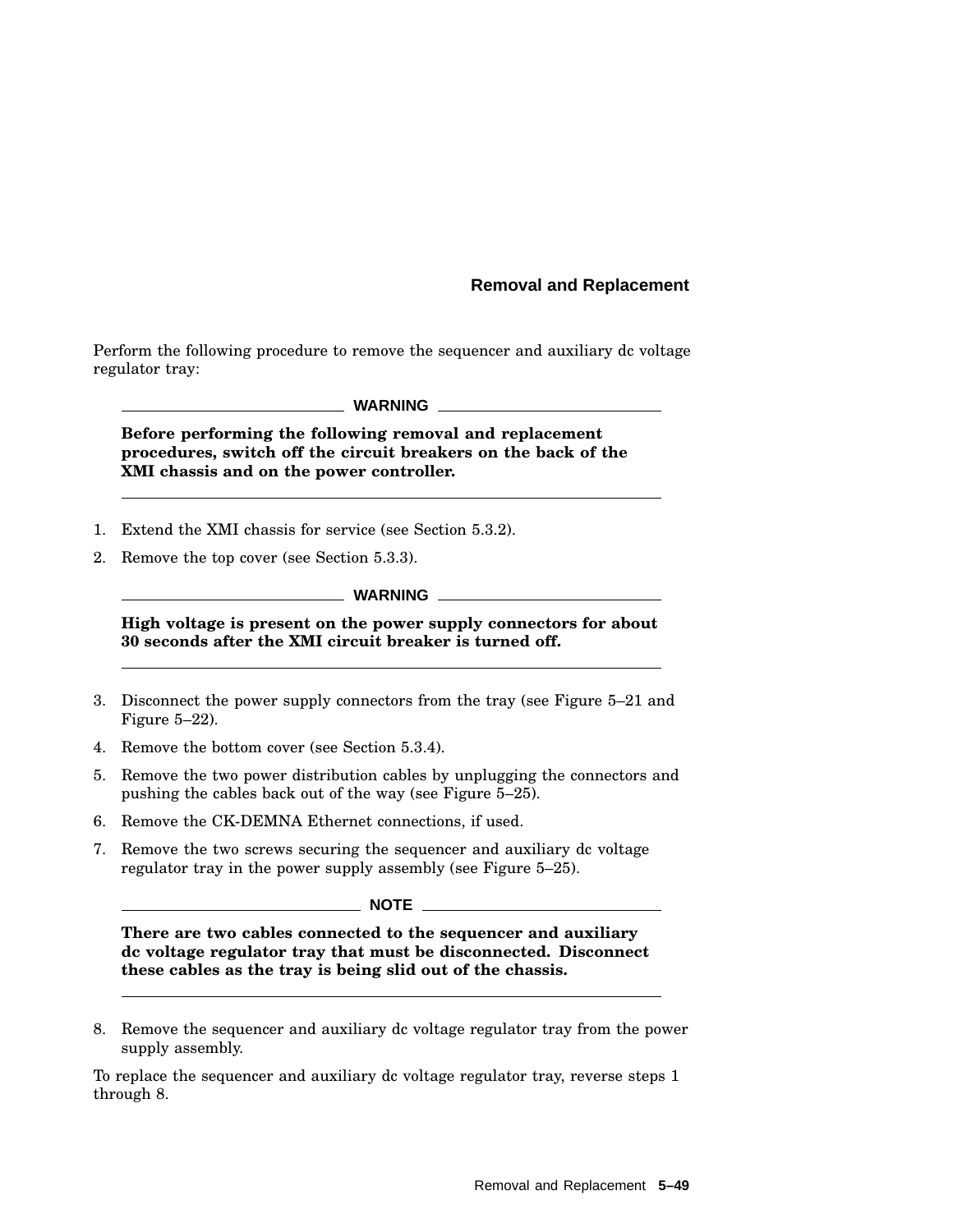Perform the following procedure to remove the sequencer and auxiliary dc voltage regulator tray:

#### **WARNING**

**Before performing the following removal and replacement procedures, switch off the circuit breakers on the back of the XMI chassis and on the power controller.**

- 1. Extend the XMI chassis for service (see Section 5.3.2).
- 2. Remove the top cover (see Section 5.3.3).

#### **WARNING**

**High voltage is present on the power supply connectors for about 30 seconds after the XMI circuit breaker is turned off.**

- 3. Disconnect the power supply connectors from the tray (see Figure 5–21 and Figure 5–22).
- 4. Remove the bottom cover (see Section 5.3.4).
- 5. Remove the two power distribution cables by unplugging the connectors and pushing the cables back out of the way (see Figure 5–25).
- 6. Remove the CK-DEMNA Ethernet connections, if used.
- 7. Remove the two screws securing the sequencer and auxiliary dc voltage regulator tray in the power supply assembly (see Figure 5–25).

**NOTE** 

**There are two cables connected to the sequencer and auxiliary dc voltage regulator tray that must be disconnected. Disconnect these cables as the tray is being slid out of the chassis.**

8. Remove the sequencer and auxiliary dc voltage regulator tray from the power supply assembly.

To replace the sequencer and auxiliary dc voltage regulator tray, reverse steps 1 through 8.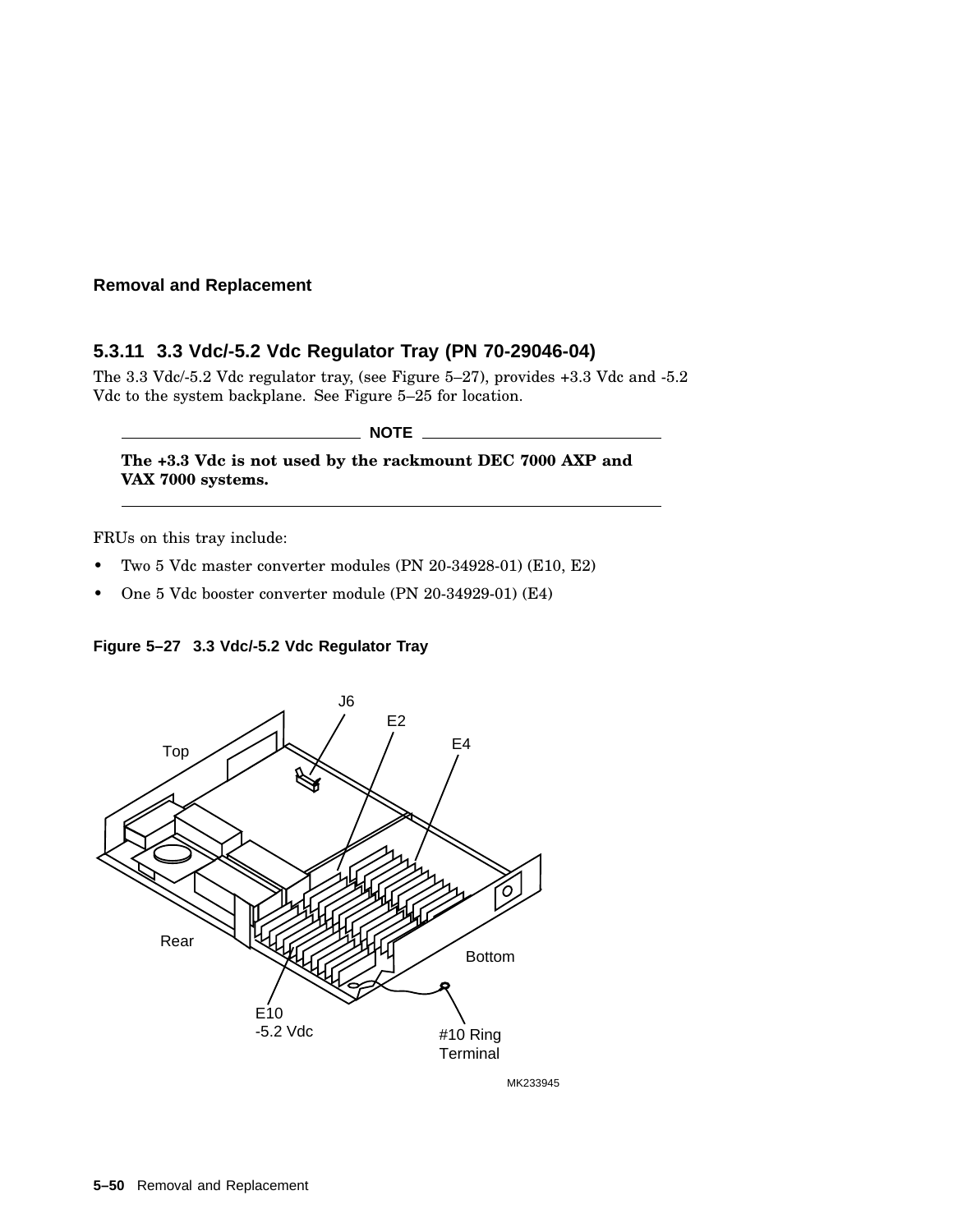### **5.3.11 3.3 Vdc/-5.2 Vdc Regulator Tray (PN 70-29046-04)**

The 3.3 Vdc/-5.2 Vdc regulator tray, (see Figure 5–27), provides +3.3 Vdc and -5.2 Vdc to the system backplane. See Figure 5–25 for location.

#### $\_$  NOTE  $\_$

**The +3.3 Vdc is not used by the rackmount DEC 7000 AXP and VAX 7000 systems.**

FRUs on this tray include:

- Two 5 Vdc master converter modules (PN 20-34928-01) (E10, E2)
- One 5 Vdc booster converter module (PN 20-34929-01) (E4)

#### **Figure 5–27 3.3 Vdc/-5.2 Vdc Regulator Tray**



MK233945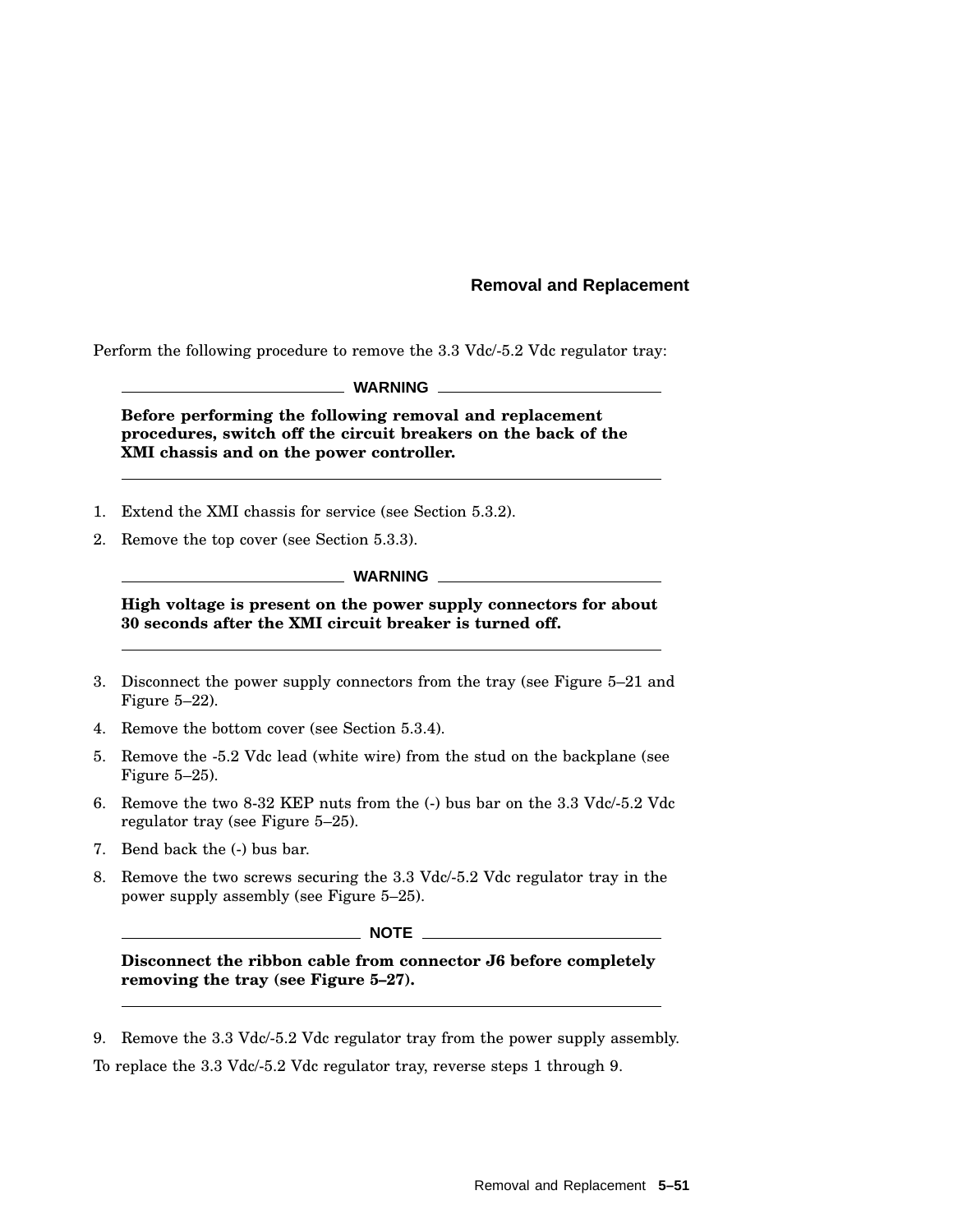Perform the following procedure to remove the 3.3 Vdc/-5.2 Vdc regulator tray:

**WARNING**

**Before performing the following removal and replacement procedures, switch off the circuit breakers on the back of the XMI chassis and on the power controller.**

- 1. Extend the XMI chassis for service (see Section 5.3.2).
- 2. Remove the top cover (see Section 5.3.3).

#### **WARNING**

**High voltage is present on the power supply connectors for about 30 seconds after the XMI circuit breaker is turned off.**

- 3. Disconnect the power supply connectors from the tray (see Figure 5–21 and Figure 5–22).
- 4. Remove the bottom cover (see Section 5.3.4).
- 5. Remove the -5.2 Vdc lead (white wire) from the stud on the backplane (see Figure 5–25).
- 6. Remove the two 8-32 KEP nuts from the (-) bus bar on the 3.3 Vdc/-5.2 Vdc regulator tray (see Figure 5–25).
- 7. Bend back the (-) bus bar.
- 8. Remove the two screws securing the 3.3 Vdc/-5.2 Vdc regulator tray in the power supply assembly (see Figure 5–25).

#### $\_$  NOTE  $\_$

**Disconnect the ribbon cable from connector J6 before completely removing the tray (see Figure 5–27).**

9. Remove the 3.3 Vdc/-5.2 Vdc regulator tray from the power supply assembly.

To replace the 3.3 Vdc/-5.2 Vdc regulator tray, reverse steps 1 through 9.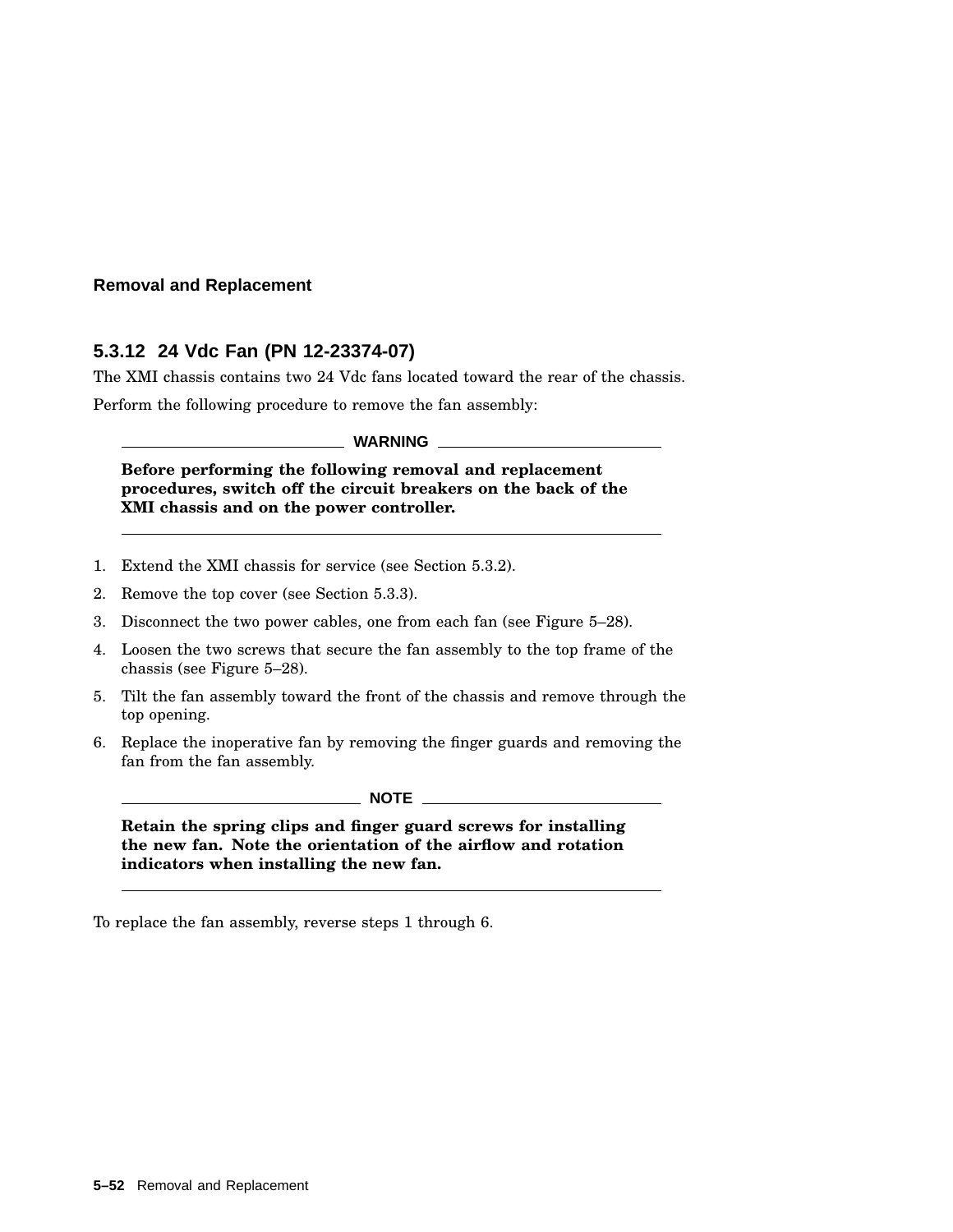### **5.3.12 24 Vdc Fan (PN 12-23374-07)**

The XMI chassis contains two 24 Vdc fans located toward the rear of the chassis.

Perform the following procedure to remove the fan assembly:

**WARNING**

**Before performing the following removal and replacement procedures, switch off the circuit breakers on the back of the XMI chassis and on the power controller.**

- 1. Extend the XMI chassis for service (see Section 5.3.2).
- 2. Remove the top cover (see Section 5.3.3).
- 3. Disconnect the two power cables, one from each fan (see Figure 5–28).
- 4. Loosen the two screws that secure the fan assembly to the top frame of the chassis (see Figure 5–28).
- 5. Tilt the fan assembly toward the front of the chassis and remove through the top opening.
- 6. Replace the inoperative fan by removing the finger guards and removing the fan from the fan assembly.

**NOTE**

**Retain the spring clips and finger guard screws for installing the new fan. Note the orientation of the airflow and rotation indicators when installing the new fan.**

To replace the fan assembly, reverse steps 1 through 6.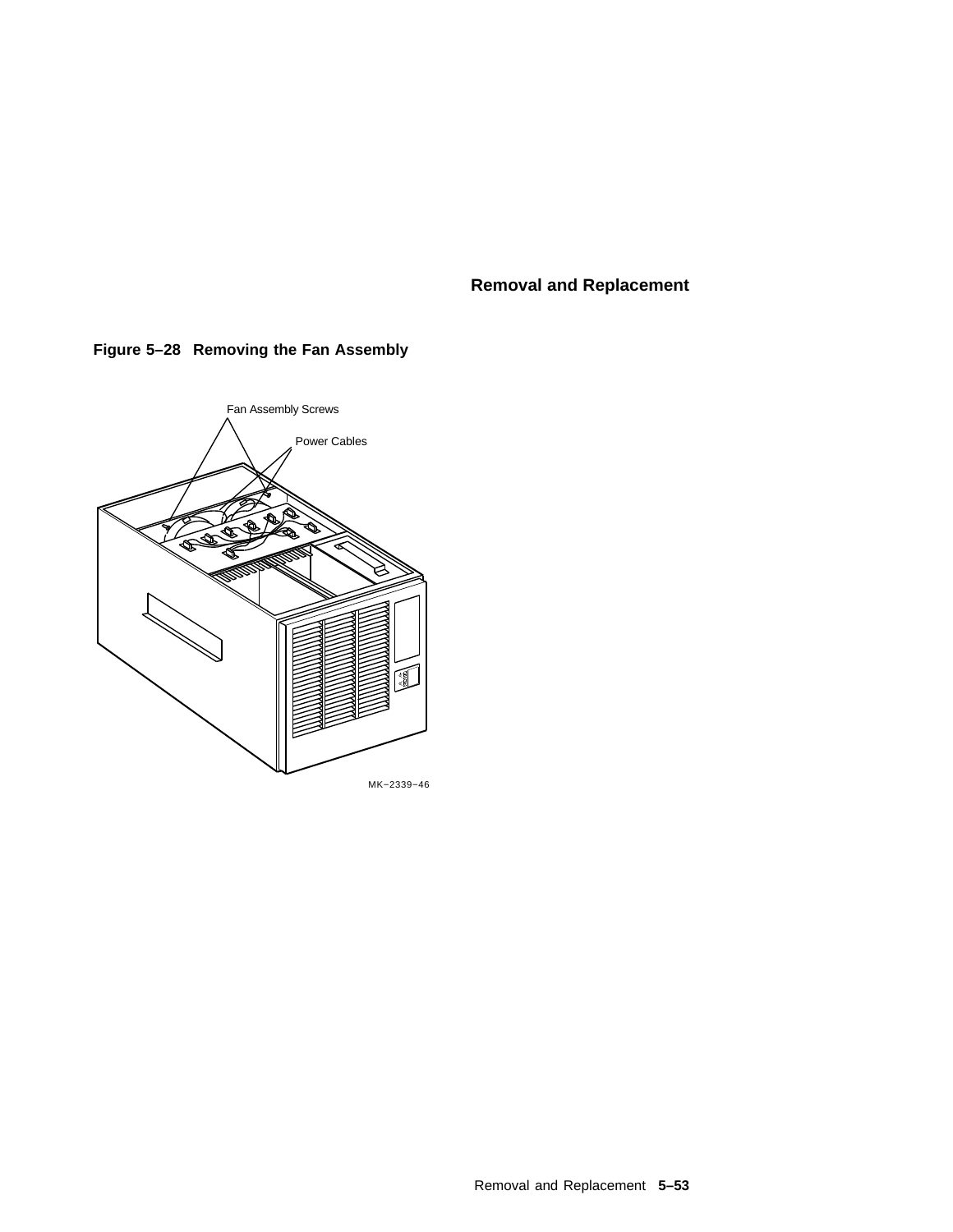

## **Figure 5–28 Removing the Fan Assembly**

Removal and Replacement **5–53**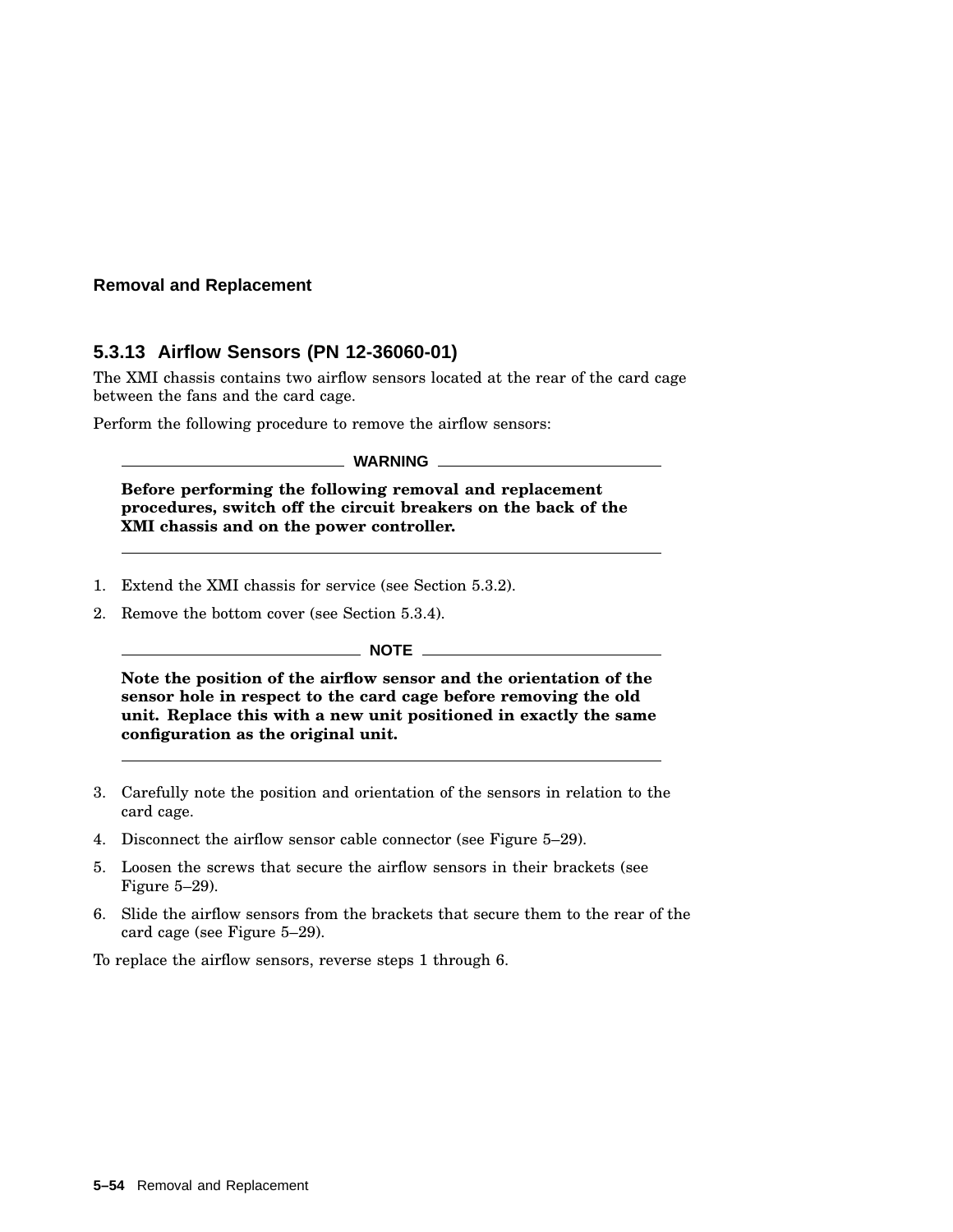#### **5.3.13 Airflow Sensors (PN 12-36060-01)**

The XMI chassis contains two airflow sensors located at the rear of the card cage between the fans and the card cage.

Perform the following procedure to remove the airflow sensors:

**WARNING**

**Before performing the following removal and replacement procedures, switch off the circuit breakers on the back of the XMI chassis and on the power controller.**

- 1. Extend the XMI chassis for service (see Section 5.3.2).
- 2. Remove the bottom cover (see Section 5.3.4).

#### **NOTE**

**Note the position of the airflow sensor and the orientation of the sensor hole in respect to the card cage before removing the old unit. Replace this with a new unit positioned in exactly the same configuration as the original unit.**

- 3. Carefully note the position and orientation of the sensors in relation to the card cage.
- 4. Disconnect the airflow sensor cable connector (see Figure 5–29).
- 5. Loosen the screws that secure the airflow sensors in their brackets (see Figure 5–29).
- 6. Slide the airflow sensors from the brackets that secure them to the rear of the card cage (see Figure 5–29).

To replace the airflow sensors, reverse steps 1 through 6.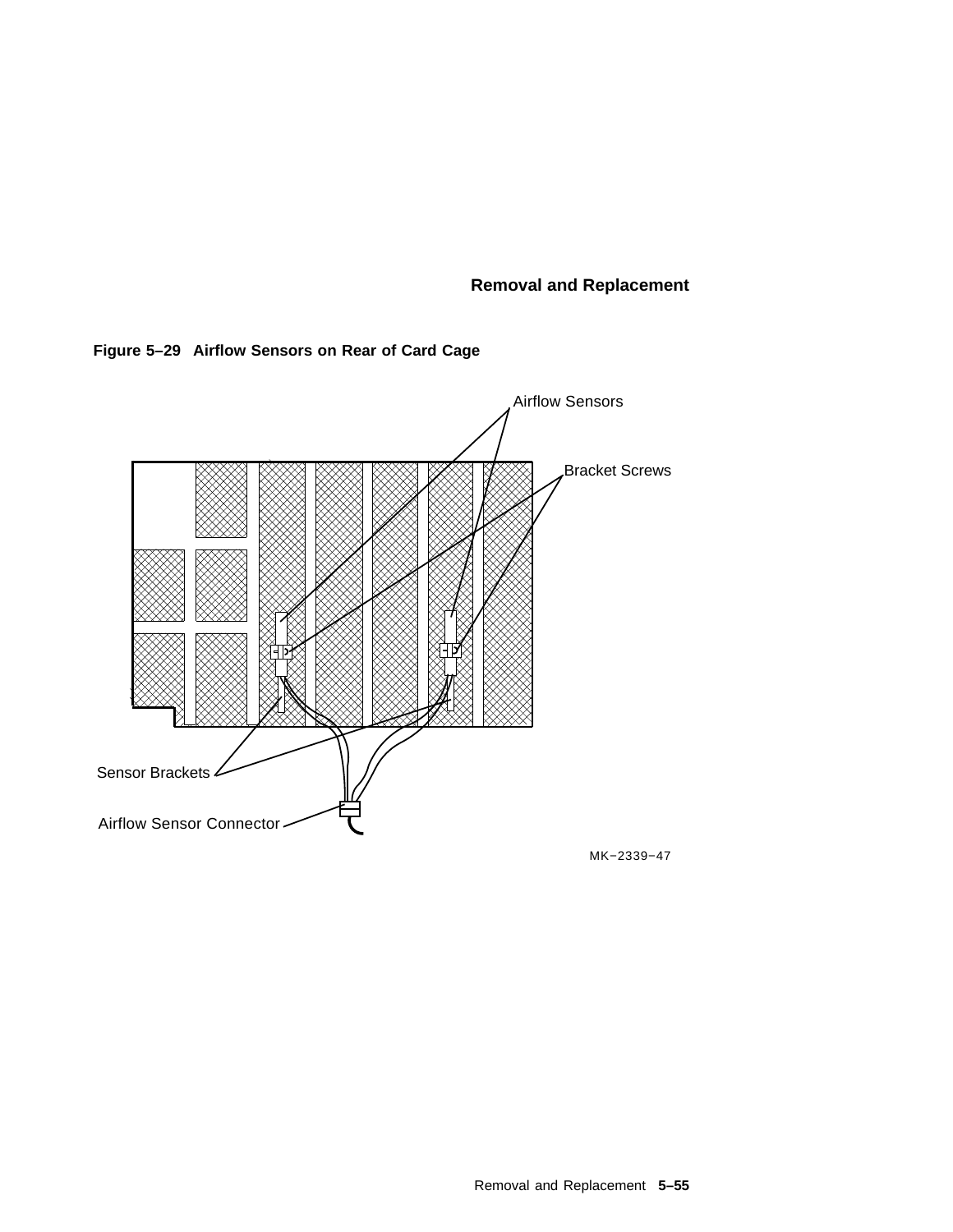



MK−2339−47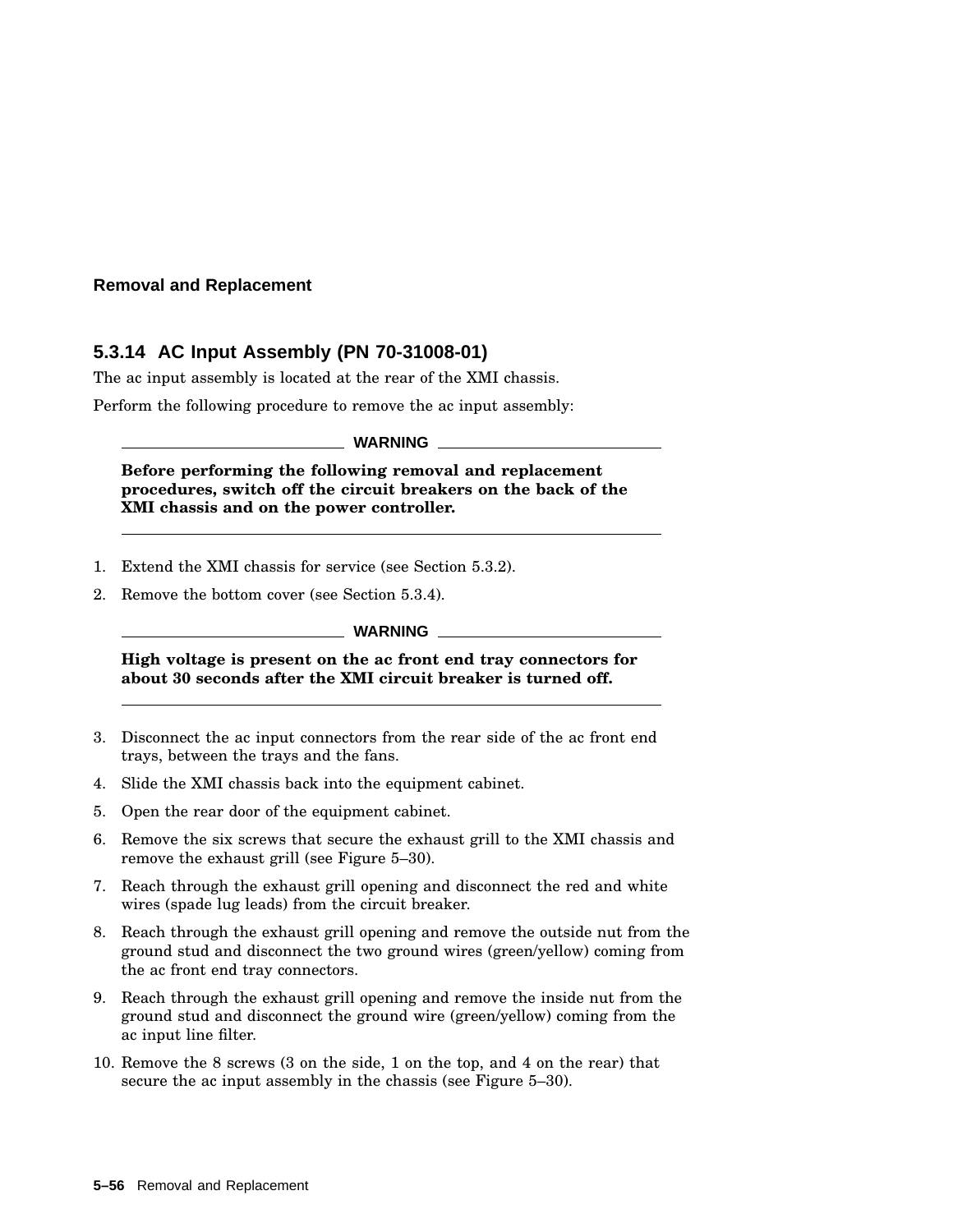### **5.3.14 AC Input Assembly (PN 70-31008-01)**

The ac input assembly is located at the rear of the XMI chassis.

Perform the following procedure to remove the ac input assembly:

**WARNING**

**Before performing the following removal and replacement procedures, switch off the circuit breakers on the back of the XMI chassis and on the power controller.**

- 1. Extend the XMI chassis for service (see Section 5.3.2).
- 2. Remove the bottom cover (see Section 5.3.4).

#### **WARNING**

**High voltage is present on the ac front end tray connectors for about 30 seconds after the XMI circuit breaker is turned off.**

- 3. Disconnect the ac input connectors from the rear side of the ac front end trays, between the trays and the fans.
- 4. Slide the XMI chassis back into the equipment cabinet.
- 5. Open the rear door of the equipment cabinet.
- 6. Remove the six screws that secure the exhaust grill to the XMI chassis and remove the exhaust grill (see Figure 5–30).
- 7. Reach through the exhaust grill opening and disconnect the red and white wires (spade lug leads) from the circuit breaker.
- 8. Reach through the exhaust grill opening and remove the outside nut from the ground stud and disconnect the two ground wires (green/yellow) coming from the ac front end tray connectors.
- 9. Reach through the exhaust grill opening and remove the inside nut from the ground stud and disconnect the ground wire (green/yellow) coming from the ac input line filter.
- 10. Remove the 8 screws (3 on the side, 1 on the top, and 4 on the rear) that secure the ac input assembly in the chassis (see Figure 5–30).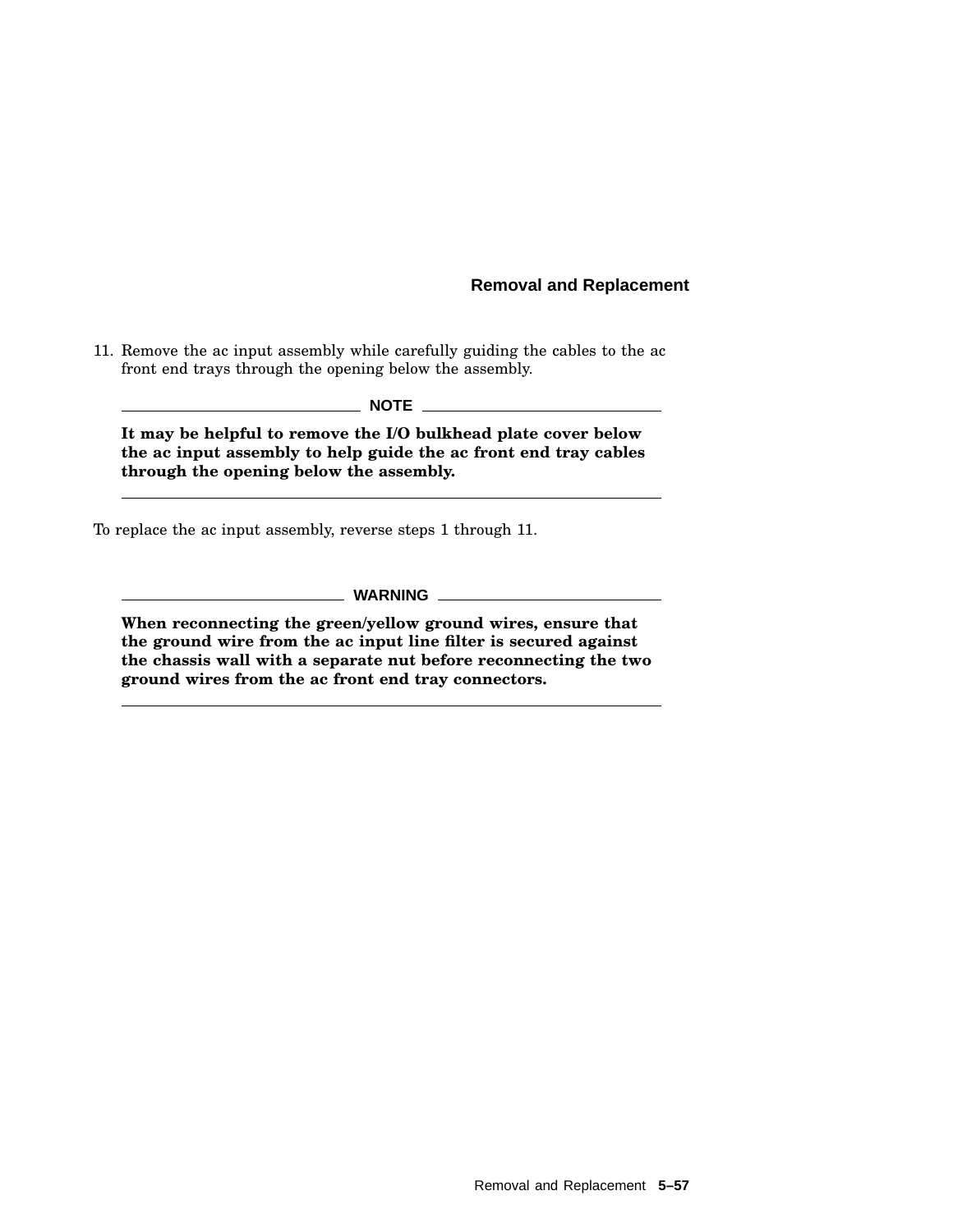11. Remove the ac input assembly while carefully guiding the cables to the ac front end trays through the opening below the assembly.

**NOTE**

**It may be helpful to remove the I/O bulkhead plate cover below the ac input assembly to help guide the ac front end tray cables through the opening below the assembly.**

To replace the ac input assembly, reverse steps 1 through 11.

**WARNING**

**When reconnecting the green/yellow ground wires, ensure that the ground wire from the ac input line filter is secured against the chassis wall with a separate nut before reconnecting the two ground wires from the ac front end tray connectors.**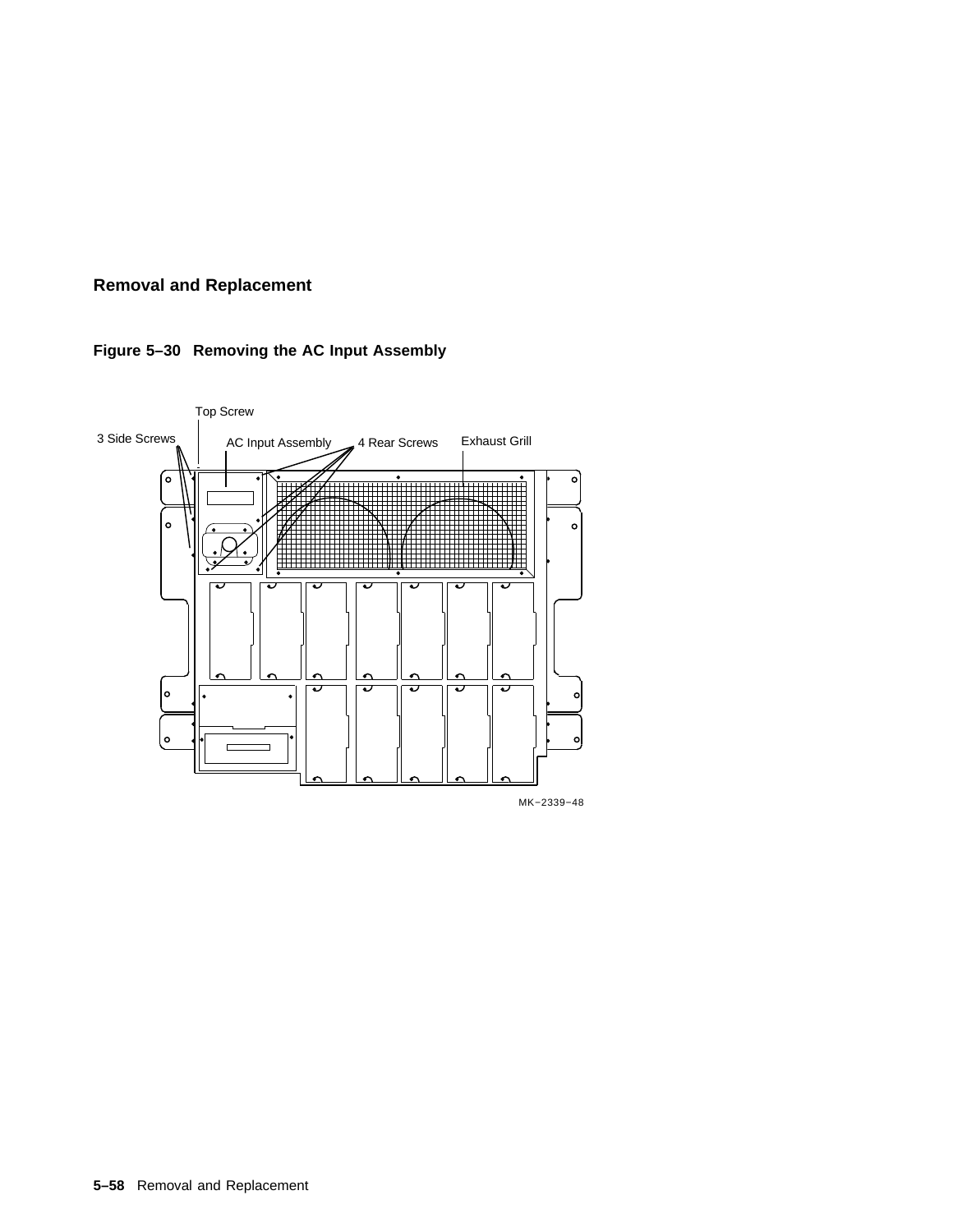

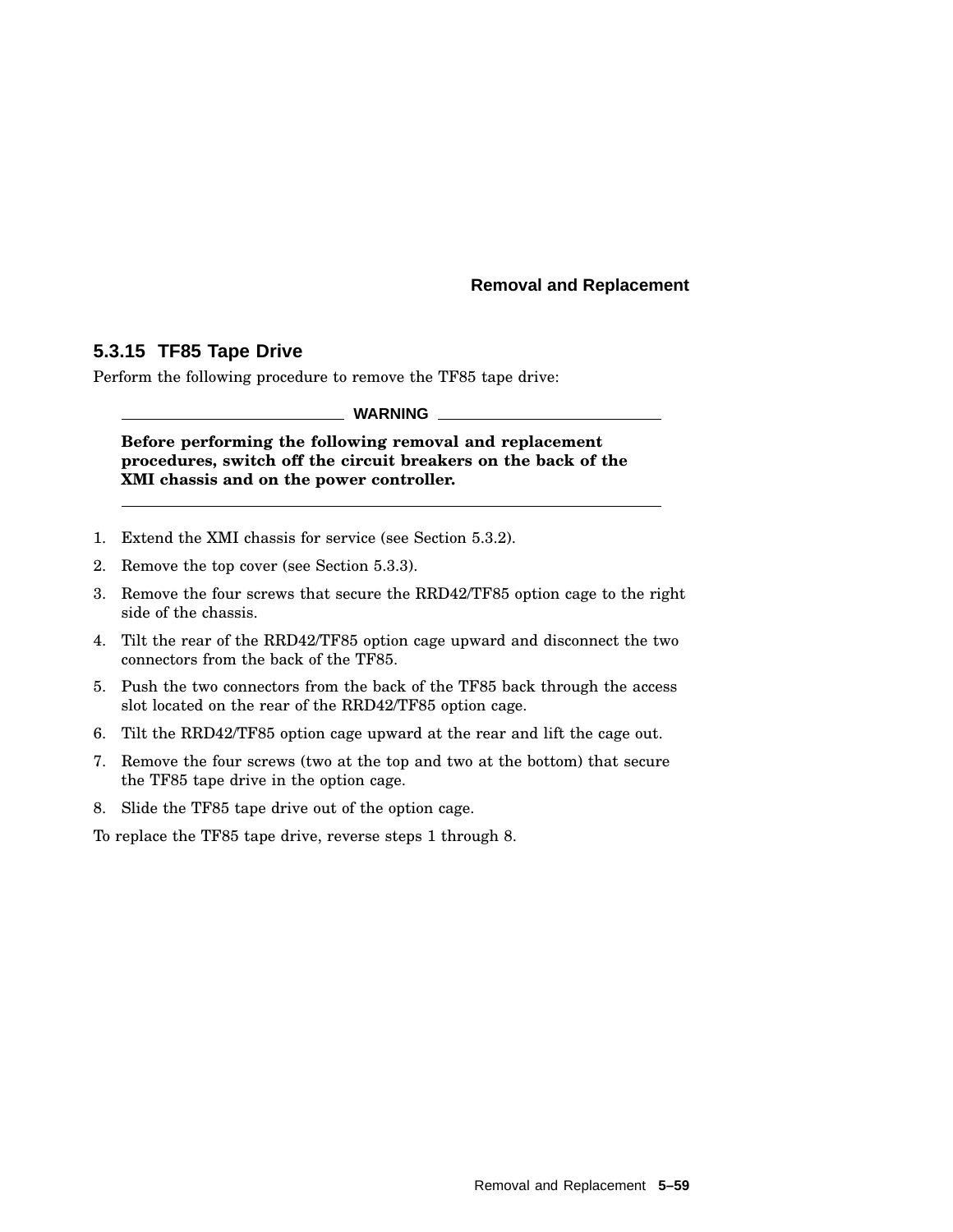### **5.3.15 TF85 Tape Drive**

Perform the following procedure to remove the TF85 tape drive:

**WARNING**

**Before performing the following removal and replacement procedures, switch off the circuit breakers on the back of the XMI chassis and on the power controller.**

- 1. Extend the XMI chassis for service (see Section 5.3.2).
- 2. Remove the top cover (see Section 5.3.3).
- 3. Remove the four screws that secure the RRD42/TF85 option cage to the right side of the chassis.
- 4. Tilt the rear of the RRD42/TF85 option cage upward and disconnect the two connectors from the back of the TF85.
- 5. Push the two connectors from the back of the TF85 back through the access slot located on the rear of the RRD42/TF85 option cage.
- 6. Tilt the RRD42/TF85 option cage upward at the rear and lift the cage out.
- 7. Remove the four screws (two at the top and two at the bottom) that secure the TF85 tape drive in the option cage.
- 8. Slide the TF85 tape drive out of the option cage.

To replace the TF85 tape drive, reverse steps 1 through 8.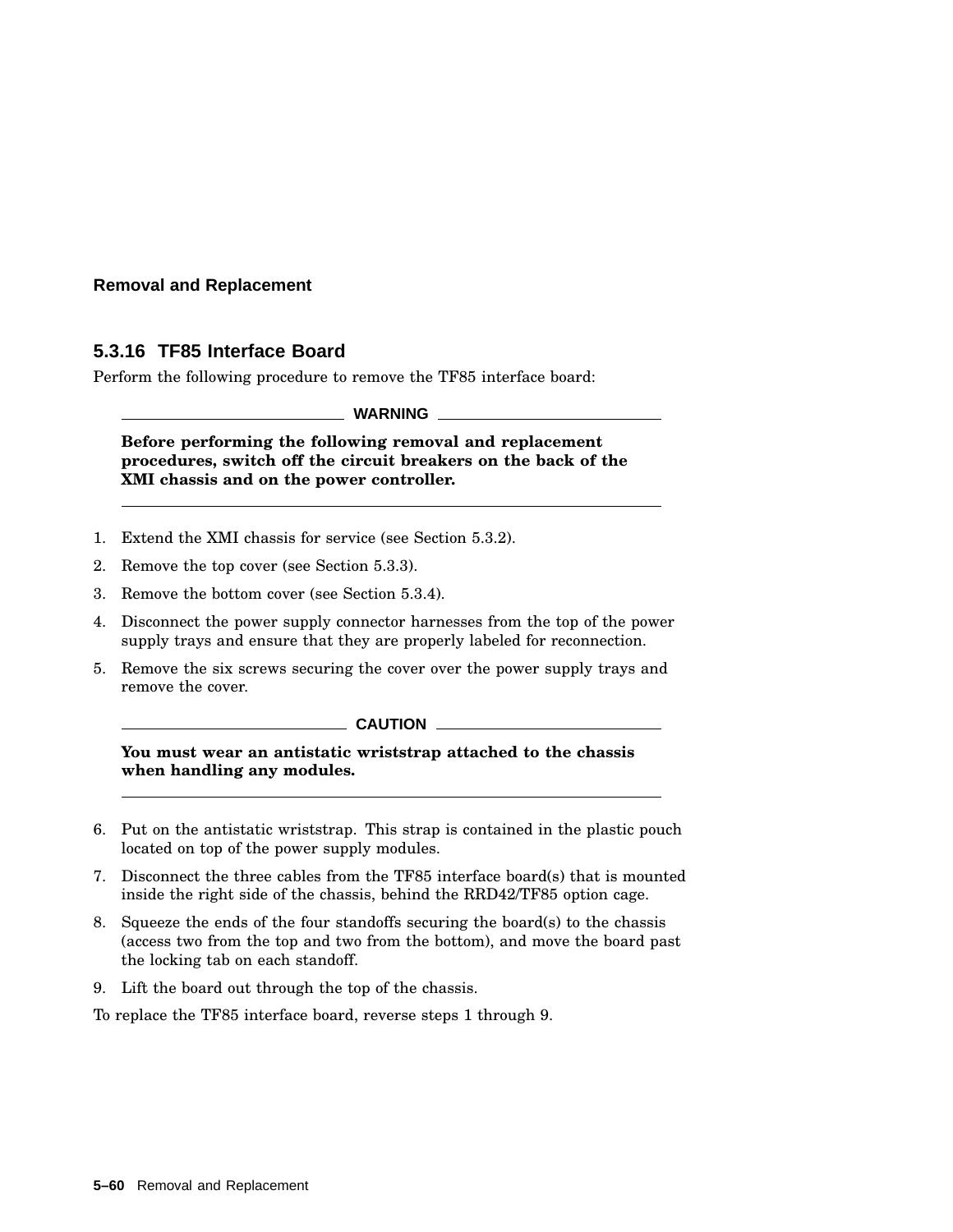### **5.3.16 TF85 Interface Board**

Perform the following procedure to remove the TF85 interface board:

**WARNING**

**Before performing the following removal and replacement procedures, switch off the circuit breakers on the back of the XMI chassis and on the power controller.**

- 1. Extend the XMI chassis for service (see Section 5.3.2).
- 2. Remove the top cover (see Section 5.3.3).
- 3. Remove the bottom cover (see Section 5.3.4).
- 4. Disconnect the power supply connector harnesses from the top of the power supply trays and ensure that they are properly labeled for reconnection.
- 5. Remove the six screws securing the cover over the power supply trays and remove the cover.

#### **CAUTION**

**You must wear an antistatic wriststrap attached to the chassis when handling any modules.**

- 6. Put on the antistatic wriststrap. This strap is contained in the plastic pouch located on top of the power supply modules.
- 7. Disconnect the three cables from the TF85 interface board(s) that is mounted inside the right side of the chassis, behind the RRD42/TF85 option cage.
- 8. Squeeze the ends of the four standoffs securing the board(s) to the chassis (access two from the top and two from the bottom), and move the board past the locking tab on each standoff.
- 9. Lift the board out through the top of the chassis.

To replace the TF85 interface board, reverse steps 1 through 9.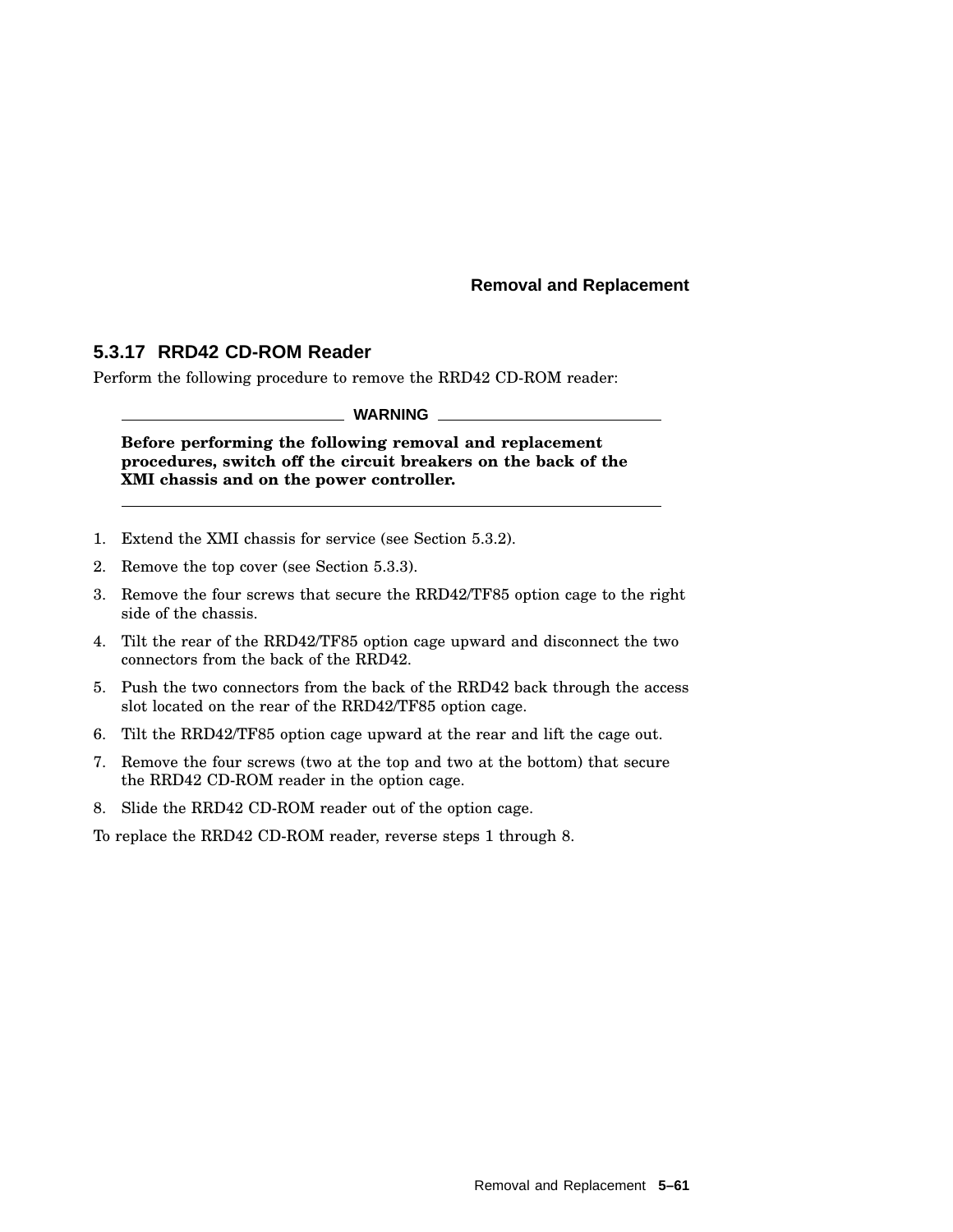## **5.3.17 RRD42 CD-ROM Reader**

Perform the following procedure to remove the RRD42 CD-ROM reader:

**WARNING**

**Before performing the following removal and replacement procedures, switch off the circuit breakers on the back of the XMI chassis and on the power controller.**

- 1. Extend the XMI chassis for service (see Section 5.3.2).
- 2. Remove the top cover (see Section 5.3.3).
- 3. Remove the four screws that secure the RRD42/TF85 option cage to the right side of the chassis.
- 4. Tilt the rear of the RRD42/TF85 option cage upward and disconnect the two connectors from the back of the RRD42.
- 5. Push the two connectors from the back of the RRD42 back through the access slot located on the rear of the RRD42/TF85 option cage.
- 6. Tilt the RRD42/TF85 option cage upward at the rear and lift the cage out.
- 7. Remove the four screws (two at the top and two at the bottom) that secure the RRD42 CD-ROM reader in the option cage.
- 8. Slide the RRD42 CD-ROM reader out of the option cage.

To replace the RRD42 CD-ROM reader, reverse steps 1 through 8.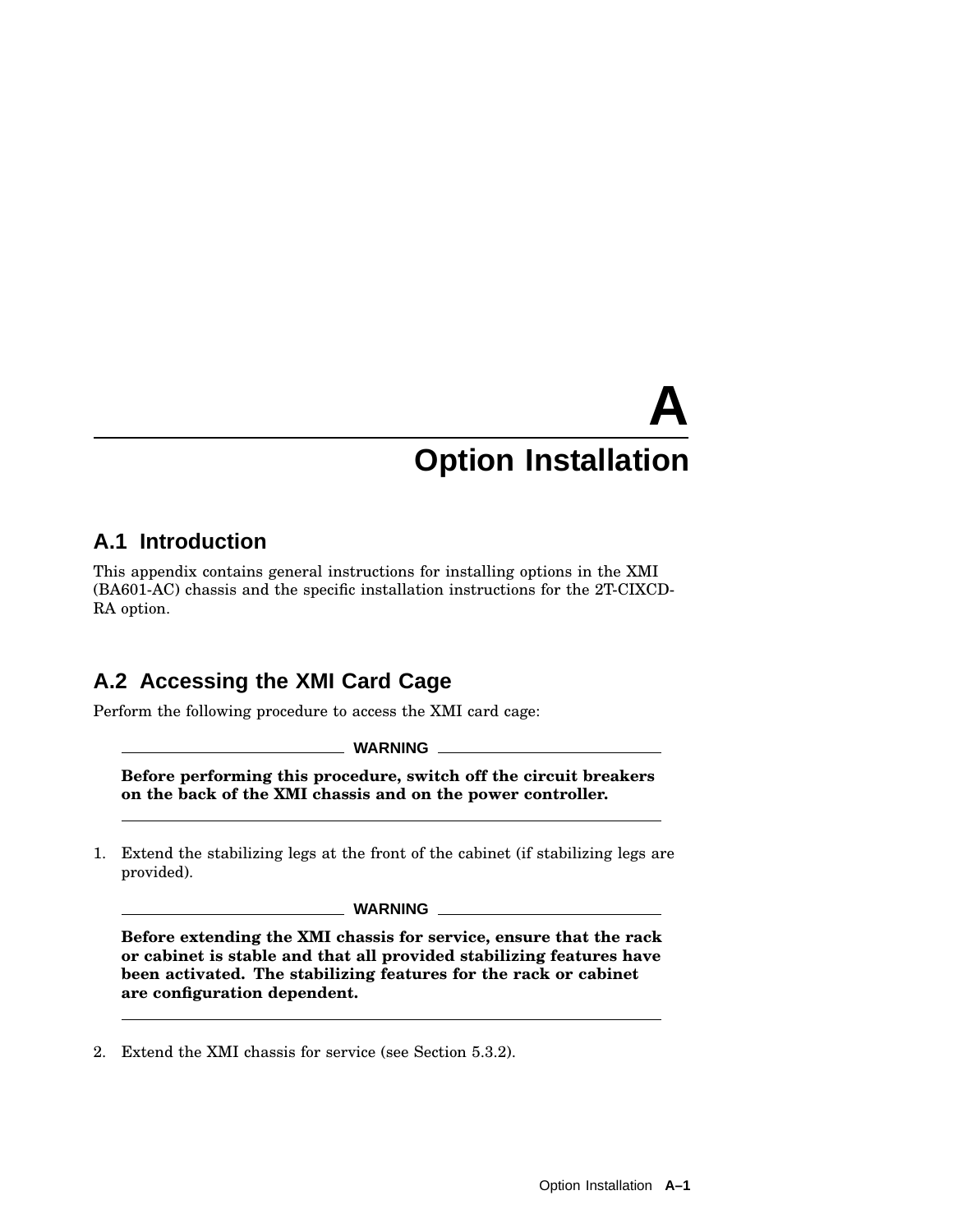# **A.1 Introduction**

This appendix contains general instructions for installing options in the XMI (BA601-AC) chassis and the specific installation instructions for the 2T-CIXCD-RA option.

# **A.2 Accessing the XMI Card Cage**

Perform the following procedure to access the XMI card cage:

**WARNING**

**Before performing this procedure, switch off the circuit breakers on the back of the XMI chassis and on the power controller.**

1. Extend the stabilizing legs at the front of the cabinet (if stabilizing legs are provided).

**WARNING**

**Before extending the XMI chassis for service, ensure that the rack or cabinet is stable and that all provided stabilizing features have been activated. The stabilizing features for the rack or cabinet are configuration dependent.**

2. Extend the XMI chassis for service (see Section 5.3.2).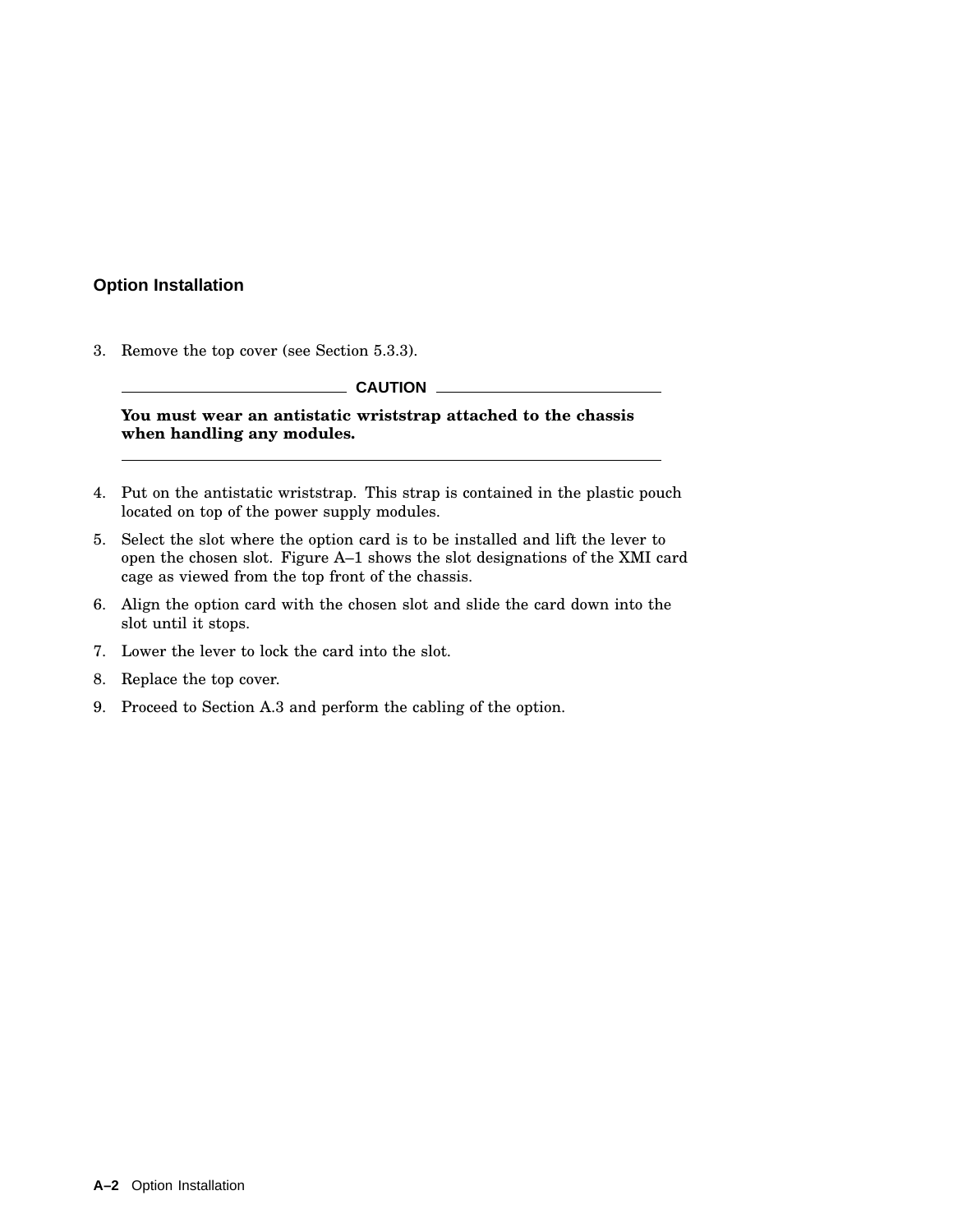3. Remove the top cover (see Section 5.3.3).

**CAUTION**

**You must wear an antistatic wriststrap attached to the chassis when handling any modules.**

- 4. Put on the antistatic wriststrap. This strap is contained in the plastic pouch located on top of the power supply modules.
- 5. Select the slot where the option card is to be installed and lift the lever to open the chosen slot. Figure A–1 shows the slot designations of the XMI card cage as viewed from the top front of the chassis.
- 6. Align the option card with the chosen slot and slide the card down into the slot until it stops.
- 7. Lower the lever to lock the card into the slot.
- 8. Replace the top cover.
- 9. Proceed to Section A.3 and perform the cabling of the option.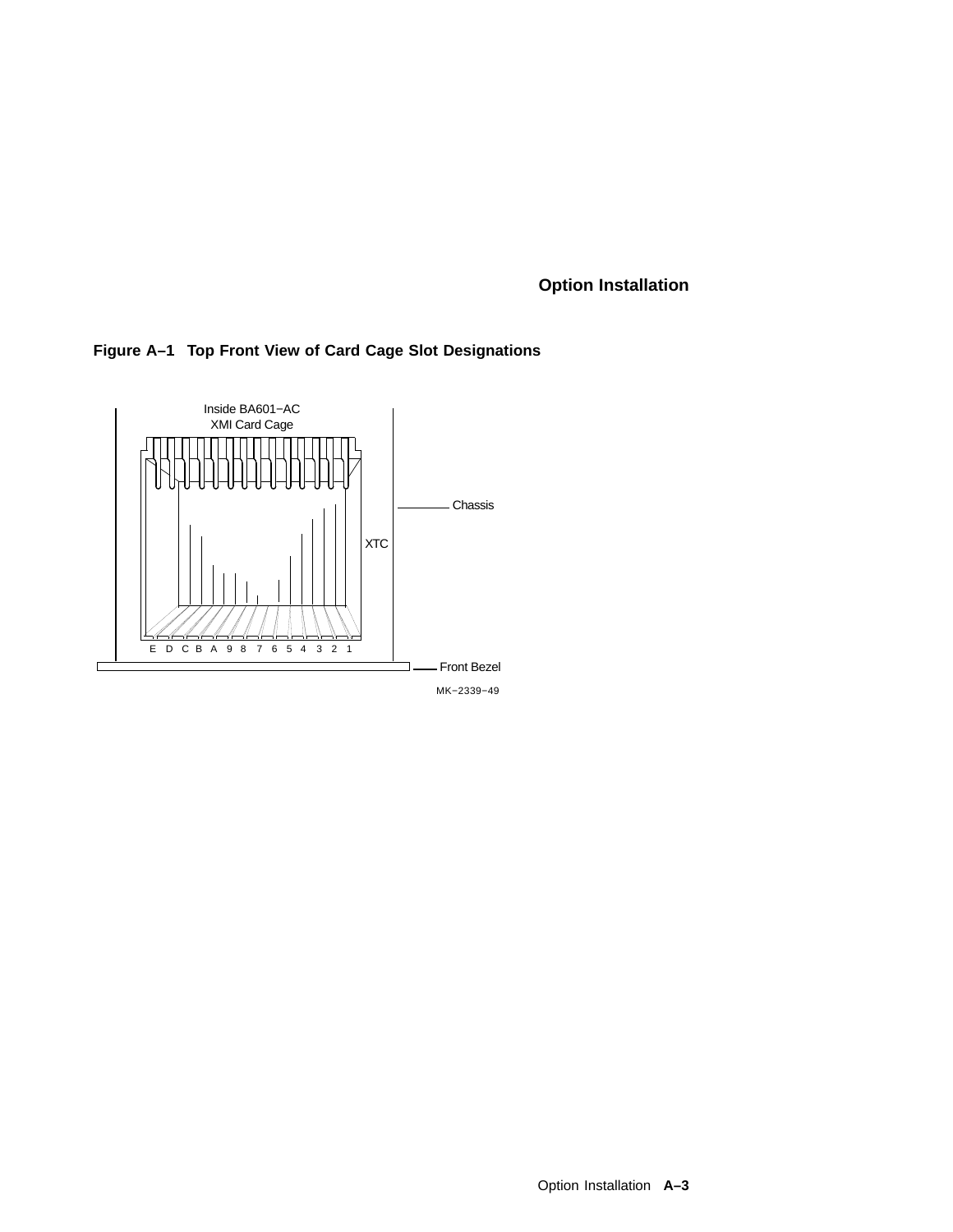



MK−2339−49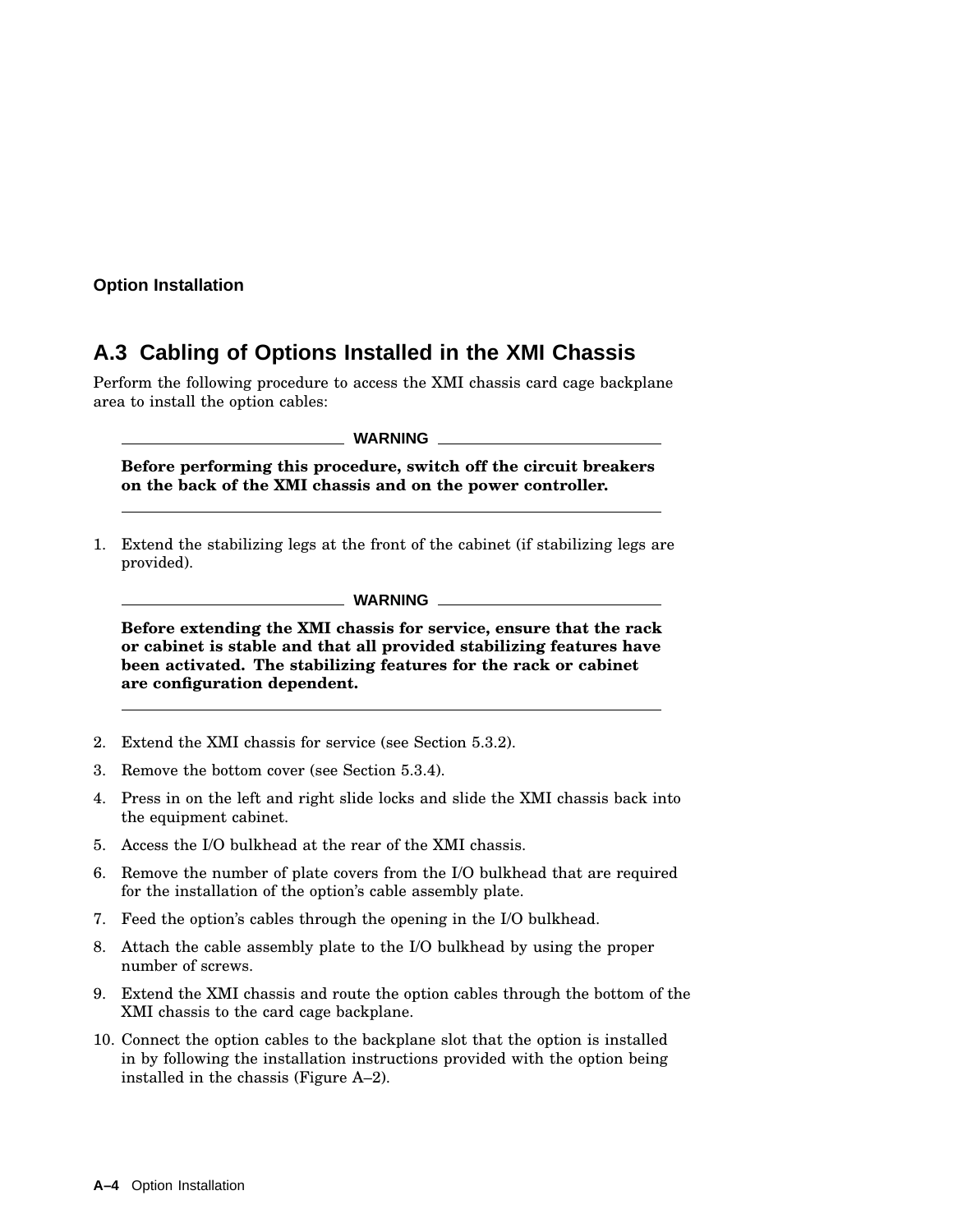# **A.3 Cabling of Options Installed in the XMI Chassis**

Perform the following procedure to access the XMI chassis card cage backplane area to install the option cables:

**WARNING**

**Before performing this procedure, switch off the circuit breakers on the back of the XMI chassis and on the power controller.**

1. Extend the stabilizing legs at the front of the cabinet (if stabilizing legs are provided).

**WARNING**

**Before extending the XMI chassis for service, ensure that the rack or cabinet is stable and that all provided stabilizing features have been activated. The stabilizing features for the rack or cabinet are configuration dependent.**

- 2. Extend the XMI chassis for service (see Section 5.3.2).
- 3. Remove the bottom cover (see Section 5.3.4).
- 4. Press in on the left and right slide locks and slide the XMI chassis back into the equipment cabinet.
- 5. Access the I/O bulkhead at the rear of the XMI chassis.
- 6. Remove the number of plate covers from the I/O bulkhead that are required for the installation of the option's cable assembly plate.
- 7. Feed the option's cables through the opening in the I/O bulkhead.
- 8. Attach the cable assembly plate to the I/O bulkhead by using the proper number of screws.
- 9. Extend the XMI chassis and route the option cables through the bottom of the XMI chassis to the card cage backplane.
- 10. Connect the option cables to the backplane slot that the option is installed in by following the installation instructions provided with the option being installed in the chassis (Figure A–2).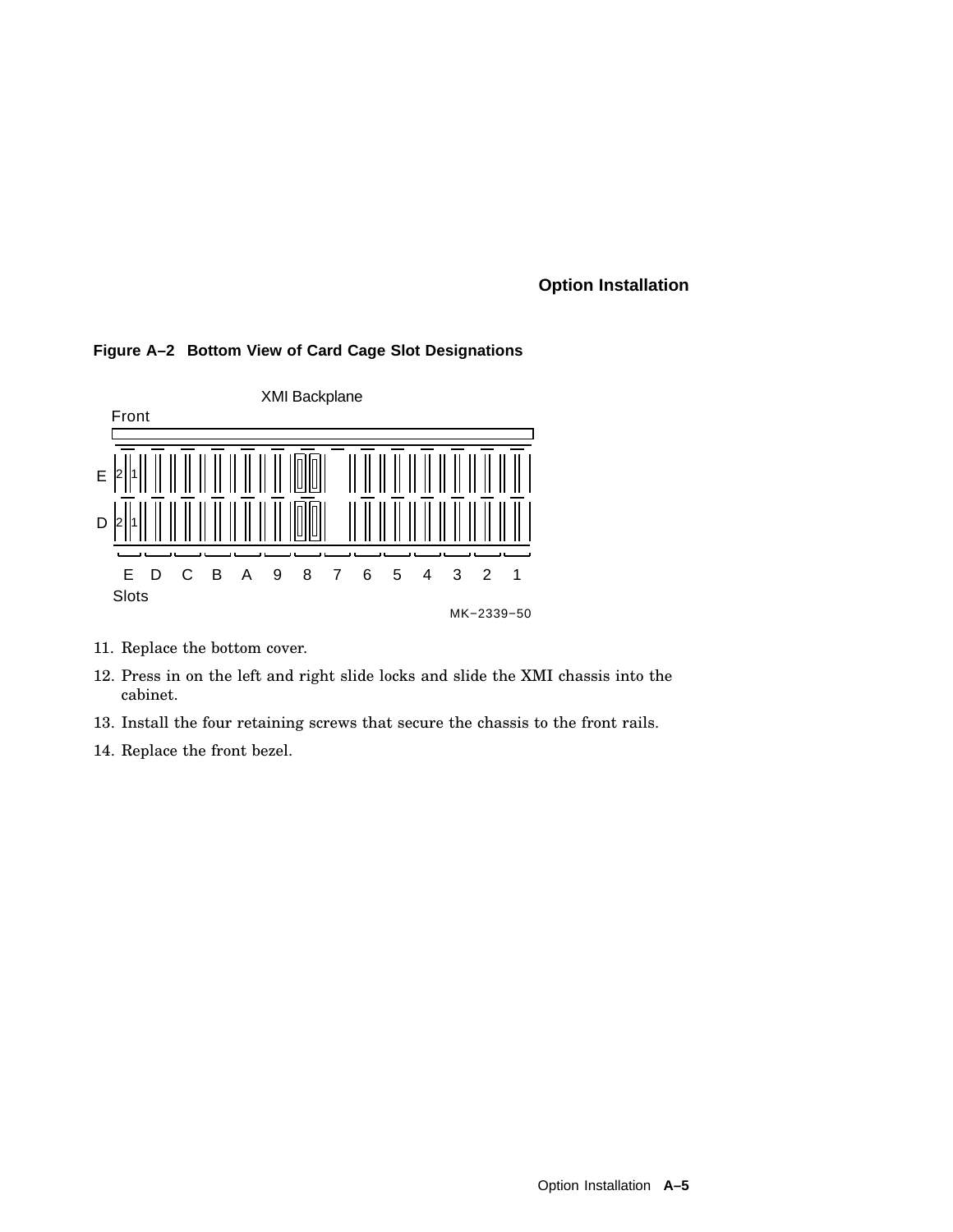#### **Figure A–2 Bottom View of Card Cage Slot Designations**



- 11. Replace the bottom cover.
- 12. Press in on the left and right slide locks and slide the XMI chassis into the cabinet.
- 13. Install the four retaining screws that secure the chassis to the front rails.
- 14. Replace the front bezel.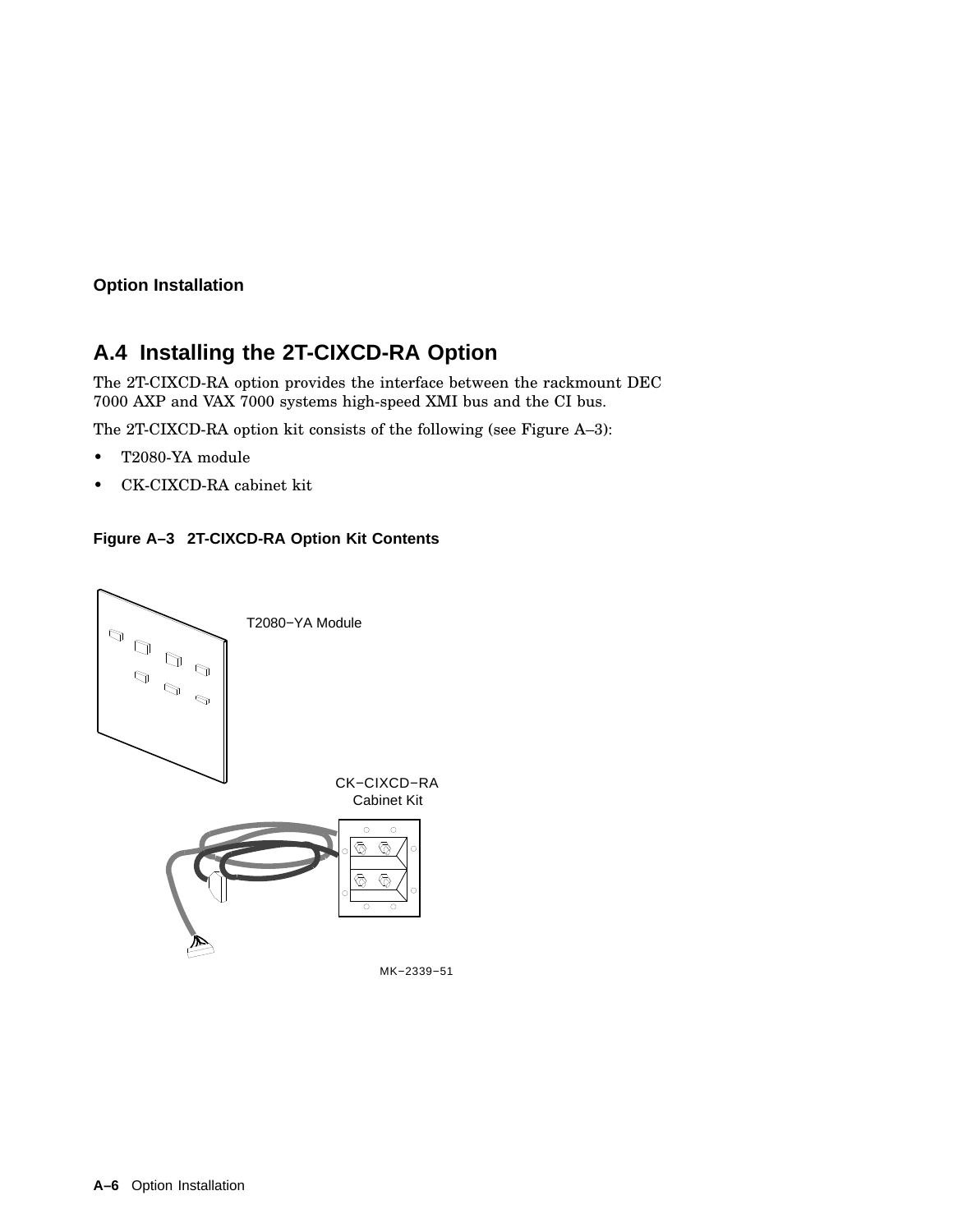# **A.4 Installing the 2T-CIXCD-RA Option**

The 2T-CIXCD-RA option provides the interface between the rackmount DEC 7000 AXP and VAX 7000 systems high-speed XMI bus and the CI bus.

The 2T-CIXCD-RA option kit consists of the following (see Figure A–3):

- T2080-YA module
- CK-CIXCD-RA cabinet kit



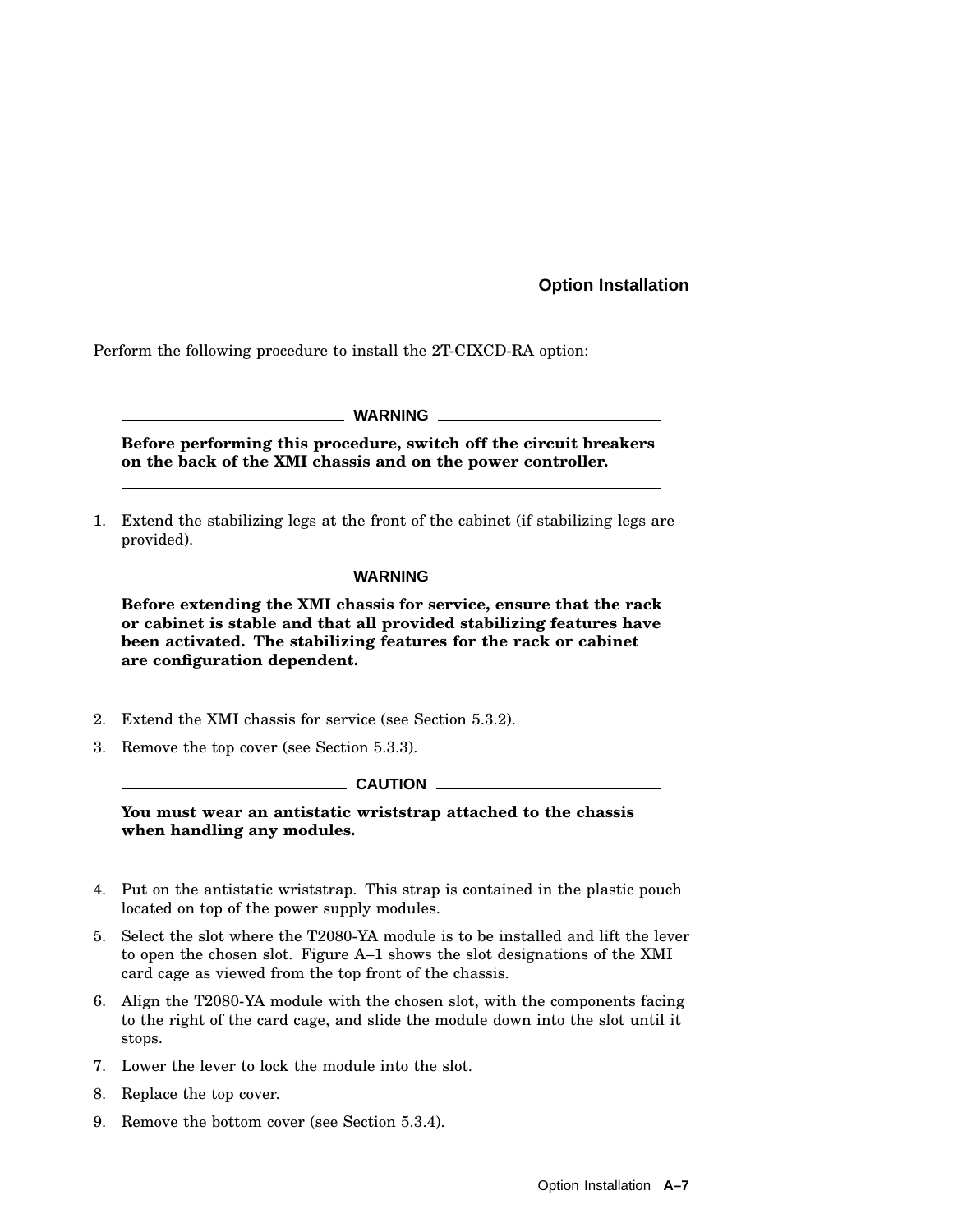Perform the following procedure to install the 2T-CIXCD-RA option:

|  |  |  | <b>WARNING</b> |
|--|--|--|----------------|
|  |  |  |                |

**Before performing this procedure, switch off the circuit breakers on the back of the XMI chassis and on the power controller.**

1. Extend the stabilizing legs at the front of the cabinet (if stabilizing legs are provided).

**Before extending the XMI chassis for service, ensure that the rack or cabinet is stable and that all provided stabilizing features have been activated. The stabilizing features for the rack or cabinet are configuration dependent.**

- 2. Extend the XMI chassis for service (see Section 5.3.2).
- 3. Remove the top cover (see Section 5.3.3).

 $\_$  CAUTION  $\_$ 

**You must wear an antistatic wriststrap attached to the chassis when handling any modules.**

- 4. Put on the antistatic wriststrap. This strap is contained in the plastic pouch located on top of the power supply modules.
- 5. Select the slot where the T2080-YA module is to be installed and lift the lever to open the chosen slot. Figure A–1 shows the slot designations of the XMI card cage as viewed from the top front of the chassis.
- 6. Align the T2080-YA module with the chosen slot, with the components facing to the right of the card cage, and slide the module down into the slot until it stops.
- 7. Lower the lever to lock the module into the slot.
- 8. Replace the top cover.
- 9. Remove the bottom cover (see Section 5.3.4).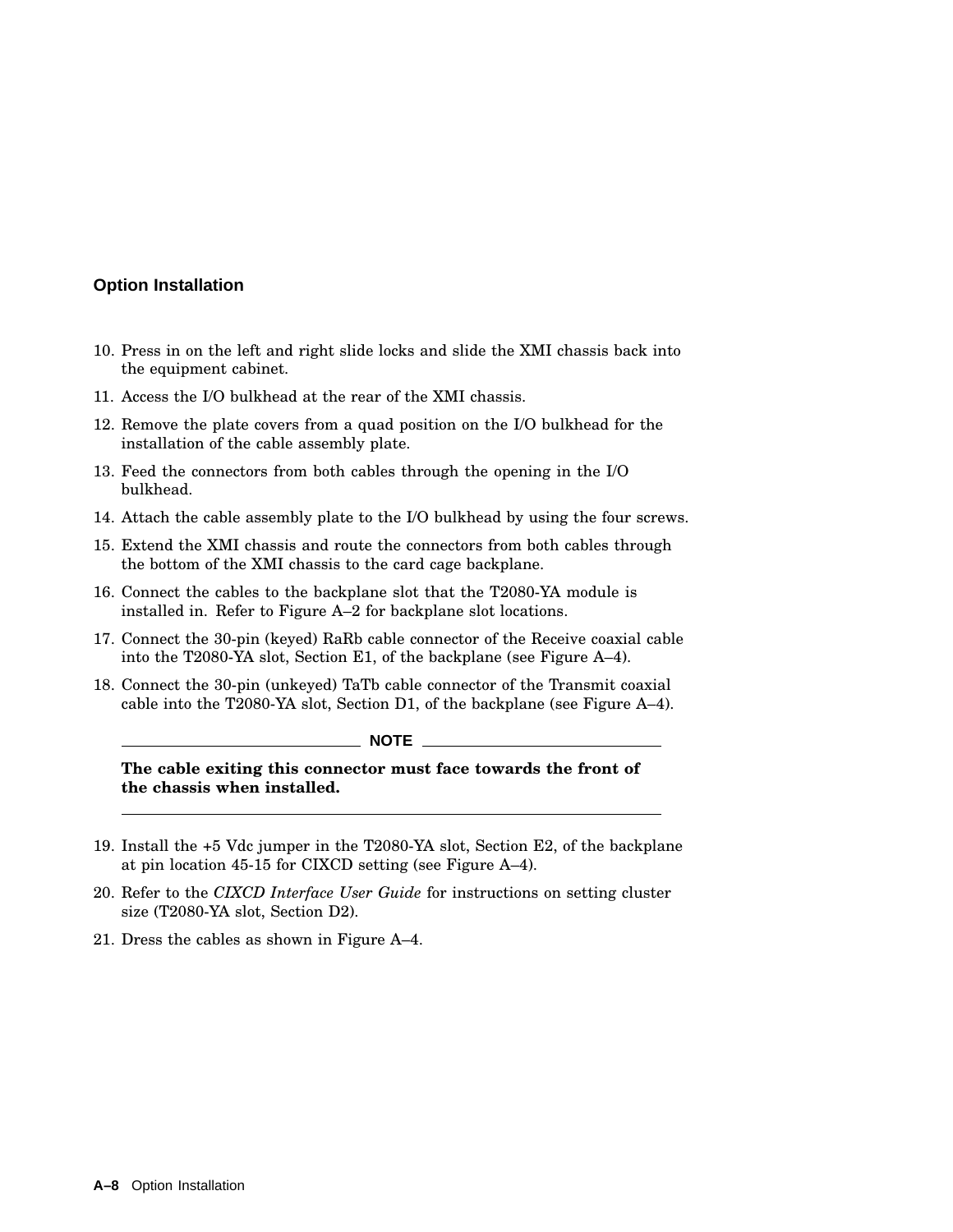- 10. Press in on the left and right slide locks and slide the XMI chassis back into the equipment cabinet.
- 11. Access the I/O bulkhead at the rear of the XMI chassis.
- 12. Remove the plate covers from a quad position on the I/O bulkhead for the installation of the cable assembly plate.
- 13. Feed the connectors from both cables through the opening in the I/O bulkhead.
- 14. Attach the cable assembly plate to the I/O bulkhead by using the four screws.
- 15. Extend the XMI chassis and route the connectors from both cables through the bottom of the XMI chassis to the card cage backplane.
- 16. Connect the cables to the backplane slot that the T2080-YA module is installed in. Refer to Figure A–2 for backplane slot locations.
- 17. Connect the 30-pin (keyed) RaRb cable connector of the Receive coaxial cable into the T2080-YA slot, Section E1, of the backplane (see Figure A–4).
- 18. Connect the 30-pin (unkeyed) TaTb cable connector of the Transmit coaxial cable into the T2080-YA slot, Section D1, of the backplane (see Figure A–4).

#### **NOTE**

**The cable exiting this connector must face towards the front of the chassis when installed.**

- 19. Install the +5 Vdc jumper in the T2080-YA slot, Section E2, of the backplane at pin location 45-15 for CIXCD setting (see Figure A–4).
- 20. Refer to the *CIXCD Interface User Guide* for instructions on setting cluster size (T2080-YA slot, Section D2).
- 21. Dress the cables as shown in Figure A–4.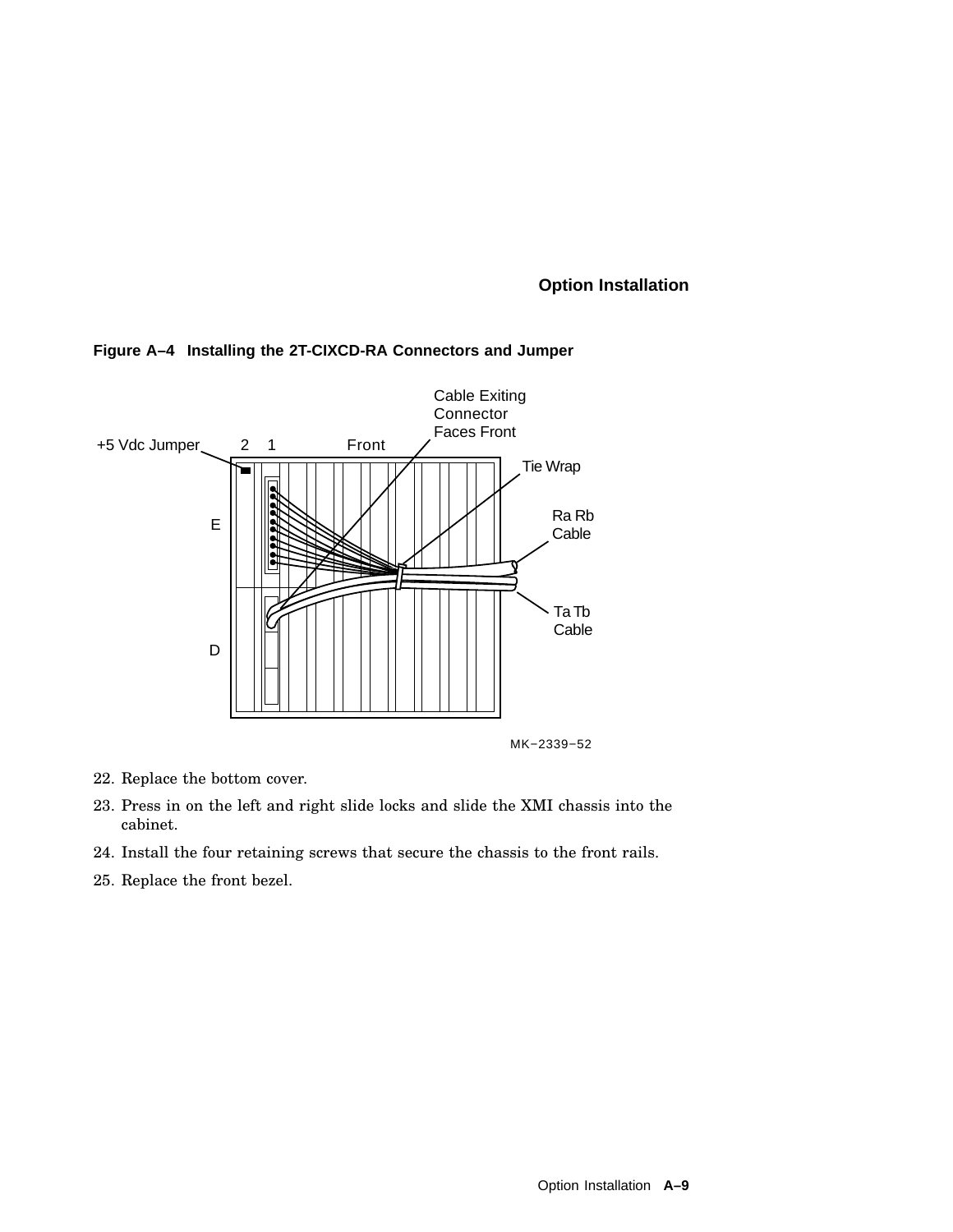

#### **Figure A–4 Installing the 2T-CIXCD-RA Connectors and Jumper**

- 22. Replace the bottom cover.
- 23. Press in on the left and right slide locks and slide the XMI chassis into the cabinet.
- 24. Install the four retaining screws that secure the chassis to the front rails.
- 25. Replace the front bezel.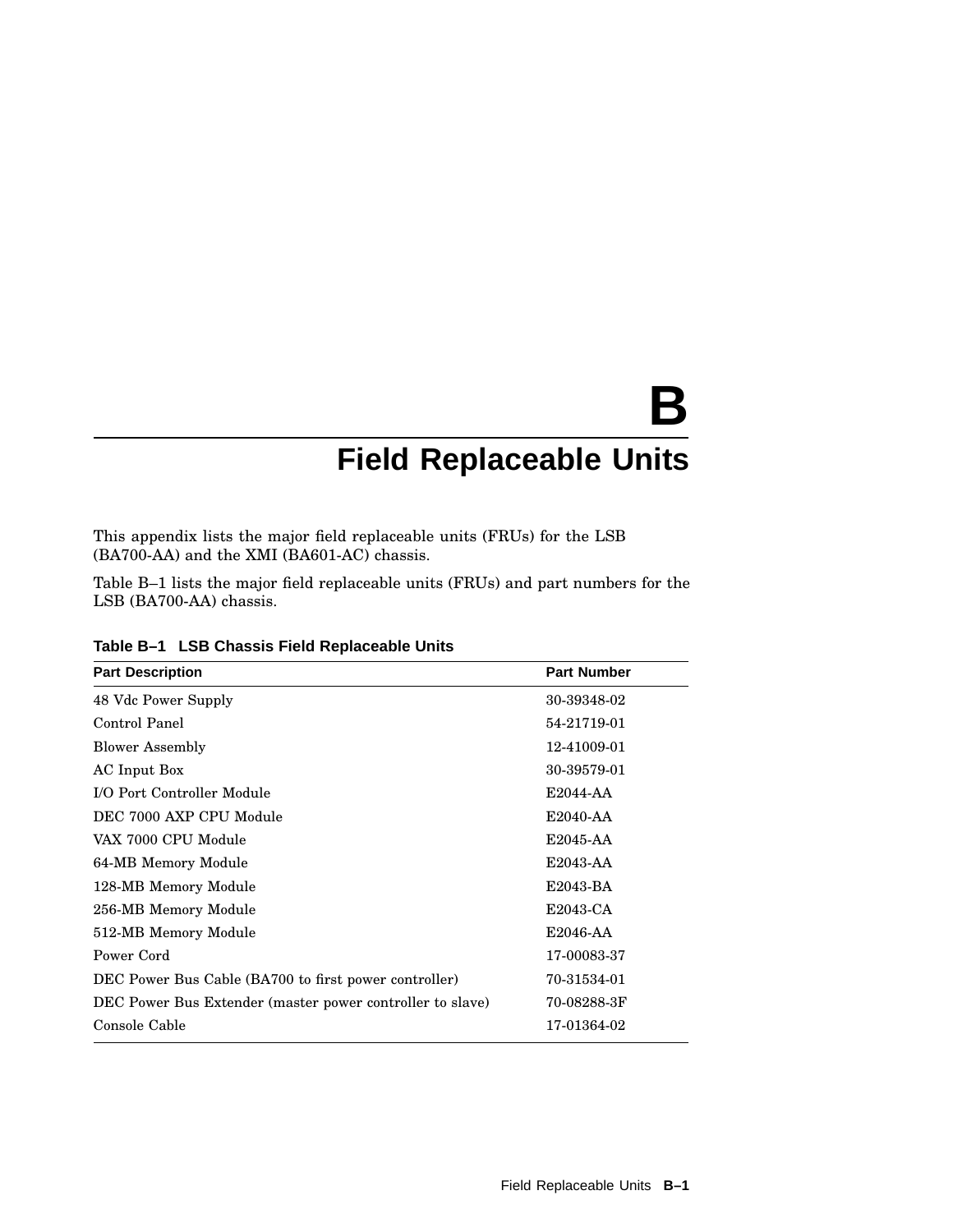# **B Field Replaceable Units**

This appendix lists the major field replaceable units (FRUs) for the LSB (BA700-AA) and the XMI (BA601-AC) chassis.

Table B–1 lists the major field replaceable units (FRUs) and part numbers for the LSB (BA700-AA) chassis.

| <b>Part Description</b>                                   | <b>Part Number</b> |
|-----------------------------------------------------------|--------------------|
| 48 Vdc Power Supply                                       | 30-39348-02        |
| Control Panel                                             | 54-21719-01        |
| <b>Blower Assembly</b>                                    | 12-41009-01        |
| AC Input Box                                              | 30-39579-01        |
| I/O Port Controller Module                                | E2044-AA           |
| DEC 7000 AXP CPU Module                                   | E2040-AA           |
| VAX 7000 CPU Module                                       | E2045-AA           |
| 64-MB Memory Module                                       | E2043-AA           |
| 128-MB Memory Module                                      | E2043-BA           |
| 256-MB Memory Module                                      | E2043-CA           |
| 512-MB Memory Module                                      | E2046-AA           |
| Power Cord                                                | 17-00083-37        |
| DEC Power Bus Cable (BA700 to first power controller)     | 70-31534-01        |
| DEC Power Bus Extender (master power controller to slave) | 70-08288-3F        |
| Console Cable                                             | 17-01364-02        |

**Table B–1 LSB Chassis Field Replaceable Units**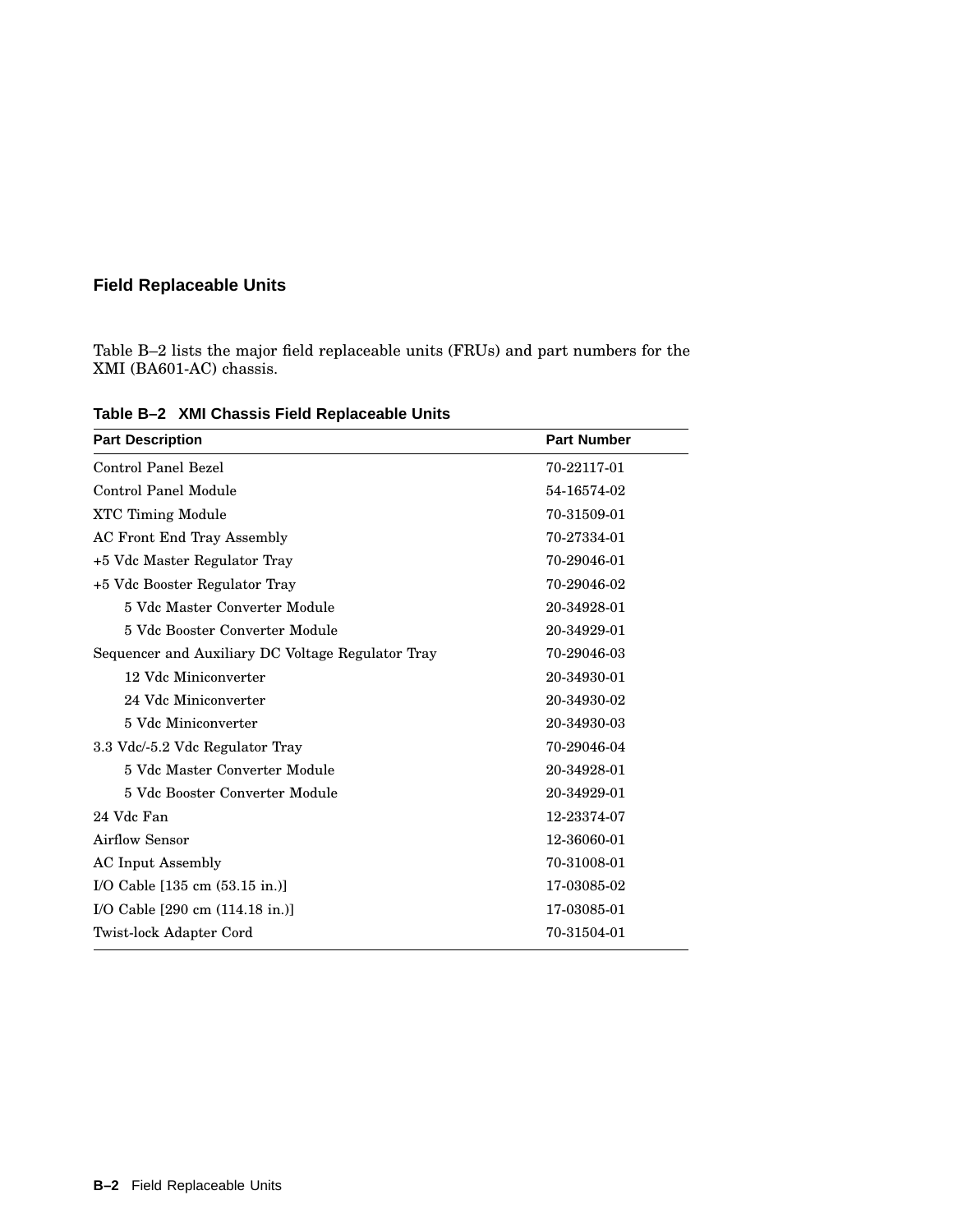## **Field Replaceable Units**

Table B–2 lists the major field replaceable units (FRUs) and part numbers for the XMI (BA601-AC) chassis.

| <b>Part Description</b>                           | <b>Part Number</b> |
|---------------------------------------------------|--------------------|
| Control Panel Bezel                               | 70-22117-01        |
| Control Panel Module                              | 54-16574-02        |
| <b>XTC Timing Module</b>                          | 70-31509-01        |
| <b>AC Front End Tray Assembly</b>                 | 70-27334-01        |
| +5 Vdc Master Regulator Tray                      | 70-29046-01        |
| +5 Vdc Booster Regulator Tray                     | 70-29046-02        |
| 5 Vdc Master Converter Module                     | 20-34928-01        |
| 5 Vdc Booster Converter Module                    | 20-34929-01        |
| Sequencer and Auxiliary DC Voltage Regulator Tray | 70-29046-03        |
| 12 Vdc Miniconverter                              | 20-34930-01        |
| 24 Vdc Miniconverter                              | 20-34930-02        |
| 5 Vdc Miniconverter                               | 20-34930-03        |
| 3.3 Vdc/-5.2 Vdc Regulator Tray                   | 70-29046-04        |
| 5 Vdc Master Converter Module                     | 20-34928-01        |
| 5 Vdc Booster Converter Module                    | 20-34929-01        |
| 24 Vdc Fan                                        | 12-23374-07        |
| Airflow Sensor                                    | 12-36060-01        |
| <b>AC</b> Input Assembly                          | 70-31008-01        |
| I/O Cable $[135 \text{ cm } (53.15 \text{ in.})]$ | 17-03085-02        |
| I/O Cable [290 cm (114.18 in.)]                   | 17-03085-01        |
| Twist-lock Adapter Cord                           | 70-31504-01        |

**Table B–2 XMI Chassis Field Replaceable Units**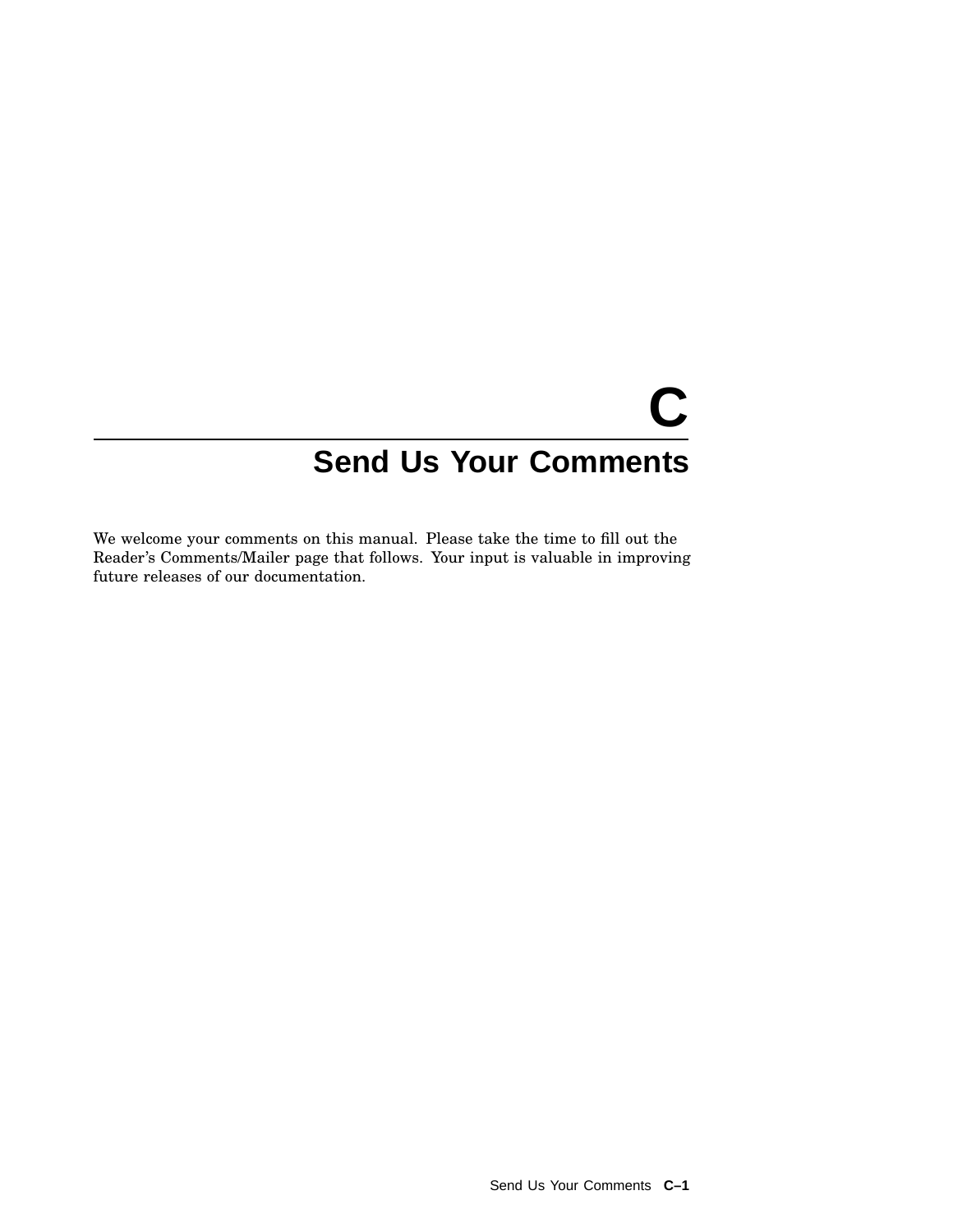# **C Send Us Your Comments**

We welcome your comments on this manual. Please take the time to fill out the Reader's Comments/Mailer page that follows. Your input is valuable in improving future releases of our documentation.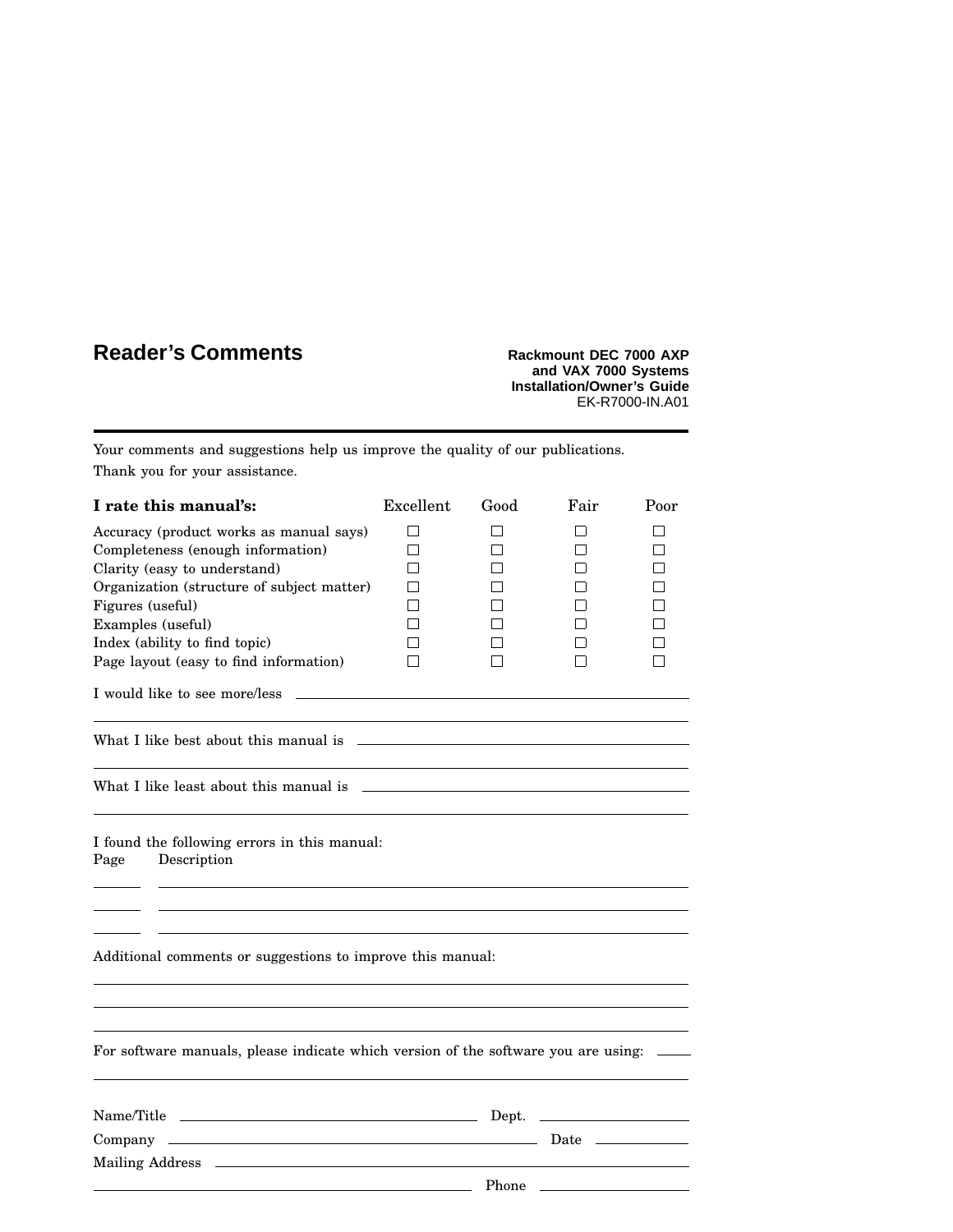# **Reader's Comments Rackmount DEC** 7000 AXP

**and VAX 7000 Systems Installation/Owner's Guide** EK-R7000-IN.A01

Your comments and suggestions help us improve the quality of our publications. Thank you for your assistance.

| I rate this manual's:                                                              | Excellent | Good  | Fair         | Poor |
|------------------------------------------------------------------------------------|-----------|-------|--------------|------|
| Accuracy (product works as manual says)                                            | П         | l 1   | l 1          | П    |
| Completeness (enough information)                                                  | П         |       | П            | П    |
| Clarity (easy to understand)                                                       | l 1       |       | $\mathsf{I}$ | П    |
| Organization (structure of subject matter)                                         | П         |       | l 1          |      |
| Figures (useful)                                                                   |           |       | l 1          | П    |
| Examples (useful)                                                                  |           |       | П            | п    |
| Index (ability to find topic)                                                      |           |       | l 1          | П    |
| Page layout (easy to find information)                                             |           |       | П            | П    |
| I would like to see more/less                                                      |           |       |              |      |
| What I like best about this manual is                                              |           |       |              |      |
|                                                                                    |           |       |              |      |
| I found the following errors in this manual:<br>Description<br>Page                |           |       |              |      |
| Additional comments or suggestions to improve this manual:                         |           |       |              |      |
| For software manuals, please indicate which version of the software you are using: |           |       |              |      |
|                                                                                    |           |       |              |      |
|                                                                                    |           |       |              |      |
|                                                                                    |           |       |              |      |
|                                                                                    |           | Phone |              |      |